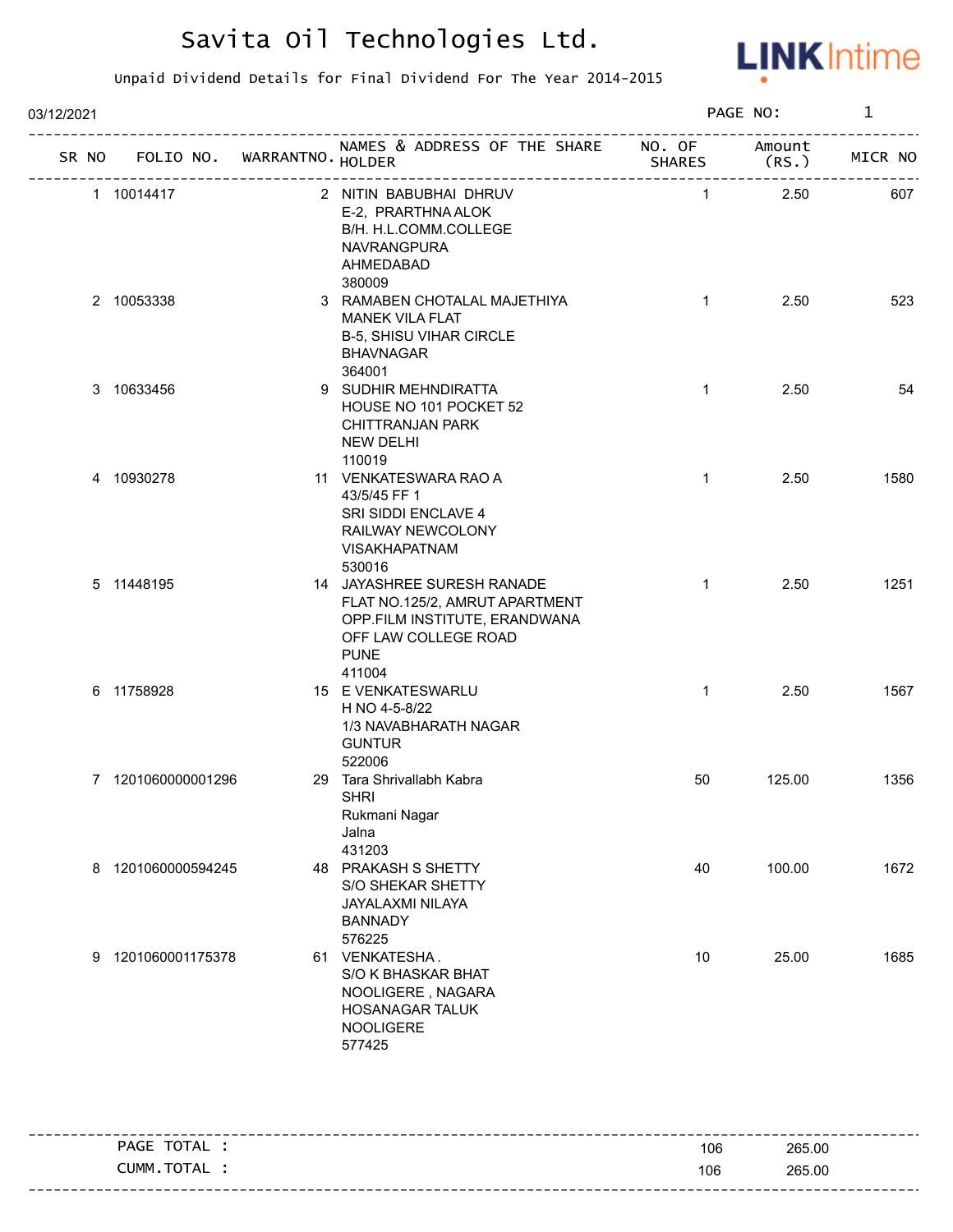

| SR NO | FOLIO NO. WARRANTNO. HOLDER                                                      | NAMES & ADDRESS OF THE SHARE NO. OF                                                                              | <b>SHARES</b>                                                                                                                                                                                                                               | Amount<br>(RS.)                        | MICR NO |
|-------|----------------------------------------------------------------------------------|------------------------------------------------------------------------------------------------------------------|---------------------------------------------------------------------------------------------------------------------------------------------------------------------------------------------------------------------------------------------|----------------------------------------|---------|
|       |                                                                                  | E-2, PRARTHNA ALOK<br>B/H. H.L.COMM.COLLEGE<br>NAVRANGPURA<br>AHMEDABAD<br>380009                                | $\overline{1}$                                                                                                                                                                                                                              | 2.50                                   | 607     |
|       |                                                                                  | <b>MANEK VILA FLAT</b><br><b>B-5, SHISU VIHAR CIRCLE</b><br><b>BHAVNAGAR</b><br>364001                           | $\mathbf{1}$                                                                                                                                                                                                                                | 2.50                                   | 523     |
|       |                                                                                  | HOUSE NO 101 POCKET 52<br>CHITTRANJAN PARK<br><b>NEW DELHI</b>                                                   | $\mathbf{1}$                                                                                                                                                                                                                                | 2.50                                   | 54      |
|       |                                                                                  | 43/5/45 FF 1<br>SRI SIDDI ENCLAVE 4<br>RAILWAY NEWCOLONY<br><b>VISAKHAPATNAM</b><br>530016                       | $\mathbf{1}$                                                                                                                                                                                                                                | 2.50                                   | 1580    |
|       |                                                                                  | FLAT NO.125/2, AMRUT APARTMENT<br>OPP.FILM INSTITUTE, ERANDWANA<br>OFF LAW COLLEGE ROAD<br><b>PUNE</b><br>411004 | $\mathbf{1}$                                                                                                                                                                                                                                | 2.50                                   | 1251    |
|       |                                                                                  | H NO 4-5-8/22<br>1/3 NAVABHARATH NAGAR<br><b>GUNTUR</b><br>522006                                                | $\mathbf{1}$                                                                                                                                                                                                                                | 2.50                                   | 1567    |
|       |                                                                                  | <b>SHRI</b><br>Rukmani Nagar<br>Jalna<br>431203                                                                  | 50                                                                                                                                                                                                                                          | 125.00                                 | 1356    |
|       |                                                                                  | S/O SHEKAR SHETTY<br>JAYALAXMI NILAYA<br><b>BANNADY</b><br>576225                                                | 40                                                                                                                                                                                                                                          | 100.00                                 | 1672    |
|       |                                                                                  | S/O K BHASKAR BHAT<br>NOOLIGERE, NAGARA<br>HOSANAGAR TALUK<br><b>NOOLIGERE</b><br>577425                         | 10                                                                                                                                                                                                                                          | 25.00                                  | 1685    |
|       | 1 10014417<br>2 10053338<br>3 10633456<br>4 10930278<br>5 11448195<br>6 11758928 | 7 1201060000001296<br>8 1201060000594245<br>9 1201060001175378                                                   | 2 NITIN BABUBHAI DHRUV<br>3 RAMABEN CHOTALAL MAJETHIYA<br>9 SUDHIR MEHNDIRATTA<br>110019<br>11 VENKATESWARA RAO A<br>14 JAYASHREE SURESH RANADE<br>15 E VENKATESWARLU<br>29 Tara Shrivallabh Kabra<br>48 PRAKASH S SHETTY<br>61 VENKATESHA. | -------------------------------------- |         |

|            |     | ------------------ |
|------------|-----|--------------------|
| PAGE TOTAL | 106 | 265.00             |
| CUMM.TOTAL | 106 | 265.00             |
|            |     |                    |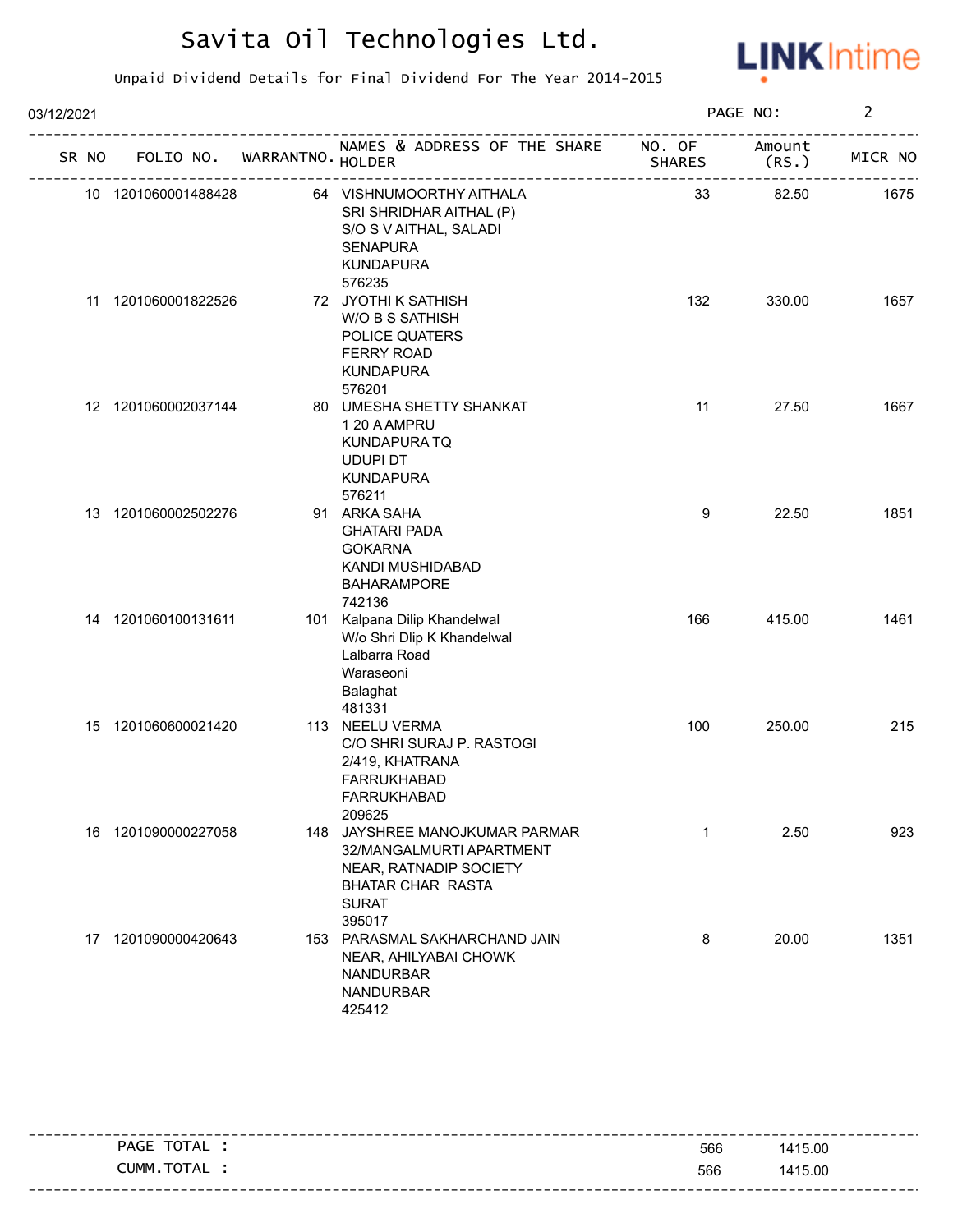

| 03/12/2021 |       |                     |                            |                                                                                                                                            |                         | PAGE NO:        | $\overline{2}$ |
|------------|-------|---------------------|----------------------------|--------------------------------------------------------------------------------------------------------------------------------------------|-------------------------|-----------------|----------------|
|            | SR NO |                     | FOLIO NO. WARRANTNO HOLDER | NAMES & ADDRESS OF THE SHARE                                                                                                               | NO. OF<br><b>SHARES</b> | Amount<br>(RS.) | MICR NO        |
|            |       | 10 1201060001488428 |                            | 64 VISHNUMOORTHY AITHALA<br>SRI SHRIDHAR AITHAL (P)<br>S/O S V AITHAL, SALADI<br><b>SENAPURA</b><br><b>KUNDAPURA</b><br>576235             | 33                      | 82.50           | 1675           |
|            |       | 11 1201060001822526 |                            | 72 JYOTHI K SATHISH<br>W/O B S SATHISH<br>POLICE QUATERS<br><b>FERRY ROAD</b><br><b>KUNDAPURA</b><br>576201                                | 132                     | 330.00          | 1657           |
|            |       | 12 1201060002037144 |                            | 80 UMESHA SHETTY SHANKAT<br>1 20 A AMPRU<br>KUNDAPURA TQ<br><b>UDUPI DT</b><br><b>KUNDAPURA</b><br>576211                                  | 11                      | 27.50           | 1667           |
|            |       | 13 1201060002502276 |                            | 91 ARKA SAHA<br><b>GHATARI PADA</b><br><b>GOKARNA</b><br>KANDI MUSHIDABAD<br><b>BAHARAMPORE</b><br>742136                                  | 9                       | 22.50           | 1851           |
|            |       | 14 1201060100131611 |                            | 101 Kalpana Dilip Khandelwal<br>W/o Shri Dlip K Khandelwal<br>Lalbarra Road<br>Waraseoni<br>Balaghat<br>481331                             | 166                     | 415.00          | 1461           |
|            |       | 15 1201060600021420 |                            | 113 NEELU VERMA<br>C/O SHRI SURAJ P. RASTOGI<br>2/419, KHATRANA<br><b>FARRUKHABAD</b><br><b>FARRUKHABAD</b><br>209625                      | 100                     | 250.00          | 215            |
|            |       | 16 1201090000227058 |                            | 148 JAYSHREE MANOJKUMAR PARMAR<br>32/MANGALMURTI APARTMENT<br>NEAR, RATNADIP SOCIETY<br><b>BHATAR CHAR RASTA</b><br><b>SURAT</b><br>395017 | $\mathbf{1}$            | 2.50            | 923            |
|            |       | 17 1201090000420643 |                            | 153 PARASMAL SAKHARCHAND JAIN<br>NEAR, AHILYABAI CHOWK<br><b>NANDURBAR</b><br><b>NANDURBAR</b><br>425412                                   | 8                       | 20.00           | 1351           |

| ________ |            |     |         |
|----------|------------|-----|---------|
|          | PAGE TOTAL | 566 | 1415.00 |
|          | CUMM.TOTAL | 566 | 1415.00 |
|          |            |     |         |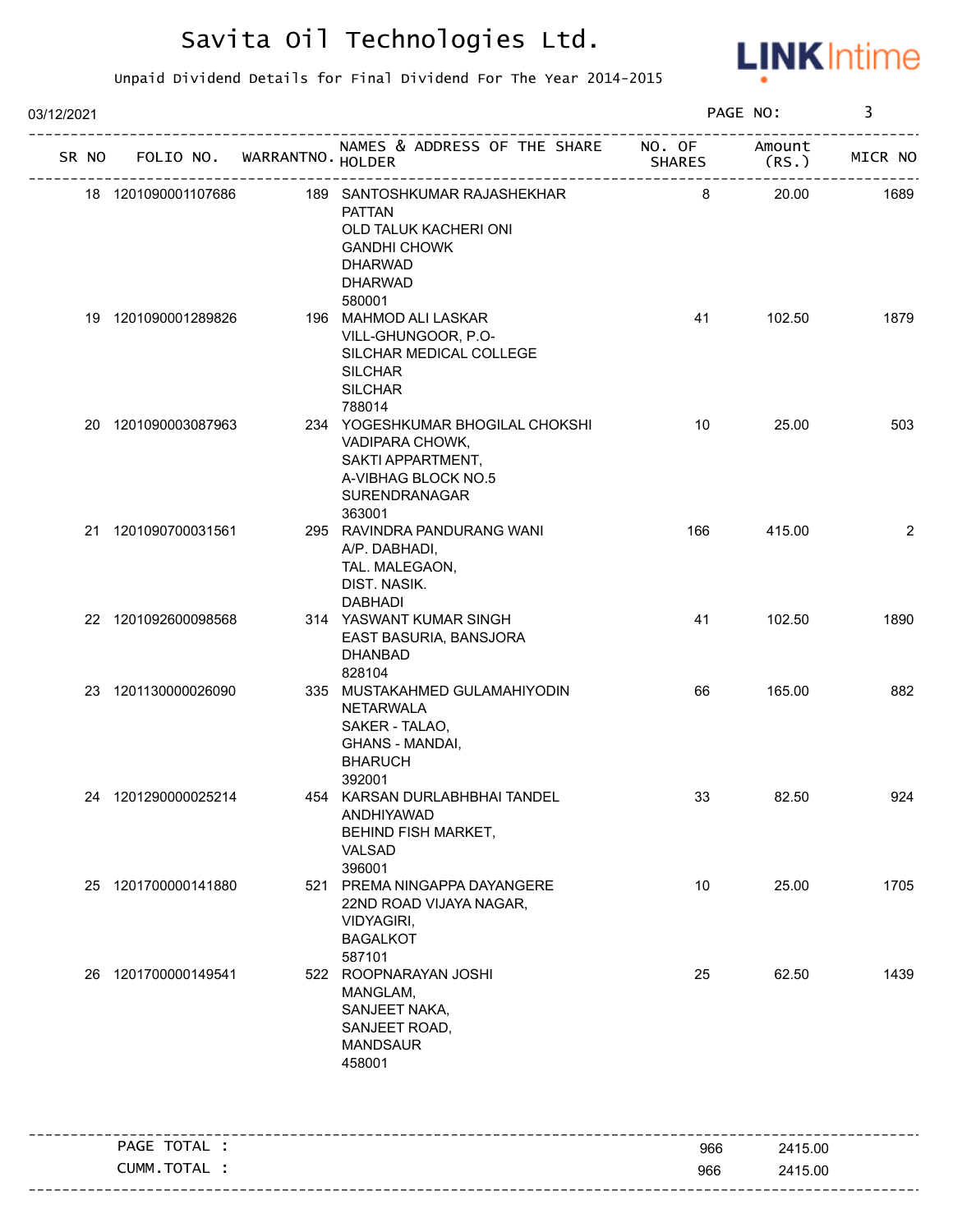

| 03/12/2021 |                                   |                                                                                                                                             |               | PAGE NO:        | 3              |
|------------|-----------------------------------|---------------------------------------------------------------------------------------------------------------------------------------------|---------------|-----------------|----------------|
|            | SR NO FOLIO NO. WARRANTNO. HOLDER | NAMES & ADDRESS OF THE SHARE NO. OF                                                                                                         | <b>SHARES</b> | Amount<br>(RS.) | MICR NO        |
|            | 18 1201090001107686               | 189 SANTOSHKUMAR RAJASHEKHAR<br><b>PATTAN</b><br>OLD TALUK KACHERI ONI<br><b>GANDHI CHOWK</b><br><b>DHARWAD</b><br><b>DHARWAD</b><br>580001 | 8             | 20.00           | 1689           |
|            | 19 1201090001289826               | 196 MAHMOD ALI LASKAR<br>VILL-GHUNGOOR, P.O-<br>SILCHAR MEDICAL COLLEGE<br><b>SILCHAR</b><br><b>SILCHAR</b><br>788014                       | 41            | 102.50          | 1879           |
|            | 20 1201090003087963               | 234 YOGESHKUMAR BHOGILAL CHOKSHI<br>VADIPARA CHOWK,<br>SAKTI APPARTMENT,<br>A-VIBHAG BLOCK NO.5<br>SURENDRANAGAR<br>363001                  | 10            | 25.00           | 503            |
|            | 21 1201090700031561               | 295 RAVINDRA PANDURANG WANI<br>A/P. DABHADI,<br>TAL. MALEGAON,<br>DIST. NASIK.<br><b>DABHADI</b>                                            | 166           | 415.00          | $\overline{2}$ |
|            | 22 1201092600098568               | 314 YASWANT KUMAR SINGH<br>EAST BASURIA, BANSJORA<br><b>DHANBAD</b><br>828104                                                               | 41            | 102.50          | 1890           |
|            | 23 1201130000026090               | 335 MUSTAKAHMED GULAMAHIYODIN<br><b>NETARWALA</b><br>SAKER - TALAO,<br>GHANS - MANDAI,<br><b>BHARUCH</b><br>392001                          | 66            | 165.00          | 882            |
|            | 24 1201290000025214               | 454 KARSAN DURLABHBHAI TANDEL<br>ANDHIYAWAD<br>BEHIND FISH MARKET,<br>VALSAD<br>396001                                                      | 33            | 82.50           | 924            |
|            | 25 1201700000141880               | 521 PREMA NINGAPPA DAYANGERE<br>22ND ROAD VIJAYA NAGAR,<br>VIDYAGIRI,<br><b>BAGALKOT</b><br>587101                                          | 10            | 25.00           | 1705           |
| 26         | 1201700000149541                  | 522 ROOPNARAYAN JOSHI<br>MANGLAM,<br>SANJEET NAKA,<br>SANJEET ROAD,<br><b>MANDSAUR</b><br>458001                                            | 25            | 62.50           | 1439           |
|            | PAGE TOTAL :                      |                                                                                                                                             | 966           | 2415.00         |                |
|            | CUMM.TOTAL :                      |                                                                                                                                             | 966           | 2415.00         |                |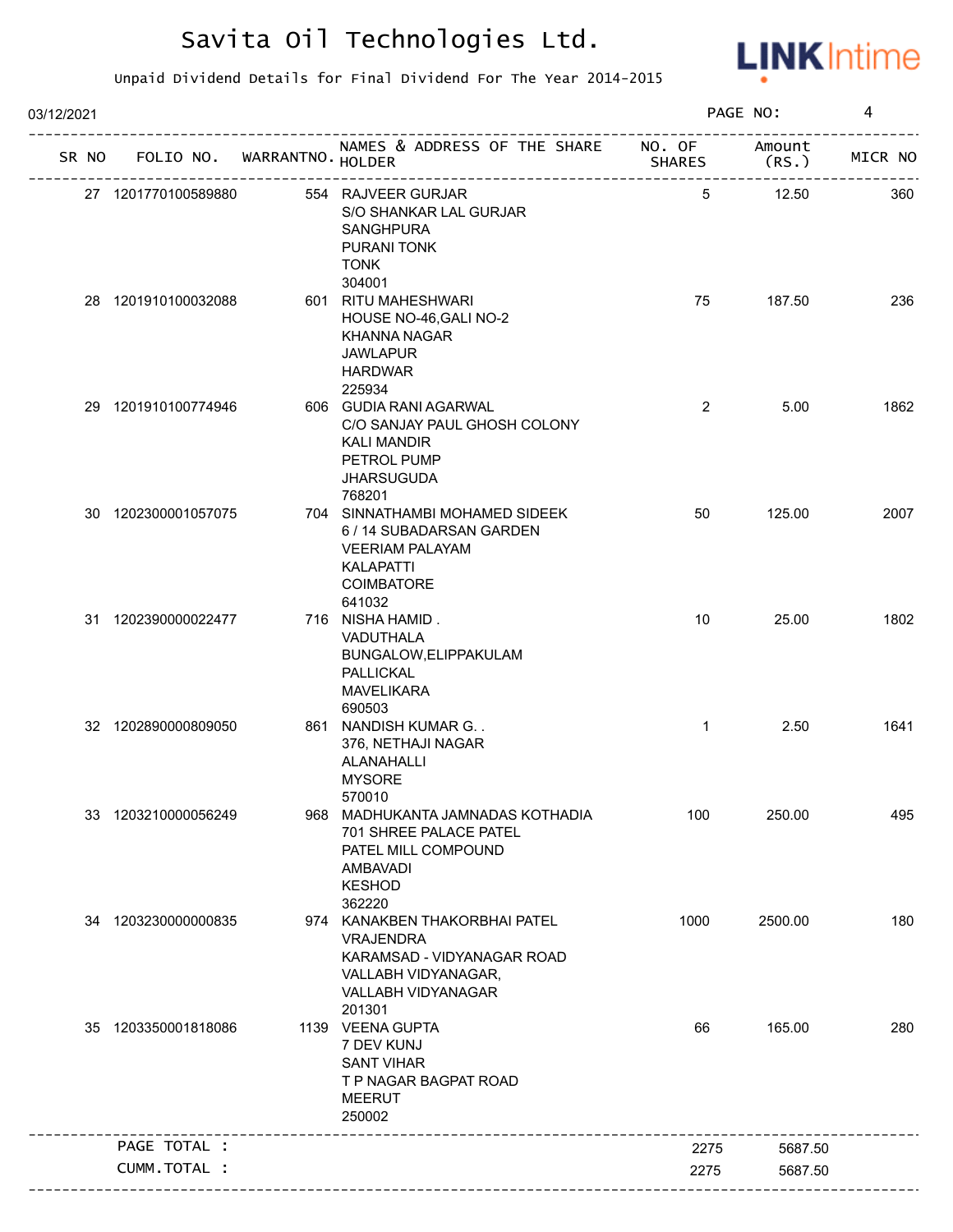

| 03/12/2021 |                             |                                                                                                                                         |                         | PAGE NO:        | 4       |
|------------|-----------------------------|-----------------------------------------------------------------------------------------------------------------------------------------|-------------------------|-----------------|---------|
| SR NO      | FOLIO NO. WARRANTNO. HOLDER | NAMES & ADDRESS OF THE SHARE<br>----------------------                                                                                  | NO. OF<br><b>SHARES</b> | Amount<br>(RS.) | MICR NO |
|            | 27 1201770100589880         | 554 RAJVEER GURJAR<br>S/O SHANKAR LAL GURJAR<br><b>SANGHPURA</b><br>PURANI TONK<br><b>TONK</b>                                          | 5                       | 12.50           | 360     |
|            | 28 1201910100032088         | 304001<br>601 RITU MAHESHWARI<br>HOUSE NO-46, GALI NO-2<br><b>KHANNA NAGAR</b><br><b>JAWLAPUR</b><br><b>HARDWAR</b>                     | 75                      | 187.50          | 236     |
|            | 29 1201910100774946         | 225934<br>606 GUDIA RANI AGARWAL<br>C/O SANJAY PAUL GHOSH COLONY<br><b>KALI MANDIR</b><br>PETROL PUMP<br><b>JHARSUGUDA</b><br>768201    | $\overline{2}$          | 5.00            | 1862    |
|            | 30 1202300001057075         | 704 SINNATHAMBI MOHAMED SIDEEK<br>6 / 14 SUBADARSAN GARDEN<br><b>VEERIAM PALAYAM</b><br><b>KALAPATTI</b><br><b>COIMBATORE</b><br>641032 | 50                      | 125.00          | 2007    |
|            | 31 1202390000022477         | 716 NISHA HAMID.<br>VADUTHALA<br>BUNGALOW, ELIPPAKULAM<br>PALLICKAL<br><b>MAVELIKARA</b><br>690503                                      | 10                      | 25.00           | 1802    |
|            | 32 1202890000809050         | 861 NANDISH KUMAR G. .<br>376, NETHAJI NAGAR<br>ALANAHALLI<br><b>MYSORE</b><br>570010                                                   | $\mathbf{1}$            | 2.50            | 1641    |
|            | 33 1203210000056249         | 968 MADHUKANTA JAMNADAS KOTHADIA<br>701 SHREE PALACE PATEL<br>PATEL MILL COMPOUND<br><b>AMBAVADI</b><br><b>KESHOD</b><br>362220         | 100                     | 250.00          | 495     |
|            | 34 1203230000000835         | 974 KANAKBEN THAKORBHAI PATEL<br><b>VRAJENDRA</b><br>KARAMSAD - VIDYANAGAR ROAD<br>VALLABH VIDYANAGAR,<br>VALLABH VIDYANAGAR<br>201301  | 1000                    | 2500.00         | 180     |
|            | 35 1203350001818086         | 1139 VEENA GUPTA<br>7 DEV KUNJ<br><b>SANT VIHAR</b><br>T P NAGAR BAGPAT ROAD<br>MEERUT<br>250002                                        | 66                      | 165.00          | 280     |
|            | PAGE TOTAL :                |                                                                                                                                         | 2275                    | 5687.50         |         |
|            | CUMM.TOTAL :                |                                                                                                                                         | 2275                    | 5687.50         |         |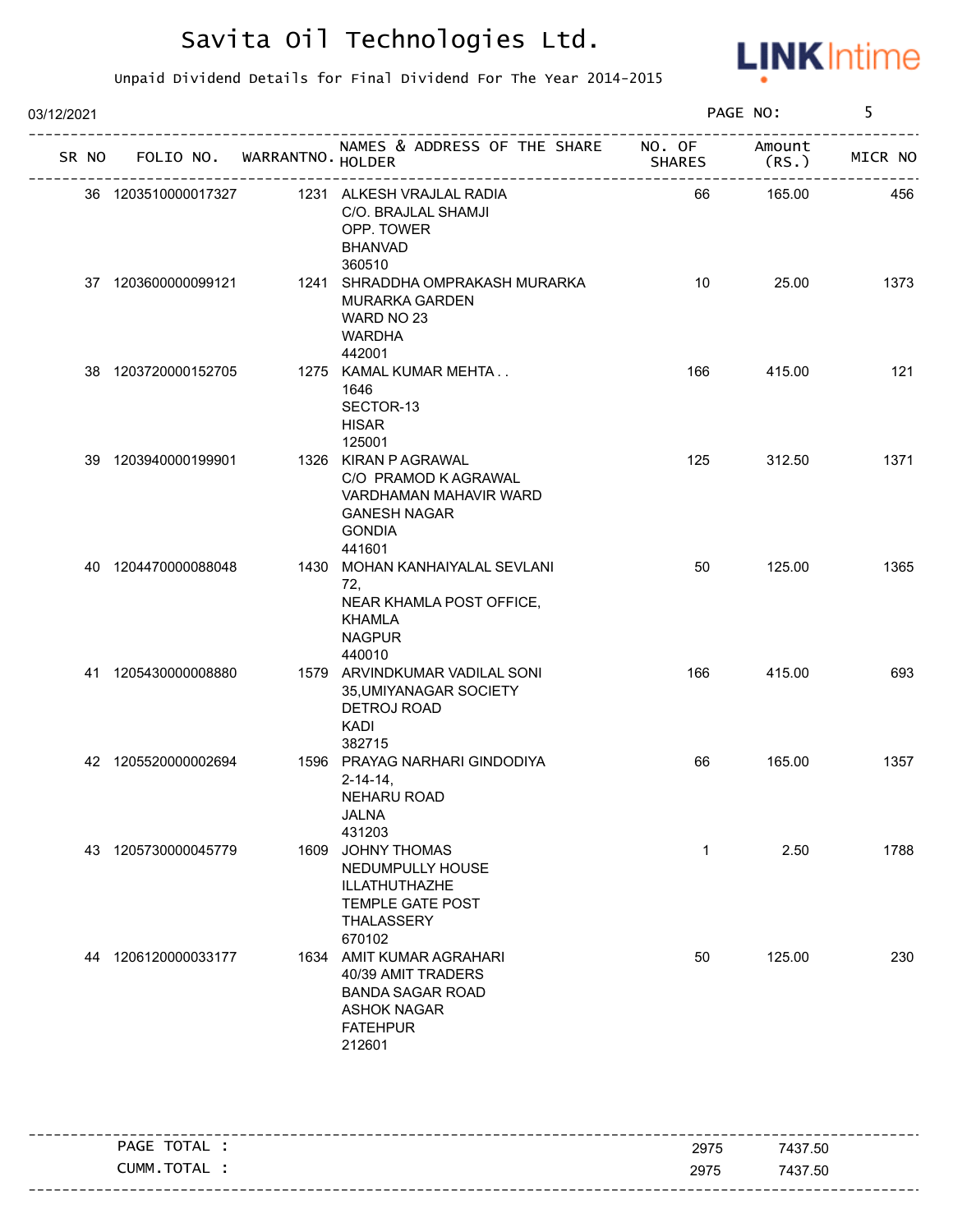

| NAMES & ADDRESS OF THE SHARE NO. OF<br>Amount<br>SR NO FOLIO NO. WARRANTNO. HOLDER<br><b>SHARES</b><br>(RS.)<br>1231 ALKESH VRAJLAL RADIA<br>165.00<br>36 1203510000017327<br>66<br>C/O. BRAJLAL SHAMJI<br>OPP. TOWER<br><b>BHANVAD</b><br>360510<br>10<br>25.00<br>37 1203600000099121<br>1241 SHRADDHA OMPRAKASH MURARKA<br><b>MURARKA GARDEN</b><br>WARD NO 23<br><b>WARDHA</b> | MICR NO<br>456<br>1373 |
|------------------------------------------------------------------------------------------------------------------------------------------------------------------------------------------------------------------------------------------------------------------------------------------------------------------------------------------------------------------------------------|------------------------|
|                                                                                                                                                                                                                                                                                                                                                                                    |                        |
|                                                                                                                                                                                                                                                                                                                                                                                    |                        |
| 442001                                                                                                                                                                                                                                                                                                                                                                             |                        |
| 38 1203720000152705<br>1275 KAMAL KUMAR MEHTA<br>415.00<br>166<br>1646<br>SECTOR-13<br><b>HISAR</b><br>125001                                                                                                                                                                                                                                                                      | 121                    |
| 39 1203940000199901<br>1326 KIRAN P AGRAWAL<br>125<br>312.50<br>C/O PRAMOD K AGRAWAL<br>VARDHAMAN MAHAVIR WARD<br><b>GANESH NAGAR</b><br><b>GONDIA</b><br>441601                                                                                                                                                                                                                   | 1371                   |
| 1430 MOHAN KANHAIYALAL SEVLANI<br>125.00<br>40 1204470000088048<br>50<br>72,<br>NEAR KHAMLA POST OFFICE,<br>KHAMLA<br><b>NAGPUR</b><br>440010                                                                                                                                                                                                                                      | 1365                   |
| 1579 ARVINDKUMAR VADILAL SONI<br>41 1205430000008880<br>166<br>415.00<br>35, UMIYANAGAR SOCIETY<br>DETROJ ROAD<br><b>KADI</b><br>382715                                                                                                                                                                                                                                            | 693                    |
| 1596 PRAYAG NARHARI GINDODIYA<br>42 1205520000002694<br>66<br>165.00<br>$2 - 14 - 14$ ,<br>NEHARU ROAD<br><b>JALNA</b><br>431203                                                                                                                                                                                                                                                   | 1357                   |
| 1609 JOHNY THOMAS<br>43 1205730000045779<br>$\mathbf 1$<br>2.50<br>NEDUMPULLY HOUSE<br>ILLATHUTHAZHE<br>TEMPLE GATE POST<br>THALASSERY<br>670102                                                                                                                                                                                                                                   | 1788                   |
| 1634 AMIT KUMAR AGRAHARI<br>50<br>125.00<br>44 1206120000033177<br>40/39 AMIT TRADERS<br><b>BANDA SAGAR ROAD</b><br><b>ASHOK NAGAR</b><br><b>FATEHPUR</b><br>212601                                                                                                                                                                                                                | 230                    |

| PAGE TOTAL | 2975 | 7437.50 |
|------------|------|---------|
| CUMM.TOTAL | 2975 | 7437.50 |
|            |      |         |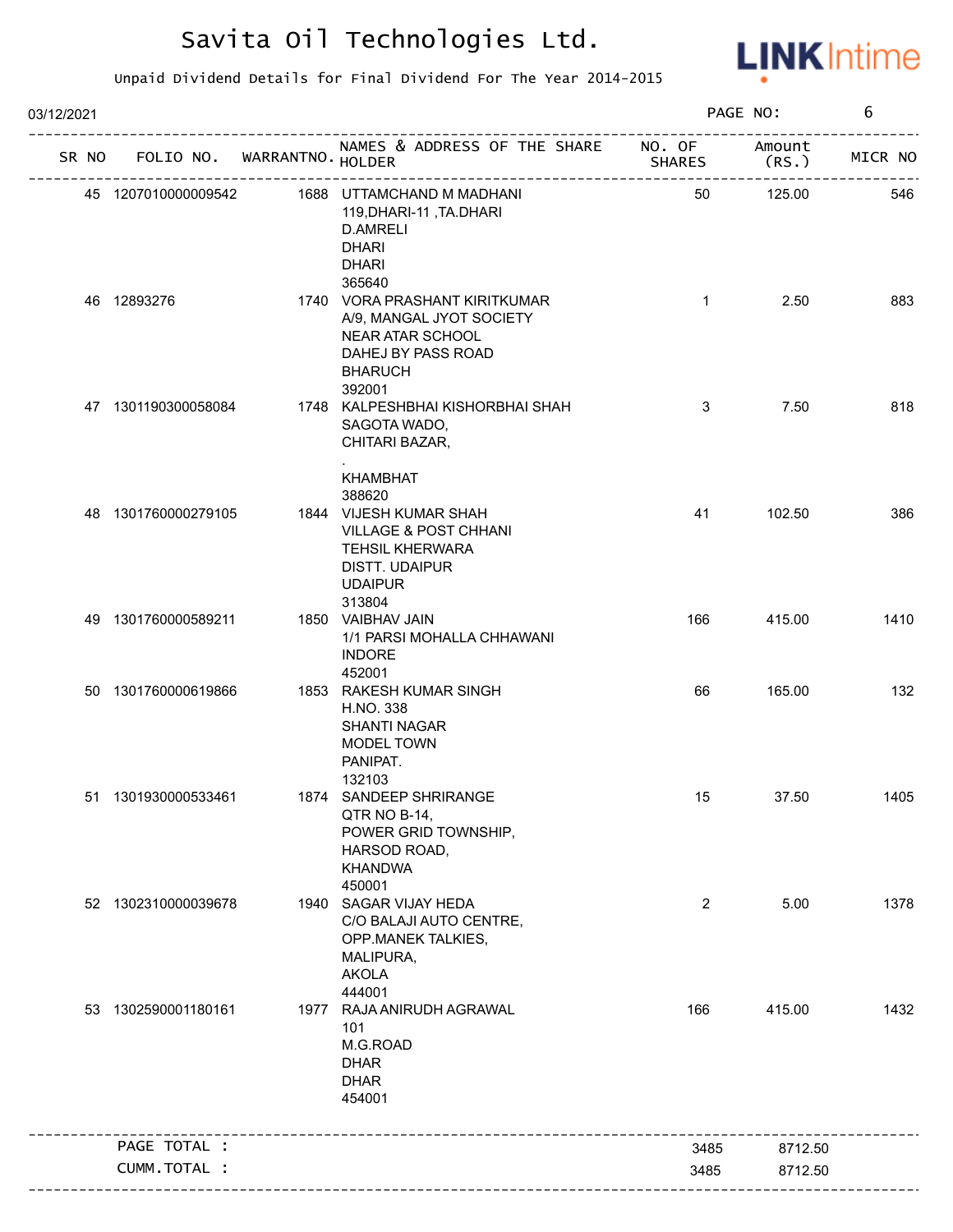

| 03/12/2021 |             |                     |                             |                                                                                                                                                              |                | PAGE NO:              | 6       |
|------------|-------------|---------------------|-----------------------------|--------------------------------------------------------------------------------------------------------------------------------------------------------------|----------------|-----------------------|---------|
| SR NO      |             |                     | FOLIO NO. WARRANTNO. HOLDER | NAMES & ADDRESS OF THE SHARE NO. OF<br>-----------------------------------                                                                                   | <b>SHARES</b>  | Amount<br>(RS.)       | MICR NO |
|            |             | 45 1207010000009542 |                             | 1688 UTTAMCHAND M MADHANI<br>119, DHARI-11, TA. DHARI<br>D.AMRELI<br><b>DHARI</b><br><b>DHARI</b>                                                            | 50             | -----------<br>125.00 | 546     |
|            | 46 12893276 |                     |                             | 365640<br>1740 VORA PRASHANT KIRITKUMAR<br>A/9, MANGAL JYOT SOCIETY<br>NEAR ATAR SCHOOL<br>DAHEJ BY PASS ROAD<br><b>BHARUCH</b>                              | $\mathbf{1}$   | 2.50                  | 883     |
|            |             | 47 1301190300058084 |                             | 392001<br>1748 KALPESHBHAI KISHORBHAI SHAH<br>SAGOTA WADO,<br>CHITARI BAZAR,                                                                                 | 3              | 7.50                  | 818     |
|            |             | 48 1301760000279105 |                             | <b>KHAMBHAT</b><br>388620<br>1844 VIJESH KUMAR SHAH<br><b>VILLAGE &amp; POST CHHANI</b><br><b>TEHSIL KHERWARA</b><br><b>DISTT. UDAIPUR</b><br><b>UDAIPUR</b> | 41             | 102.50                | 386     |
|            |             | 49 1301760000589211 |                             | 313804<br>1850 VAIBHAV JAIN<br>1/1 PARSI MOHALLA CHHAWANI<br><b>INDORE</b><br>452001                                                                         | 166            | 415.00                | 1410    |
|            |             | 50 1301760000619866 |                             | 1853 RAKESH KUMAR SINGH<br>H.NO. 338<br><b>SHANTI NAGAR</b><br>MODEL TOWN<br>PANIPAT.                                                                        | 66             | 165.00                | 132     |
|            |             | 51 1301930000533461 |                             | 132103<br>1874 SANDEEP SHRIRANGE<br>QTR NO B-14,<br>POWER GRID TOWNSHIP,<br>HARSOD ROAD,<br><b>KHANDWA</b><br>450001                                         | 15             | 37.50                 | 1405    |
|            |             | 52 1302310000039678 |                             | 1940 SAGAR VIJAY HEDA<br>C/O BALAJI AUTO CENTRE,<br>OPP.MANEK TALKIES,<br>MALIPURA,<br><b>AKOLA</b><br>444001                                                | $\overline{2}$ | 5.00                  | 1378    |
|            |             | 53 1302590001180161 |                             | 1977 RAJA ANIRUDH AGRAWAL<br>101<br>M.G.ROAD<br><b>DHAR</b><br><b>DHAR</b><br>454001                                                                         | 166            | 415.00                | 1432    |
|            |             | PAGE TOTAL :        |                             |                                                                                                                                                              | 3485           | 8712.50               |         |
|            |             | CUMM.TOTAL :        |                             |                                                                                                                                                              | 3485           | 8712.50               |         |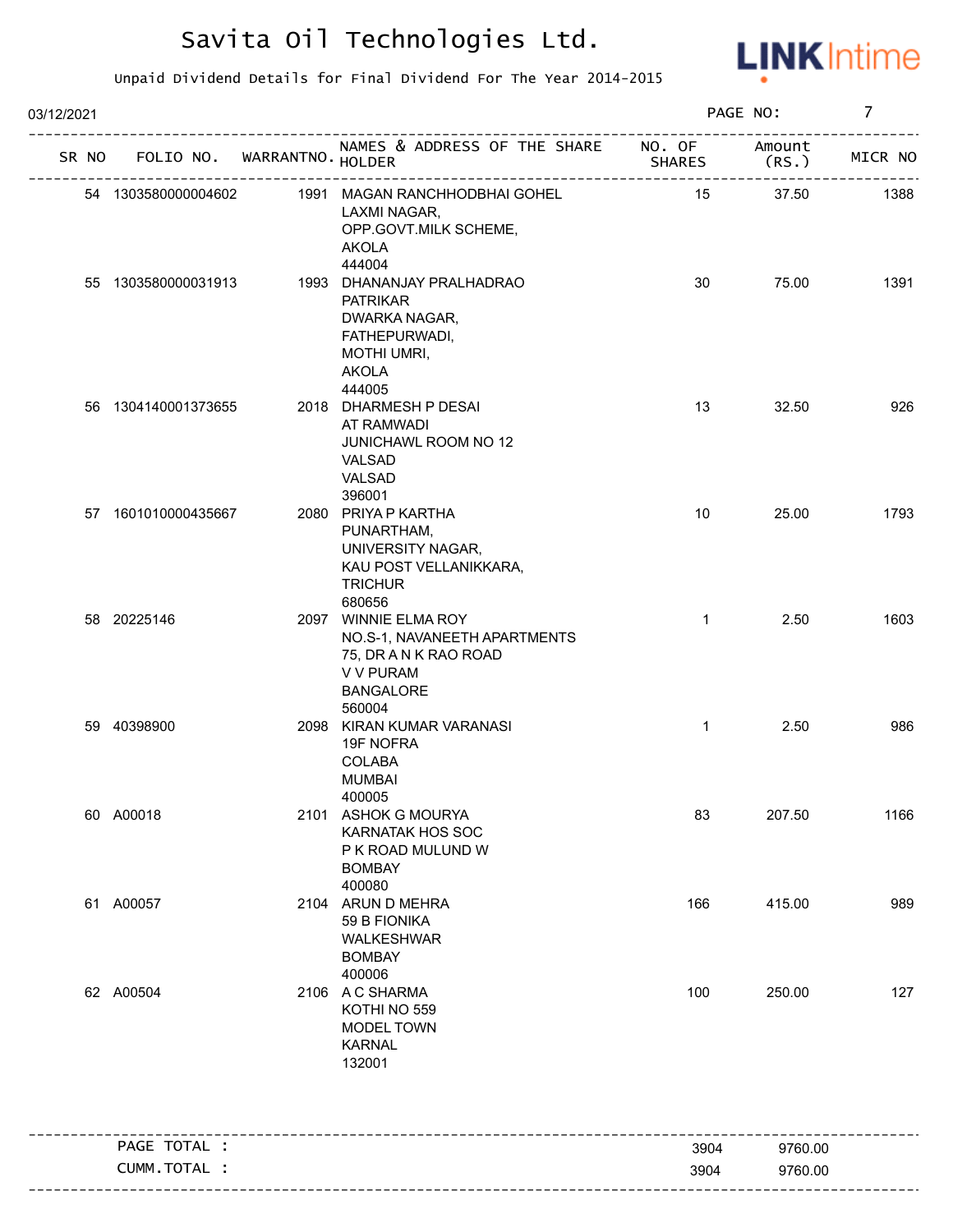

| 03/12/2021 |                             |                                                                                                                                |               | PAGE NO:        | $\overline{7}$ |
|------------|-----------------------------|--------------------------------------------------------------------------------------------------------------------------------|---------------|-----------------|----------------|
| SR NO      | FOLIO NO. WARRANTNO. HOLDER | NAMES & ADDRESS OF THE SHARE NO. OF                                                                                            | <b>SHARES</b> | Amount<br>(RS.) | MICR NO        |
|            | 54 1303580000004602         | 1991 MAGAN RANCHHODBHAI GOHEL<br>LAXMI NAGAR,<br>OPP.GOVT.MILK SCHEME,<br><b>AKOLA</b>                                         | 15            | 37.50           | 1388           |
|            | 55 1303580000031913         | 444004<br>1993 DHANANJAY PRALHADRAO<br><b>PATRIKAR</b><br>DWARKA NAGAR,<br>FATHEPURWADI,<br><b>MOTHI UMRI,</b><br><b>AKOLA</b> | 30            | 75.00           | 1391           |
|            | 56 1304140001373655         | 444005<br>2018 DHARMESH P DESAI<br>AT RAMWADI<br><b>JUNICHAWL ROOM NO 12</b><br>VALSAD<br>VALSAD<br>396001                     | 13            | 32.50           | 926            |
|            | 57 1601010000435667         | 2080 PRIYA P KARTHA<br>PUNARTHAM,<br>UNIVERSITY NAGAR,<br>KAU POST VELLANIKKARA,<br><b>TRICHUR</b><br>680656                   | 10            | 25.00           | 1793           |
|            | 58 20225146                 | 2097 WINNIE ELMA ROY<br>NO.S-1, NAVANEETH APARTMENTS<br>75, DR A N K RAO ROAD<br>V V PURAM<br><b>BANGALORE</b><br>560004       | $\mathbf{1}$  | 2.50            | 1603           |
|            | 59 40398900                 | 2098 KIRAN KUMAR VARANASI<br>19F NOFRA<br><b>COLABA</b><br><b>MUMBAI</b><br>400005                                             | $\mathbf{1}$  | 2.50            | 986            |
|            | 60 A00018                   | 2101 ASHOK G MOURYA<br><b>KARNATAK HOS SOC</b><br>P K ROAD MULUND W<br><b>BOMBAY</b><br>400080                                 | 83            | 207.50          | 1166           |
|            | 61 A00057                   | 2104 ARUN D MEHRA<br>59 B FIONIKA<br>WALKESHWAR<br><b>BOMBAY</b><br>400006                                                     | 166           | 415.00          | 989            |
|            | 62 A00504                   | 2106 A C SHARMA<br>KOTHI NO 559<br>MODEL TOWN<br><b>KARNAL</b><br>132001                                                       | 100           | 250.00          | 127            |
|            |                             |                                                                                                                                |               |                 |                |
|            | PAGE TOTAL :                |                                                                                                                                | 3904          | 9760.00         |                |
|            | CUMM.TOTAL :                |                                                                                                                                | 3904          | 9760.00         |                |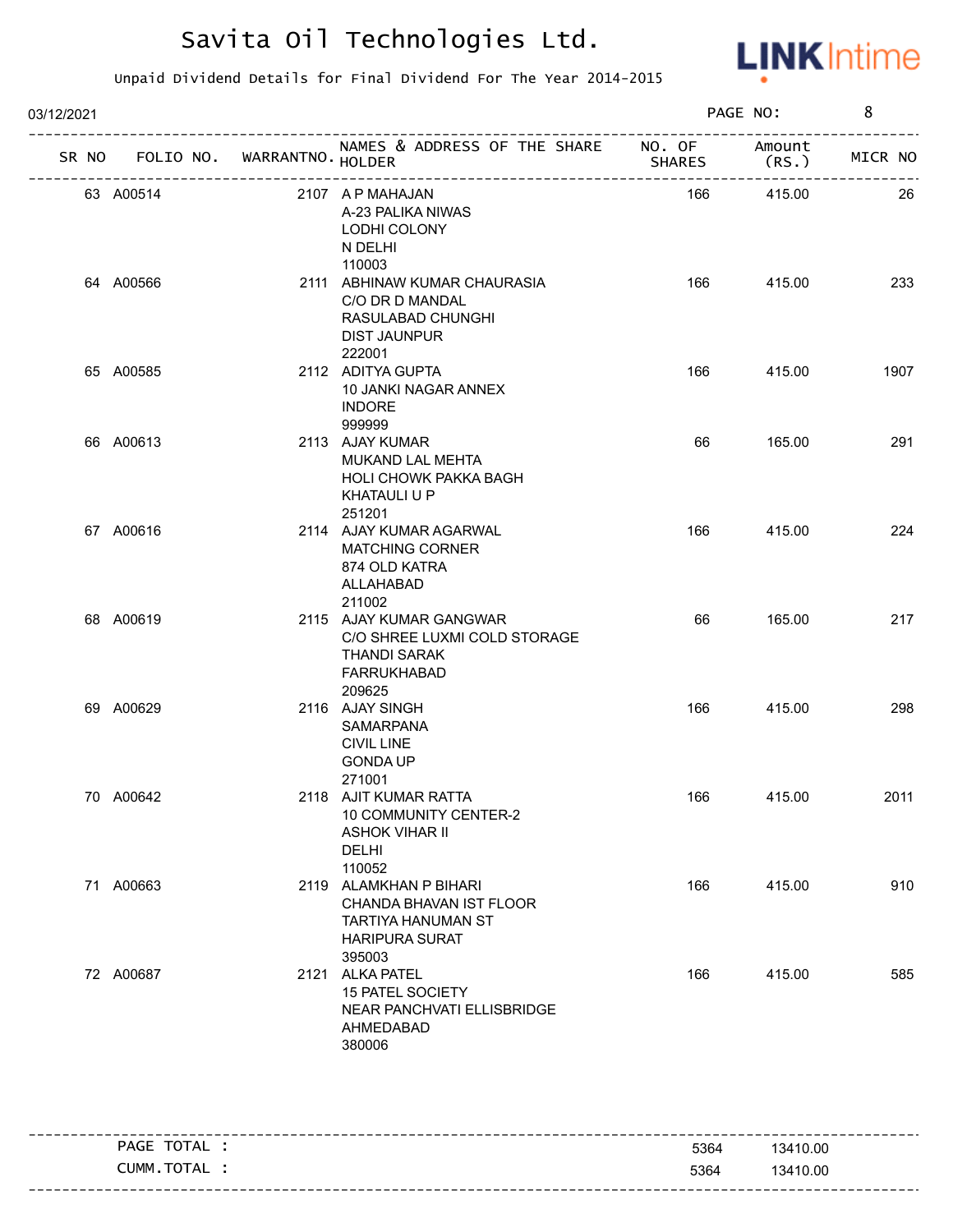

| 03/12/2021 |                                   |                            |                                                                                                            |        | PAGE NO:                     | 8       |
|------------|-----------------------------------|----------------------------|------------------------------------------------------------------------------------------------------------|--------|------------------------------|---------|
|            | SR NO FOLIO NO. WARRANTNO. HOLDER |                            | NAMES & ADDRESS OF THE SHARE NO. OF                                                                        | SHARES | Amount<br>(RS.)              | MICR NO |
|            | 63 A00514                         | -------------------------- | 2107 A P MAHAJAN<br>A-23 PALIKA NIWAS<br>LODHI COLONY<br>N DELHI<br>110003                                 | 166    | ------------------<br>415.00 | 26      |
|            | 64 A00566                         |                            | 2111 ABHINAW KUMAR CHAURASIA<br>C/O DR D MANDAL<br>RASULABAD CHUNGHI<br><b>DIST JAUNPUR</b><br>222001      | 166    | 415.00                       | 233     |
|            | 65 A00585                         |                            | 2112 ADITYA GUPTA<br>10 JANKI NAGAR ANNEX<br><b>INDORE</b><br>999999                                       | 166    | 415.00                       | 1907    |
|            | 66 A00613                         |                            | 2113 AJAY KUMAR<br>MUKAND LAL MEHTA<br><b>HOLI CHOWK PAKKA BAGH</b><br>KHATAULI U P<br>251201              | 66     | 165.00                       | 291     |
|            | 67 A00616                         |                            | 2114 AJAY KUMAR AGARWAL<br><b>MATCHING CORNER</b><br>874 OLD KATRA<br>ALLAHABAD<br>211002                  | 166    | 415.00                       | 224     |
|            | 68 A00619                         |                            | 2115 AJAY KUMAR GANGWAR<br>C/O SHREE LUXMI COLD STORAGE<br>THANDI SARAK<br>FARRUKHABAD<br>209625           | 66     | 165.00                       | 217     |
|            | 69 A00629                         |                            | 2116 AJAY SINGH<br>SAMARPANA<br><b>CIVIL LINE</b><br><b>GONDA UP</b><br>271001                             | 166    | 415.00                       | 298     |
|            | 70 A00642                         |                            | 2118 AJIT KUMAR RATTA<br>10 COMMUNITY CENTER-2<br><b>ASHOK VIHAR II</b><br>DELHI<br>110052                 | 166    | 415.00                       | 2011    |
|            | 71 A00663                         |                            | 2119 ALAMKHAN P BIHARI<br>CHANDA BHAVAN IST FLOOR<br>TARTIYA HANUMAN ST<br><b>HARIPURA SURAT</b><br>395003 | 166    | 415.00                       | 910     |
|            | 72 A00687                         |                            | 2121 ALKA PATEL<br>15 PATEL SOCIETY<br>NEAR PANCHVATI ELLISBRIDGE<br>AHMEDABAD<br>380006                   | 166    | 415.00                       | 585     |

| TOTAL<br><b>PAGE</b> | 5364          | 13410.00 |
|----------------------|---------------|----------|
| TOTAL<br>CUMM        | 5364<br>$  -$ | 13410.00 |
|                      |               |          |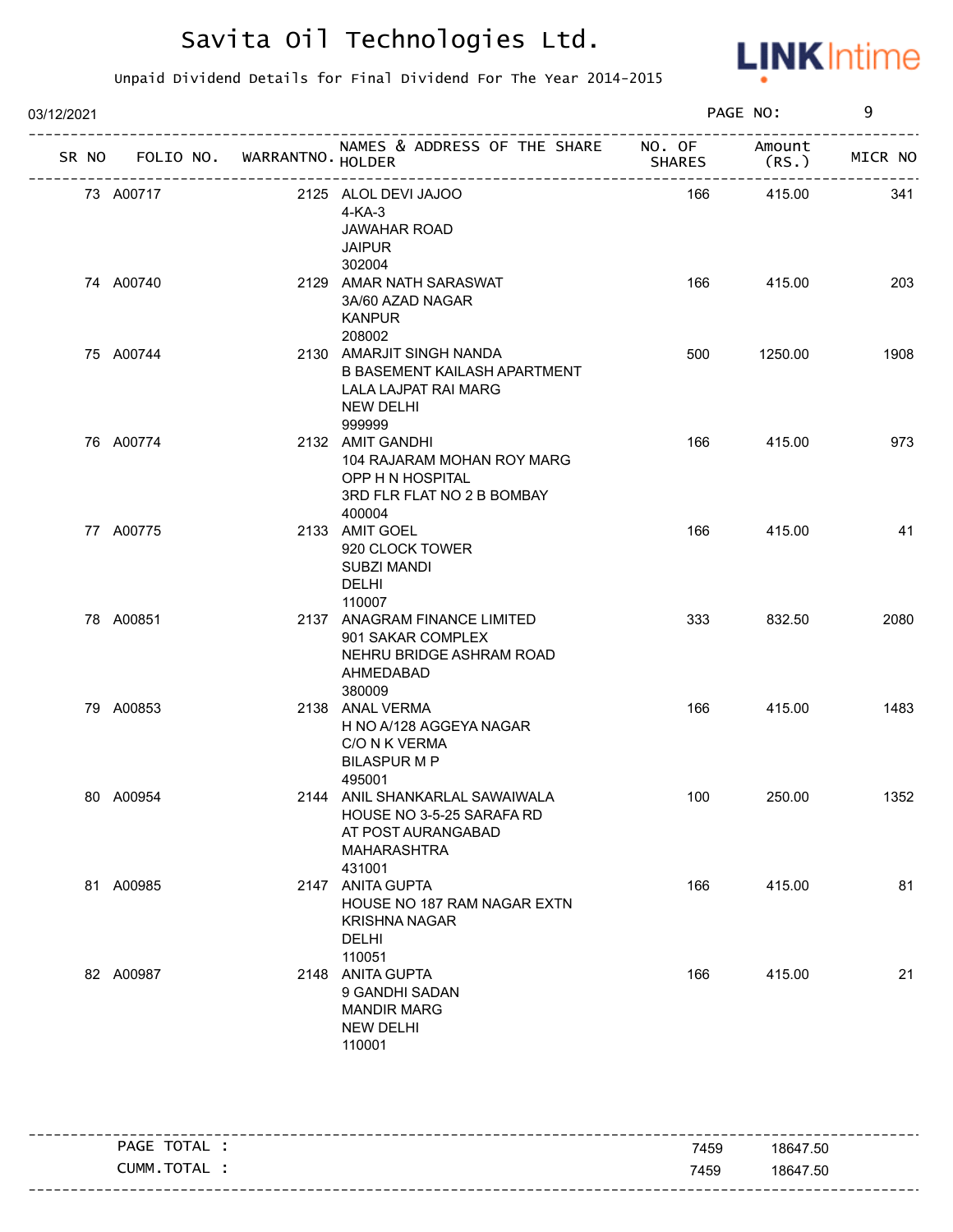

| 03/12/2021 |                                   |                                                                                                                |               | PAGE NO:       | 9       |
|------------|-----------------------------------|----------------------------------------------------------------------------------------------------------------|---------------|----------------|---------|
|            | SR NO FOLIO NO. WARRANTNO. HOLDER | NAMES & ADDRESS OF THE SHARE NO. OF                                                                            | <b>SHARES</b> | Amount<br>(RS. | MICR NO |
| 73 A00717  |                                   | 2125 ALOL DEVI JAJOO<br>$4-KA-3$<br><b>JAWAHAR ROAD</b><br><b>JAIPUR</b><br>302004                             | 166           | 415.00         | 341     |
| 74 A00740  |                                   | 2129 AMAR NATH SARASWAT<br>3A/60 AZAD NAGAR<br><b>KANPUR</b><br>208002                                         | 166           | 415.00         | 203     |
| 75 A00744  |                                   | 2130 AMARJIT SINGH NANDA<br>B BASEMENT KAILASH APARTMENT<br>LALA LAJPAT RAI MARG<br><b>NEW DELHI</b><br>999999 | 500           | 1250.00        | 1908    |
| 76 A00774  |                                   | 2132 AMIT GANDHI<br>104 RAJARAM MOHAN ROY MARG<br>OPP H N HOSPITAL<br>3RD FLR FLAT NO 2 B BOMBAY<br>400004     | 166           | 415.00         | 973     |
| 77 A00775  |                                   | 2133 AMIT GOEL<br>920 CLOCK TOWER<br><b>SUBZI MANDI</b><br>DELHI<br>110007                                     | 166           | 415.00         | 41      |
| 78 A00851  |                                   | 2137 ANAGRAM FINANCE LIMITED<br>901 SAKAR COMPLEX<br>NEHRU BRIDGE ASHRAM ROAD<br>AHMEDABAD<br>380009           | 333           | 832.50         | 2080    |
| 79 A00853  |                                   | 2138 ANAL VERMA<br>H NO A/128 AGGEYA NAGAR<br>C/O N K VERMA<br><b>BILASPUR M P</b><br>495001                   | 166           | 415.00         | 1483    |
| 80 A00954  |                                   | 2144 ANIL SHANKARLAL SAWAIWALA<br>HOUSE NO 3-5-25 SARAFA RD<br>AT POST AURANGABAD<br>MAHARASHTRA<br>431001     | 100           | 250.00         | 1352    |
| 81 A00985  |                                   | 2147 ANITA GUPTA<br>HOUSE NO 187 RAM NAGAR EXTN<br><b>KRISHNA NAGAR</b><br><b>DELHI</b><br>110051              | 166           | 415.00         | 81      |
| 82 A00987  |                                   | 2148 ANITA GUPTA<br>9 GANDHI SADAN<br><b>MANDIR MARG</b><br><b>NEW DELHI</b><br>110001                         | 166           | 415.00         | 21      |

| PAGE TOTAL .  | 7459 | 18647.50 |
|---------------|------|----------|
| CUMM. TOTAL : | 7459 | 18647.50 |
|               |      |          |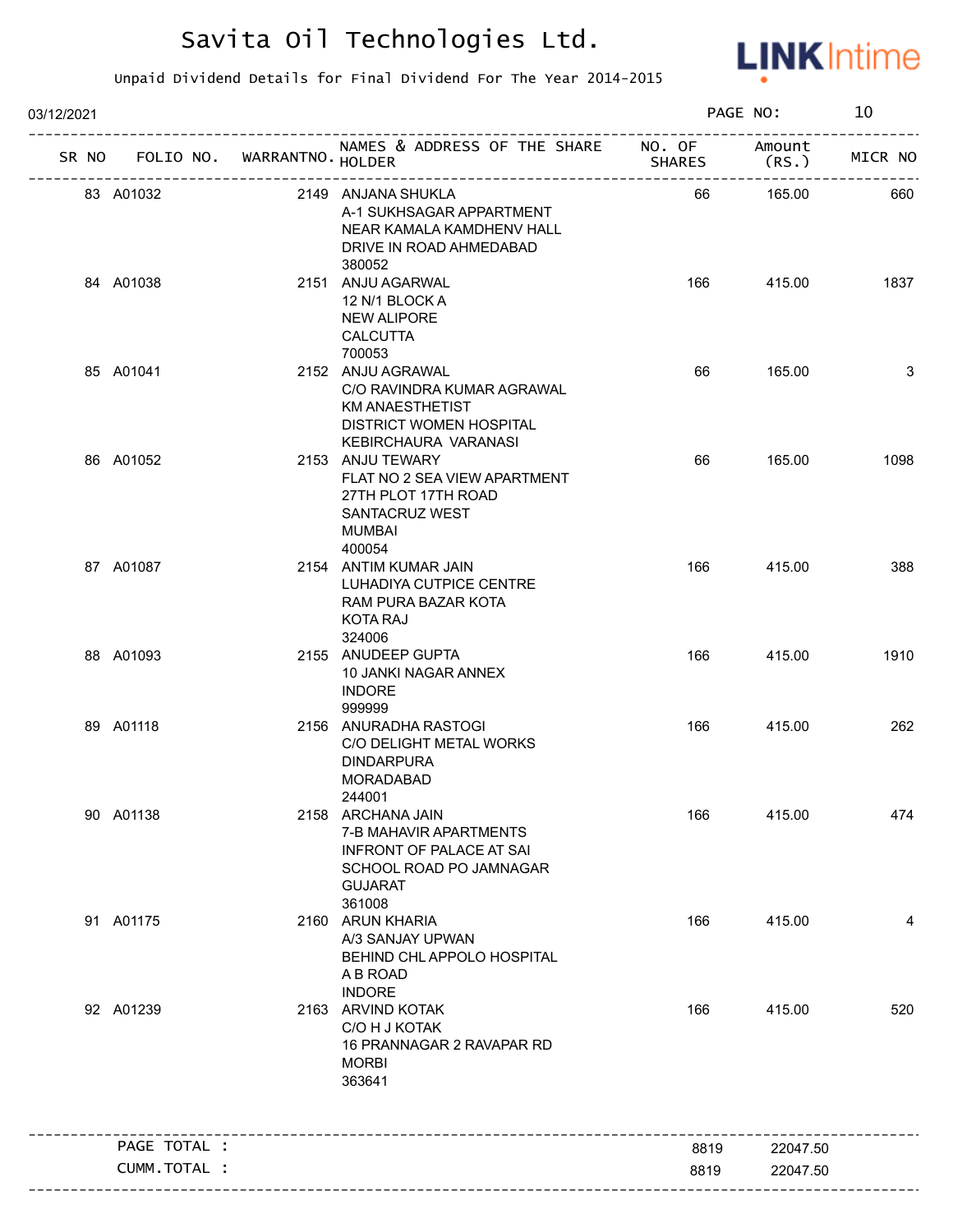

| 03/12/2021 |                                   |                                                                                                                                       |               | PAGE NO:        | 10      |
|------------|-----------------------------------|---------------------------------------------------------------------------------------------------------------------------------------|---------------|-----------------|---------|
|            | SR NO FOLIO NO. WARRANTNO. HOLDER | NAMES & ADDRESS OF THE SHARE NO. OF                                                                                                   | <b>SHARES</b> | Amount<br>(RS.) | MICR NO |
|            | 83 A01032                         | 2149 ANJANA SHUKLA<br>A-1 SUKHSAGAR APPARTMENT<br>NEAR KAMALA KAMDHENV HALL<br>DRIVE IN ROAD AHMEDABAD<br>380052                      | 66            | 165.00          | 660     |
|            | 84 A01038                         | 2151 ANJU AGARWAL<br>12 N/1 BLOCK A<br><b>NEW ALIPORE</b><br><b>CALCUTTA</b><br>700053                                                | 166           | 415.00          | 1837    |
|            | 85 A01041                         | 2152 ANJU AGRAWAL<br>C/O RAVINDRA KUMAR AGRAWAL<br><b>KM ANAESTHETIST</b><br><b>DISTRICT WOMEN HOSPITAL</b><br>KEBIRCHAURA VARANASI   | 66            | 165.00          | 3       |
|            | 86 A01052                         | 2153 ANJU TEWARY<br>FLAT NO 2 SEA VIEW APARTMENT<br>27TH PLOT 17TH ROAD<br>SANTACRUZ WEST<br>MUMBAI<br>400054                         | 66            | 165.00          | 1098    |
|            | 87 A01087                         | 2154 ANTIM KUMAR JAIN<br>LUHADIYA CUTPICE CENTRE<br>RAM PURA BAZAR KOTA<br>KOTA RAJ<br>324006                                         | 166           | 415.00          | 388     |
|            | 88 A01093                         | 2155 ANUDEEP GUPTA<br>10 JANKI NAGAR ANNEX<br><b>INDORE</b><br>999999                                                                 | 166           | 415.00          | 1910    |
|            | 89 A01118                         | 2156 ANURADHA RASTOGI<br>C/O DELIGHT METAL WORKS<br><b>DINDARPURA</b><br><b>MORADABAD</b><br>244001                                   | 166           | 415.00          | 262     |
|            | 90 A01138                         | 2158 ARCHANA JAIN<br>7-B MAHAVIR APARTMENTS<br><b>INFRONT OF PALACE AT SAI</b><br>SCHOOL ROAD PO JAMNAGAR<br><b>GUJARAT</b><br>361008 | 166           | 415.00          | 474     |
|            | 91 A01175                         | 2160 ARUN KHARIA<br>A/3 SANJAY UPWAN<br>BEHIND CHL APPOLO HOSPITAL<br>A B ROAD<br><b>INDORE</b>                                       | 166           | 415.00          | 4       |
|            | 92 A01239                         | 2163 ARVIND KOTAK<br>C/O H J KOTAK<br>16 PRANNAGAR 2 RAVAPAR RD<br><b>MORBI</b><br>363641                                             | 166           | 415.00          | 520     |
|            | PAGE TOTAL :                      |                                                                                                                                       | 8819          | 22047.50        |         |
|            | CUMM.TOTAL :                      |                                                                                                                                       | 8819          | 22047.50        |         |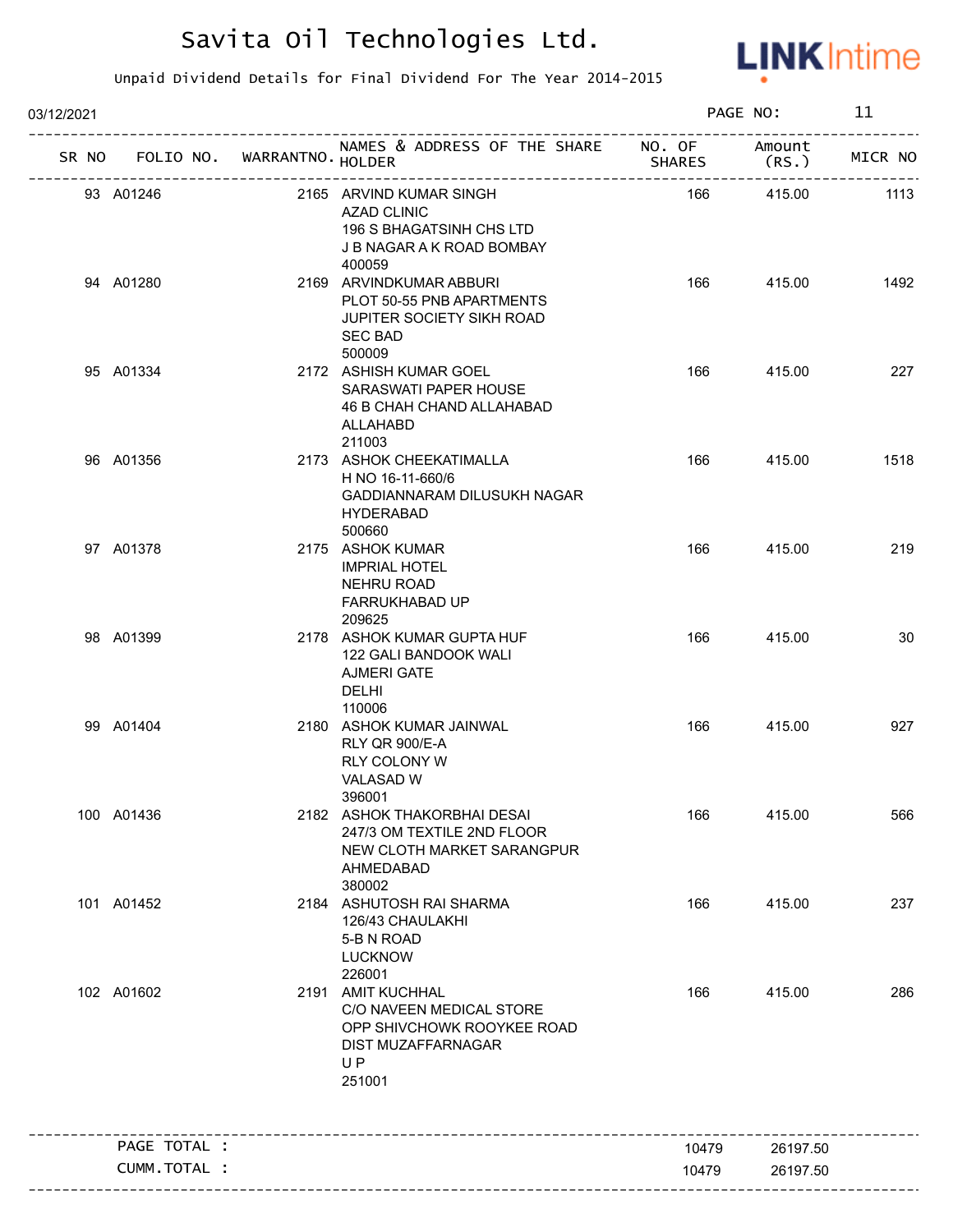

| 03/12/2021 |                      |                   |                                                                                                                   |               | PAGE NO:         | 11      |
|------------|----------------------|-------------------|-------------------------------------------------------------------------------------------------------------------|---------------|------------------|---------|
|            | SR NO FOLIO NO.      | WARRANTNO. HOLDER | NAMES & ADDRESS OF THE SHARE NO. OF<br>--------------------------                                                 | <b>SHARES</b> | Amount<br>(RS. ) | MICR NO |
| 93 A01246  |                      |                   | 2165 ARVIND KUMAR SINGH<br><b>AZAD CLINIC</b><br>196 S BHAGATSINH CHS LTD<br>J B NAGAR A K ROAD BOMBAY<br>400059  | 166           | 415.00           | 1113    |
| 94 A01280  |                      |                   | 2169 ARVINDKUMAR ABBURI<br>PLOT 50-55 PNB APARTMENTS<br>JUPITER SOCIETY SIKH ROAD<br><b>SEC BAD</b><br>500009     | 166           | 415.00           | 1492    |
| 95 A01334  |                      |                   | 2172 ASHISH KUMAR GOEL<br>SARASWATI PAPER HOUSE<br>46 B CHAH CHAND ALLAHABAD<br>ALLAHABD<br>211003                | 166           | 415.00           | 227     |
| 96 A01356  |                      |                   | 2173 ASHOK CHEEKATIMALLA<br>H NO 16-11-660/6<br>GADDIANNARAM DILUSUKH NAGAR<br><b>HYDERABAD</b><br>500660         | 166           | 415.00           | 1518    |
| 97 A01378  |                      |                   | 2175 ASHOK KUMAR<br><b>IMPRIAL HOTEL</b><br>NEHRU ROAD<br>FARRUKHABAD UP<br>209625                                | 166           | 415.00           | 219     |
| 98 A01399  |                      |                   | 2178 ASHOK KUMAR GUPTA HUF<br>122 GALI BANDOOK WALI<br><b>AJMERI GATE</b><br><b>DELHI</b><br>110006               | 166           | 415.00           | 30      |
| 99 A01404  |                      |                   | 2180 ASHOK KUMAR JAINWAL<br>RLY QR 900/E-A<br><b>RLY COLONY W</b><br>VALASAD W<br>396001                          | 166           | 415.00           | 927     |
| 100 A01436 |                      |                   | 2182 ASHOK THAKORBHAI DESAI<br>247/3 OM TEXTILE 2ND FLOOR<br>NEW CLOTH MARKET SARANGPUR<br>AHMEDABAD<br>380002    | 166           | 415.00           | 566     |
| 101 A01452 |                      |                   | 2184 ASHUTOSH RAI SHARMA<br>126/43 CHAULAKHI<br>5-B N ROAD<br><b>LUCKNOW</b><br>226001                            | 166           | 415.00           | 237     |
| 102 A01602 |                      |                   | 2191 AMIT KUCHHAL<br>C/O NAVEEN MEDICAL STORE<br>OPP SHIVCHOWK ROOYKEE ROAD<br>DIST MUZAFFARNAGAR<br>UP<br>251001 | 166           | 415.00           | 286     |
|            | PAGE TOTAL :         |                   |                                                                                                                   | 10479         | 26197.50         |         |
|            | <b>CUMM. TOTAL :</b> |                   |                                                                                                                   | 10479         | 26197.50         |         |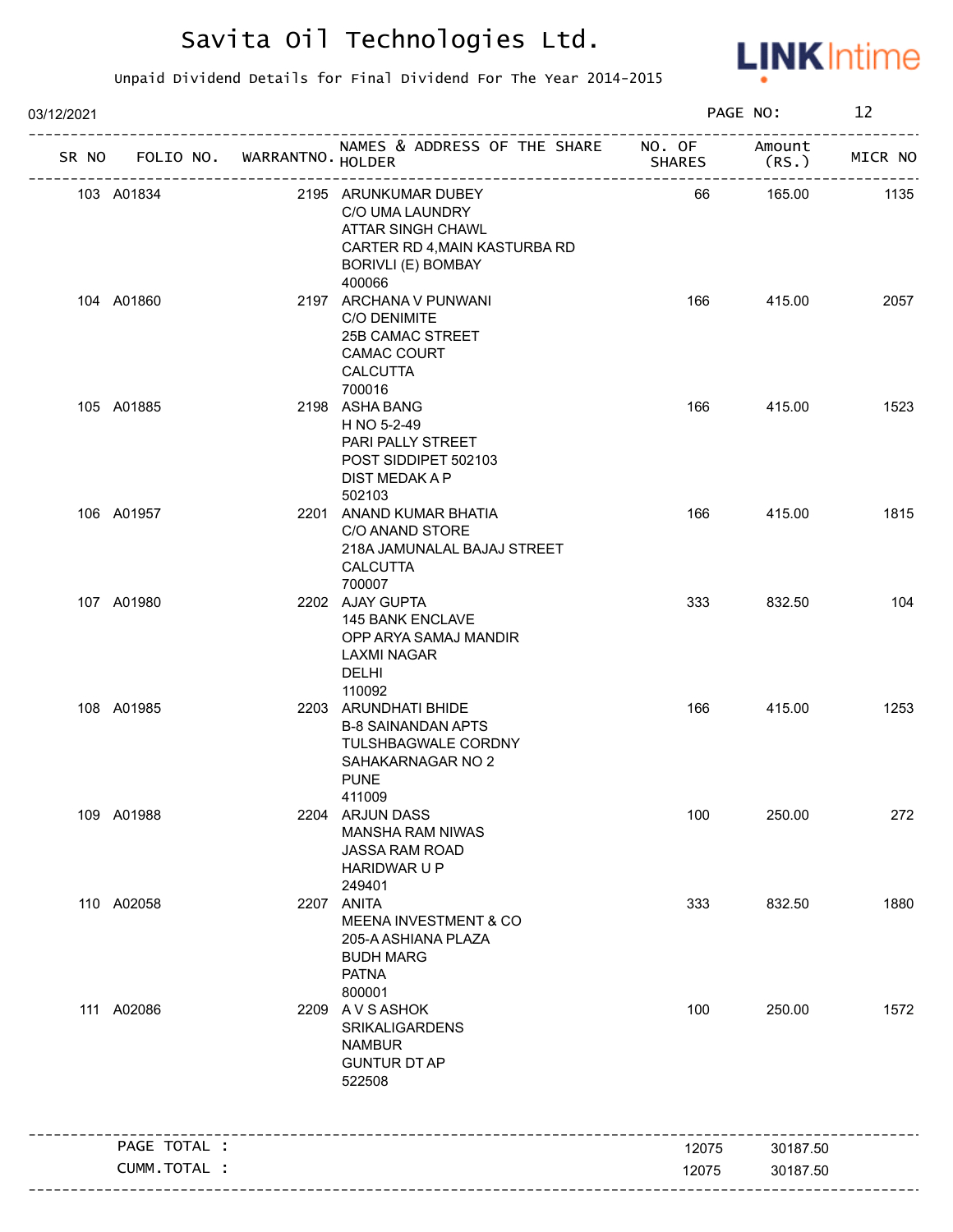

| 03/12/2021   |                             |                                                                                                                            |               | PAGE NO:        | 12      |
|--------------|-----------------------------|----------------------------------------------------------------------------------------------------------------------------|---------------|-----------------|---------|
| SR NO        | FOLIO NO. WARRANTNO. HOLDER | NAMES & ADDRESS OF THE SHARE NO. OF                                                                                        | <b>SHARES</b> | Amount<br>(RS.) | MICR NO |
| 103 A01834   |                             | 2195 ARUNKUMAR DUBEY<br>C/O UMA LAUNDRY<br>ATTAR SINGH CHAWL<br>CARTER RD 4, MAIN KASTURBA RD<br><b>BORIVLI (E) BOMBAY</b> | 66            | 165.00          | 1135    |
| 104 A01860   |                             | 400066<br>2197 ARCHANA V PUNWANI<br>C/O DENIMITE<br>25B CAMAC STREET<br><b>CAMAC COURT</b><br><b>CALCUTTA</b><br>700016    | 166           | 415.00          | 2057    |
| 105 A01885   |                             | 2198 ASHA BANG<br>H NO 5-2-49<br>PARI PALLY STREET<br>POST SIDDIPET 502103<br>DIST MEDAK A P<br>502103                     | 166           | 415.00          | 1523    |
| 106 A01957   |                             | 2201 ANAND KUMAR BHATIA<br>C/O ANAND STORE<br>218A JAMUNALAL BAJAJ STREET<br><b>CALCUTTA</b><br>700007                     | 166           | 415.00          | 1815    |
| 107 A01980   |                             | 2202 AJAY GUPTA<br>145 BANK ENCLAVE<br>OPP ARYA SAMAJ MANDIR<br>LAXMI NAGAR<br><b>DELHI</b><br>110092                      | 333           | 832.50          | 104     |
| 108 A01985   |                             | 2203 ARUNDHATI BHIDE<br><b>B-8 SAINANDAN APTS</b><br>TULSHBAGWALE CORDNY<br>SAHAKARNAGAR NO 2<br><b>PUNE</b><br>411009     | 166           | 415.00          | 1253    |
| 109 A01988   |                             | 2204 ARJUN DASS<br><b>MANSHA RAM NIWAS</b><br>JASSA RAM ROAD<br>HARIDWAR U P<br>249401                                     | 100           | 250.00          | 272     |
| 110 A02058   |                             | 2207 ANITA<br><b>MEENA INVESTMENT &amp; CO</b><br>205-A ASHIANA PLAZA<br><b>BUDH MARG</b><br><b>PATNA</b><br>800001        | 333           | 832.50          | 1880    |
| 111 A02086   |                             | 2209 AVSASHOK<br><b>SRIKALIGARDENS</b><br><b>NAMBUR</b><br><b>GUNTUR DT AP</b><br>522508                                   | 100           | 250.00          | 1572    |
| PAGE TOTAL : |                             |                                                                                                                            | 12075         | 30187.50        |         |
| CUMM.TOTAL : |                             |                                                                                                                            | 12075         | 30187.50        |         |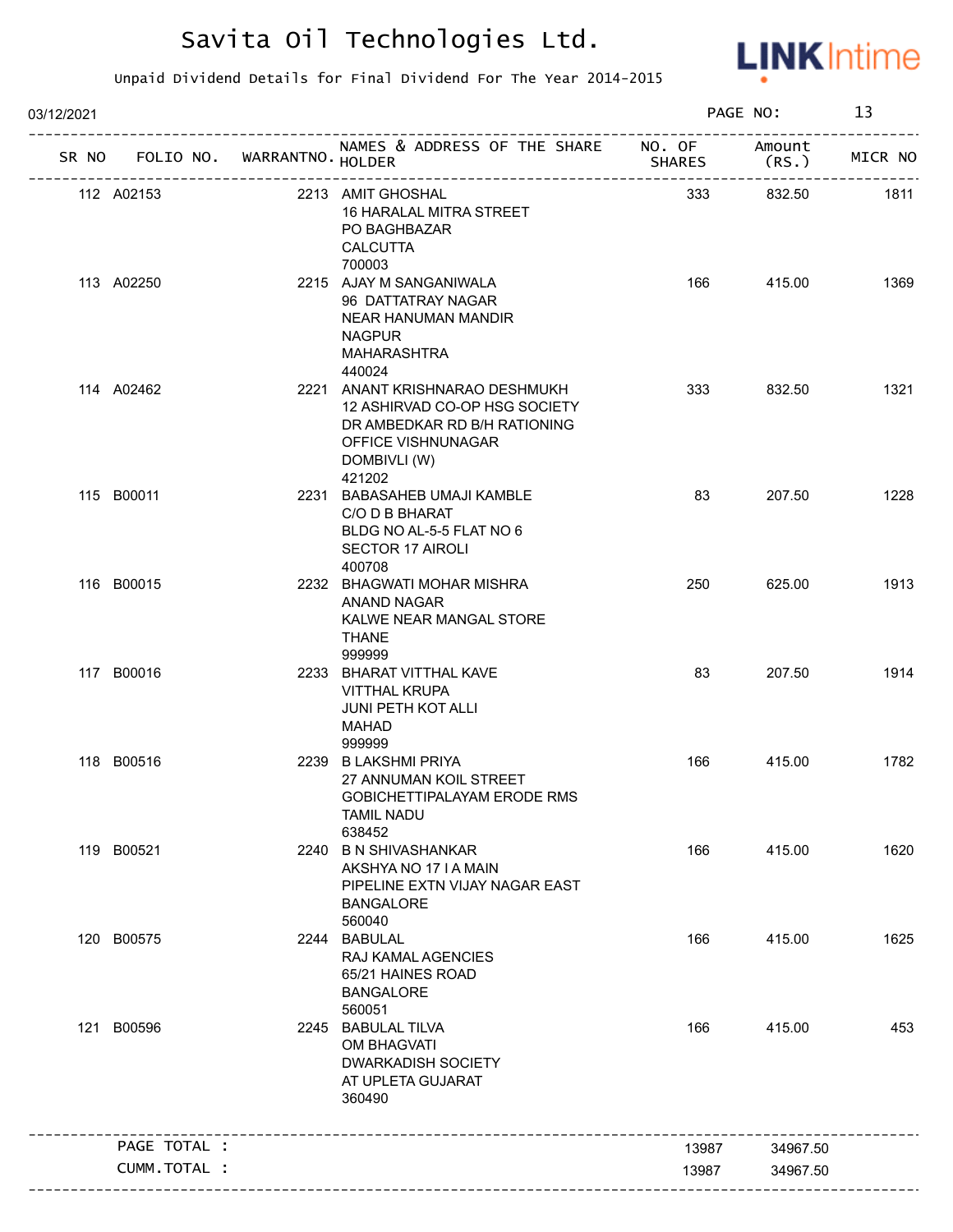

| 03/12/2021 |                                   |  |                                                                                                                                                 |               | PAGE NO:        |         |
|------------|-----------------------------------|--|-------------------------------------------------------------------------------------------------------------------------------------------------|---------------|-----------------|---------|
|            | SR NO FOLIO NO. WARRANTNO. HOLDER |  | NAMES & ADDRESS OF THE SHARE NO. OF                                                                                                             | <b>SHARES</b> | Amount<br>(RS.) | MICR NO |
|            | 112 A02153                        |  | 2213 AMIT GHOSHAL<br>16 HARALAL MITRA STREET<br>PO BAGHBAZAR<br><b>CALCUTTA</b><br>700003                                                       | 333           | 832.50          | 1811    |
|            | 113 A02250                        |  | 2215 AJAY M SANGANIWALA<br>96 DATTATRAY NAGAR<br>NEAR HANUMAN MANDIR<br><b>NAGPUR</b><br>MAHARASHTRA<br>440024                                  | 166           | 415.00          | 1369    |
|            | 114 A02462                        |  | 2221 ANANT KRISHNARAO DESHMUKH<br>12 ASHIRVAD CO-OP HSG SOCIETY<br>DR AMBEDKAR RD B/H RATIONING<br>OFFICE VISHNUNAGAR<br>DOMBIVLI (W)<br>421202 | 333           | 832.50          | 1321    |
|            | 115 B00011                        |  | 2231 BABASAHEB UMAJI KAMBLE<br>C/O D B BHARAT<br>BLDG NO AL-5-5 FLAT NO 6<br><b>SECTOR 17 AIROLI</b><br>400708                                  | 83            | 207.50          | 1228    |
|            | 116 B00015                        |  | 2232 BHAGWATI MOHAR MISHRA<br>ANAND NAGAR<br>KALWE NEAR MANGAL STORE<br><b>THANE</b><br>999999                                                  | 250           | 625.00          | 1913    |
|            | 117 B00016                        |  | 2233 BHARAT VITTHAL KAVE<br><b>VITTHAL KRUPA</b><br><b>JUNI PETH KOT ALLI</b><br>MAHAD<br>999999                                                | 83            | 207.50          | 1914    |
|            | 118 B00516                        |  | 2239 B LAKSHMI PRIYA<br>27 ANNUMAN KOIL STREET<br>GOBICHETTIPALAYAM ERODE RMS<br><b>TAMIL NADU</b><br>638452                                    | 166           | 415.00          | 1782    |
|            | 119 B00521                        |  | 2240 B N SHIVASHANKAR<br>AKSHYA NO 17 I A MAIN<br>PIPELINE EXTN VIJAY NAGAR EAST<br><b>BANGALORE</b><br>560040                                  | 166           | 415.00          | 1620    |
|            | 120 B00575                        |  | 2244 BABULAL<br>RAJ KAMAL AGENCIES<br>65/21 HAINES ROAD<br><b>BANGALORE</b><br>560051                                                           | 166           | 415.00          | 1625    |
|            | 121 B00596                        |  | 2245 BABULAL TILVA<br>OM BHAGVATI<br><b>DWARKADISH SOCIETY</b><br>AT UPLETA GUJARAT<br>360490                                                   | 166           | 415.00          | 453     |
|            | PAGE TOTAL :                      |  |                                                                                                                                                 | 13987         | 34967.50        |         |
|            | CUMM.TOTAL :                      |  |                                                                                                                                                 | 13987         | 34967.50        |         |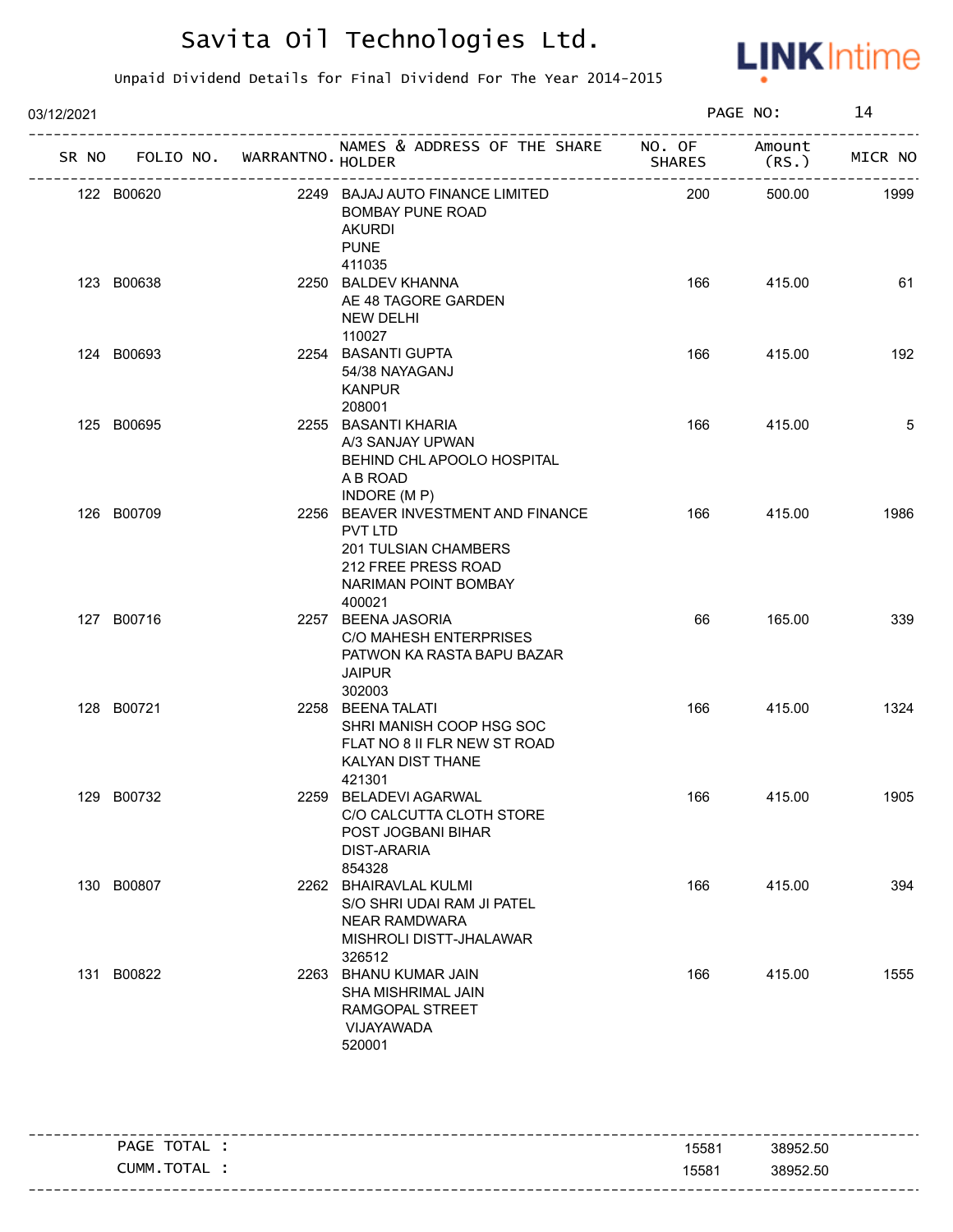

| 03/12/2021 |                                   |  |                                                                                                                                |               | PAGE NO:           |         |
|------------|-----------------------------------|--|--------------------------------------------------------------------------------------------------------------------------------|---------------|--------------------|---------|
|            | SR NO FOLIO NO. WARRANTNO. HOLDER |  | NAMES & ADDRESS OF THE SHARE NO. OF                                                                                            | <b>SHARES</b> | Amount<br>(RS.     | MICR NO |
|            | 122 B00620                        |  | 2249 BAJAJ AUTO FINANCE LIMITED<br><b>BOMBAY PUNE ROAD</b><br><b>AKURDI</b><br><b>PUNE</b><br>411035                           | 200           | --------<br>500.00 | 1999    |
|            | 123 B00638                        |  | 2250 BALDEV KHANNA<br>AE 48 TAGORE GARDEN<br>NEW DELHI<br>110027                                                               | 166           | 415.00             | 61      |
|            | 124 B00693                        |  | 2254 BASANTI GUPTA<br>54/38 NAYAGANJ<br><b>KANPUR</b><br>208001                                                                | 166           | 415.00             | 192     |
|            | 125 B00695                        |  | 2255 BASANTI KHARIA<br>A/3 SANJAY UPWAN<br>BEHIND CHL APOOLO HOSPITAL<br>A B ROAD<br>INDORE (MP)                               | 166           | 415.00             | 5       |
|            | 126 B00709                        |  | 2256 BEAVER INVESTMENT AND FINANCE<br>PVT LTD<br>201 TULSIAN CHAMBERS<br>212 FREE PRESS ROAD<br>NARIMAN POINT BOMBAY<br>400021 | 166           | 415.00             | 1986    |
|            | 127 B00716                        |  | 2257 BEENA JASORIA<br>C/O MAHESH ENTERPRISES<br>PATWON KA RASTA BAPU BAZAR<br><b>JAIPUR</b><br>302003                          | 66            | 165.00             | 339     |
|            | 128 B00721                        |  | 2258 BEENA TALATI<br>SHRI MANISH COOP HSG SOC<br>FLAT NO 8 II FLR NEW ST ROAD<br>KALYAN DIST THANE<br>421301                   | 166           | 415.00             | 1324    |
|            | 129 B00732                        |  | 2259 BELADEVI AGARWAL<br>C/O CALCUTTA CLOTH STORE<br>POST JOGBANI BIHAR<br><b>DIST-ARARIA</b><br>854328                        | 166           | 415.00             | 1905    |
|            | 130 B00807                        |  | 2262 BHAIRAVLAL KULMI<br>S/O SHRI UDAI RAM JI PATEL<br><b>NEAR RAMDWARA</b><br>MISHROLI DISTT-JHALAWAR<br>326512               | 166           | 415.00             | 394     |
|            | 131 B00822                        |  | 2263 BHANU KUMAR JAIN<br>SHA MISHRIMAL JAIN<br>RAMGOPAL STREET<br>VIJAYAWADA<br>520001                                         | 166           | 415.00             | 1555    |

|                |       | ---------------------------- |
|----------------|-------|------------------------------|
| TOTAL<br>PAGE  | 15581 | 38952.50                     |
| TOTAL<br>CUMM. | 15581 | 38952.50                     |
|                |       |                              |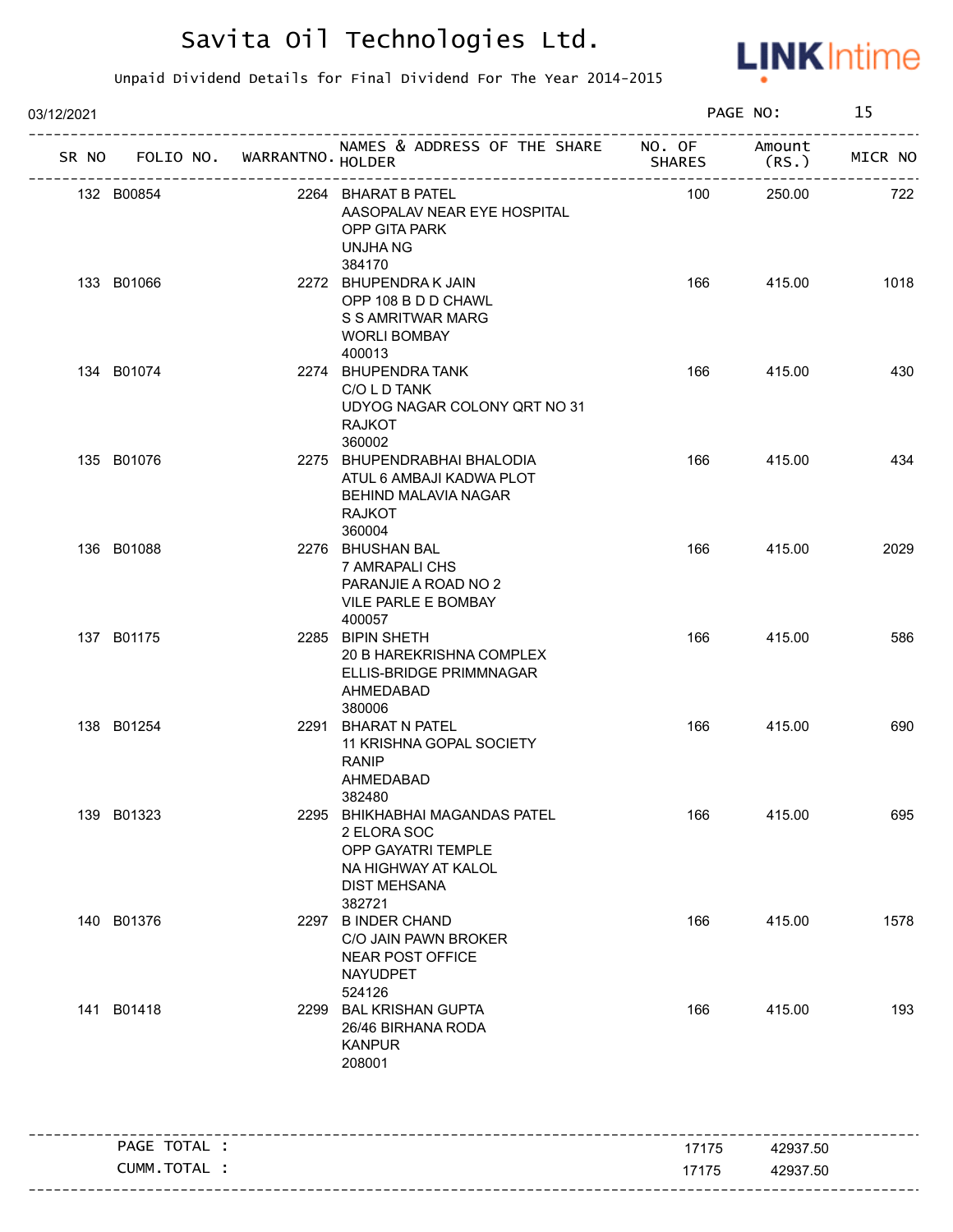

| 03/12/2021   |                                   |                                                                                                                             |               | PAGE NO:        | 15      |
|--------------|-----------------------------------|-----------------------------------------------------------------------------------------------------------------------------|---------------|-----------------|---------|
|              | SR NO FOLIO NO. WARRANTNO. HOLDER | NAMES & ADDRESS OF THE SHARE NO. OF                                                                                         | <b>SHARES</b> | Amount<br>(RS.) | MICR NO |
| 132 B00854   |                                   | 2264 BHARAT B PATEL<br>AASOPALAV NEAR EYE HOSPITAL<br>OPP GITA PARK<br>UNJHA NG                                             | 100           | 250.00          | 722     |
| 133 B01066   |                                   | 384170<br>2272 BHUPENDRAK JAIN<br>OPP 108 B D D CHAWL<br>S S AMRITWAR MARG<br><b>WORLI BOMBAY</b><br>400013                 | 166           | 415.00          | 1018    |
| 134 B01074   |                                   | 2274 BHUPENDRA TANK<br>C/O L D TANK<br>UDYOG NAGAR COLONY QRT NO 31<br><b>RAJKOT</b><br>360002                              | 166           | 415.00          | 430     |
| 135 B01076   |                                   | 2275 BHUPENDRABHAI BHALODIA<br>ATUL 6 AMBAJI KADWA PLOT<br>BEHIND MALAVIA NAGAR<br><b>RAJKOT</b><br>360004                  | 166           | 415.00          | 434     |
| 136 B01088   |                                   | 2276 BHUSHAN BAL<br>7 AMRAPALI CHS<br>PARANJIE A ROAD NO 2<br>VILE PARLE E BOMBAY<br>400057                                 | 166           | 415.00          | 2029    |
| 137 B01175   |                                   | 2285 BIPIN SHETH<br>20 B HAREKRISHNA COMPLEX<br>ELLIS-BRIDGE PRIMMNAGAR<br>AHMEDABAD<br>380006                              | 166           | 415.00          | 586     |
| 138 B01254   |                                   | 2291 BHARAT N PATEL<br>11 KRISHNA GOPAL SOCIETY<br><b>RANIP</b><br>AHMEDABAD<br>382480                                      | 166           | 415.00          | 690     |
| 139 B01323   |                                   | 2295 BHIKHABHAI MAGANDAS PATEL<br>2 ELORA SOC<br>OPP GAYATRI TEMPLE<br>NA HIGHWAY AT KALOL<br><b>DIST MEHSANA</b><br>382721 | 166           | 415.00          | 695     |
| 140 B01376   |                                   | 2297 B INDER CHAND<br>C/O JAIN PAWN BROKER<br><b>NEAR POST OFFICE</b><br><b>NAYUDPET</b><br>524126                          | 166           | 415.00          | 1578    |
| 141 B01418   |                                   | 2299 BAL KRISHAN GUPTA<br>26/46 BIRHANA RODA<br><b>KANPUR</b><br>208001                                                     | 166           | 415.00          | 193     |
| PAGE TOTAL : |                                   |                                                                                                                             | 17175         | 42937.50        |         |
| CUMM.TOTAL : |                                   |                                                                                                                             | 17175         | 42937.50        |         |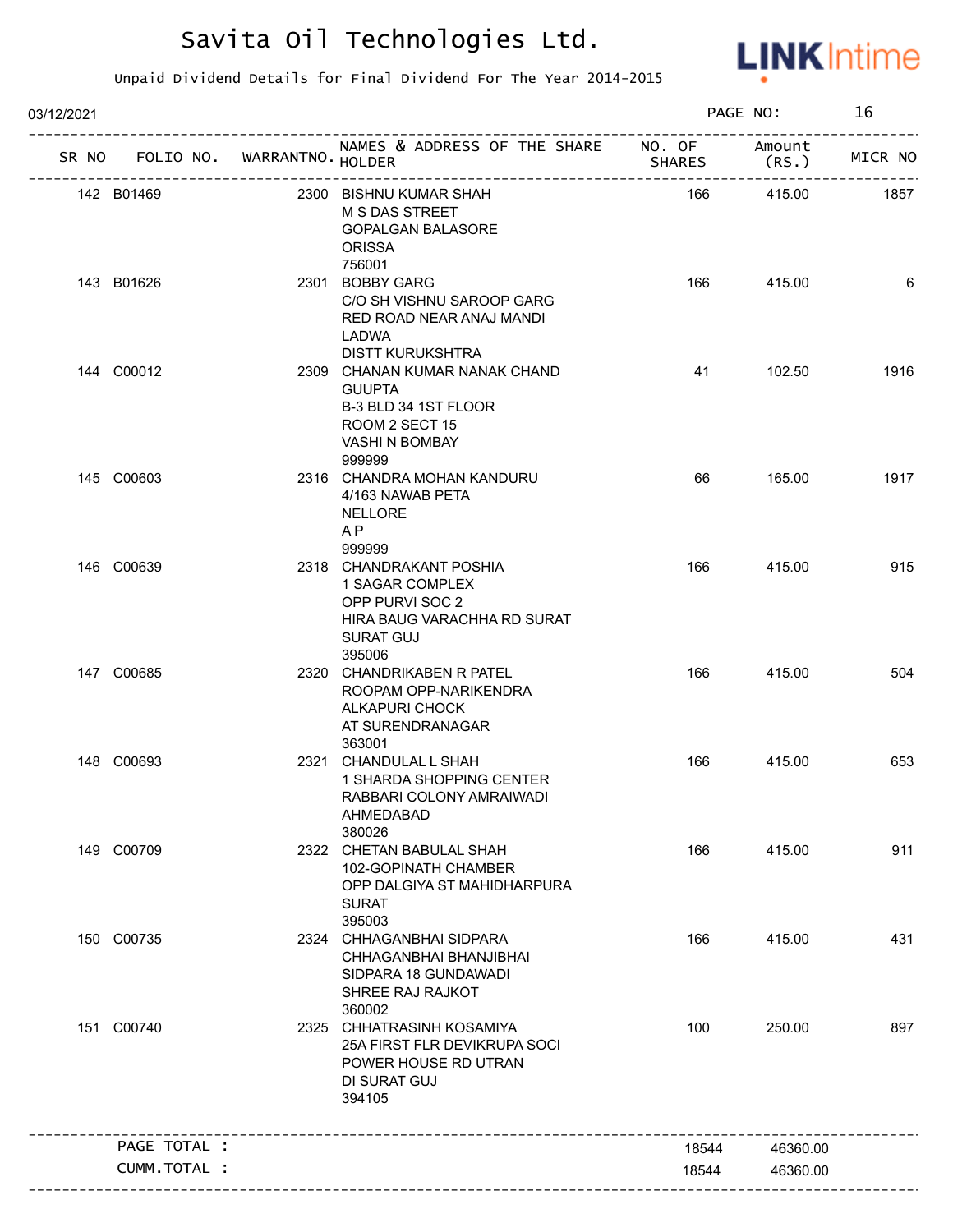

| 03/12/2021 |                                   |                                                                                                                             |               | PAGE NO:       | 16      |
|------------|-----------------------------------|-----------------------------------------------------------------------------------------------------------------------------|---------------|----------------|---------|
|            | SR NO FOLIO NO. WARRANTNO. HOLDER | NAMES & ADDRESS OF THE SHARE NO. OF                                                                                         | <b>SHARES</b> | Amount<br>(RS. | MICR NO |
|            | 142 B01469                        | 2300 BISHNU KUMAR SHAH<br><b>M S DAS STREET</b><br><b>GOPALGAN BALASORE</b><br><b>ORISSA</b><br>756001                      | 166           | 415.00         | 1857    |
|            | 143 B01626                        | 2301 BOBBY GARG<br>C/O SH VISHNU SAROOP GARG<br>RED ROAD NEAR ANAJ MANDI<br>LADWA<br><b>DISTT KURUKSHTRA</b>                | 166           | 415.00         | 6       |
|            | 144 C00012                        | 2309 CHANAN KUMAR NANAK CHAND<br><b>GUUPTA</b><br>B-3 BLD 34 1ST FLOOR<br>ROOM 2 SECT 15<br><b>VASHI N BOMBAY</b><br>999999 | 41            | 102.50         | 1916    |
|            | 145 C00603                        | 2316 CHANDRA MOHAN KANDURU<br>4/163 NAWAB PETA<br><b>NELLORE</b><br>AP<br>999999                                            | 66            | 165.00         | 1917    |
|            | 146 C00639                        | 2318 CHANDRAKANT POSHIA<br>1 SAGAR COMPLEX<br>OPP PURVI SOC 2<br>HIRA BAUG VARACHHA RD SURAT<br><b>SURAT GUJ</b><br>395006  | 166           | 415.00         | 915     |
|            | 147 C00685                        | 2320 CHANDRIKABEN R PATEL<br>ROOPAM OPP-NARIKENDRA<br>ALKAPURI CHOCK<br>AT SURENDRANAGAR<br>363001                          | 166           | 415.00         | 504     |
|            | 148 C00693                        | 2321 CHANDULAL L SHAH<br>1 SHARDA SHOPPING CENTER<br>RABBARI COLONY AMRAIWADI<br>AHMEDABAD<br>380026                        | 166           | 415.00         | 653     |
|            | 149 C00709                        | 2322 CHETAN BABULAL SHAH<br>102-GOPINATH CHAMBER<br>OPP DALGIYA ST MAHIDHARPURA<br><b>SURAT</b><br>395003                   | 166           | 415.00         | 911     |
|            | 150 C00735                        | 2324 CHHAGANBHAI SIDPARA<br>CHHAGANBHAI BHANJIBHAI<br>SIDPARA 18 GUNDAWADI<br>SHREE RAJ RAJKOT<br>360002                    | 166           | 415.00         | 431     |
|            | 151 C00740                        | 2325 CHHATRASINH KOSAMIYA<br>25A FIRST FLR DEVIKRUPA SOCI<br>POWER HOUSE RD UTRAN<br>DI SURAT GUJ<br>394105                 | 100           | 250.00         | 897     |
|            | PAGE TOTAL :                      |                                                                                                                             | 18544         | 46360.00       |         |
|            | <b>CUMM. TOTAL :</b>              |                                                                                                                             | 18544         | 46360.00       |         |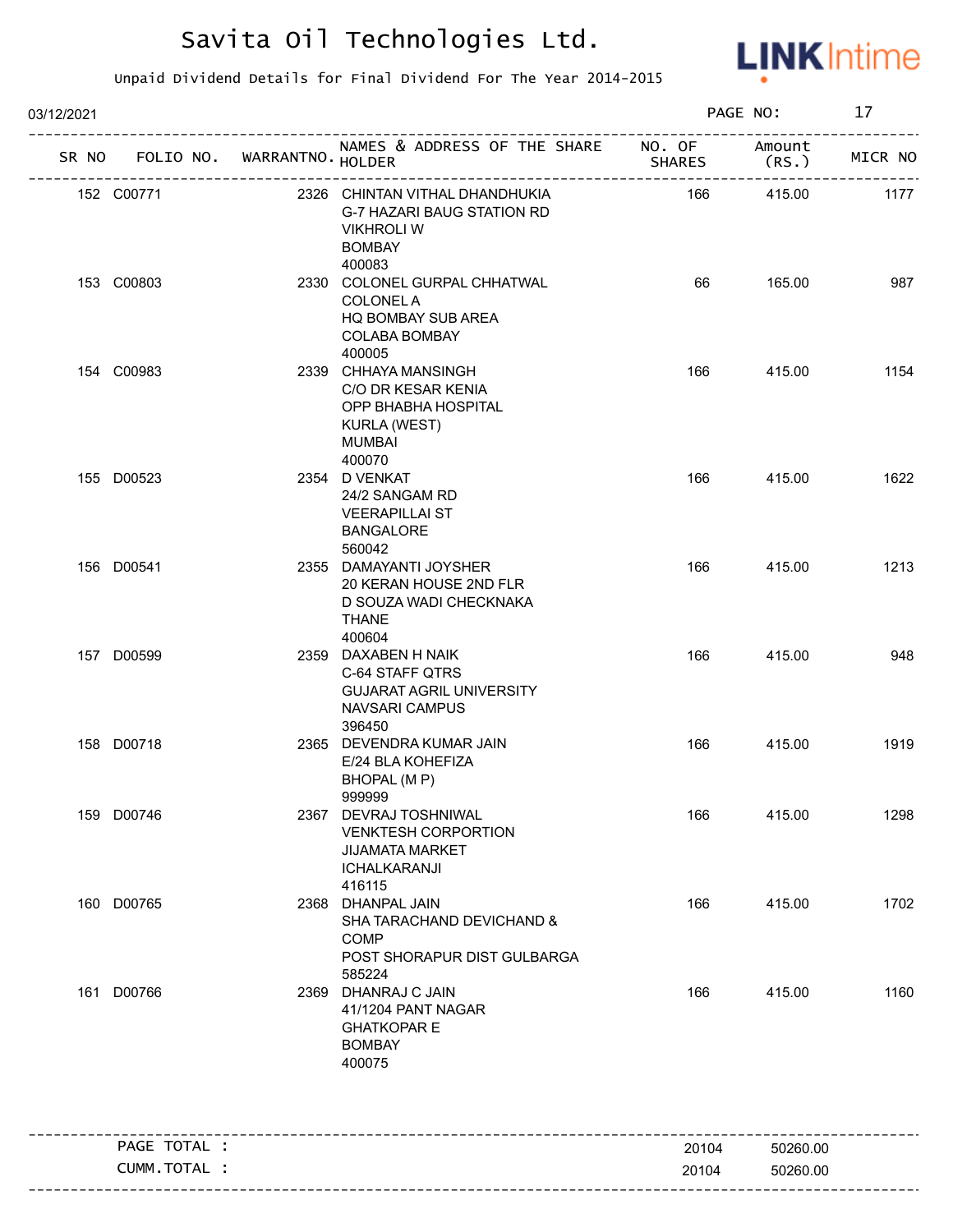

| 03/12/2021                        |  |                                                                                                                     |               | PAGE NO:        | 17      |
|-----------------------------------|--|---------------------------------------------------------------------------------------------------------------------|---------------|-----------------|---------|
| SR NO FOLIO NO. WARRANTNO. HOLDER |  | NAMES & ADDRESS OF THE SHARE NO. OF                                                                                 | <b>SHARES</b> | Amount<br>(RS.) | MICR NO |
| 152 C00771                        |  | 2326 CHINTAN VITHAL DHANDHUKIA<br>G-7 HAZARI BAUG STATION RD<br><b>VIKHROLI W</b><br><b>BOMBAY</b><br>400083        | 166           | 415.00          | 1177    |
| 153 C00803                        |  | 2330 COLONEL GURPAL CHHATWAL<br><b>COLONEL A</b><br>HQ BOMBAY SUB AREA<br>COLABA BOMBAY<br>400005                   | 66            | 165.00          | 987     |
| 154 C00983                        |  | 2339 CHHAYA MANSINGH<br>C/O DR KESAR KENIA<br>OPP BHABHA HOSPITAL<br><b>KURLA (WEST)</b><br><b>MUMBAI</b><br>400070 | 166           | 415.00          | 1154    |
| 155 D00523                        |  | 2354 D VENKAT<br>24/2 SANGAM RD<br><b>VEERAPILLAI ST</b><br><b>BANGALORE</b><br>560042                              | 166           | 415.00          | 1622    |
| 156 D00541                        |  | 2355 DAMAYANTI JOYSHER<br>20 KERAN HOUSE 2ND FLR<br>D SOUZA WADI CHECKNAKA<br><b>THANE</b><br>400604                | 166           | 415.00          | 1213    |
| 157 D00599                        |  | 2359 DAXABEN H NAIK<br>C-64 STAFF QTRS<br><b>GUJARAT AGRIL UNIVERSITY</b><br>NAVSARI CAMPUS<br>396450               | 166           | 415.00          | 948     |
| 158 D00718                        |  | 2365 DEVENDRA KUMAR JAIN<br>E/24 BLA KOHEFIZA<br>BHOPAL (M P)<br>999999                                             | 166           | 415.00          | 1919    |
| 159 D00746                        |  | 2367 DEVRAJ TOSHNIWAL<br><b>VENKTESH CORPORTION</b><br><b>JIJAMATA MARKET</b><br><b>ICHALKARANJI</b><br>416115      | 166           | 415.00          | 1298    |
| 160 D00765                        |  | 2368 DHANPAL JAIN<br>SHA TARACHAND DEVICHAND &<br><b>COMP</b><br>POST SHORAPUR DIST GULBARGA<br>585224              | 166           | 415.00          | 1702    |
| 161 D00766                        |  | 2369 DHANRAJ C JAIN<br>41/1204 PANT NAGAR<br><b>GHATKOPAR E</b><br><b>BOMBAY</b><br>400075                          | 166           | 415.00          | 1160    |
| PAGE TOTAL :                      |  |                                                                                                                     | 20104         | 50260.00        |         |
| CUMM.TOTAL :                      |  |                                                                                                                     | 20104         | 50260.00        |         |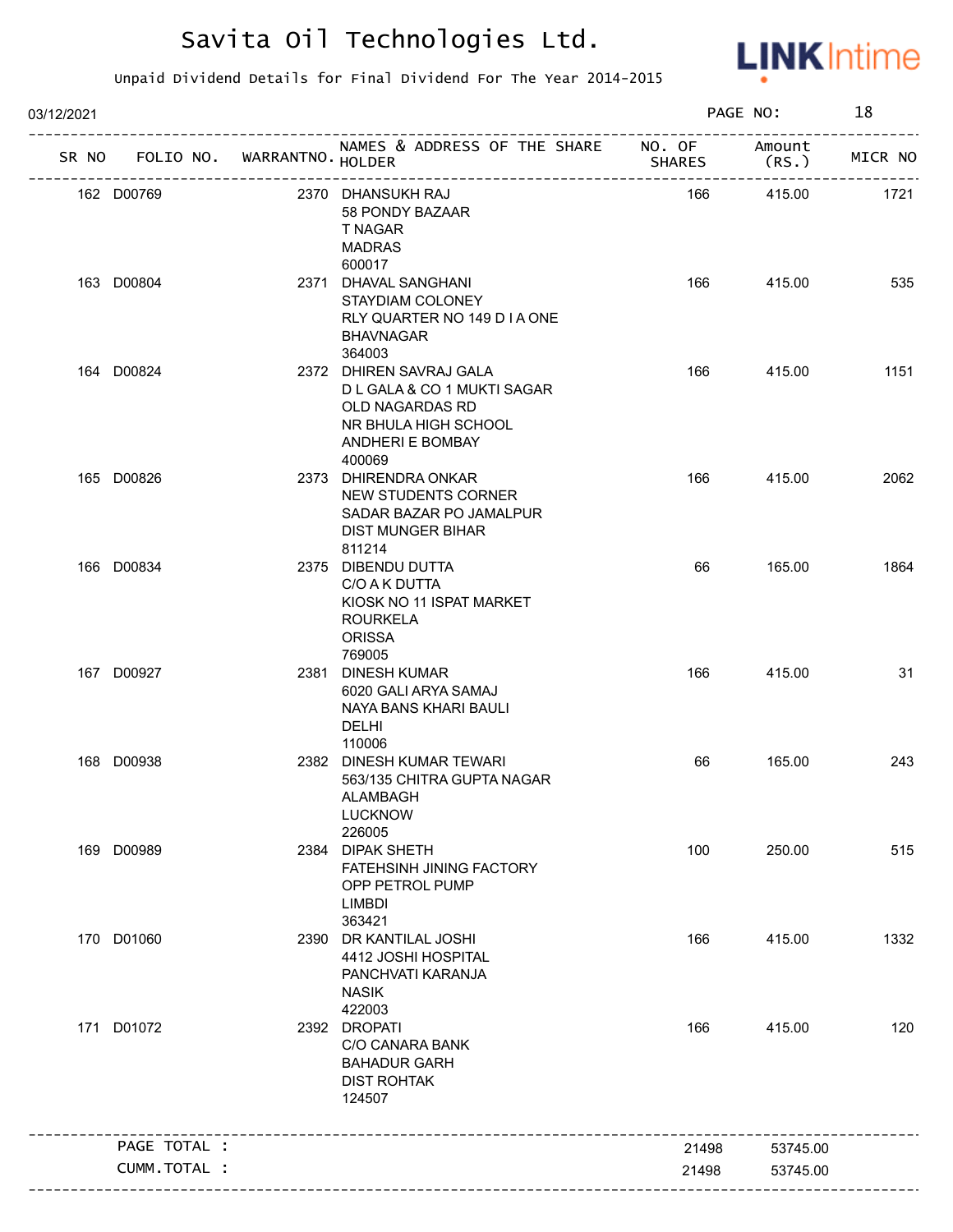

| 03/12/2021 |                      |                                   |                                                                                                                                        |               | PAGE NO:        | 18      |
|------------|----------------------|-----------------------------------|----------------------------------------------------------------------------------------------------------------------------------------|---------------|-----------------|---------|
|            |                      | SR NO FOLIO NO. WARRANTNO. HOLDER | NAMES & ADDRESS OF THE SHARE NO. OF<br>-------------------------                                                                       | <b>SHARES</b> | Amount<br>(RS.) | MICR NO |
| 162 D00769 |                      |                                   | 2370 DHANSUKH RAJ<br>58 PONDY BAZAAR<br>T NAGAR<br><b>MADRAS</b><br>600017                                                             | 166           | 415.00          | 1721    |
| 163 D00804 |                      |                                   | 2371 DHAVAL SANGHANI<br>STAYDIAM COLONEY<br>RLY QUARTER NO 149 D I A ONE<br><b>BHAVNAGAR</b><br>364003                                 | 166           | 415.00          | 535     |
| 164 D00824 |                      |                                   | 2372 DHIREN SAVRAJ GALA<br>D L GALA & CO 1 MUKTI SAGAR<br>OLD NAGARDAS RD<br>NR BHULA HIGH SCHOOL<br><b>ANDHERI E BOMBAY</b><br>400069 | 166           | 415.00          | 1151    |
| 165 D00826 |                      |                                   | 2373 DHIRENDRA ONKAR<br>NEW STUDENTS CORNER<br>SADAR BAZAR PO JAMALPUR<br><b>DIST MUNGER BIHAR</b><br>811214                           | 166           | 415.00          | 2062    |
| 166 D00834 |                      |                                   | 2375 DIBENDU DUTTA<br>C/O A K DUTTA<br>KIOSK NO 11 ISPAT MARKET<br><b>ROURKELA</b><br><b>ORISSA</b>                                    | 66            | 165.00          | 1864    |
| 167 D00927 |                      |                                   | 769005<br>2381 DINESH KUMAR<br>6020 GALI ARYA SAMAJ<br>NAYA BANS KHARI BAULI<br>DELHI<br>110006                                        | 166           | 415.00          | 31      |
| 168 D00938 |                      |                                   | 2382 DINESH KUMAR TEWARI<br>563/135 CHITRA GUPTA NAGAR<br>ALAMBAGH<br><b>LUCKNOW</b><br>226005                                         | 66            | 165.00          | 243     |
| 169 D00989 |                      |                                   | 2384 DIPAK SHETH<br>FATEHSINH JINING FACTORY<br>OPP PETROL PUMP<br><b>LIMBDI</b><br>363421                                             | 100           | 250.00          | 515     |
| 170 D01060 |                      |                                   | 2390 DR KANTILAL JOSHI<br>4412 JOSHI HOSPITAL<br>PANCHVATI KARANJA<br><b>NASIK</b><br>422003                                           | 166           | 415.00          | 1332    |
| 171 D01072 |                      |                                   | 2392 DROPATI<br>C/O CANARA BANK<br><b>BAHADUR GARH</b><br><b>DIST ROHTAK</b><br>124507                                                 | 166           | 415.00          | 120     |
|            | PAGE TOTAL :         |                                   |                                                                                                                                        | 21498         | 53745.00        |         |
|            | <b>CUMM. TOTAL :</b> |                                   |                                                                                                                                        | 21498         | 53745.00        |         |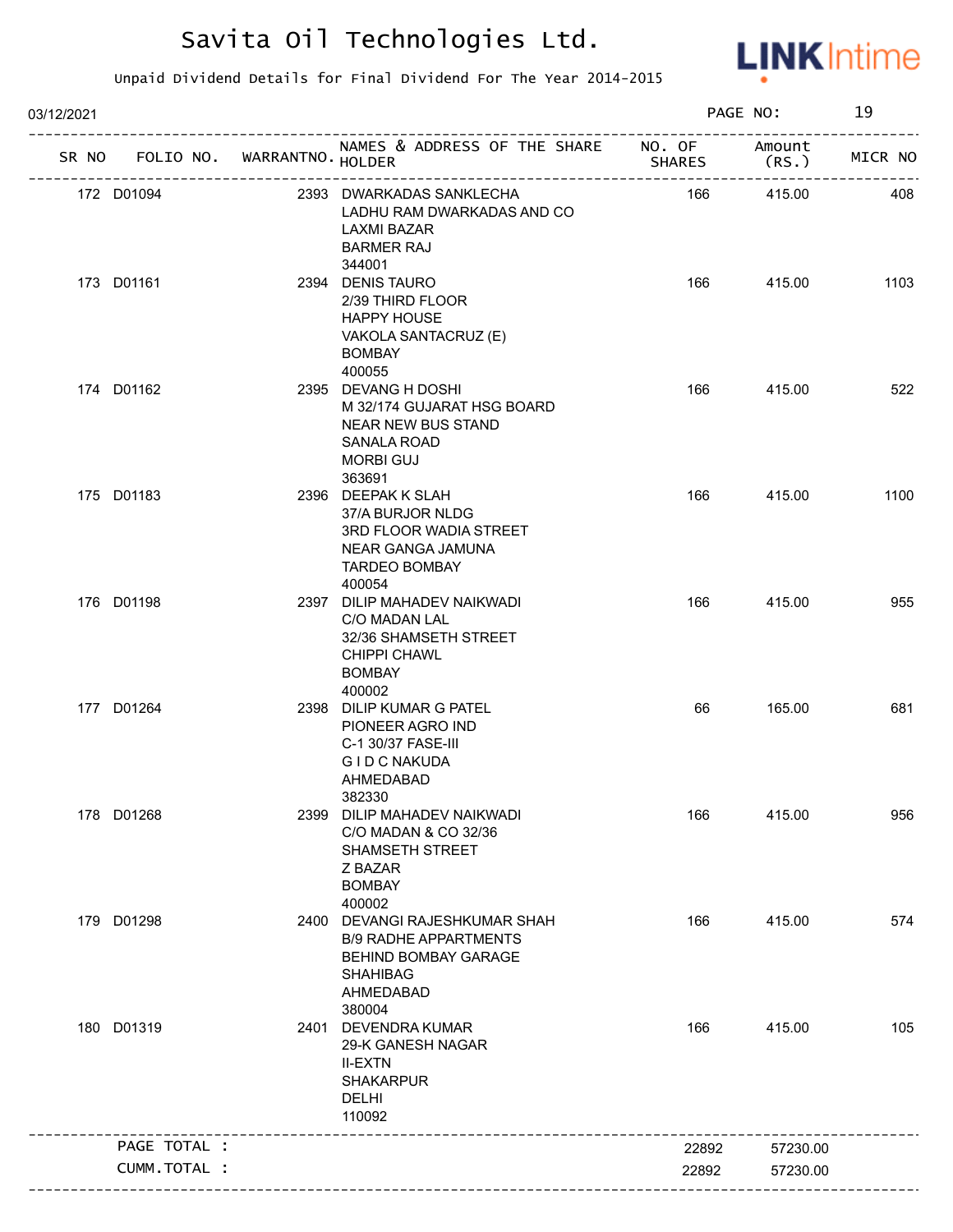

| 03/12/2021 |                                   |                                                                                                                                 |               | PAGE NO: | 19      |
|------------|-----------------------------------|---------------------------------------------------------------------------------------------------------------------------------|---------------|----------|---------|
|            | SR NO FOLIO NO. WARRANTNO. HOLDER | NAMES & ADDRESS OF THE SHARE NO. OF Amount                                                                                      | <b>SHARES</b> | (RS.)    | MICR NO |
|            | 172 D01094                        | 2393 DWARKADAS SANKLECHA<br>LADHU RAM DWARKADAS AND CO<br><b>LAXMI BAZAR</b><br><b>BARMER RAJ</b><br>344001                     | 166           | 415.00   | 408     |
|            | 173 D01161                        | 2394 DENIS TAURO<br>2/39 THIRD FLOOR<br><b>HAPPY HOUSE</b><br>VAKOLA SANTACRUZ (E)<br><b>BOMBAY</b><br>400055                   | 166           | 415.00   | 1103    |
|            | 174 D01162                        | 2395 DEVANG H DOSHI<br>M 32/174 GUJARAT HSG BOARD<br><b>NEAR NEW BUS STAND</b><br>SANALA ROAD<br><b>MORBI GUJ</b><br>363691     | 166           | 415.00   | 522     |
|            | 175 D01183                        | 2396 DEEPAK K SLAH<br>37/A BURJOR NLDG<br>3RD FLOOR WADIA STREET<br>NEAR GANGA JAMUNA<br><b>TARDEO BOMBAY</b><br>400054         | 166           | 415.00   | 1100    |
|            | 176 D01198                        | 2397 DILIP MAHADEV NAIKWADI<br>C/O MADAN LAL<br>32/36 SHAMSETH STREET<br><b>CHIPPI CHAWL</b><br><b>BOMBAY</b><br>400002         | 166           | 415.00   | 955     |
|            | 177 D01264                        | 2398 DILIP KUMAR G PATEL<br>PIONEER AGRO IND<br>C-1 30/37 FASE-III<br>G I D C NAKUDA<br>AHMEDABAD<br>382330                     | 66            | 165.00   | 681     |
|            | 178 D01268                        | 2399 DILIP MAHADEV NAIKWADI<br>C/O MADAN & CO 32/36<br>SHAMSETH STREET<br>Z BAZAR<br><b>BOMBAY</b><br>400002                    | 166           | 415.00   | 956     |
|            | 179 D01298                        | 2400 DEVANGI RAJESHKUMAR SHAH<br><b>B/9 RADHE APPARTMENTS</b><br>BEHIND BOMBAY GARAGE<br><b>SHAHIBAG</b><br>AHMEDABAD<br>380004 | 166           | 415.00   | 574     |
|            | 180 D01319                        | 2401 DEVENDRA KUMAR<br>29-K GANESH NAGAR<br><b>II-EXTN</b><br><b>SHAKARPUR</b><br><b>DELHI</b><br>110092                        | 166           | 415.00   | 105     |
|            | PAGE TOTAL :                      |                                                                                                                                 | 22892         | 57230.00 |         |
|            | CUMM.TOTAL :                      |                                                                                                                                 | 22892         | 57230.00 |         |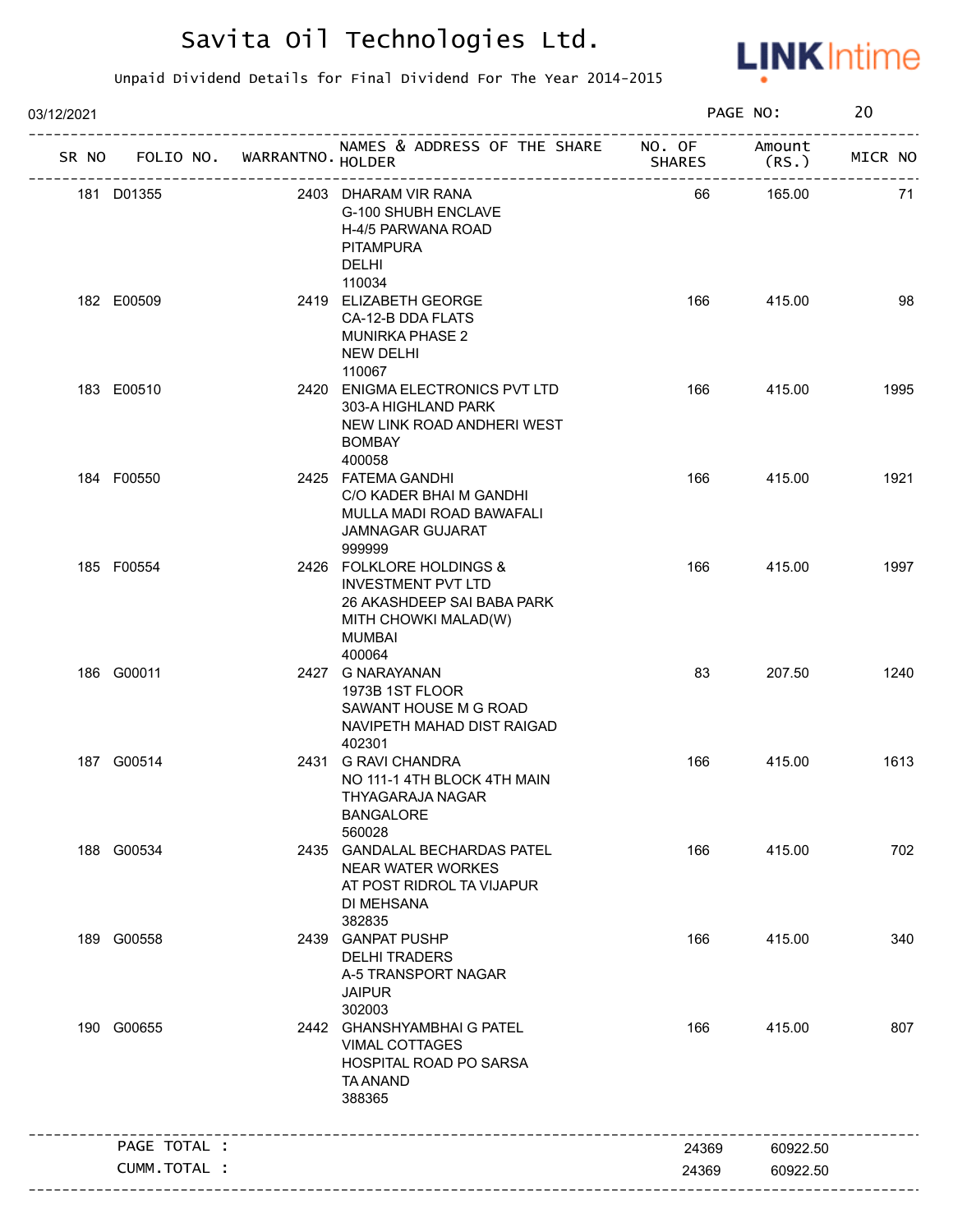

| 03/12/2021                        |              |                                                                                                                                 |        | PAGE NO: | 20      |
|-----------------------------------|--------------|---------------------------------------------------------------------------------------------------------------------------------|--------|----------|---------|
| SR NO FOLIO NO. WARRANTNO. HOLDER |              | NAMES & ADDRESS OF THE SHARE NO. OF Amount<br>ا<<br>.--------------------------------                                           | SHARES | (RS.     | MICR NO |
| 181 D01355                        |              | 2403 DHARAM VIR RANA<br>G-100 SHUBH ENCLAVE<br>H-4/5 PARWANA ROAD<br><b>PITAMPURA</b><br>DELHI                                  | 66     | 165.00   | 71      |
| 182 E00509                        |              | 110034<br>2419 ELIZABETH GEORGE<br>CA-12-B DDA FLATS<br><b>MUNIRKA PHASE 2</b><br><b>NEW DELHI</b><br>110067                    | 166    | 415.00   | 98      |
| 183 E00510                        |              | 2420 ENIGMA ELECTRONICS PVT LTD<br>303-A HIGHLAND PARK<br>NEW LINK ROAD ANDHERI WEST<br><b>BOMBAY</b><br>400058                 | 166    | 415.00   | 1995    |
| 184 F00550                        |              | 2425 FATEMA GANDHI<br>C/O KADER BHAI M GANDHI<br>MULLA MADI ROAD BAWAFALI<br><b>JAMNAGAR GUJARAT</b><br>999999                  | 166    | 415.00   | 1921    |
| 185 F00554                        |              | 2426 FOLKLORE HOLDINGS &<br><b>INVESTMENT PVT LTD</b><br>26 AKASHDEEP SAI BABA PARK<br>MITH CHOWKI MALAD(W)<br>MUMBAI<br>400064 | 166    | 415.00   | 1997    |
| 186 G00011                        |              | 2427 G NARAYANAN<br>1973B 1ST FLOOR<br>SAWANT HOUSE M G ROAD<br>NAVIPETH MAHAD DIST RAIGAD<br>402301                            | 83     | 207.50   | 1240    |
| 187 G00514                        |              | 2431 G RAVI CHANDRA<br>NO 111-1 4TH BLOCK 4TH MAIN<br>THYAGARAJA NAGAR<br><b>BANGALORE</b><br>560028                            | 166    | 415.00   | 1613    |
| 188 G00534                        |              | 2435 GANDALAL BECHARDAS PATEL<br><b>NEAR WATER WORKES</b><br>AT POST RIDROL TA VIJAPUR<br>DI MEHSANA<br>382835                  | 166    | 415.00   | 702     |
| 189 G00558                        |              | 2439 GANPAT PUSHP<br><b>DELHI TRADERS</b><br>A-5 TRANSPORT NAGAR<br><b>JAIPUR</b><br>302003                                     | 166    | 415.00   | 340     |
| 190 G00655                        |              | 2442 GHANSHYAMBHAI G PATEL<br><b>VIMAL COTTAGES</b><br>HOSPITAL ROAD PO SARSA<br><b>TA ANAND</b><br>388365                      | 166    | 415.00   | 807     |
| PAGE TOTAL :                      |              |                                                                                                                                 | 24369  | 60922.50 |         |
|                                   | CUMM.TOTAL : |                                                                                                                                 | 24369  | 60922.50 |         |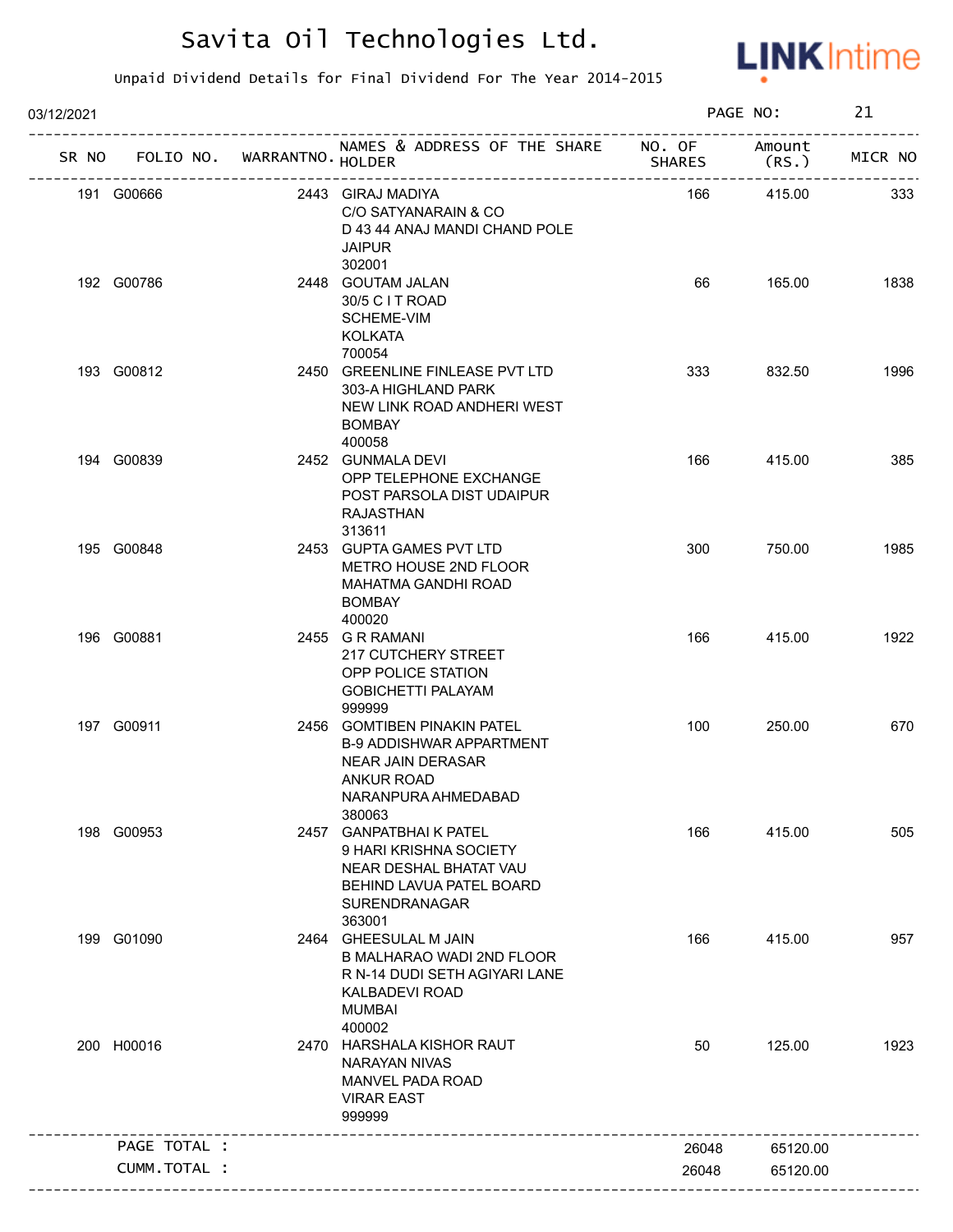

| 03/12/2021 |              |                                                   |                                                                                                                                           |               | PAGE NO:        | 21      |
|------------|--------------|---------------------------------------------------|-------------------------------------------------------------------------------------------------------------------------------------------|---------------|-----------------|---------|
| SR NO      |              | FOLIO NO. WARRANTNO. HOLDER<br>------------------ | NAMES & ADDRESS OF THE SHARE NO. OF                                                                                                       | <b>SHARES</b> | Amount<br>(RS.) | MICR NO |
|            | 191 G00666   |                                                   | 2443 GIRAJ MADIYA<br>C/O SATYANARAIN & CO<br>D 43 44 ANAJ MANDI CHAND POLE<br><b>JAIPUR</b><br>302001                                     | 166           | 415.00          | 333     |
|            | 192 G00786   |                                                   | 2448 GOUTAM JALAN<br>30/5 C I T ROAD<br>SCHEME-VIM<br><b>KOLKATA</b><br>700054                                                            | 66            | 165.00          | 1838    |
|            | 193 G00812   |                                                   | 2450 GREENLINE FINLEASE PVT LTD<br>303-A HIGHLAND PARK<br>NEW LINK ROAD ANDHERI WEST<br><b>BOMBAY</b><br>400058                           | 333           | 832.50          | 1996    |
|            | 194 G00839   |                                                   | 2452 GUNMALA DEVI<br>OPP TELEPHONE EXCHANGE<br>POST PARSOLA DIST UDAIPUR<br><b>RAJASTHAN</b><br>313611                                    | 166           | 415.00          | 385     |
|            | 195 G00848   |                                                   | 2453 GUPTA GAMES PVT LTD<br>METRO HOUSE 2ND FLOOR<br>MAHATMA GANDHI ROAD<br><b>BOMBAY</b><br>400020                                       | 300           | 750.00          | 1985    |
|            | 196 G00881   |                                                   | 2455 G R RAMANI<br><b>217 CUTCHERY STREET</b><br>OPP POLICE STATION<br><b>GOBICHETTI PALAYAM</b><br>999999                                | 166           | 415.00          | 1922    |
|            | 197 G00911   |                                                   | 2456 GOMTIBEN PINAKIN PATEL<br><b>B-9 ADDISHWAR APPARTMENT</b><br>NEAR JAIN DERASAR<br><b>ANKUR ROAD</b><br>NARANPURA AHMEDABAD<br>380063 | 100           | 250.00          | 670     |
| 198        | G00953       |                                                   | 2457 GANPATBHAIK PATEL<br>9 HARI KRISHNA SOCIETY<br>NEAR DESHAL BHATAT VAU<br>BEHIND LAVUA PATEL BOARD<br>SURENDRANAGAR<br>363001         | 166           | 415.00          | 505     |
|            | 199 G01090   |                                                   | 2464 GHEESULAL M JAIN<br>B MALHARAO WADI 2ND FLOOR<br>R N-14 DUDI SETH AGIYARI LANE<br><b>KALBADEVI ROAD</b><br><b>MUMBAI</b><br>400002   | 166           | 415.00          | 957     |
|            | 200 H00016   |                                                   | 2470 HARSHALA KISHOR RAUT<br><b>NARAYAN NIVAS</b><br>MANVEL PADA ROAD<br><b>VIRAR EAST</b><br>999999                                      | 50            | 125.00          | 1923    |
|            | PAGE TOTAL : |                                                   |                                                                                                                                           | 26048         | 65120.00        |         |
|            | CUMM.TOTAL : |                                                   |                                                                                                                                           | 26048         | 65120.00        |         |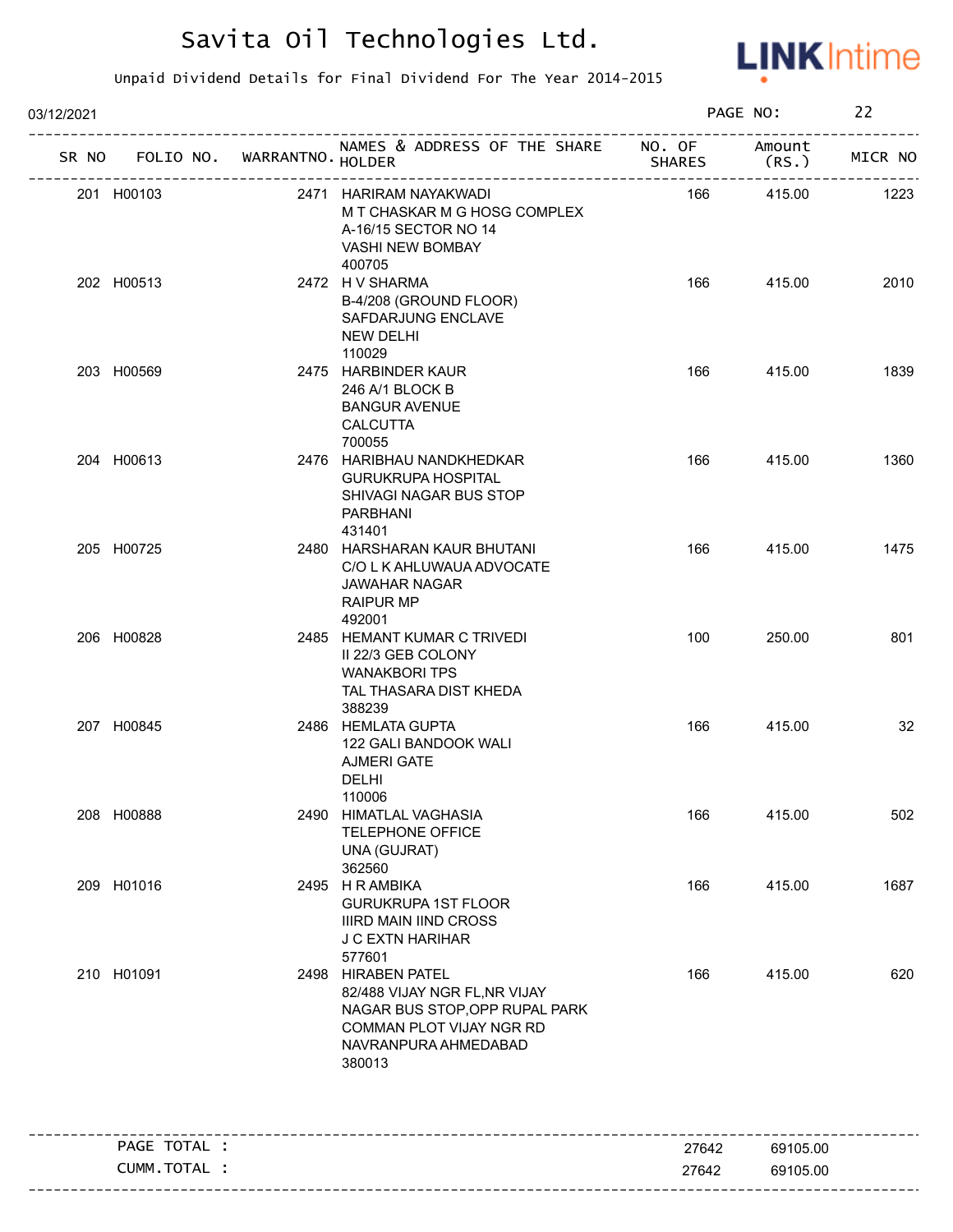

| 03/12/2021   |                             |                                                                                                                                                     |               | PAGE NO:       | 22      |
|--------------|-----------------------------|-----------------------------------------------------------------------------------------------------------------------------------------------------|---------------|----------------|---------|
| SR NO        | FOLIO NO. WARRANTNO. HOLDER | NAMES & ADDRESS OF THE SHARE NO. OF                                                                                                                 | <b>SHARES</b> | Amount<br>(RS. | MICR NO |
| 201 H00103   |                             | 2471 HARIRAM NAYAKWADI<br>M T CHASKAR M G HOSG COMPLEX<br>A-16/15 SECTOR NO 14<br>VASHI NEW BOMBAY<br>400705                                        | 166           | 415.00         | 1223    |
| 202 H00513   |                             | 2472 H V SHARMA<br>B-4/208 (GROUND FLOOR)<br>SAFDARJUNG ENCLAVE<br><b>NEW DELHI</b><br>110029                                                       | 166           | 415.00         | 2010    |
| 203 H00569   |                             | 2475 HARBINDER KAUR<br>246 A/1 BLOCK B<br><b>BANGUR AVENUE</b><br>CALCUTTA<br>700055                                                                | 166           | 415.00         | 1839    |
| 204 H00613   |                             | 2476 HARIBHAU NANDKHEDKAR<br><b>GURUKRUPA HOSPITAL</b><br>SHIVAGI NAGAR BUS STOP<br>PARBHANI<br>431401                                              | 166           | 415.00         | 1360    |
| 205 H00725   |                             | 2480 HARSHARAN KAUR BHUTANI<br>C/O L K AHLUWAUA ADVOCATE<br>JAWAHAR NAGAR<br><b>RAIPUR MP</b><br>492001                                             | 166           | 415.00         | 1475    |
| 206 H00828   |                             | 2485 HEMANT KUMAR C TRIVEDI<br>II 22/3 GEB COLONY<br><b>WANAKBORI TPS</b><br>TAL THASARA DIST KHEDA<br>388239                                       | 100           | 250.00         | 801     |
| 207 H00845   |                             | 2486 HEMLATA GUPTA<br>122 GALI BANDOOK WALI<br><b>AJMERI GATE</b><br>DELHI<br>110006                                                                | 166           | 415.00         | 32      |
| 208 H00888   |                             | 2490 HIMATLAL VAGHASIA<br><b>TELEPHONE OFFICE</b><br>UNA (GUJRAT)<br>362560                                                                         | 166           | 415.00         | 502     |
| 209 H01016   |                             | 2495 H R AMBIKA<br><b>GURUKRUPA 1ST FLOOR</b><br><b>IIIRD MAIN IIND CROSS</b><br><b>J C EXTN HARIHAR</b><br>577601                                  | 166           | 415.00         | 1687    |
| 210 H01091   |                             | 2498 HIRABEN PATEL<br>82/488 VIJAY NGR FL, NR VIJAY<br>NAGAR BUS STOP, OPP RUPAL PARK<br>COMMAN PLOT VIJAY NGR RD<br>NAVRANPURA AHMEDABAD<br>380013 | 166           | 415.00         | 620     |
| PAGE TOTAL : |                             | ____________________________________                                                                                                                | 27642         | 69105.00       |         |
| CUMM.TOTAL : |                             |                                                                                                                                                     | 27642         | 69105.00       |         |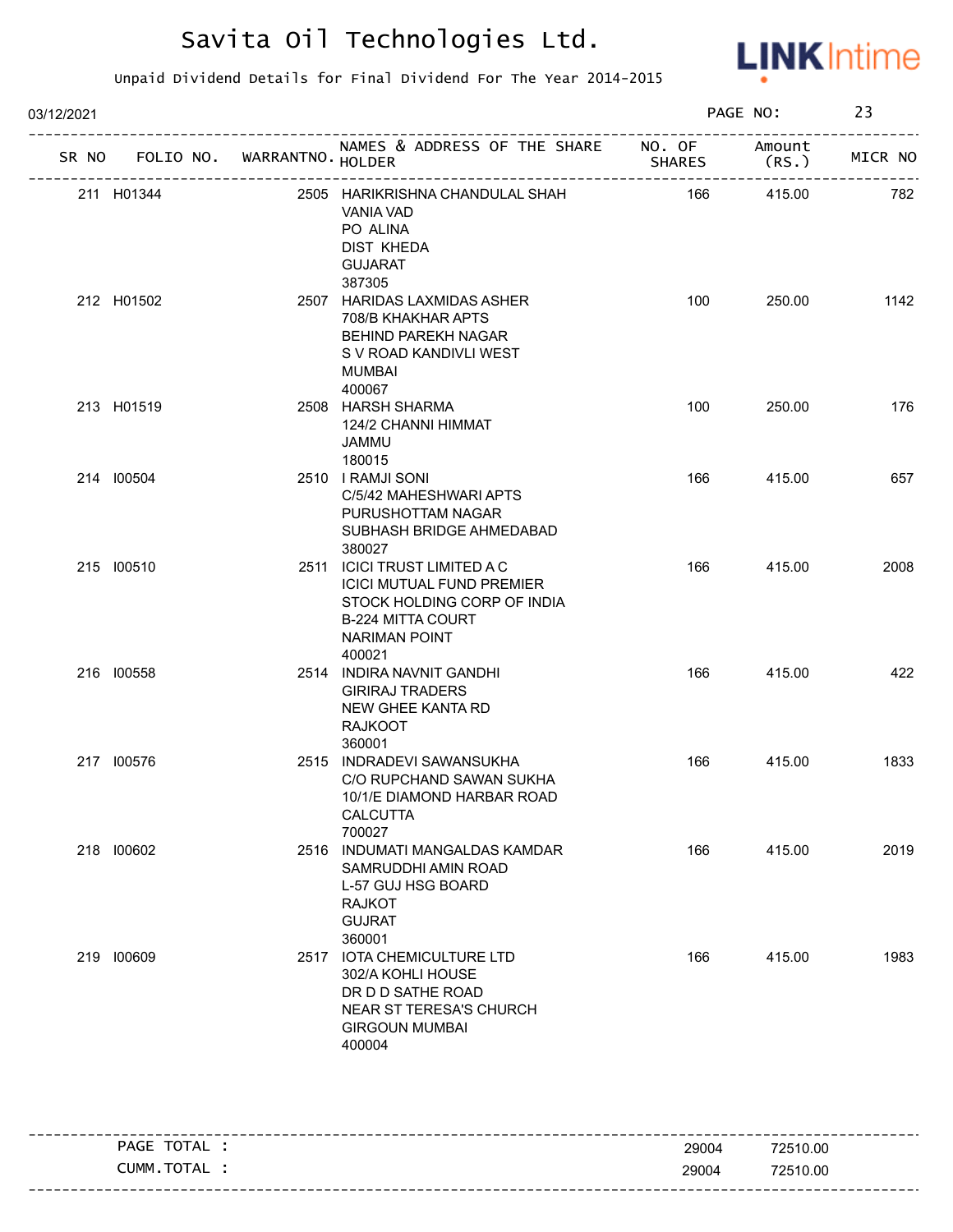

| 03/12/2021 |                                   |  | PAGE NO:                                                                                                                                                      |                       | 23               |         |
|------------|-----------------------------------|--|---------------------------------------------------------------------------------------------------------------------------------------------------------------|-----------------------|------------------|---------|
|            | SR NO FOLIO NO. WARRANTNO. HOLDER |  | NAMES & ADDRESS OF THE SHARE NO. OF                                                                                                                           | <b>SHARES</b>         | Amount<br>(RS. ) | MICR NO |
|            | 211 H01344                        |  | 2505 HARIKRISHNA CHANDULAL SHAH<br>VANIA VAD<br>PO ALINA<br>DIST KHEDA<br><b>GUJARAT</b><br>387305                                                            | --------------<br>166 | 415.00           | 782     |
|            | 212 H01502                        |  | 2507 HARIDAS LAXMIDAS ASHER<br>708/B KHAKHAR APTS<br><b>BEHIND PAREKH NAGAR</b><br>S V ROAD KANDIVLI WEST<br><b>MUMBAI</b><br>400067                          | 100                   | 250.00           | 1142    |
|            | 213 H01519                        |  | 2508 HARSH SHARMA<br>124/2 CHANNI HIMMAT<br>JAMMU<br>180015                                                                                                   | 100                   | 250.00           | 176     |
|            | 214 100504                        |  | 2510   RAMJI SONI<br>C/5/42 MAHESHWARI APTS<br>PURUSHOTTAM NAGAR<br>SUBHASH BRIDGE AHMEDABAD<br>380027                                                        | 166                   | 415.00           | 657     |
|            | 215 100510                        |  | 2511 ICICI TRUST LIMITED A C<br><b>ICICI MUTUAL FUND PREMIER</b><br>STOCK HOLDING CORP OF INDIA<br><b>B-224 MITTA COURT</b><br><b>NARIMAN POINT</b><br>400021 | 166                   | 415.00           | 2008    |
|            | 216 100558                        |  | 2514 INDIRA NAVNIT GANDHI<br><b>GIRIRAJ TRADERS</b><br>NEW GHEE KANTA RD<br><b>RAJKOOT</b><br>360001                                                          | 166                   | 415.00           | 422     |
|            | 217 100576                        |  | 2515 INDRADEVI SAWANSUKHA<br>C/O RUPCHAND SAWAN SUKHA<br>10/1/E DIAMOND HARBAR ROAD<br><b>CALCUTTA</b><br>700027                                              | 166                   | 415.00           | 1833    |
|            | 218 100602                        |  | 2516 INDUMATI MANGALDAS KAMDAR<br>SAMRUDDHI AMIN ROAD<br>L-57 GUJ HSG BOARD<br><b>RAJKOT</b><br><b>GUJRAT</b><br>360001                                       | 166                   | 415.00           | 2019    |
|            | 219 100609                        |  | 2517 IOTA CHEMICULTURE LTD<br>302/A KOHLI HOUSE<br>DR D D SATHE ROAD<br>NEAR ST TERESA'S CHURCH<br><b>GIRGOUN MUMBAI</b><br>400004                            | 166                   | 415.00           | 1983    |

| PAGE TOTAL | 29004 | 72510.00 |
|------------|-------|----------|
| CUMM.TOTAL | 29004 | 72510.00 |
|            |       |          |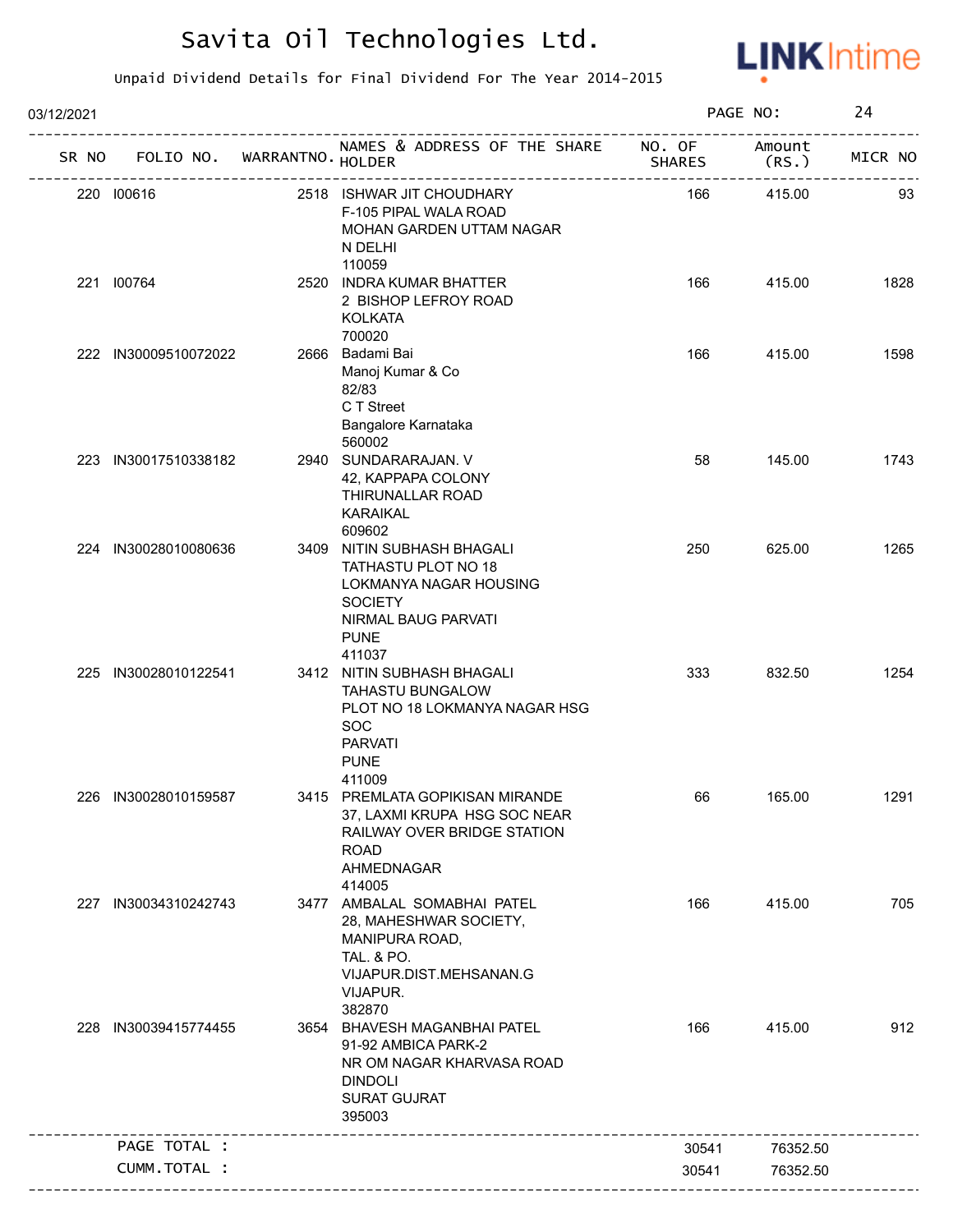

| 03/12/2021 |                                   |                                                                                                                                                   |               | PAGE NO:        | 24      |
|------------|-----------------------------------|---------------------------------------------------------------------------------------------------------------------------------------------------|---------------|-----------------|---------|
|            | SR NO FOLIO NO. WARRANTNO. HOLDER | NAMES & ADDRESS OF THE SHARE NO. OF                                                                                                               | <b>SHARES</b> | Amount<br>(RS.) | MICR NO |
|            | 220 100616                        | 2518 ISHWAR JIT CHOUDHARY<br>F-105 PIPAL WALA ROAD<br>MOHAN GARDEN UTTAM NAGAR<br>N DELHI<br>110059                                               | 166           | 415.00          | 93      |
|            | 221 100764                        | 2520 INDRA KUMAR BHATTER<br>2 BISHOP LEFROY ROAD<br><b>KOLKATA</b><br>700020                                                                      | 166           | 415.00          | 1828    |
|            | 222 IN30009510072022              | 2666 Badami Bai<br>Manoj Kumar & Co<br>82/83<br>C T Street<br>Bangalore Karnataka<br>560002                                                       | 166           | 415.00          | 1598    |
|            | 223 IN30017510338182              | 2940 SUNDARARAJAN. V<br>42, KAPPAPA COLONY<br>THIRUNALLAR ROAD<br><b>KARAIKAL</b><br>609602                                                       | 58            | 145.00          | 1743    |
|            | 224 IN30028010080636              | 3409 NITIN SUBHASH BHAGALI<br>TATHASTU PLOT NO 18<br>LOKMANYA NAGAR HOUSING<br><b>SOCIETY</b><br>NIRMAL BAUG PARVATI<br><b>PUNE</b><br>411037     | 250           | 625.00          | 1265    |
|            | 225 IN30028010122541              | 3412 NITIN SUBHASH BHAGALI<br><b>TAHASTU BUNGALOW</b><br>PLOT NO 18 LOKMANYA NAGAR HSG<br><b>SOC</b><br><b>PARVATI</b><br><b>PUNE</b><br>411009   | 333           | 832.50          | 1254    |
|            | 226 IN30028010159587              | 3415 PREMLATA GOPIKISAN MIRANDE<br>37, LAXMI KRUPA HSG SOC NEAR<br>RAILWAY OVER BRIDGE STATION<br><b>ROAD</b><br>AHMEDNAGAR<br>414005             | 66            | 165.00          | 1291    |
|            | 227 IN30034310242743              | 3477 AMBALAL SOMABHAI PATEL<br>28, MAHESHWAR SOCIETY,<br>MANIPURA ROAD,<br><b>TAL. &amp; PO.</b><br>VIJAPUR.DIST.MEHSANAN.G<br>VIJAPUR.<br>382870 | 166           | 415.00          | 705     |
|            | 228 IN30039415774455              | 3654 BHAVESH MAGANBHAI PATEL<br>91-92 AMBICA PARK-2<br>NR OM NAGAR KHARVASA ROAD<br><b>DINDOLI</b><br><b>SURAT GUJRAT</b><br>395003               | 166           | 415.00          | 912     |
|            | PAGE TOTAL :                      |                                                                                                                                                   | 30541         | 76352.50        |         |
|            | CUMM.TOTAL :                      |                                                                                                                                                   | 30541         | 76352.50        |         |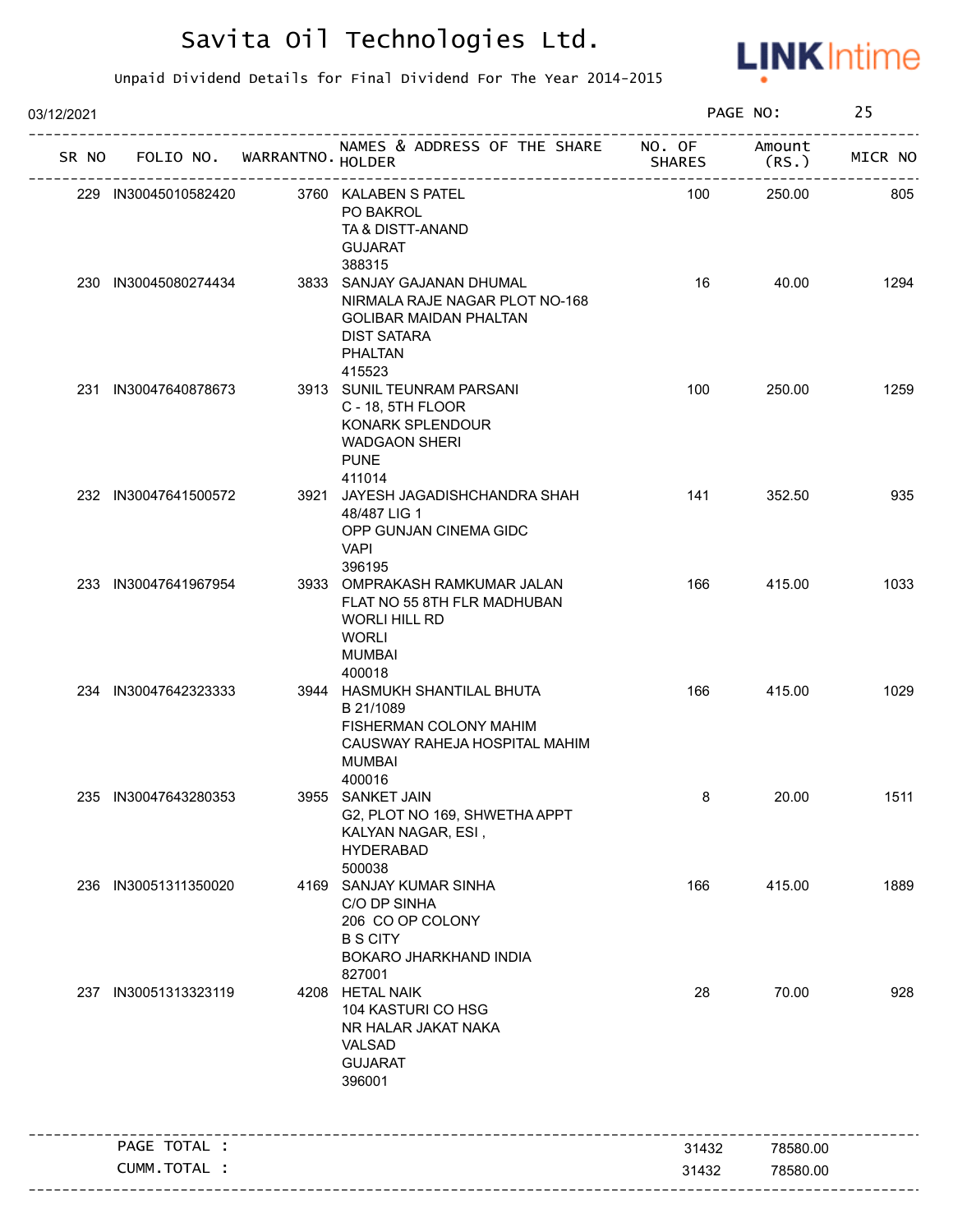

| 03/12/2021 |                             |                                                                                                                                                 |                         | PAGE NO:        | 25      |
|------------|-----------------------------|-------------------------------------------------------------------------------------------------------------------------------------------------|-------------------------|-----------------|---------|
| SR NO      | FOLIO NO. WARRANTNO. HOLDER | NAMES & ADDRESS OF THE SHARE                                                                                                                    | NO. OF<br><b>SHARES</b> | Amount<br>(RS.) | MICR NO |
|            | 229 IN30045010582420        | 3760 KALABEN S PATEL<br>PO BAKROL<br>TA & DISTT-ANAND<br><b>GUJARAT</b><br>388315                                                               | 100                     | 250.00          | 805     |
|            | 230 IN30045080274434        | 3833 SANJAY GAJANAN DHUMAL<br>NIRMALA RAJE NAGAR PLOT NO-168<br><b>GOLIBAR MAIDAN PHALTAN</b><br><b>DIST SATARA</b><br><b>PHALTAN</b><br>415523 | 16                      | 40.00           | 1294    |
|            | 231 IN30047640878673        | 3913 SUNIL TEUNRAM PARSANI<br>C - 18, 5TH FLOOR<br>KONARK SPLENDOUR<br><b>WADGAON SHERI</b><br><b>PUNE</b><br>411014                            | 100                     | 250.00          | 1259    |
|            | 232 IN30047641500572        | 3921 JAYESH JAGADISHCHANDRA SHAH<br>48/487 LIG 1<br>OPP GUNJAN CINEMA GIDC<br><b>VAPI</b><br>396195                                             | 141                     | 352.50          | 935     |
|            | 233 IN30047641967954        | 3933 OMPRAKASH RAMKUMAR JALAN<br>FLAT NO 55 8TH FLR MADHUBAN<br><b>WORLI HILL RD</b><br><b>WORLI</b><br><b>MUMBAI</b><br>400018                 | 166                     | 415.00          | 1033    |
|            | 234 IN30047642323333        | 3944 HASMUKH SHANTILAL BHUTA<br>B 21/1089<br>FISHERMAN COLONY MAHIM<br>CAUSWAY RAHEJA HOSPITAL MAHIM<br><b>MUMBAI</b><br>400016                 | 166                     | 415.00          | 1029    |
|            | 235 IN30047643280353        | 3955 SANKET JAIN<br>G2, PLOT NO 169, SHWETHA APPT<br>KALYAN NAGAR, ESI,<br><b>HYDERABAD</b><br>500038                                           | 8                       | 20.00           | 1511    |
|            | 236 IN30051311350020        | 4169 SANJAY KUMAR SINHA<br>C/O DP SINHA<br>206 CO OP COLONY<br><b>B S CITY</b><br><b>BOKARO JHARKHAND INDIA</b><br>827001                       | 166                     | 415.00          | 1889    |
|            | 237 IN30051313323119        | 4208 HETAL NAIK<br>104 KASTURI CO HSG<br>NR HALAR JAKAT NAKA<br>VALSAD<br><b>GUJARAT</b><br>396001                                              | 28                      | 70.00           | 928     |
|            | PAGE TOTAL :                |                                                                                                                                                 | 31432                   | 78580.00        |         |
|            | CUMM.TOTAL :                |                                                                                                                                                 | 31432                   | 78580.00        |         |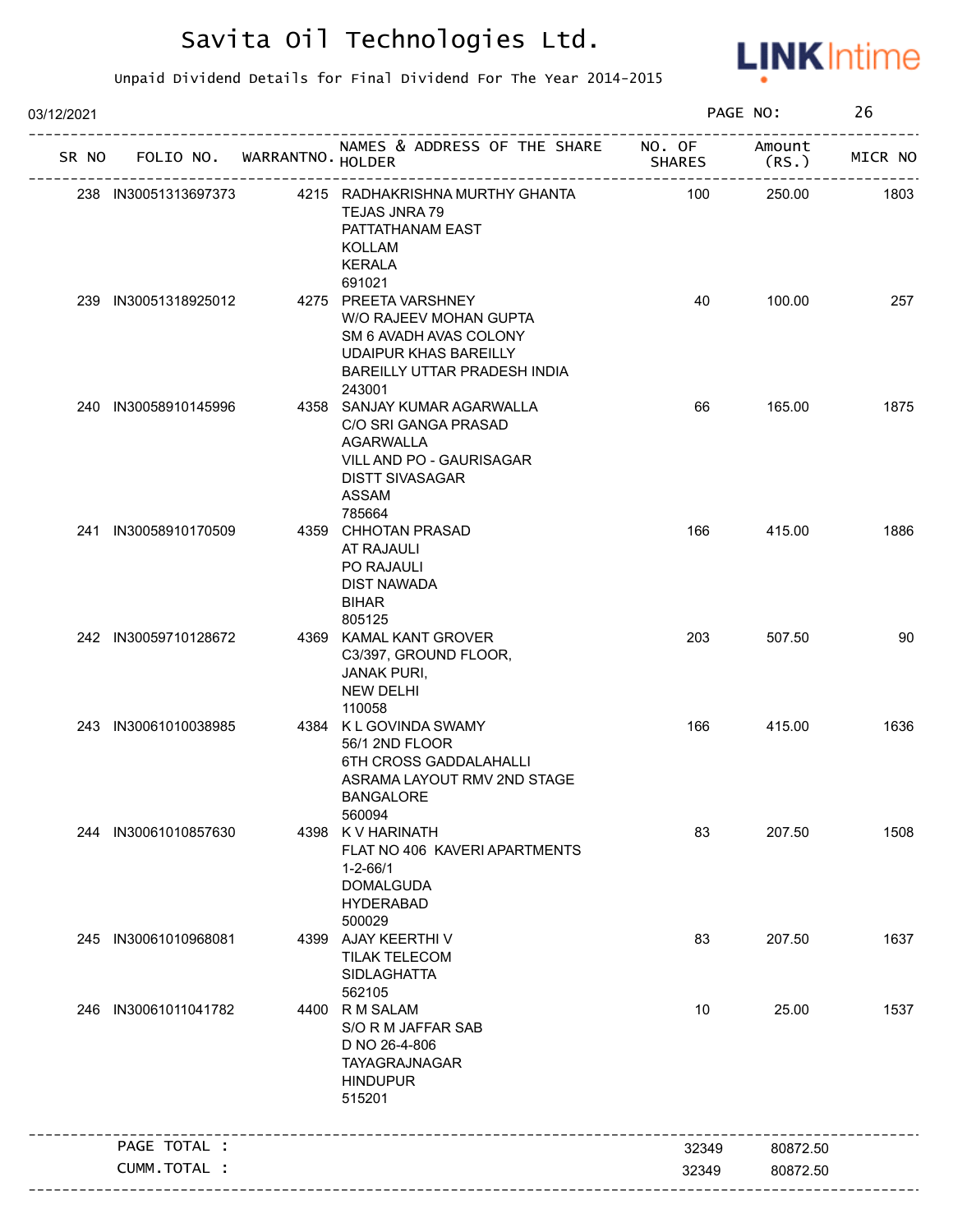

| 03/12/2021 |                                   |                                                                                                                                                              |               | PAGE NO:        | 26      |
|------------|-----------------------------------|--------------------------------------------------------------------------------------------------------------------------------------------------------------|---------------|-----------------|---------|
|            | SR NO FOLIO NO. WARRANTNO. HOLDER | NAMES & ADDRESS OF THE SHARE NO. OF                                                                                                                          | <b>SHARES</b> | Amount<br>(RS.) | MICR NO |
|            | 238 IN30051313697373              | 4215 RADHAKRISHNA MURTHY GHANTA<br><b>TEJAS JNRA 79</b><br>PATTATHANAM EAST<br>KOLLAM<br><b>KERALA</b>                                                       | 100           | 250.00          | 1803    |
|            | 239 IN30051318925012              | 691021<br>4275 PREETA VARSHNEY<br>W/O RAJEEV MOHAN GUPTA<br>SM 6 AVADH AVAS COLONY<br><b>UDAIPUR KHAS BAREILLY</b><br>BAREILLY UTTAR PRADESH INDIA<br>243001 | 40            | 100.00          | 257     |
|            | 240 IN30058910145996              | 4358 SANJAY KUMAR AGARWALLA<br>C/O SRI GANGA PRASAD<br><b>AGARWALLA</b><br>VILL AND PO - GAURISAGAR<br><b>DISTT SIVASAGAR</b><br>ASSAM<br>785664             | 66            | 165.00          | 1875    |
|            | 241 IN30058910170509              | 4359 CHHOTAN PRASAD<br>AT RAJAULI<br><b>PO RAJAULI</b><br><b>DIST NAWADA</b><br><b>BIHAR</b><br>805125                                                       | 166           | 415.00          | 1886    |
|            | 242 IN30059710128672              | 4369 KAMAL KANT GROVER<br>C3/397, GROUND FLOOR,<br><b>JANAK PURI,</b><br><b>NEW DELHI</b><br>110058                                                          | 203           | 507.50          | 90      |
|            | 243 IN30061010038985              | 4384 K L GOVINDA SWAMY<br>56/1 2ND FLOOR<br>6TH CROSS GADDALAHALLI<br>ASRAMA LAYOUT RMV 2ND STAGE<br><b>BANGALORE</b><br>560094                              | 166           | 415.00          | 1636    |
| 244        | IN30061010857630                  | 4398 K V HARINATH<br>FLAT NO 406 KAVERI APARTMENTS<br>$1 - 2 - 66/1$<br><b>DOMALGUDA</b><br><b>HYDERABAD</b><br>500029                                       | 83            | 207.50          | 1508    |
|            | 245 IN30061010968081              | 4399 AJAY KEERTHI V<br><b>TILAK TELECOM</b><br><b>SIDLAGHATTA</b><br>562105                                                                                  | 83            | 207.50          | 1637    |
| 246        | IN30061011041782                  | 4400 R M SALAM<br>S/O R M JAFFAR SAB<br>D NO 26-4-806<br>TAYAGRAJNAGAR<br><b>HINDUPUR</b><br>515201                                                          | 10            | 25.00           | 1537    |
|            | PAGE TOTAL :                      |                                                                                                                                                              | 32349         | 80872.50        |         |
|            | CUMM.TOTAL :                      |                                                                                                                                                              | 32349         | 80872.50        |         |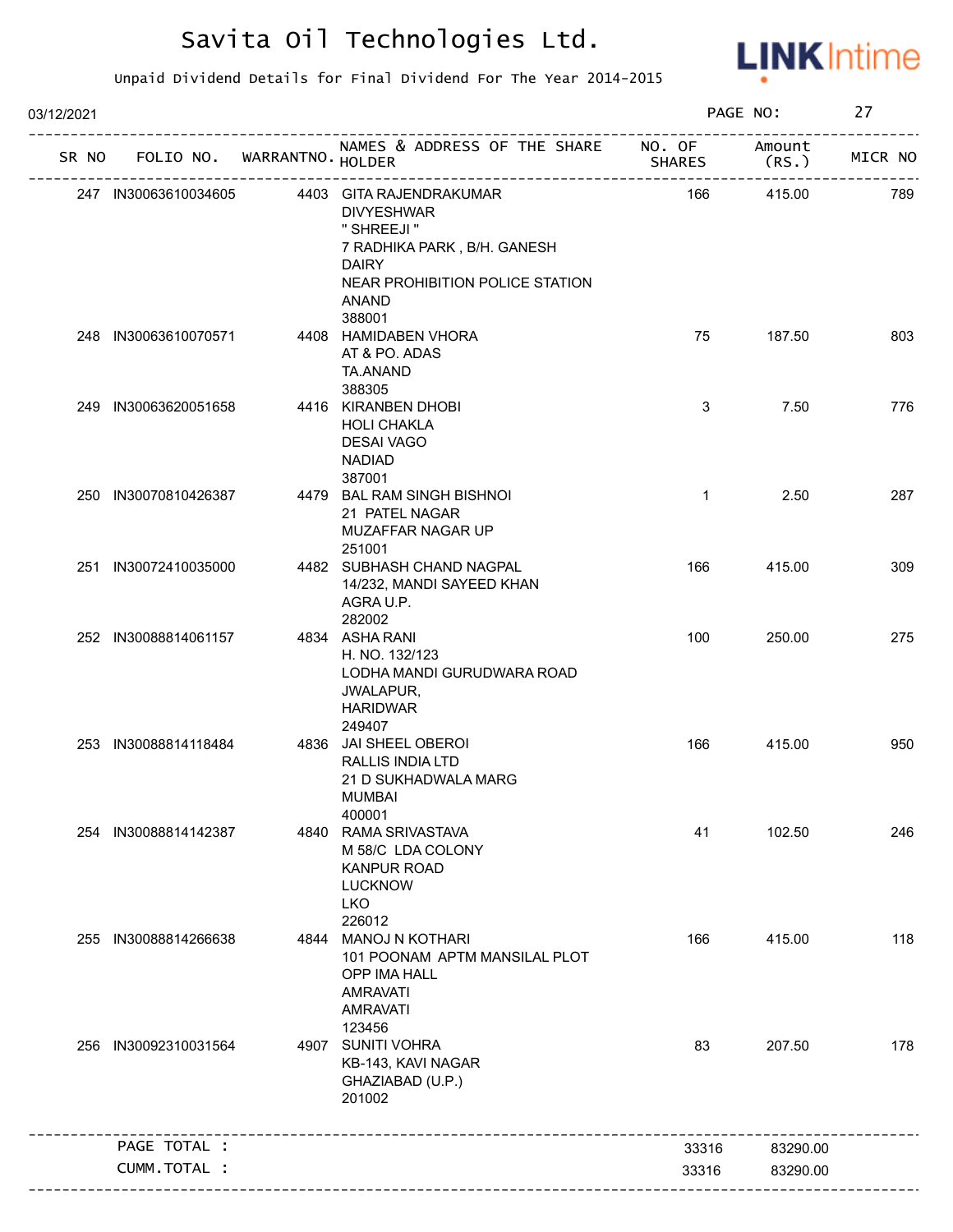

| 03/12/2021 |                                   |                                                                                                                                                                  |               | PAGE NO:        | 27      |
|------------|-----------------------------------|------------------------------------------------------------------------------------------------------------------------------------------------------------------|---------------|-----------------|---------|
|            | SR NO FOLIO NO. WARRANTNO. HOLDER | NAMES & ADDRESS OF THE SHARE NO. OF                                                                                                                              | <b>SHARES</b> | Amount<br>(RS.) | MICR NO |
|            | 247 IN30063610034605              | 4403 GITA RAJENDRAKUMAR<br><b>DIVYESHWAR</b><br>" SHREEJI "<br>7 RADHIKA PARK, B/H. GANESH<br><b>DAIRY</b><br>NEAR PROHIBITION POLICE STATION<br>ANAND<br>388001 | 166           | 415.00          | 789     |
|            | 248 IN30063610070571              | 4408 HAMIDABEN VHORA<br>AT & PO. ADAS<br>TA.ANAND<br>388305                                                                                                      | 75            | 187.50          | 803     |
|            | 249 IN30063620051658              | 4416 KIRANBEN DHOBI<br><b>HOLI CHAKLA</b><br><b>DESAI VAGO</b><br><b>NADIAD</b><br>387001                                                                        | 3             | 7.50            | 776     |
|            | 250 IN30070810426387              | 4479 BAL RAM SINGH BISHNOI<br>21 PATEL NAGAR<br>MUZAFFAR NAGAR UP<br>251001                                                                                      | $\mathbf{1}$  | 2.50            | 287     |
|            | 251 IN30072410035000              | 4482 SUBHASH CHAND NAGPAL<br>14/232, MANDI SAYEED KHAN<br>AGRA U.P.<br>282002                                                                                    | 166           | 415.00          | 309     |
|            | 252 IN30088814061157              | 4834 ASHA RANI<br>H. NO. 132/123<br>LODHA MANDI GURUDWARA ROAD<br>JWALAPUR,<br><b>HARIDWAR</b><br>249407                                                         | 100           | 250.00          | 275     |
|            | 253 IN30088814118484              | 4836 JAI SHEEL OBEROI<br>RALLIS INDIA LTD<br>21 D SUKHADWALA MARG<br>MUMBAI<br>400001                                                                            | 166           | 415.00          | 950     |
| 254        | IN30088814142387                  | 4840 RAMA SRIVASTAVA<br>M 58/C LDA COLONY<br><b>KANPUR ROAD</b><br><b>LUCKNOW</b><br><b>LKO</b><br>226012                                                        | 41            | 102.50          | 246     |
| 255        | IN30088814266638                  | 4844 MANOJ N KOTHARI<br>101 POONAM APTM MANSILAL PLOT<br>OPP IMA HALL<br><b>AMRAVATI</b><br><b>AMRAVATI</b><br>123456                                            | 166           | 415.00          | 118     |
|            | 256 IN30092310031564              | 4907 SUNITI VOHRA<br>KB-143, KAVI NAGAR<br>GHAZIABAD (U.P.)<br>201002                                                                                            | 83            | 207.50          | 178     |
|            | PAGE TOTAL :                      |                                                                                                                                                                  | 33316         | 83290.00        |         |
|            | CUMM.TOTAL :                      |                                                                                                                                                                  | 33316         | 83290.00        |         |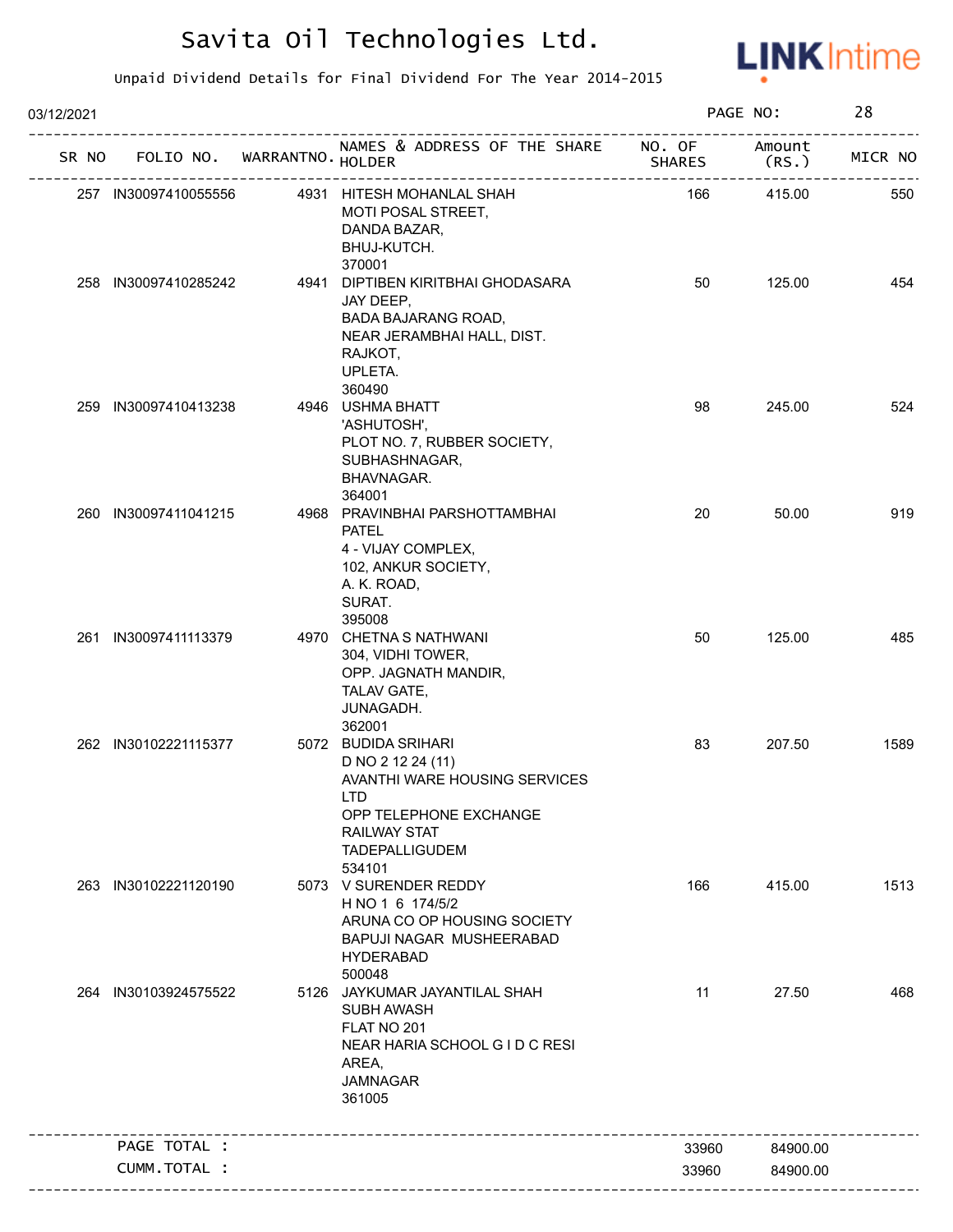

| 03/12/2021 |                      |                            |                                                                                                                                                                             |                         | PAGE NO:        | 28      |
|------------|----------------------|----------------------------|-----------------------------------------------------------------------------------------------------------------------------------------------------------------------------|-------------------------|-----------------|---------|
| SR NO      |                      | FOLIO NO. WARRANTNO HOLDER | NAMES & ADDRESS OF THE SHARE                                                                                                                                                | NO. OF<br><b>SHARES</b> | Amount<br>(RS.) | MICR NO |
|            | 257 IN30097410055556 |                            | 4931 HITESH MOHANLAL SHAH<br>MOTI POSAL STREET,<br>DANDA BAZAR,<br>BHUJ-KUTCH.<br>370001                                                                                    | 166                     | 415.00          | 550     |
|            | 258 IN30097410285242 |                            | 4941 DIPTIBEN KIRITBHAI GHODASARA<br>JAY DEEP,<br>BADA BAJARANG ROAD,<br>NEAR JERAMBHAI HALL, DIST.<br>RAJKOT,<br>UPLETA.<br>360490                                         | 50                      | 125.00          | 454     |
|            | 259 IN30097410413238 |                            | 4946 USHMA BHATT<br>'ASHUTOSH',<br>PLOT NO. 7, RUBBER SOCIETY,<br>SUBHASHNAGAR,<br>BHAVNAGAR.<br>364001                                                                     | 98                      | 245.00          | 524     |
|            | 260 IN30097411041215 |                            | 4968 PRAVINBHAI PARSHOTTAMBHAI<br><b>PATEL</b><br>4 - VIJAY COMPLEX,<br>102, ANKUR SOCIETY,<br>A. K. ROAD,<br>SURAT.<br>395008                                              | 20                      | 50.00           | 919     |
|            | 261 IN30097411113379 |                            | 4970 CHETNA S NATHWANI<br>304, VIDHI TOWER,<br>OPP. JAGNATH MANDIR,<br>TALAV GATE,<br>JUNAGADH.<br>362001                                                                   | 50                      | 125.00          | 485     |
|            | 262 IN30102221115377 |                            | 5072 BUDIDA SRIHARI<br>D NO 2 12 24 (11)<br>AVANTHI WARE HOUSING SERVICES<br><b>LTD</b><br>OPP TELEPHONE EXCHANGE<br><b>RAILWAY STAT</b><br><b>TADEPALLIGUDEM</b><br>534101 | 83                      | 207.50          | 1589    |
|            | 263 IN30102221120190 |                            | 5073 V SURENDER REDDY<br>H NO 1 6 174/5/2<br>ARUNA CO OP HOUSING SOCIETY<br>BAPUJI NAGAR MUSHEERABAD<br><b>HYDERABAD</b><br>500048                                          | 166                     | 415.00          | 1513    |
|            | 264 IN30103924575522 |                            | 5126 JAYKUMAR JAYANTILAL SHAH<br>SUBH AWASH<br>FLAT NO 201<br>NEAR HARIA SCHOOL G I D C RESI<br>AREA,<br><b>JAMNAGAR</b><br>361005                                          | 11                      | 27.50           | 468     |
|            | PAGE TOTAL :         |                            |                                                                                                                                                                             | 33960                   | 84900.00        |         |
|            | CUMM.TOTAL :         |                            |                                                                                                                                                                             | 33960                   | 84900.00        |         |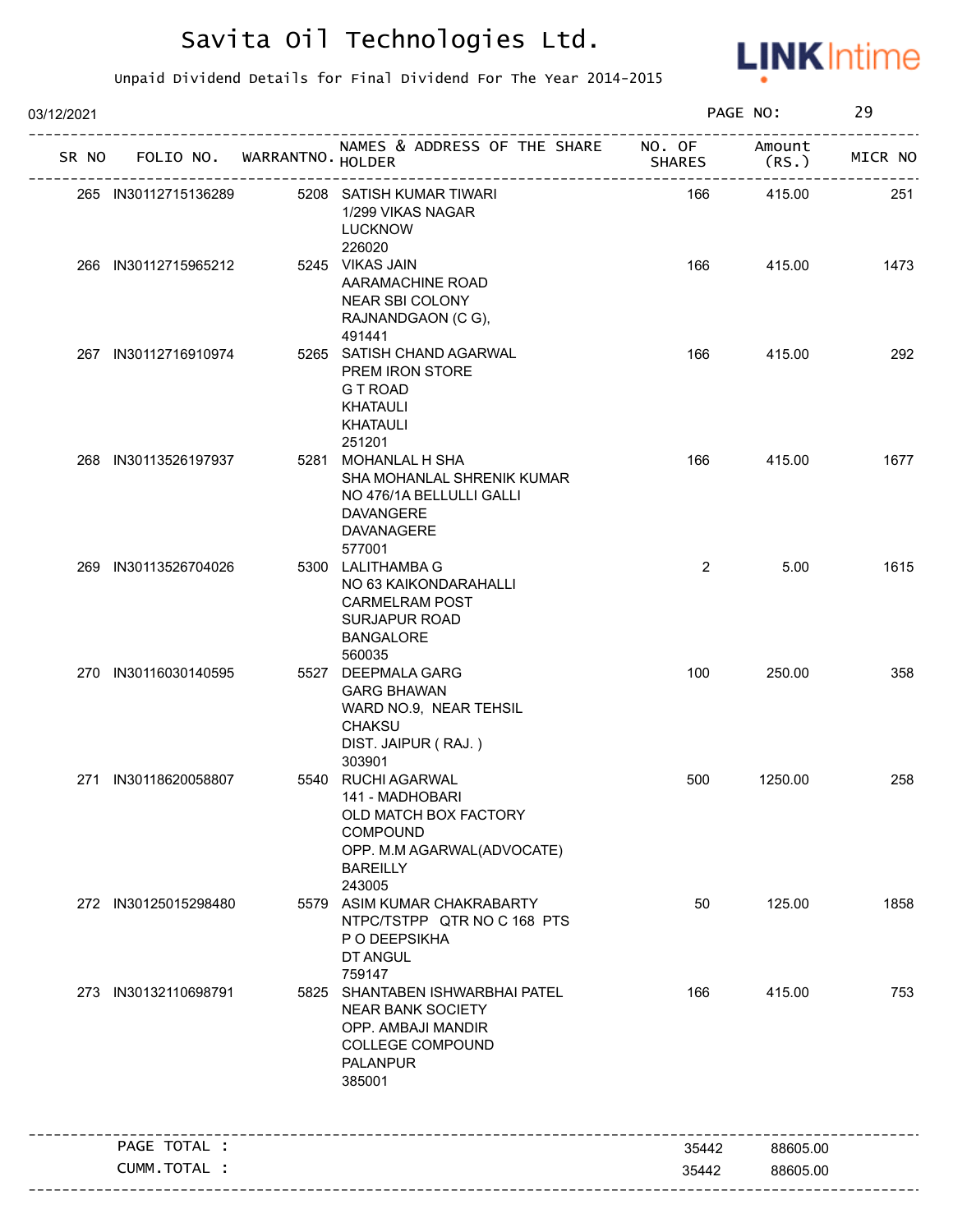

| 03/12/2021 |                      |                             |                                                                                                                                           |                | PAGE NO:         | 29      |
|------------|----------------------|-----------------------------|-------------------------------------------------------------------------------------------------------------------------------------------|----------------|------------------|---------|
| SR NO      |                      | FOLIO NO. WARRANTNO. HOLDER | NAMES & ADDRESS OF THE SHARE NO. OF                                                                                                       | <b>SHARES</b>  | Amount<br>(RS. ) | MICR NO |
|            | 265 IN30112715136289 |                             | 5208 SATISH KUMAR TIWARI<br>1/299 VIKAS NAGAR<br><b>LUCKNOW</b><br>226020                                                                 | 166            | 415.00           | 251     |
|            | 266 IN30112715965212 |                             | 5245 VIKAS JAIN<br>AARAMACHINE ROAD<br>NEAR SBI COLONY<br>RAJNANDGAON (C G),<br>491441                                                    | 166            | 415.00           | 1473    |
|            | 267 IN30112716910974 |                             | 5265 SATISH CHAND AGARWAL<br>PREM IRON STORE<br>G T ROAD<br>KHATAULI<br><b>KHATAULI</b><br>251201                                         | 166            | 415.00           | 292     |
|            | 268 IN30113526197937 |                             | 5281 MOHANLAL H SHA<br>SHA MOHANLAL SHRENIK KUMAR<br>NO 476/1A BELLULLI GALLI<br><b>DAVANGERE</b><br><b>DAVANAGERE</b><br>577001          | 166            | 415.00           | 1677    |
|            | 269 IN30113526704026 |                             | 5300 LALITHAMBA G<br>NO 63 KAIKONDARAHALLI<br><b>CARMELRAM POST</b><br><b>SURJAPUR ROAD</b><br><b>BANGALORE</b><br>560035                 | $\overline{2}$ | 5.00             | 1615    |
|            | 270 IN30116030140595 |                             | 5527 DEEPMALA GARG<br><b>GARG BHAWAN</b><br>WARD NO.9, NEAR TEHSIL<br><b>CHAKSU</b><br>DIST. JAIPUR (RAJ.)<br>303901                      | 100            | 250.00           | 358     |
|            | 271 IN30118620058807 |                             | 5540 RUCHI AGARWAL<br>141 - MADHOBARI<br>OLD MATCH BOX FACTORY<br>COMPOUND<br>OPP. M.M AGARWAL(ADVOCATE)<br><b>BAREILLY</b><br>243005     | 500            | 1250.00          | 258     |
|            | 272 IN30125015298480 |                             | 5579 ASIM KUMAR CHAKRABARTY<br>NTPC/TSTPP QTR NO C 168 PTS<br>P O DEEPSIKHA<br>DT ANGUL<br>759147                                         | 50             | 125.00           | 1858    |
|            | 273 IN30132110698791 |                             | 5825 SHANTABEN ISHWARBHAI PATEL<br><b>NEAR BANK SOCIETY</b><br>OPP. AMBAJI MANDIR<br><b>COLLEGE COMPOUND</b><br><b>PALANPUR</b><br>385001 | 166            | 415.00           | 753     |
|            | PAGE TOTAL :         |                             |                                                                                                                                           | 35442          | 88605.00         |         |
|            | CUMM.TOTAL :         |                             |                                                                                                                                           | 35442          | 88605.00         |         |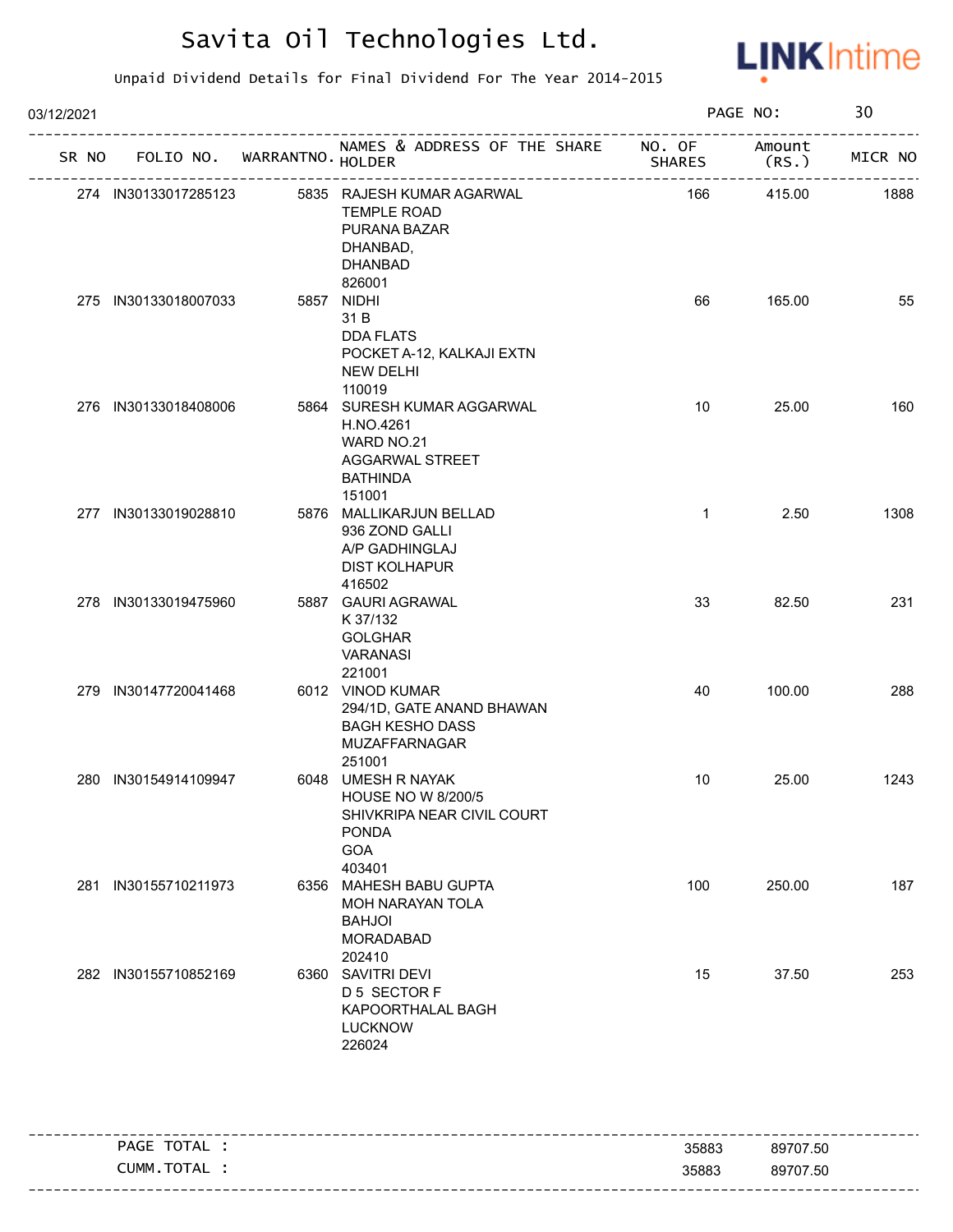

| 03/12/2021 |                      |  |                                   |                                                                                                                |               | PAGE NO: |         |
|------------|----------------------|--|-----------------------------------|----------------------------------------------------------------------------------------------------------------|---------------|----------|---------|
|            |                      |  | SR NO FOLIO NO. WARRANTNO. HOLDER | NAMES & ADDRESS OF THE SHARE NO. OF Amount                                                                     | <b>SHARES</b> | (RS.)    | MICR NO |
|            | 274 IN30133017285123 |  |                                   | 5835 RAJESH KUMAR AGARWAL<br><b>TEMPLE ROAD</b><br>PURANA BAZAR<br>DHANBAD,<br><b>DHANBAD</b><br>826001        | 166           | 415.00   | 1888    |
|            | 275 IN30133018007033 |  |                                   | 5857 NIDHI<br>31 B<br><b>DDA FLATS</b><br>POCKET A-12, KALKAJI EXTN<br><b>NEW DELHI</b><br>110019              | 66            | 165.00   | 55      |
|            | 276 IN30133018408006 |  |                                   | 5864 SURESH KUMAR AGGARWAL<br>H.NO.4261<br>WARD NO.21<br><b>AGGARWAL STREET</b><br><b>BATHINDA</b><br>151001   | 10            | 25.00    | 160     |
|            | 277 IN30133019028810 |  |                                   | 5876 MALLIKARJUN BELLAD<br>936 ZOND GALLI<br>A/P GADHINGLAJ<br><b>DIST KOLHAPUR</b><br>416502                  | $\mathbf{1}$  | 2.50     | 1308    |
|            | 278 IN30133019475960 |  |                                   | 5887 GAURI AGRAWAL<br>K 37/132<br><b>GOLGHAR</b><br><b>VARANASI</b><br>221001                                  | 33            | 82.50    | 231     |
|            | 279 IN30147720041468 |  |                                   | 6012 VINOD KUMAR<br>294/1D, GATE ANAND BHAWAN<br><b>BAGH KESHO DASS</b><br>MUZAFFARNAGAR<br>251001             | 40            | 100.00   | 288     |
|            | 280 IN30154914109947 |  |                                   | 6048 UMESH R NAYAK<br><b>HOUSE NO W 8/200/5</b><br>SHIVKRIPA NEAR CIVIL COURT<br><b>PONDA</b><br>GOA<br>403401 | 10            | 25.00    | 1243    |
|            | 281 IN30155710211973 |  |                                   | 6356 MAHESH BABU GUPTA<br>MOH NARAYAN TOLA<br><b>BAHJOI</b><br><b>MORADABAD</b><br>202410                      | 100           | 250.00   | 187     |
|            | 282 IN30155710852169 |  |                                   | 6360 SAVITRI DEVI<br>D 5 SECTOR F<br>KAPOORTHALAL BAGH<br><b>LUCKNOW</b><br>226024                             | 15            | 37.50    | 253     |

| PAGE TOTAL | 35883 | 89707.50 |
|------------|-------|----------|
| CUMM.TOTAL | 35883 | 89707.50 |
|            |       |          |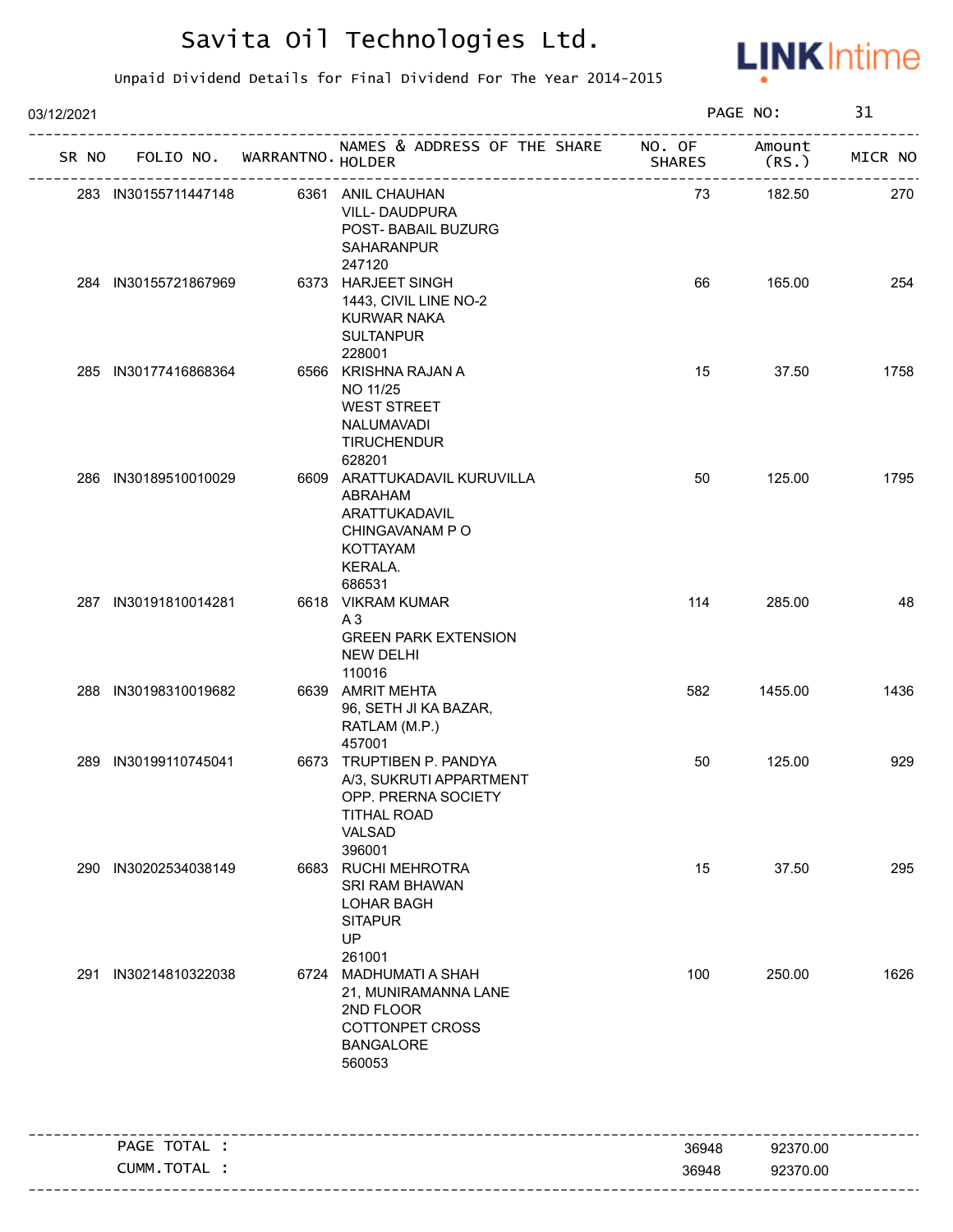

| 03/12/2021 |                      |                                   |                                                                                                                      |               | PAGE NO:       | 31      |
|------------|----------------------|-----------------------------------|----------------------------------------------------------------------------------------------------------------------|---------------|----------------|---------|
|            |                      | SR NO FOLIO NO. WARRANTNO. HOLDER | NAMES & ADDRESS OF THE SHARE NO. OF<br>______________________                                                        | <b>SHARES</b> | Amount<br>(RS. | MICR NO |
|            | 283 IN30155711447148 |                                   | 6361 ANIL CHAUHAN<br><b>VILL-DAUDPURA</b><br>POST- BABAIL BUZURG<br>SAHARANPUR<br>247120                             | 73            | 182.50         | 270     |
|            | 284 IN30155721867969 |                                   | 6373 HARJEET SINGH<br>1443, CIVIL LINE NO-2<br><b>KURWAR NAKA</b><br><b>SULTANPUR</b><br>228001                      | 66            | 165.00         | 254     |
|            | 285 IN30177416868364 |                                   | 6566 KRISHNA RAJAN A<br>NO 11/25<br><b>WEST STREET</b><br>NALUMAVADI<br><b>TIRUCHENDUR</b><br>628201                 | 15            | 37.50          | 1758    |
|            | 286 IN30189510010029 |                                   | 6609 ARATTUKADAVIL KURUVILLA<br>ABRAHAM<br>ARATTUKADAVIL<br>CHINGAVANAM PO<br><b>KOTTAYAM</b><br>KERALA.<br>686531   | 50            | 125.00         | 1795    |
|            | 287 IN30191810014281 |                                   | 6618 VIKRAM KUMAR<br>A3<br><b>GREEN PARK EXTENSION</b><br><b>NEW DELHI</b><br>110016                                 | 114           | 285.00         | 48      |
|            | 288 IN30198310019682 |                                   | 6639 AMRIT MEHTA<br>96, SETH JI KA BAZAR,<br>RATLAM (M.P.)<br>457001                                                 | 582           | 1455.00        | 1436    |
|            | 289 IN30199110745041 |                                   | 6673 TRUPTIBEN P. PANDYA<br>A/3, SUKRUTI APPARTMENT<br>OPP. PRERNA SOCIETY<br><b>TITHAL ROAD</b><br>VALSAD<br>396001 | 50            | 125.00         | 929     |
|            | 290 IN30202534038149 |                                   | 6683 RUCHI MEHROTRA<br>SRI RAM BHAWAN<br><b>LOHAR BAGH</b><br><b>SITAPUR</b><br>UP<br>261001                         | 15            | 37.50          | 295     |
| 291        | IN30214810322038     |                                   | 6724 MADHUMATI A SHAH<br>21, MUNIRAMANNA LANE<br>2ND FLOOR<br>COTTONPET CROSS<br><b>BANGALORE</b><br>560053          | 100           | 250.00         | 1626    |
|            | PAGE TOTAL :         |                                   | -----------------------------                                                                                        | 36948         | 92370.00       |         |
|            | CUMM.TOTAL :         |                                   |                                                                                                                      | 36948         | 92370.00       |         |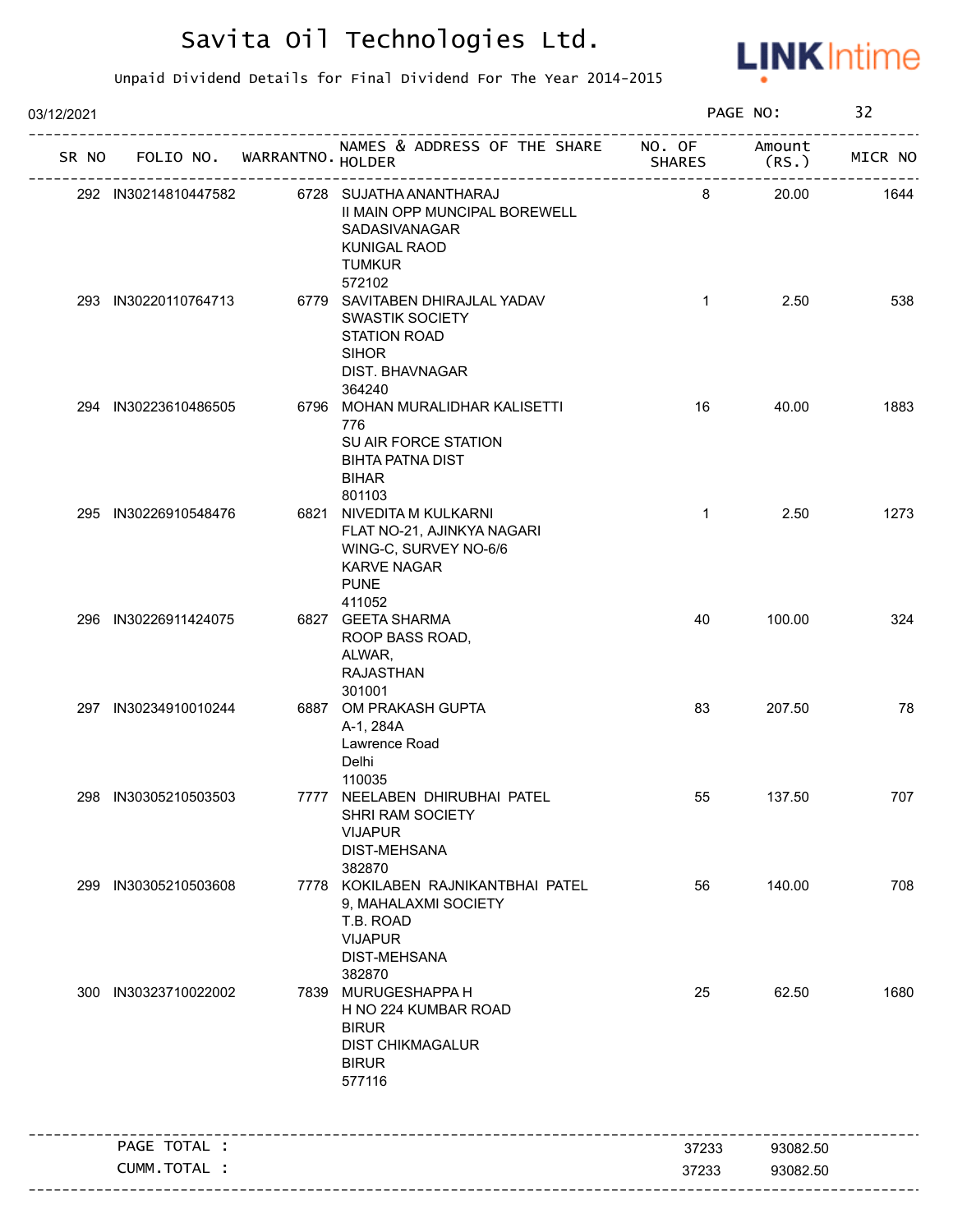

| 03/12/2021 |                      |                             |                                                                                                                                |               | PAGE NO:        | 32      |
|------------|----------------------|-----------------------------|--------------------------------------------------------------------------------------------------------------------------------|---------------|-----------------|---------|
| SR NO      |                      | FOLIO NO. WARRANTNO. HOLDER | NAMES & ADDRESS OF THE SHARE NO. OF                                                                                            | <b>SHARES</b> | Amount<br>(RS.) | MICR NO |
|            | 292 IN30214810447582 |                             | 6728 SUJATHA ANANTHARAJ<br>II MAIN OPP MUNCIPAL BOREWELL<br>SADASIVANAGAR<br><b>KUNIGAL RAOD</b><br><b>TUMKUR</b>              | 8             | 20.00           | 1644    |
|            | 293 IN30220110764713 |                             | 572102<br>6779 SAVITABEN DHIRAJLAL YADAV<br><b>SWASTIK SOCIETY</b><br>STATION ROAD<br><b>SIHOR</b><br><b>DIST. BHAVNAGAR</b>   | $\mathbf{1}$  | 2.50            | 538     |
|            | 294 IN30223610486505 |                             | 364240<br>6796 MOHAN MURALIDHAR KALISETTI<br>776<br>SU AIR FORCE STATION<br><b>BIHTA PATNA DIST</b><br><b>BIHAR</b><br>801103  | 16            | 40.00           | 1883    |
|            | 295 IN30226910548476 |                             | 6821 NIVEDITA M KULKARNI<br>FLAT NO-21, AJINKYA NAGARI<br>WING-C, SURVEY NO-6/6<br><b>KARVE NAGAR</b><br><b>PUNE</b><br>411052 | $\mathbf{1}$  | 2.50            | 1273    |
|            | 296 IN30226911424075 |                             | 6827 GEETA SHARMA<br>ROOP BASS ROAD,<br>ALWAR,<br><b>RAJASTHAN</b><br>301001                                                   | 40            | 100.00          | 324     |
|            | 297 IN30234910010244 |                             | 6887 OM PRAKASH GUPTA<br>A-1, 284A<br>Lawrence Road<br>Delhi<br>110035                                                         | 83            | 207.50          | 78      |
|            | 298 IN30305210503503 |                             | 7777 NEELABEN DHIRUBHAI PATEL<br>SHRI RAM SOCIETY<br><b>VIJAPUR</b><br><b>DIST-MEHSANA</b><br>382870                           | 55            | 137.50          | 707     |
|            | 299 IN30305210503608 |                             | 7778 KOKILABEN RAJNIKANTBHAI PATEL<br>9, MAHALAXMI SOCIETY<br>T.B. ROAD<br><b>VIJAPUR</b><br><b>DIST-MEHSANA</b><br>382870     | 56            | 140.00          | 708     |
|            | 300 IN30323710022002 |                             | 7839 MURUGESHAPPA H<br>H NO 224 KUMBAR ROAD<br><b>BIRUR</b><br><b>DIST CHIKMAGALUR</b><br><b>BIRUR</b><br>577116               | 25            | 62.50           | 1680    |
|            | PAGE TOTAL :         |                             |                                                                                                                                | 37233         | 93082.50        |         |
|            | CUMM.TOTAL :         |                             |                                                                                                                                | 37233         | 93082.50        |         |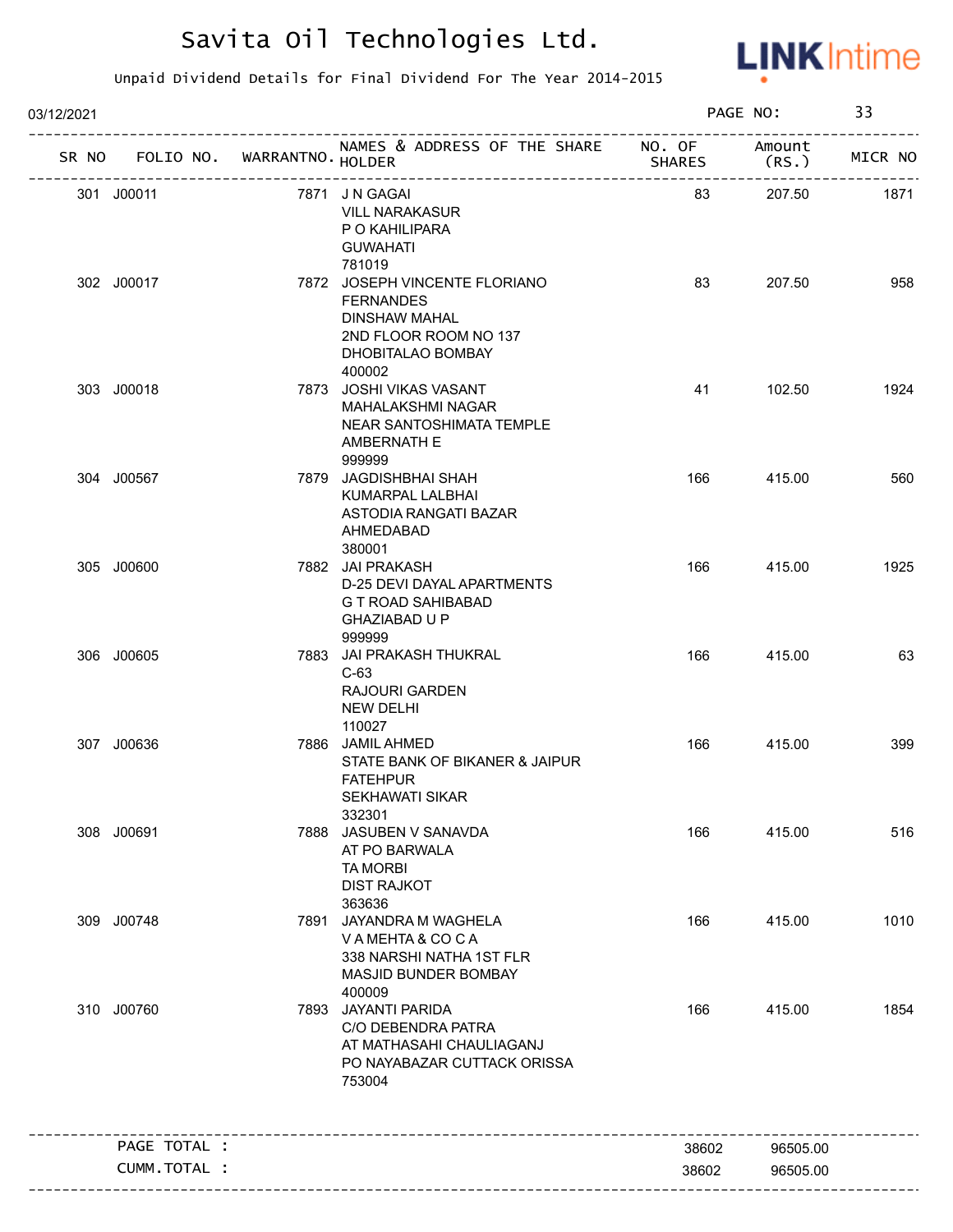

| 03/12/2021 |              |                             | PAGE NO:                                                                                                                          |               | 33              |         |
|------------|--------------|-----------------------------|-----------------------------------------------------------------------------------------------------------------------------------|---------------|-----------------|---------|
| SR NO      |              | FOLIO NO. WARRANTNO. HOLDER | NAMES & ADDRESS OF THE SHARE NO. OF<br>____________________                                                                       | <b>SHARES</b> | Amount<br>(RS.) | MICR NO |
| 301 J00011 |              |                             | 7871 JN GAGAI<br><b>VILL NARAKASUR</b><br>P O KAHILIPARA<br><b>GUWAHATI</b><br>781019                                             | 83            | 207.50          | 1871    |
|            | 302 J00017   |                             | 7872 JOSEPH VINCENTE FLORIANO<br><b>FERNANDES</b><br><b>DINSHAW MAHAL</b><br>2ND FLOOR ROOM NO 137<br>DHOBITALAO BOMBAY<br>400002 | 83            | 207.50          | 958     |
|            | 303 J00018   |                             | 7873 JOSHI VIKAS VASANT<br><b>MAHALAKSHMI NAGAR</b><br>NEAR SANTOSHIMATA TEMPLE<br>AMBERNATH E<br>999999                          | 41            | 102.50          | 1924    |
|            | 304 J00567   |                             | 7879 JAGDISHBHAI SHAH<br>KUMARPAL LALBHAI<br>ASTODIA RANGATI BAZAR<br>AHMEDABAD<br>380001                                         | 166           | 415.00          | 560     |
|            | 305 J00600   |                             | 7882 JAI PRAKASH<br>D-25 DEVI DAYAL APARTMENTS<br>G T ROAD SAHIBABAD<br>GHAZIABAD U P<br>999999                                   | 166           | 415.00          | 1925    |
|            | 306 J00605   |                             | 7883 JAI PRAKASH THUKRAL<br>$C-63$<br><b>RAJOURI GARDEN</b><br><b>NEW DELHI</b><br>110027                                         | 166           | 415.00          | 63      |
|            | 307 J00636   |                             | 7886 JAMIL AHMED<br>STATE BANK OF BIKANER & JAIPUR<br><b>FATEHPUR</b><br>SEKHAWATI SIKAR<br>332301                                | 166           | 415.00          | 399     |
| 308 J00691 |              |                             | 7888 JASUBEN V SANAVDA<br>AT PO BARWALA<br><b>TA MORBI</b><br><b>DIST RAJKOT</b><br>363636                                        | 166           | 415.00          | 516     |
|            | 309 J00748   |                             | 7891 JAYANDRA M WAGHELA<br>VAMEHTA & COCA<br>338 NARSHI NATHA 1ST FLR<br>MASJID BUNDER BOMBAY<br>400009                           | 166           | 415.00          | 1010    |
|            | 310 J00760   |                             | 7893 JAYANTI PARIDA<br>C/O DEBENDRA PATRA<br>AT MATHASAHI CHAULIAGANJ<br>PO NAYABAZAR CUTTACK ORISSA<br>753004                    | 166           | 415.00          | 1854    |
|            | PAGE TOTAL : |                             |                                                                                                                                   | 38602         | 96505.00        |         |
|            | CUMM.TOTAL : |                             |                                                                                                                                   | 38602         | 96505.00        |         |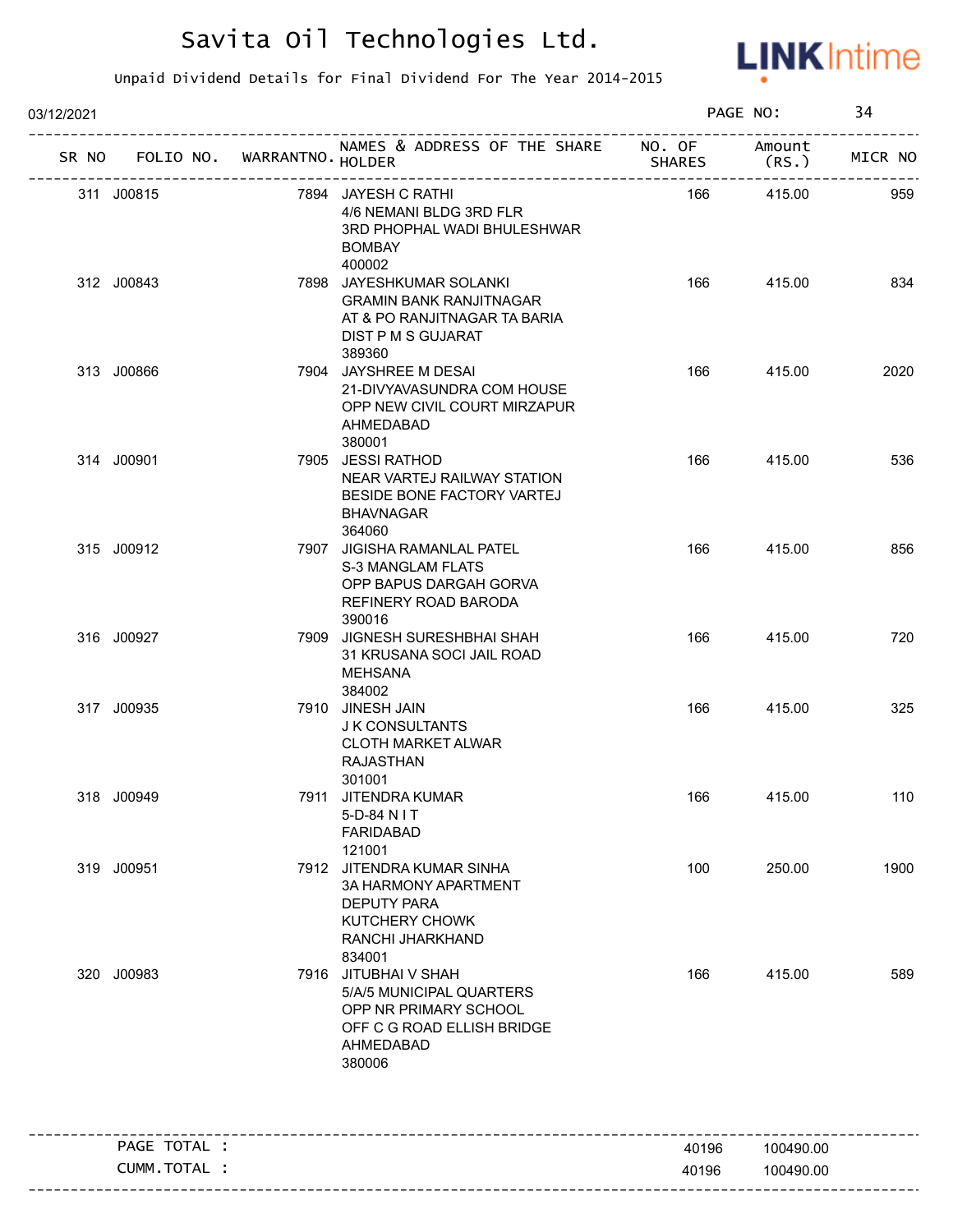

| 03/12/2021                        |  | PAGE NO:                                                                                                                       |               | 34              |         |
|-----------------------------------|--|--------------------------------------------------------------------------------------------------------------------------------|---------------|-----------------|---------|
| SR NO FOLIO NO. WARRANTNO. HOLDER |  | NAMES & ADDRESS OF THE SHARE NO. OF                                                                                            | <b>SHARES</b> | Amount<br>(RS.) | MICR NO |
| 311 J00815                        |  | 7894 JAYESH C RATHI<br>4/6 NEMANI BLDG 3RD FLR<br>3RD PHOPHAL WADI BHULESHWAR<br><b>BOMBAY</b><br>400002                       | 166           | 415.00          | 959     |
| 312 J00843                        |  | 7898 JAYESHKUMAR SOLANKI<br><b>GRAMIN BANK RANJITNAGAR</b><br>AT & PO RANJITNAGAR TA BARIA<br>DIST P M S GUJARAT<br>389360     | 166           | 415.00          | 834     |
| 313 J00866                        |  | 7904 JAYSHREE M DESAI<br>21-DIVYAVASUNDRA COM HOUSE<br>OPP NEW CIVIL COURT MIRZAPUR<br>AHMEDABAD<br>380001                     | 166           | 415.00          | 2020    |
| 314 J00901                        |  | 7905 JESSI RATHOD<br>NEAR VARTEJ RAILWAY STATION<br>BESIDE BONE FACTORY VARTEJ<br><b>BHAVNAGAR</b><br>364060                   | 166           | 415.00          | 536     |
| 315 J00912                        |  | 7907 JIGISHA RAMANLAL PATEL<br><b>S-3 MANGLAM FLATS</b><br>OPP BAPUS DARGAH GORVA<br>REFINERY ROAD BARODA<br>390016            | 166           | 415.00          | 856     |
| 316 J00927                        |  | 7909 JIGNESH SURESHBHAI SHAH<br>31 KRUSANA SOCI JAIL ROAD<br>MEHSANA<br>384002                                                 | 166           | 415.00          | 720     |
| 317 J00935                        |  | 7910 JINESH JAIN<br>J K CONSULTANTS<br><b>CLOTH MARKET ALWAR</b><br>RAJASTHAN<br>301001                                        | 166           | 415.00          | 325     |
| 318 J00949                        |  | 7911 JITENDRA KUMAR<br>5-D-84 N I T<br><b>FARIDABAD</b><br>121001                                                              | 166           | 415.00          | 110     |
| 319 J00951                        |  | 7912 JITENDRA KUMAR SINHA<br>3A HARMONY APARTMENT<br><b>DEPUTY PARA</b><br>KUTCHERY CHOWK<br>RANCHI JHARKHAND<br>834001        | 100           | 250.00          | 1900    |
| 320 J00983                        |  | 7916 JITUBHAI V SHAH<br>5/A/5 MUNICIPAL QUARTERS<br>OPP NR PRIMARY SCHOOL<br>OFF C G ROAD ELLISH BRIDGE<br>AHMEDABAD<br>380006 | 166           | 415.00          | 589     |
| PAGE TOTAL :                      |  |                                                                                                                                | 40196         | 100490.00       |         |
| CUMM. TOTAL :                     |  |                                                                                                                                | 40196         | 100490.00       |         |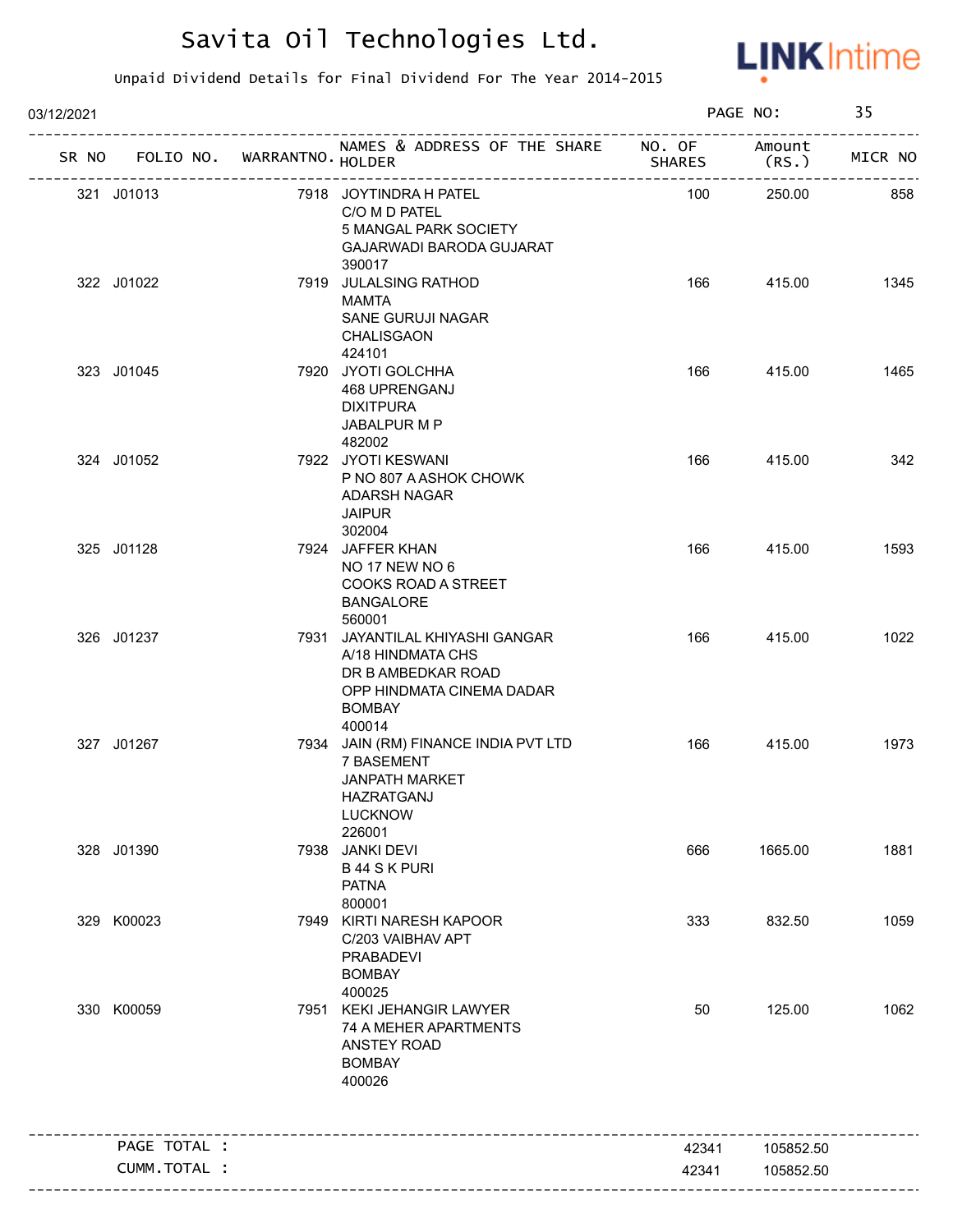

| 03/12/2021                        |  | PAGE NO:                                                                                                                           |               | 35               |         |
|-----------------------------------|--|------------------------------------------------------------------------------------------------------------------------------------|---------------|------------------|---------|
| SR NO FOLIO NO. WARRANTNO. HOLDER |  | NAMES & ADDRESS OF THE SHARE NO. OF                                                                                                | <b>SHARES</b> | Amount<br>(RS. ) | MICR NO |
| 321 J01013                        |  | 7918 JOYTINDRA H PATEL<br>C/O M D PATEL<br>5 MANGAL PARK SOCIETY<br>GAJARWADI BARODA GUJARAT<br>390017                             | 100           | 250.00           | 858     |
| 322 J01022                        |  | 7919 JULALSING RATHOD<br>MAMTA<br>SANE GURUJI NAGAR<br>CHALISGAON<br>424101                                                        | 166           | 415.00           | 1345    |
| 323 J01045                        |  | 7920 JYOTI GOLCHHA<br>468 UPRENGANJ<br><b>DIXITPURA</b><br>JABALPUR M P<br>482002                                                  | 166           | 415.00           | 1465    |
| 324 J01052                        |  | 7922 JYOTI KESWANI<br>P NO 807 A ASHOK CHOWK<br>ADARSH NAGAR<br><b>JAIPUR</b><br>302004                                            | 166           | 415.00           | 342     |
| 325 J01128                        |  | 7924 JAFFER KHAN<br><b>NO 17 NEW NO 6</b><br>COOKS ROAD A STREET<br><b>BANGALORE</b><br>560001                                     | 166           | 415.00           | 1593    |
| 326 J01237                        |  | 7931 JAYANTILAL KHIYASHI GANGAR<br>A/18 HINDMATA CHS<br>DR B AMBEDKAR ROAD<br>OPP HINDMATA CINEMA DADAR<br><b>BOMBAY</b><br>400014 | 166           | 415.00           | 1022    |
| 327 J01267                        |  | 7934 JAIN (RM) FINANCE INDIA PVT LTD<br>7 BASEMENT<br><b>JANPATH MARKET</b><br>HAZRATGANJ<br><b>LUCKNOW</b><br>226001              | 166           | 415.00           | 1973    |
| 328 J01390                        |  | 7938 JANKI DEVI<br><b>B44 SK PURI</b><br><b>PATNA</b><br>800001                                                                    | 666           | 1665.00          | 1881    |
| 329 K00023                        |  | 7949 KIRTI NARESH KAPOOR<br>C/203 VAIBHAV APT<br><b>PRABADEVI</b><br><b>BOMBAY</b><br>400025                                       | 333           | 832.50           | 1059    |
| 330 K00059                        |  | 7951 KEKI JEHANGIR LAWYER<br>74 A MEHER APARTMENTS<br>ANSTEY ROAD<br><b>BOMBAY</b><br>400026                                       | 50            | 125.00           | 1062    |
| PAGE TOTAL :                      |  |                                                                                                                                    | 42341         | 105852.50        |         |
| CUMM. TOTAL :                     |  |                                                                                                                                    | 42341         | 105852.50        |         |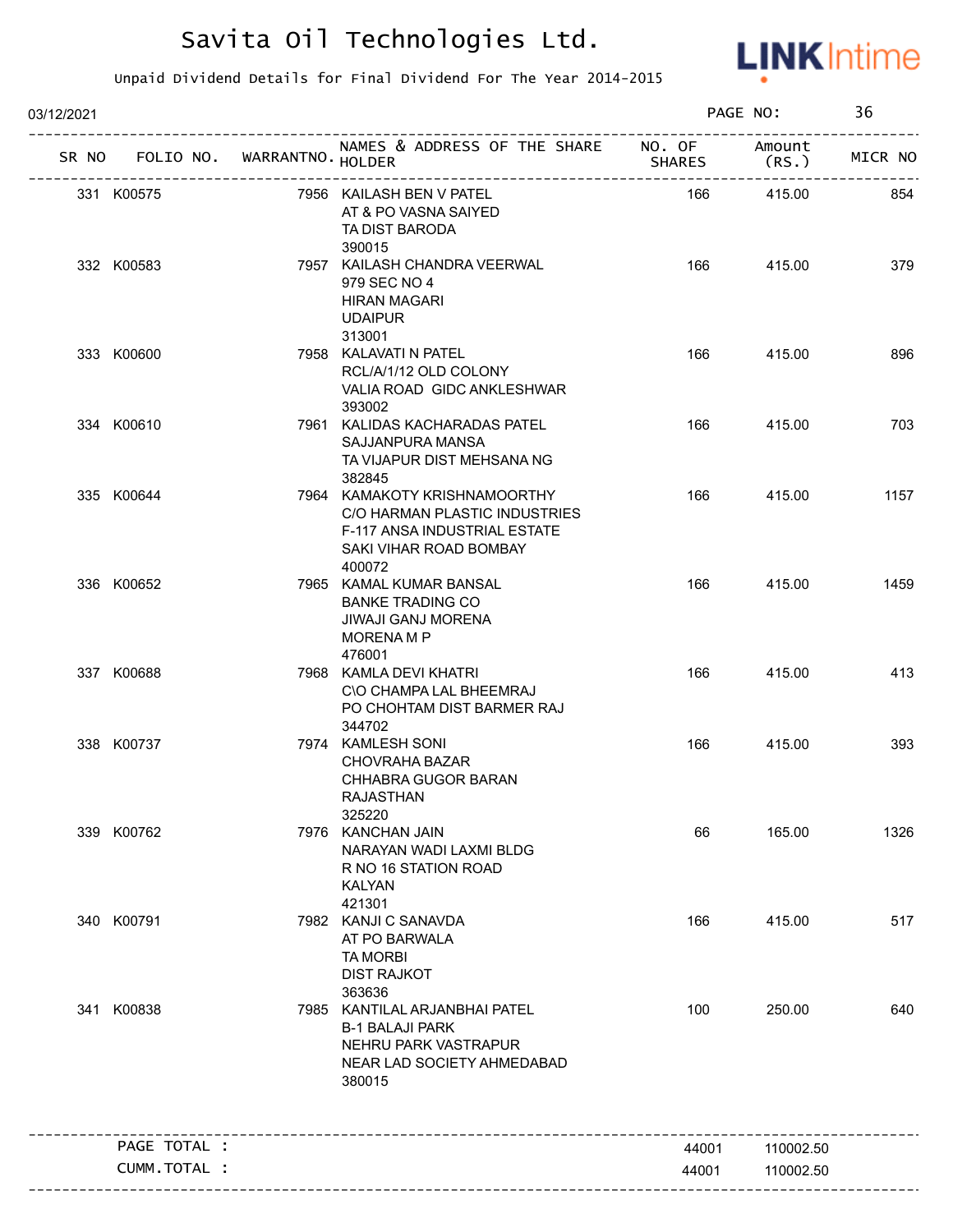

| 03/12/2021 |              |                                   |                                                                                                                                   |               | PAGE NO:         | 36      |
|------------|--------------|-----------------------------------|-----------------------------------------------------------------------------------------------------------------------------------|---------------|------------------|---------|
|            |              | SR NO FOLIO NO. WARRANTNO. HOLDER | NAMES & ADDRESS OF THE SHARE NO. OF                                                                                               | <b>SHARES</b> | Amount<br>(RS. ) | MICR NO |
|            | 331 K00575   |                                   | 7956 KAILASH BEN V PATEL<br>AT & PO VASNA SAIYED<br>TA DIST BARODA<br>390015                                                      | 166           | 415.00           | 854     |
|            | 332 K00583   |                                   | 7957 KAILASH CHANDRA VEERWAL<br>979 SEC NO 4<br><b>HIRAN MAGARI</b><br><b>UDAIPUR</b><br>313001                                   | 166           | 415.00           | 379     |
|            | 333 K00600   |                                   | 7958 KALAVATI N PATEL<br>RCL/A/1/12 OLD COLONY<br>VALIA ROAD GIDC ANKLESHWAR<br>393002                                            | 166           | 415.00           | 896     |
|            | 334 K00610   |                                   | 7961 KALIDAS KACHARADAS PATEL<br>SAJJANPURA MANSA<br>TA VIJAPUR DIST MEHSANA NG<br>382845                                         | 166           | 415.00           | 703     |
|            | 335 K00644   |                                   | 7964 KAMAKOTY KRISHNAMOORTHY<br>C/O HARMAN PLASTIC INDUSTRIES<br>F-117 ANSA INDUSTRIAL ESTATE<br>SAKI VIHAR ROAD BOMBAY<br>400072 | 166           | 415.00           | 1157    |
|            | 336 K00652   |                                   | 7965 KAMAL KUMAR BANSAL<br><b>BANKE TRADING CO</b><br><b>JIWAJI GANJ MORENA</b><br>MORENA M P<br>476001                           | 166           | 415.00           | 1459    |
|            | 337 K00688   |                                   | 7968 KAMLA DEVI KHATRI<br>C\O CHAMPA LAL BHEEMRAJ<br>PO CHOHTAM DIST BARMER RAJ<br>344702                                         | 166           | 415.00           | 413     |
|            | 338 K00737   |                                   | 7974 KAMLESH SONI<br>CHOVRAHA BAZAR<br>CHHABRA GUGOR BARAN<br>RAJASTHAN<br>325220                                                 | 166           | 415.00           | 393     |
|            | 339 K00762   |                                   | 7976 KANCHAN JAIN<br>NARAYAN WADI LAXMI BLDG<br>R NO 16 STATION ROAD<br><b>KALYAN</b><br>421301                                   | 66            | 165.00           | 1326    |
|            | 340 K00791   |                                   | 7982 KANJI C SANAVDA<br>AT PO BARWALA<br><b>TA MORBI</b><br><b>DIST RAJKOT</b><br>363636                                          | 166           | 415.00           | 517     |
|            | 341 K00838   |                                   | 7985 KANTILAL ARJANBHAI PATEL<br><b>B-1 BALAJI PARK</b><br>NEHRU PARK VASTRAPUR<br>NEAR LAD SOCIETY AHMEDABAD<br>380015           | 100           | 250.00           | 640     |
|            | PAGE TOTAL : |                                   |                                                                                                                                   | 44001         | 110002.50        |         |
|            | CUMM.TOTAL : |                                   |                                                                                                                                   | 44001         | 110002.50        |         |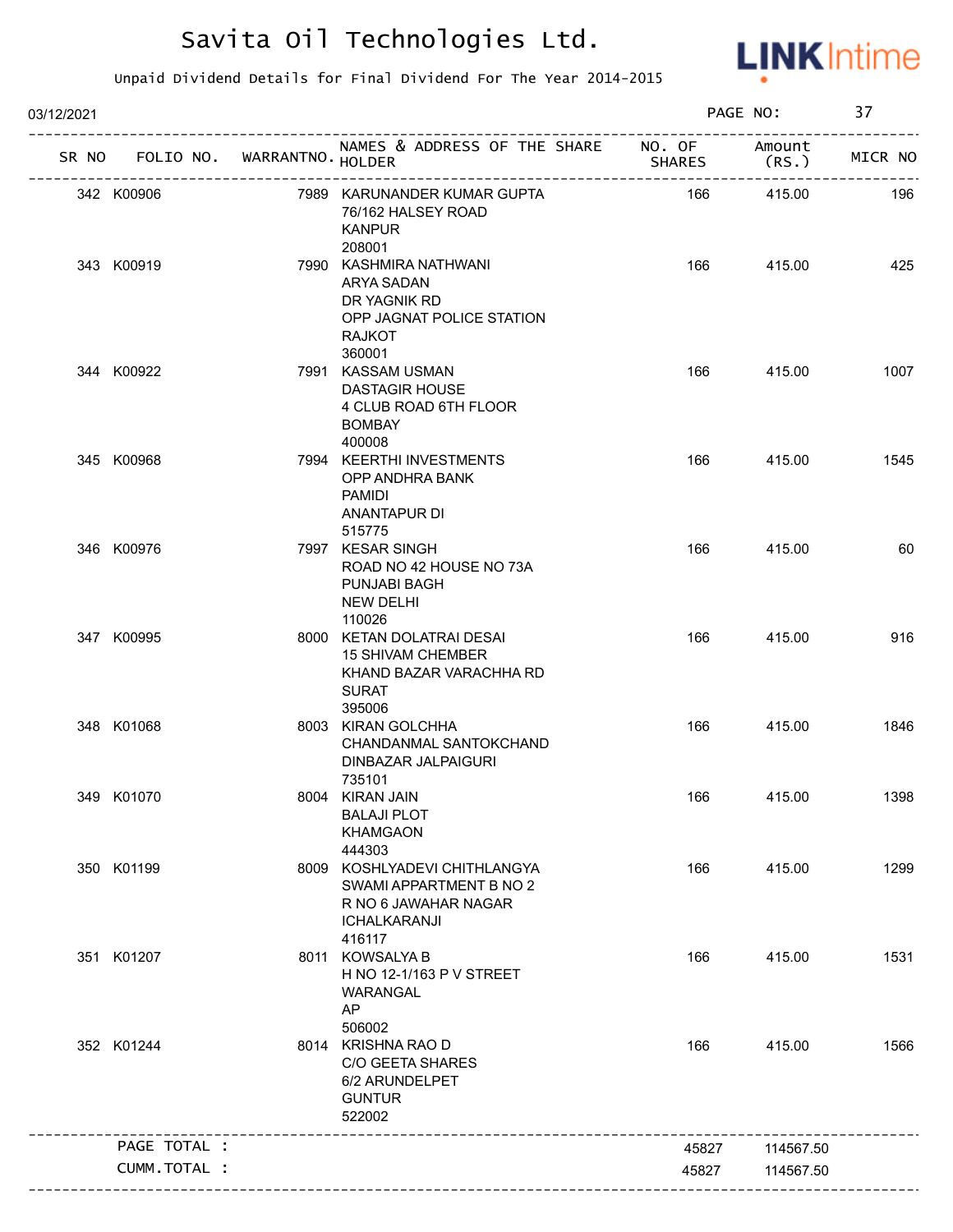

| 03/12/2021 |                                   |                                                                                                              |               | PAGE NO:       | 37      |
|------------|-----------------------------------|--------------------------------------------------------------------------------------------------------------|---------------|----------------|---------|
|            | SR NO FOLIO NO. WARRANTNO. HOLDER | NAMES & ADDRESS OF THE SHARE NO. OF                                                                          | <b>SHARES</b> | Amount<br>(RS. | MICR NO |
|            | 342 K00906                        | 7989 KARUNANDER KUMAR GUPTA<br>76/162 HALSEY ROAD<br><b>KANPUR</b><br>208001                                 | 166           | 415.00         | 196     |
|            | 343 K00919                        | 7990 KASHMIRA NATHWANI<br>ARYA SADAN<br>DR YAGNIK RD<br>OPP JAGNAT POLICE STATION<br><b>RAJKOT</b><br>360001 | 166           | 415.00         | 425     |
|            | 344 K00922                        | 7991 KASSAM USMAN<br><b>DASTAGIR HOUSE</b><br>4 CLUB ROAD 6TH FLOOR<br><b>BOMBAY</b><br>400008               | 166           | 415.00         | 1007    |
|            | 345 K00968                        | 7994 KEERTHI INVESTMENTS<br>OPP ANDHRA BANK<br>PAMIDI<br>ANANTAPUR DI<br>515775                              | 166           | 415.00         | 1545    |
|            | 346 K00976                        | 7997 KESAR SINGH<br>ROAD NO 42 HOUSE NO 73A<br>PUNJABI BAGH<br><b>NEW DELHI</b><br>110026                    | 166           | 415.00         | 60      |
|            | 347 K00995                        | 8000 KETAN DOLATRAI DESAI<br><b>15 SHIVAM CHEMBER</b><br>KHAND BAZAR VARACHHA RD<br><b>SURAT</b><br>395006   | 166           | 415.00         | 916     |
|            | 348 K01068                        | 8003 KIRAN GOLCHHA<br>CHANDANMAL SANTOKCHAND<br>DINBAZAR JALPAIGURI<br>735101                                | 166           | 415.00         | 1846    |
|            | 349 K01070                        | 8004 KIRAN JAIN<br><b>BALAJI PLOT</b><br><b>KHAMGAON</b><br>444303                                           | 166           | 415.00         | 1398    |
|            | 350 K01199                        | 8009 KOSHLYADEVI CHITHLANGYA<br>SWAMI APPARTMENT B NO 2<br>R NO 6 JAWAHAR NAGAR<br>ICHALKARANJI<br>416117    | 166           | 415.00         | 1299    |
|            | 351 K01207                        | 8011 KOWSALYA B<br>H NO 12-1/163 P V STREET<br>WARANGAL<br>AP<br>506002                                      | 166           | 415.00         | 1531    |
|            | 352 K01244                        | 8014 KRISHNA RAO D<br><b>C/O GEETA SHARES</b><br>6/2 ARUNDELPET<br><b>GUNTUR</b><br>522002                   | 166           | 415.00         | 1566    |
|            | PAGE TOTAL :                      |                                                                                                              | 45827         | 114567.50      |         |
|            | <b>CUMM. TOTAL :</b>              |                                                                                                              | 45827         | 114567.50      |         |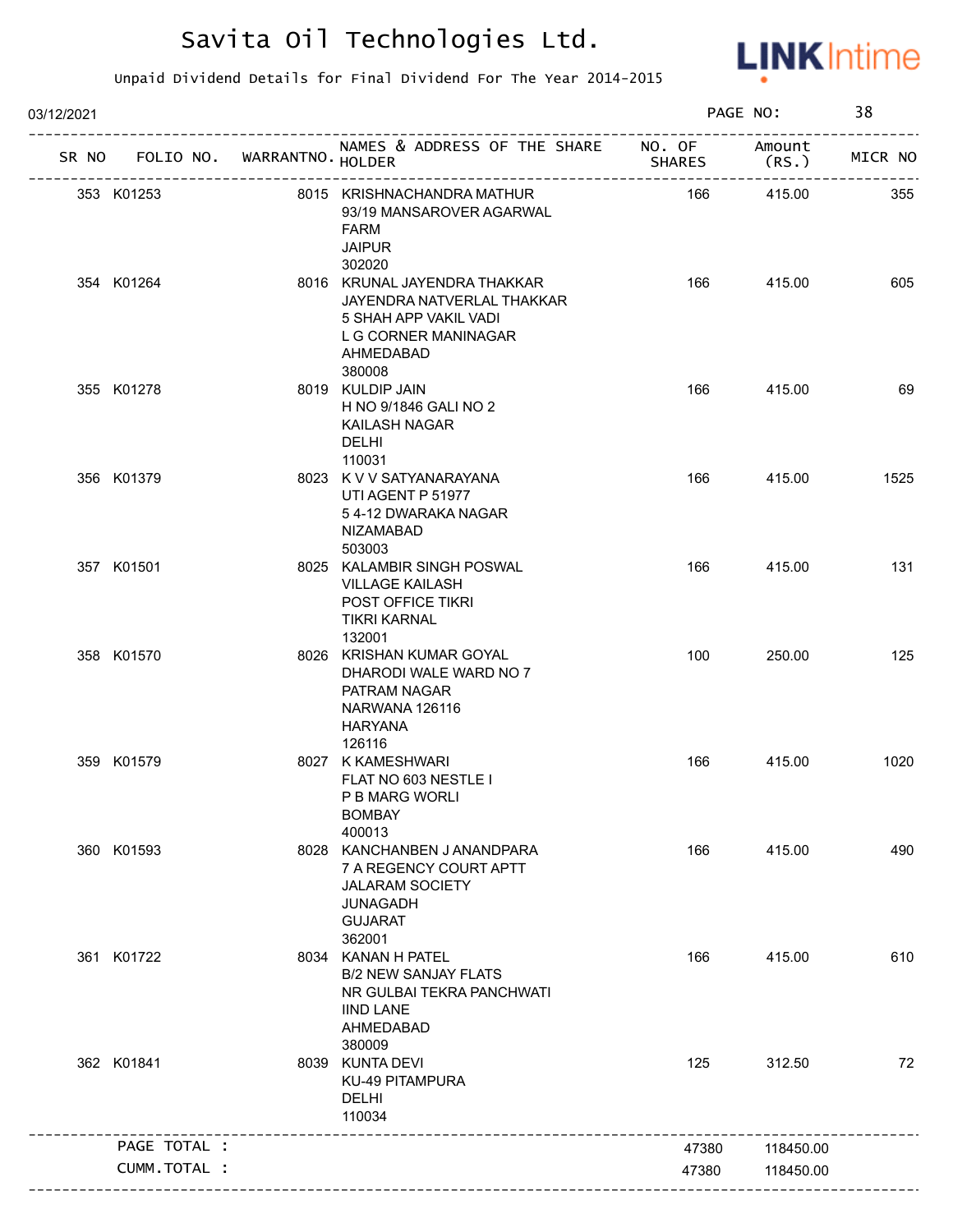

| 03/12/2021   |                             |                                                                                                                                    |                               | PAGE NO:        | 38      |
|--------------|-----------------------------|------------------------------------------------------------------------------------------------------------------------------------|-------------------------------|-----------------|---------|
| SR NO        | FOLIO NO. WARRANTNO. HOLDER | NAMES & ADDRESS OF THE SHARE NO. OF                                                                                                | <b>SHARES</b>                 | Amount<br>(RS.) | MICR NO |
| 353 K01253   |                             | 8015 KRISHNACHANDRA MATHUR<br>93/19 MANSAROVER AGARWAL<br><b>FARM</b><br><b>JAIPUR</b>                                             | ----------------------<br>166 | 415.00          | 355     |
| 354 K01264   |                             | 302020<br>8016 KRUNAL JAYENDRA THAKKAR<br>JAYENDRA NATVERLAL THAKKAR<br>5 SHAH APP VAKIL VADI<br>L G CORNER MANINAGAR<br>AHMEDABAD | 166                           | 415.00          | 605     |
| 355 K01278   |                             | 380008<br>8019 KULDIP JAIN<br>H NO 9/1846 GALI NO 2<br>KAILASH NAGAR<br>DELHI<br>110031                                            | 166                           | 415.00          | 69      |
| 356 K01379   |                             | 8023 K V V SATYANARAYANA<br>UTI AGENT P 51977<br>54-12 DWARAKA NAGAR<br><b>NIZAMABAD</b><br>503003                                 | 166                           | 415.00          | 1525    |
| 357 K01501   |                             | 8025 KALAMBIR SINGH POSWAL<br><b>VILLAGE KAILASH</b><br><b>POST OFFICE TIKRI</b><br><b>TIKRI KARNAL</b><br>132001                  | 166                           | 415.00          | 131     |
| 358 K01570   |                             | 8026 KRISHAN KUMAR GOYAL<br>DHARODI WALE WARD NO 7<br>PATRAM NAGAR<br>NARWANA 126116<br><b>HARYANA</b><br>126116                   | 100                           | 250.00          | 125     |
| 359 K01579   |                             | 8027 K KAMESHWARI<br>FLAT NO 603 NESTLE I<br>P B MARG WORLI<br><b>BOMBAY</b><br>400013                                             | 166                           | 415.00          | 1020    |
| 360 K01593   |                             | 8028 KANCHANBEN JANANDPARA<br>7 A REGENCY COURT APTT<br><b>JALARAM SOCIETY</b><br><b>JUNAGADH</b><br><b>GUJARAT</b><br>362001      | 166                           | 415.00          | 490     |
| 361 K01722   |                             | 8034 KANAN H PATEL<br><b>B/2 NEW SANJAY FLATS</b><br>NR GULBAI TEKRA PANCHWATI<br><b>IIND LANE</b><br>AHMEDABAD<br>380009          | 166                           | 415.00          | 610     |
| 362 K01841   |                             | 8039 KUNTA DEVI<br><b>KU-49 PITAMPURA</b><br><b>DELHI</b><br>110034                                                                | 125                           | 312.50          | 72      |
| PAGE TOTAL : |                             |                                                                                                                                    | 47380                         | 118450.00       |         |
| CUMM.TOTAL : |                             |                                                                                                                                    | 47380                         | 118450.00       |         |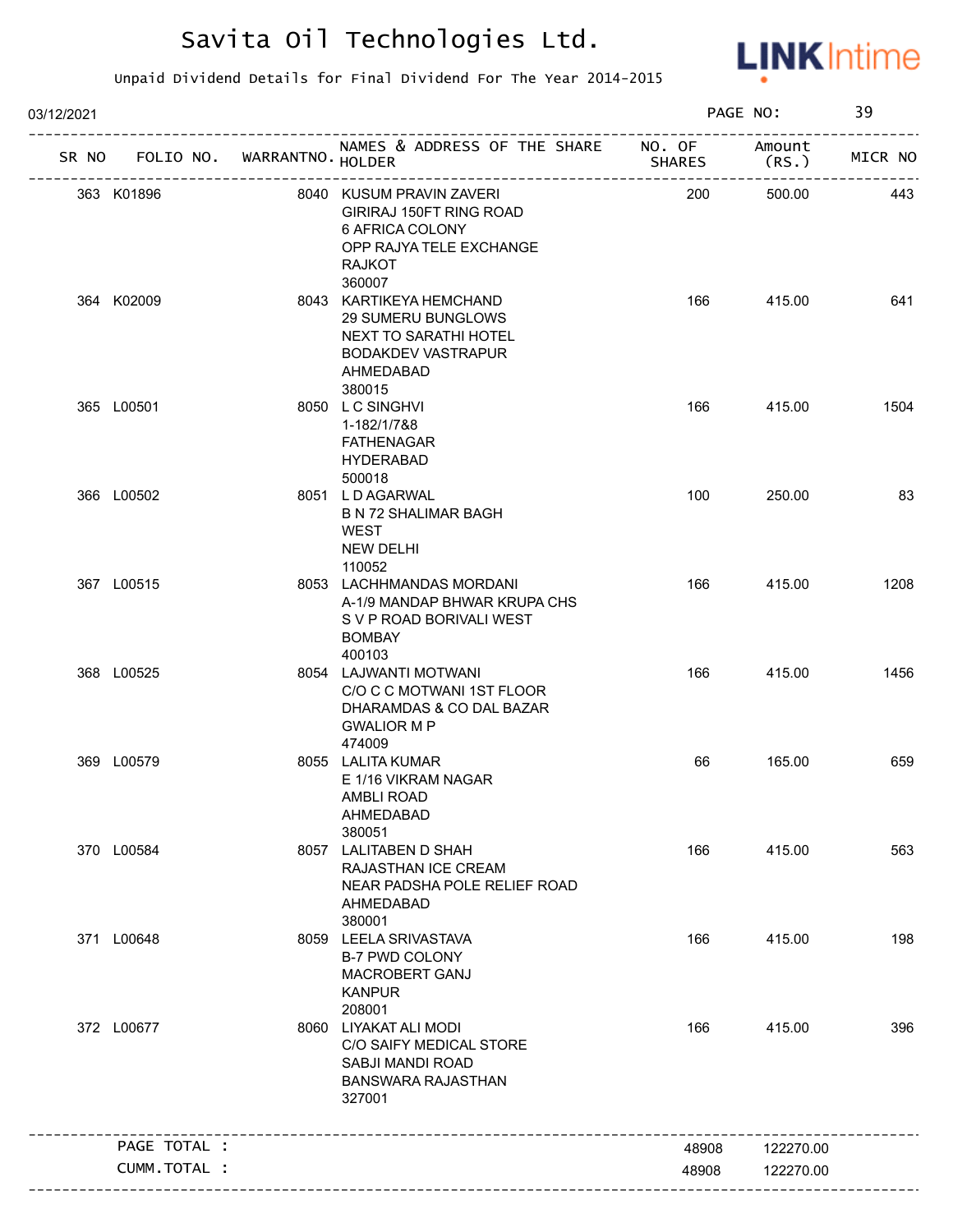

| 03/12/2021 |                                   |                                                                                                                                      |               | PAGE NO:       | 39      |
|------------|-----------------------------------|--------------------------------------------------------------------------------------------------------------------------------------|---------------|----------------|---------|
|            | SR NO FOLIO NO. WARRANTNO. HOLDER | NAMES & ADDRESS OF THE SHARE NO. OF                                                                                                  | <b>SHARES</b> | Amount<br>(RS. | MICR NO |
|            | 363 K01896                        | 8040 KUSUM PRAVIN ZAVERI<br>GIRIRAJ 150FT RING ROAD<br>6 AFRICA COLONY<br>OPP RAJYA TELE EXCHANGE<br><b>RAJKOT</b>                   | 200           | 500.00         | 443     |
|            | 364 K02009                        | 360007<br>8043 KARTIKEYA HEMCHAND<br>29 SUMERU BUNGLOWS<br>NEXT TO SARATHI HOTEL<br><b>BODAKDEV VASTRAPUR</b><br>AHMEDABAD<br>380015 | 166           | 415.00         | 641     |
|            | 365 L00501                        | 8050 LC SINGHVI<br>1-182/1/7&8<br><b>FATHENAGAR</b><br><b>HYDERABAD</b><br>500018                                                    | 166           | 415.00         | 1504    |
|            | 366 L00502                        | 8051 LD AGARWAL<br><b>B N 72 SHALIMAR BAGH</b><br>WEST<br><b>NEW DELHI</b><br>110052                                                 | 100           | 250.00         | 83      |
|            | 367 L00515                        | 8053 LACHHMANDAS MORDANI<br>A-1/9 MANDAP BHWAR KRUPA CHS<br>S V P ROAD BORIVALI WEST<br><b>BOMBAY</b><br>400103                      | 166           | 415.00         | 1208    |
|            | 368 L00525                        | 8054 LAJWANTI MOTWANI<br>C/O C C MOTWANI 1ST FLOOR<br>DHARAMDAS & CO DAL BAZAR<br><b>GWALIOR M P</b><br>474009                       | 166           | 415.00         | 1456    |
|            | 369 L00579                        | 8055 LALITA KUMAR<br>E 1/16 VIKRAM NAGAR<br>AMBLI ROAD<br>AHMEDABAD<br>380051                                                        | 66            | 165.00         | 659     |
|            | 370 L00584                        | 8057 LALITABEN D SHAH<br>RAJASTHAN ICE CREAM<br>NEAR PADSHA POLE RELIEF ROAD<br>AHMEDABAD<br>380001                                  | 166           | 415.00         | 563     |
|            | 371 L00648                        | 8059 LEELA SRIVASTAVA<br><b>B-7 PWD COLONY</b><br><b>MACROBERT GANJ</b><br><b>KANPUR</b><br>208001                                   | 166           | 415.00         | 198     |
|            | 372 L00677                        | 8060 LIYAKAT ALI MODI<br>C/O SAIFY MEDICAL STORE<br>SABJI MANDI ROAD<br><b>BANSWARA RAJASTHAN</b><br>327001                          | 166           | 415.00         | 396     |
|            | PAGE TOTAL :                      |                                                                                                                                      | 48908         | 122270.00      |         |
|            | CUMM.TOTAL :                      |                                                                                                                                      | 48908         | 122270.00      |         |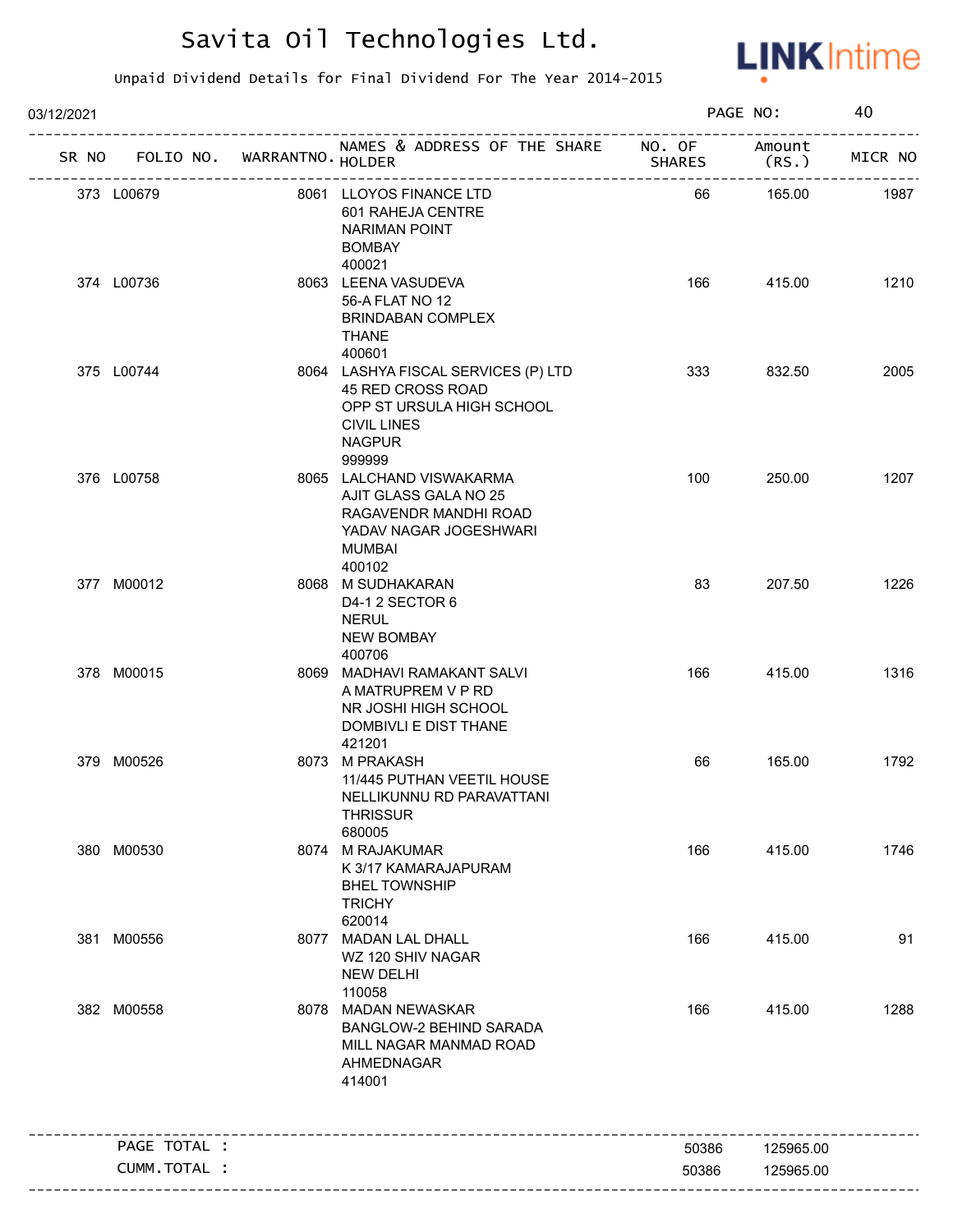

| 03/12/2021 |                              |                                   |                                                                                                                                        |               | PAGE NO:       | 40      |
|------------|------------------------------|-----------------------------------|----------------------------------------------------------------------------------------------------------------------------------------|---------------|----------------|---------|
|            |                              | SR NO FOLIO NO. WARRANTNO. HOLDER | NAMES & ADDRESS OF THE SHARE NO. OF<br>--------------------                                                                            | <b>SHARES</b> | Amount<br>(RS. | MICR NO |
| 373 L00679 |                              |                                   | 8061 LLOYOS FINANCE LTD<br>601 RAHEJA CENTRE<br><b>NARIMAN POINT</b><br><b>BOMBAY</b><br>400021                                        | 66            | 165.00         | 1987    |
| 374 L00736 |                              |                                   | 8063 LEENA VASUDEVA<br>56-A FLAT NO 12<br><b>BRINDABAN COMPLEX</b><br><b>THANE</b><br>400601                                           | 166           | 415.00         | 1210    |
| 375 L00744 |                              |                                   | 8064 LASHYA FISCAL SERVICES (P) LTD<br>45 RED CROSS ROAD<br>OPP ST URSULA HIGH SCHOOL<br><b>CIVIL LINES</b><br><b>NAGPUR</b><br>999999 | 333           | 832.50         | 2005    |
| 376 L00758 |                              |                                   | 8065 LALCHAND VISWAKARMA<br>AJIT GLASS GALA NO 25<br>RAGAVENDR MANDHI ROAD<br>YADAV NAGAR JOGESHWARI<br><b>MUMBAI</b><br>400102        | 100           | 250.00         | 1207    |
|            | 377 M00012                   |                                   | 8068 M SUDHAKARAN<br>D4-1 2 SECTOR 6<br><b>NERUL</b><br><b>NEW BOMBAY</b><br>400706                                                    | 83            | 207.50         | 1226    |
|            | 378 M00015                   |                                   | 8069 MADHAVI RAMAKANT SALVI<br>A MATRUPREM V P RD<br>NR JOSHI HIGH SCHOOL<br>DOMBIVLI E DIST THANE<br>421201                           | 166           | 415.00         | 1316    |
|            | 379 M00526                   |                                   | 8073 M PRAKASH<br>11/445 PUTHAN VEETIL HOUSE<br>NELLIKUNNU RD PARAVATTANI<br><b>THRISSUR</b><br>680005                                 | 66            | 165.00         | 1792    |
|            | 380 M00530                   |                                   | 8074 M RAJAKUMAR<br>K 3/17 KAMARAJAPURAM<br><b>BHEL TOWNSHIP</b><br><b>TRICHY</b><br>620014                                            | 166           | 415.00         | 1746    |
|            | 381 M00556                   |                                   | 8077 MADAN LAL DHALL<br>WZ 120 SHIV NAGAR<br><b>NEW DELHI</b><br>110058                                                                | 166           | 415.00         | 91      |
|            | 382 M00558                   |                                   | 8078 MADAN NEWASKAR<br><b>BANGLOW-2 BEHIND SARADA</b><br>MILL NAGAR MANMAD ROAD<br>AHMEDNAGAR<br>414001                                | 166           | 415.00         | 1288    |
|            |                              |                                   |                                                                                                                                        |               |                |         |
|            | PAGE TOTAL :<br>CUMM.TOTAL : |                                   |                                                                                                                                        | 50386         | 125965.00      |         |
|            |                              |                                   |                                                                                                                                        | 50386         | 125965.00      |         |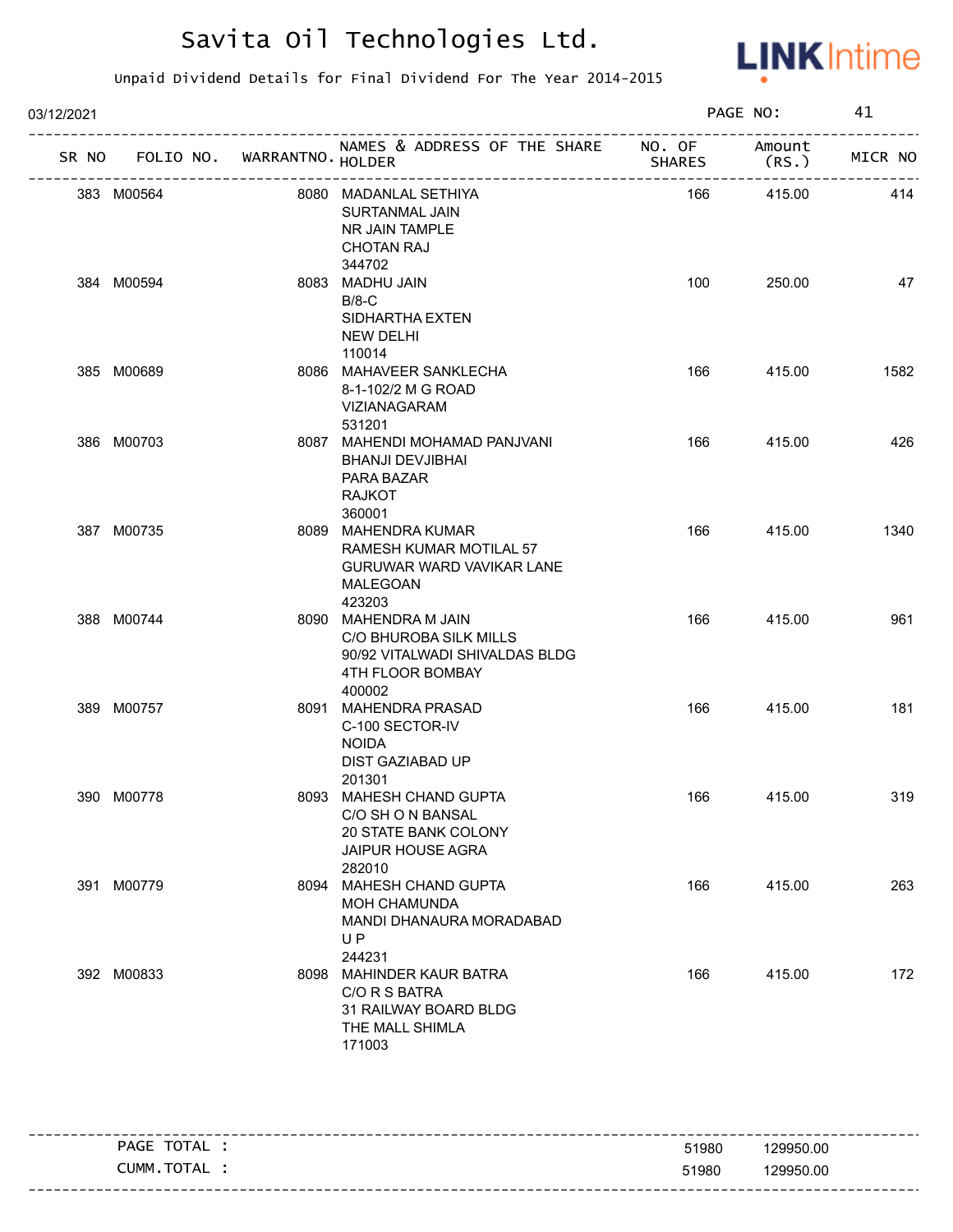

| 03/12/2021 |                                   |                                                                                                                |               | PAGE NO: | 41      |
|------------|-----------------------------------|----------------------------------------------------------------------------------------------------------------|---------------|----------|---------|
|            | SR NO FOLIO NO. WARRANTNO. HOLDER | NAMES & ADDRESS OF THE SHARE NO. OF Amount                                                                     | <b>SHARES</b> | (RS.)    | MICR NO |
|            | 383 M00564                        | 8080 MADANLAL SETHIYA<br>SURTANMAL JAIN<br>NR JAIN TAMPLE<br><b>CHOTAN RAJ</b><br>344702                       | 166           | 415.00   | 414     |
|            | 384 M00594                        | 8083 MADHU JAIN<br>$B/8-C$<br>SIDHARTHA EXTEN<br>NEW DELHI<br>110014                                           | 100           | 250.00   | 47      |
|            | 385 M00689                        | 8086 MAHAVEER SANKLECHA<br>8-1-102/2 M G ROAD<br>VIZIANAGARAM<br>531201                                        | 166           | 415.00   | 1582    |
|            | 386 M00703                        | 8087 MAHENDI MOHAMAD PANJVANI<br>BHANJI DEVJIBHAI<br>PARA BAZAR<br><b>RAJKOT</b><br>360001                     | 166           | 415.00   | 426     |
|            | 387 M00735                        | 8089 MAHENDRA KUMAR<br>RAMESH KUMAR MOTILAL 57<br><b>GURUWAR WARD VAVIKAR LANE</b><br>MALEGOAN<br>423203       | 166           | 415.00   | 1340    |
|            | 388 M00744                        | 8090 MAHENDRA M JAIN<br>C/O BHUROBA SILK MILLS<br>90/92 VITALWADI SHIVALDAS BLDG<br>4TH FLOOR BOMBAY<br>400002 | 166           | 415.00   | 961     |
|            | 389 M00757                        | 8091 MAHENDRA PRASAD<br>C-100 SECTOR-IV<br><b>NOIDA</b><br>DIST GAZIABAD UP<br>201301                          | 166           | 415.00   | 181     |
|            | 390 M00778                        | 8093 MAHESH CHAND GUPTA<br>C/O SH O N BANSAL<br>20 STATE BANK COLONY<br><b>JAIPUR HOUSE AGRA</b><br>282010     | 166           | 415.00   | 319     |
|            | 391 M00779                        | 8094 MAHESH CHAND GUPTA<br><b>MOH CHAMUNDA</b><br>MANDI DHANAURA MORADABAD<br>UP<br>244231                     | 166           | 415.00   | 263     |
|            | 392 M00833                        | 8098 MAHINDER KAUR BATRA<br>C/O R S BATRA<br>31 RAILWAY BOARD BLDG<br>THE MALL SHIMLA<br>171003                | 166           | 415.00   | 172     |

| TOTAL<br><b>PAGE</b> | 129950.00<br>51980     |  |
|----------------------|------------------------|--|
| TOTAL<br>CUMM.       | 51980<br>129950.00     |  |
|                      | ---------------------- |  |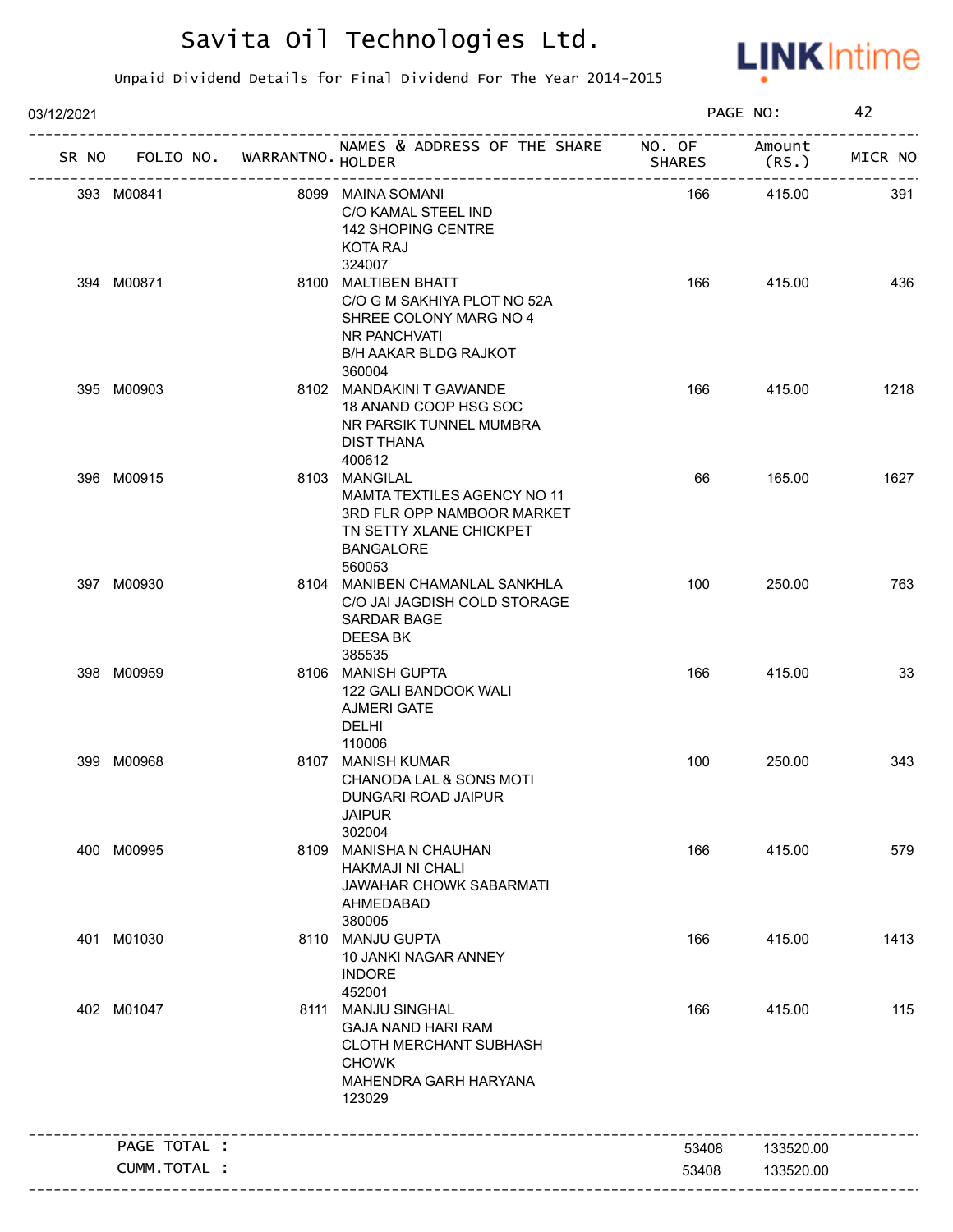

| 03/12/2021 |                                   |                                                                                                                                            |        | PAGE NO:        | 42      |
|------------|-----------------------------------|--------------------------------------------------------------------------------------------------------------------------------------------|--------|-----------------|---------|
|            | SR NO FOLIO NO. WARRANTNO. HOLDER | NAMES & ADDRESS OF THE SHARE NO. OF                                                                                                        | SHARES | Amount<br>(RS.) | MICR NO |
|            | 393 M00841                        | 8099 MAINA SOMANI<br>C/O KAMAL STEEL IND<br>142 SHOPING CENTRE<br>KOTA RAJ<br>324007                                                       | 166    | 415.00          | 391     |
|            | 394 M00871                        | 8100 MALTIBEN BHATT<br>C/O G M SAKHIYA PLOT NO 52A<br>SHREE COLONY MARG NO 4<br>NR PANCHVATI<br>B/H AAKAR BLDG RAJKOT<br>360004            | 166    | 415.00          | 436     |
|            | 395 M00903                        | 8102 MANDAKINI T GAWANDE<br>18 ANAND COOP HSG SOC<br>NR PARSIK TUNNEL MUMBRA<br><b>DIST THANA</b><br>400612                                | 166    | 415.00          | 1218    |
|            | 396 M00915                        | 8103 MANGILAL<br><b>MAMTA TEXTILES AGENCY NO 11</b><br>3RD FLR OPP NAMBOOR MARKET<br>TN SETTY XLANE CHICKPET<br><b>BANGALORE</b><br>560053 | 66     | 165.00          | 1627    |
|            | 397 M00930                        | 8104 MANIBEN CHAMANLAL SANKHLA<br>C/O JAI JAGDISH COLD STORAGE<br><b>SARDAR BAGE</b><br>DEESA BK<br>385535                                 | 100    | 250.00          | 763     |
|            | 398 M00959                        | 8106 MANISH GUPTA<br>122 GALI BANDOOK WALI<br><b>AJMERI GATE</b><br><b>DELHI</b><br>110006                                                 | 166    | 415.00          | 33      |
|            | 399 M00968                        | 8107 MANISH KUMAR<br>CHANODA LAL & SONS MOTI<br>DUNGARI ROAD JAIPUR<br><b>JAIPUR</b><br>302004                                             | 100    | 250.00          | 343     |
|            | 400 M00995                        | 8109 MANISHA N CHAUHAN<br><b>HAKMAJI NI CHALI</b><br>JAWAHAR CHOWK SABARMATI<br>AHMEDABAD<br>380005                                        | 166    | 415.00          | 579     |
|            | 401 M01030                        | 8110 MANJU GUPTA<br>10 JANKI NAGAR ANNEY<br><b>INDORE</b><br>452001                                                                        | 166    | 415.00          | 1413    |
|            | 402 M01047                        | 8111 MANJU SINGHAL<br><b>GAJA NAND HARI RAM</b><br><b>CLOTH MERCHANT SUBHASH</b><br><b>CHOWK</b><br>MAHENDRA GARH HARYANA<br>123029        | 166    | 415.00          | 115     |
|            | PAGE TOTAL :                      | ________________________________                                                                                                           | 53408  | 133520.00       |         |
|            | CUMM.TOTAL :                      |                                                                                                                                            | 53408  | 133520.00       |         |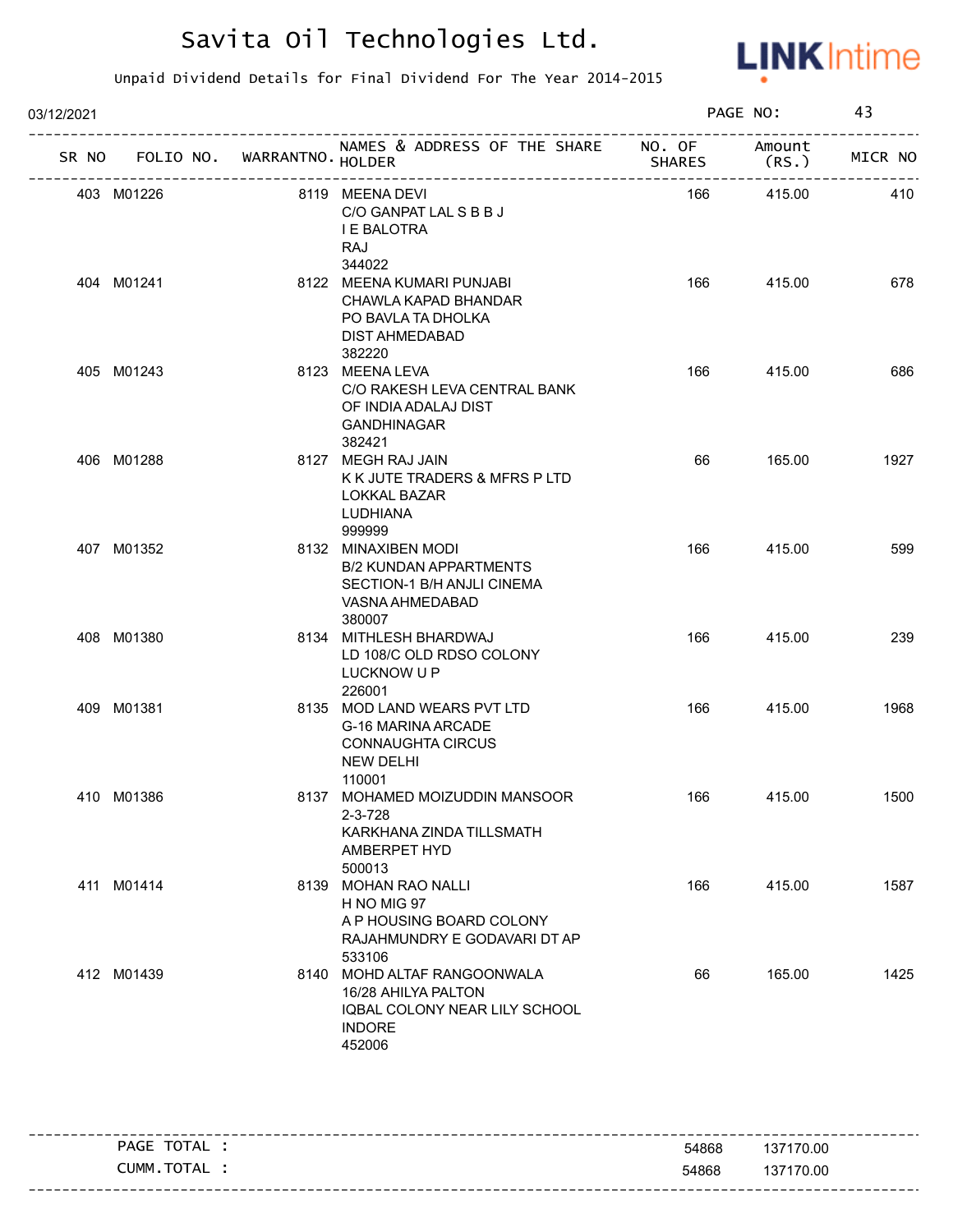

| 03/12/2021 |                                   |                                                                                                                 |               | PAGE NO:        | 43      |
|------------|-----------------------------------|-----------------------------------------------------------------------------------------------------------------|---------------|-----------------|---------|
|            | SR NO FOLIO NO. WARRANTNO. HOLDER | NAMES & ADDRESS OF THE SHARE NO. OF                                                                             | <b>SHARES</b> | Amount<br>(RS.) | MICR NO |
|            | 403 M01226                        | 8119 MEENA DEVI<br>C/O GANPAT LAL S B B J<br>I E BALOTRA<br><b>RAJ</b><br>344022                                | 166           | 415.00          | 410     |
|            | 404 M01241                        | 8122 MEENA KUMARI PUNJABI<br>CHAWLA KAPAD BHANDAR<br>PO BAVLA TA DHOLKA<br><b>DIST AHMEDABAD</b><br>382220      | 166           | 415.00          | 678     |
|            | 405 M01243                        | 8123 MEENA LEVA<br>C/O RAKESH LEVA CENTRAL BANK<br>OF INDIA ADALAJ DIST<br><b>GANDHINAGAR</b><br>382421         | 166           | 415.00          | 686     |
|            | 406 M01288                        | 8127 MEGH RAJ JAIN<br>K K JUTE TRADERS & MFRS P LTD<br><b>LOKKAL BAZAR</b><br>LUDHIANA<br>999999                | 66            | 165.00          | 1927    |
|            | 407 M01352                        | 8132 MINAXIBEN MODI<br><b>B/2 KUNDAN APPARTMENTS</b><br>SECTION-1 B/H ANJLI CINEMA<br>VASNA AHMEDABAD<br>380007 | 166           | 415.00          | 599     |
|            | 408 M01380                        | 8134 MITHLESH BHARDWAJ<br>LD 108/C OLD RDSO COLONY<br>LUCKNOW U P<br>226001                                     | 166           | 415.00          | 239     |
|            | 409 M01381                        | 8135 MOD LAND WEARS PVT LTD<br>G-16 MARINA ARCADE<br><b>CONNAUGHTA CIRCUS</b><br>NEW DELHI<br>110001            | 166           | 415.00          | 1968    |
|            | 410 M01386                        | 8137 MOHAMED MOIZUDDIN MANSOOR<br>$2 - 3 - 728$<br>KARKHANA ZINDA TILLSMATH<br>AMBERPET HYD<br>500013           | 166           | 415.00          | 1500    |
|            | 411 M01414                        | 8139 MOHAN RAO NALLI<br>H NO MIG 97<br>A P HOUSING BOARD COLONY<br>RAJAHMUNDRY E GODAVARI DT AP<br>533106       | 166           | 415.00          | 1587    |
|            | 412 M01439                        | 8140 MOHD ALTAF RANGOONWALA<br>16/28 AHILYA PALTON<br>IQBAL COLONY NEAR LILY SCHOOL<br><b>INDORE</b><br>452006  | 66            | 165.00          | 1425    |

| TOTAL<br><b>PAGE</b> | 54868 | 137170.00                          |
|----------------------|-------|------------------------------------|
| TOTAL<br>CUMM.       | 54868 | 137170.00<br>--------------------- |
|                      |       |                                    |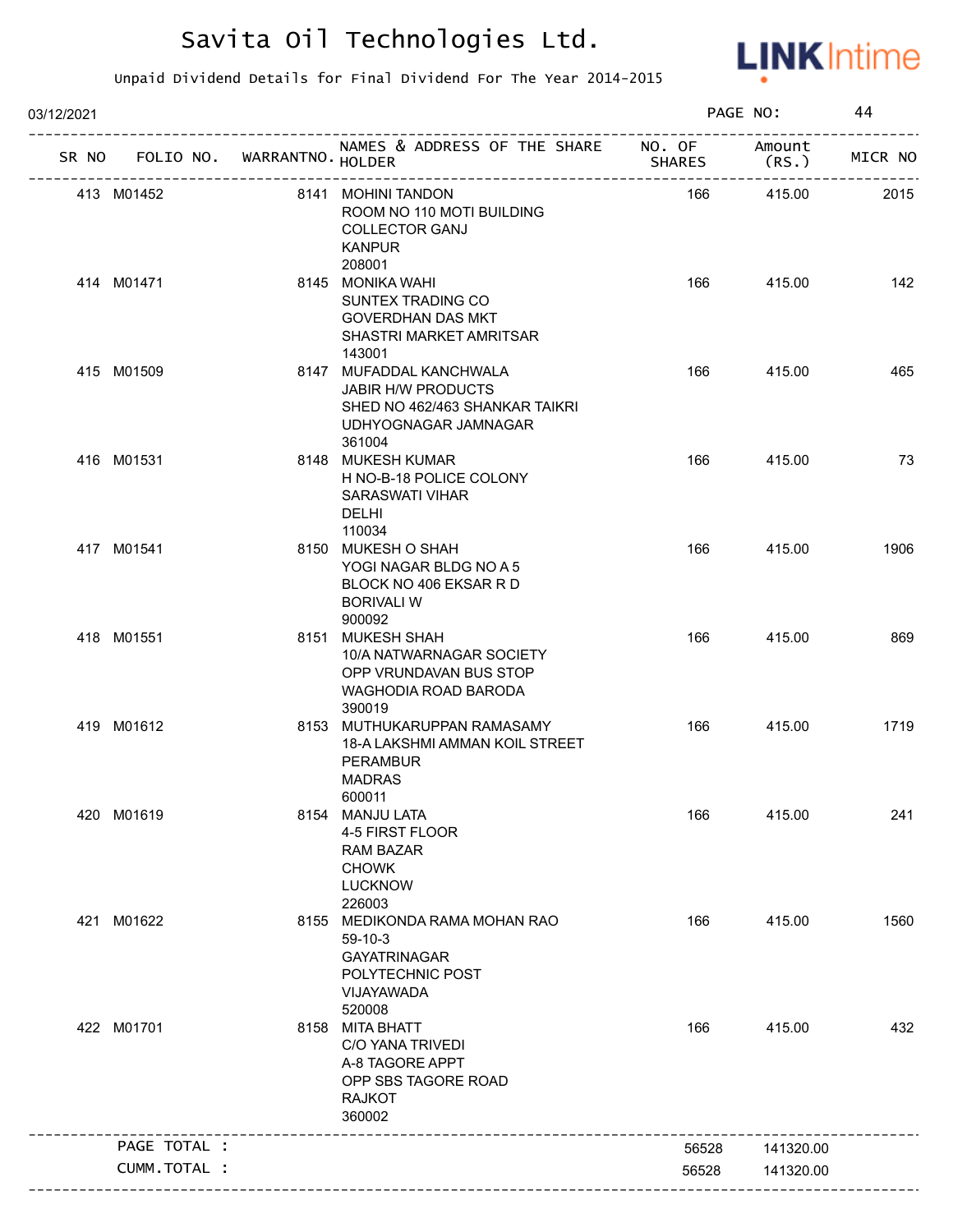

| 03/12/2021 |              |                             |                                                                                                                   |                         | PAGE NO:        | 44      |
|------------|--------------|-----------------------------|-------------------------------------------------------------------------------------------------------------------|-------------------------|-----------------|---------|
| SR NO      |              | FOLIO NO. WARRANTNO. HOLDER | NAMES & ADDRESS OF THE SHARE                                                                                      | NO. OF<br><b>SHARES</b> | Amount<br>(RS.) | MICR NO |
|            | 413 M01452   |                             | 8141 MOHINI TANDON<br>ROOM NO 110 MOTI BUILDING<br><b>COLLECTOR GANJ</b><br><b>KANPUR</b><br>208001               | 166                     | 415.00          | 2015    |
|            | 414 M01471   |                             | 8145 MONIKA WAHI<br>SUNTEX TRADING CO<br><b>GOVERDHAN DAS MKT</b><br>SHASTRI MARKET AMRITSAR<br>143001            | 166                     | 415.00          | 142     |
|            | 415 M01509   |                             | 8147 MUFADDAL KANCHWALA<br>JABIR H/W PRODUCTS<br>SHED NO 462/463 SHANKAR TAIKRI<br>UDHYOGNAGAR JAMNAGAR<br>361004 | 166                     | 415.00          | 465     |
|            | 416 M01531   |                             | 8148 MUKESH KUMAR<br>H NO-B-18 POLICE COLONY<br>SARASWATI VIHAR<br>DELHI<br>110034                                | 166                     | 415.00          | 73      |
|            | 417 M01541   |                             | 8150 MUKESH O SHAH<br>YOGI NAGAR BLDG NO A 5<br>BLOCK NO 406 EKSAR R D<br><b>BORIVALIW</b><br>900092              | 166                     | 415.00          | 1906    |
|            | 418 M01551   |                             | 8151 MUKESH SHAH<br>10/A NATWARNAGAR SOCIETY<br>OPP VRUNDAVAN BUS STOP<br>WAGHODIA ROAD BARODA<br>390019          | 166                     | 415.00          | 869     |
|            | 419 M01612   |                             | 8153 MUTHUKARUPPAN RAMASAMY<br>18-A LAKSHMI AMMAN KOIL STREET<br><b>PERAMBUR</b><br><b>MADRAS</b><br>600011       | 166                     | 415.00          | 1719    |
|            | 420 M01619   |                             | 8154 MANJU LATA<br>4-5 FIRST FLOOR<br><b>RAM BAZAR</b><br><b>CHOWK</b><br><b>LUCKNOW</b><br>226003                | 166                     | 415.00          | 241     |
|            | 421 M01622   |                             | 8155 MEDIKONDA RAMA MOHAN RAO<br>$59-10-3$<br><b>GAYATRINAGAR</b><br>POLYTECHNIC POST<br>VIJAYAWADA<br>520008     | 166                     | 415.00          | 1560    |
|            | 422 M01701   |                             | 8158 MITA BHATT<br>C/O YANA TRIVEDI<br>A-8 TAGORE APPT<br>OPP SBS TAGORE ROAD<br><b>RAJKOT</b><br>360002          | 166                     | 415.00          | 432     |
|            | PAGE TOTAL : |                             |                                                                                                                   | 56528                   | 141320.00       |         |
|            | CUMM.TOTAL : |                             |                                                                                                                   | 56528                   | 141320.00       |         |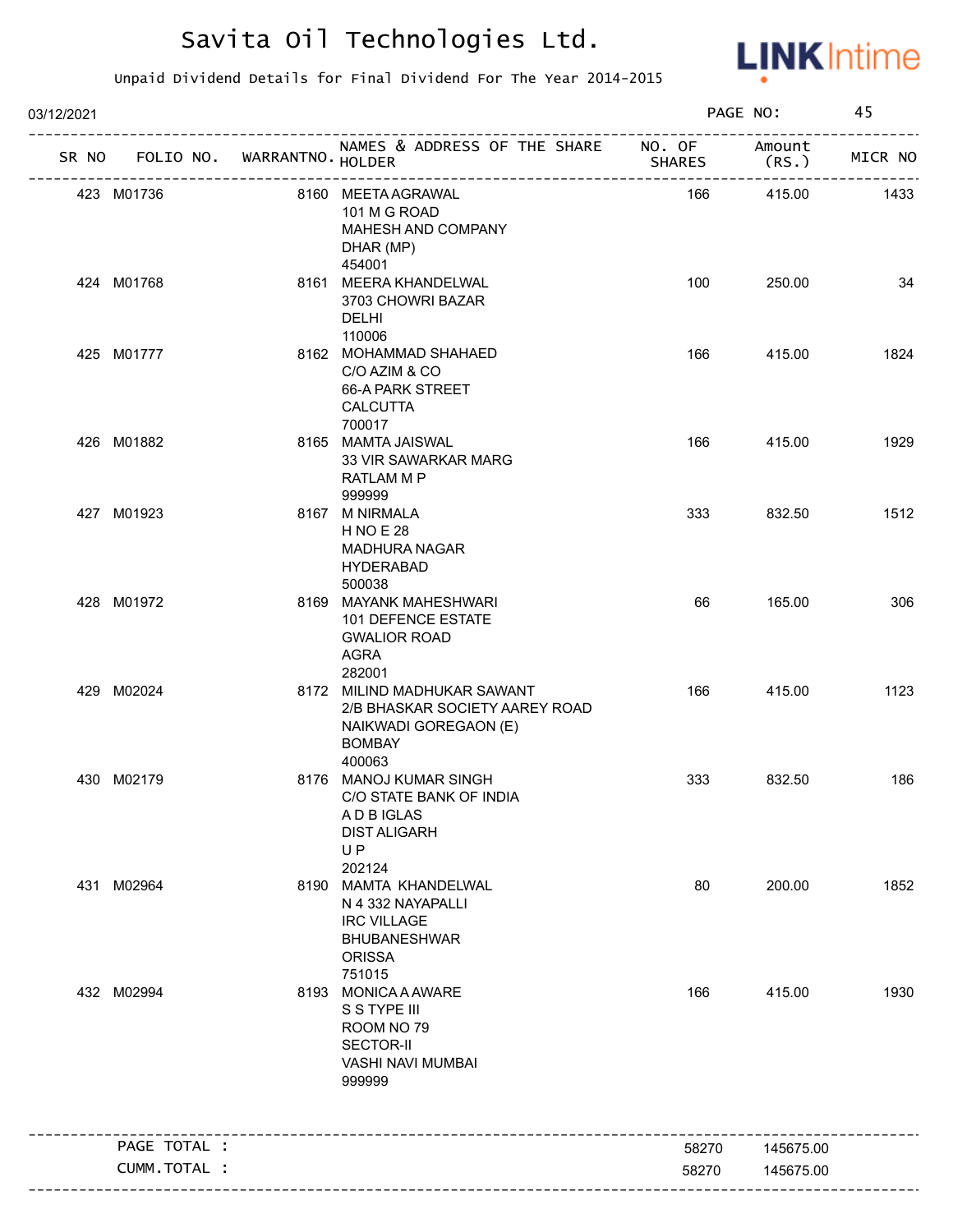

| 03/12/2021 |              |                                   |                                                                                                                    |               | PAGE NO:        | 45      |
|------------|--------------|-----------------------------------|--------------------------------------------------------------------------------------------------------------------|---------------|-----------------|---------|
|            |              | SR NO FOLIO NO. WARRANTNO. HOLDER | NAMES & ADDRESS OF THE SHARE NO. OF<br>____________________                                                        | <b>SHARES</b> | Amount<br>(RS.) | MICR NO |
| 423 M01736 |              |                                   | 8160 MEETA AGRAWAL<br>101 M G ROAD<br>MAHESH AND COMPANY<br>DHAR (MP)<br>454001                                    | 166           | 415.00          | 1433    |
| 424 M01768 |              |                                   | 8161 MEERA KHANDELWAL<br>3703 CHOWRI BAZAR<br><b>DELHI</b><br>110006                                               | 100           | 250.00          | 34      |
| 425 M01777 |              |                                   | 8162 MOHAMMAD SHAHAED<br>C/O AZIM & CO<br>66-A PARK STREET<br><b>CALCUTTA</b><br>700017                            | 166           | 415.00          | 1824    |
| 426 M01882 |              |                                   | 8165 MAMTA JAISWAL<br>33 VIR SAWARKAR MARG<br>RATLAM M P<br>999999                                                 | 166           | 415.00          | 1929    |
| 427 M01923 |              |                                   | 8167 M NIRMALA<br><b>HNOE 28</b><br><b>MADHURA NAGAR</b><br><b>HYDERABAD</b><br>500038                             | 333           | 832.50          | 1512    |
| 428 M01972 |              |                                   | 8169 MAYANK MAHESHWARI<br>101 DEFENCE ESTATE<br><b>GWALIOR ROAD</b><br>AGRA<br>282001                              | 66            | 165.00          | 306     |
| 429 M02024 |              |                                   | 8172 MILIND MADHUKAR SAWANT<br>2/B BHASKAR SOCIETY AAREY ROAD<br>NAIKWADI GOREGAON (E)<br><b>BOMBAY</b><br>400063  | 166           | 415.00          | 1123    |
| 430 M02179 |              |                                   | 8176 MANOJ KUMAR SINGH<br>C/O STATE BANK OF INDIA<br>A D B IGLAS<br><b>DIST ALIGARH</b><br>UP<br>202124            | 333           | 832.50          | 186     |
| 431 M02964 |              |                                   | 8190 MAMTA KHANDELWAL<br>N 4 332 NAYAPALLI<br><b>IRC VILLAGE</b><br><b>BHUBANESHWAR</b><br><b>ORISSA</b><br>751015 | 80            | 200.00          | 1852    |
| 432 M02994 |              |                                   | 8193 MONICA A AWARE<br>S S TYPE III<br>ROOM NO 79<br><b>SECTOR-II</b><br>VASHI NAVI MUMBAI<br>999999               | 166           | 415.00          | 1930    |
|            | PAGE TOTAL : |                                   |                                                                                                                    | 58270         | 145675.00       |         |
|            | CUMM.TOTAL : |                                   |                                                                                                                    | 58270         | 145675.00       |         |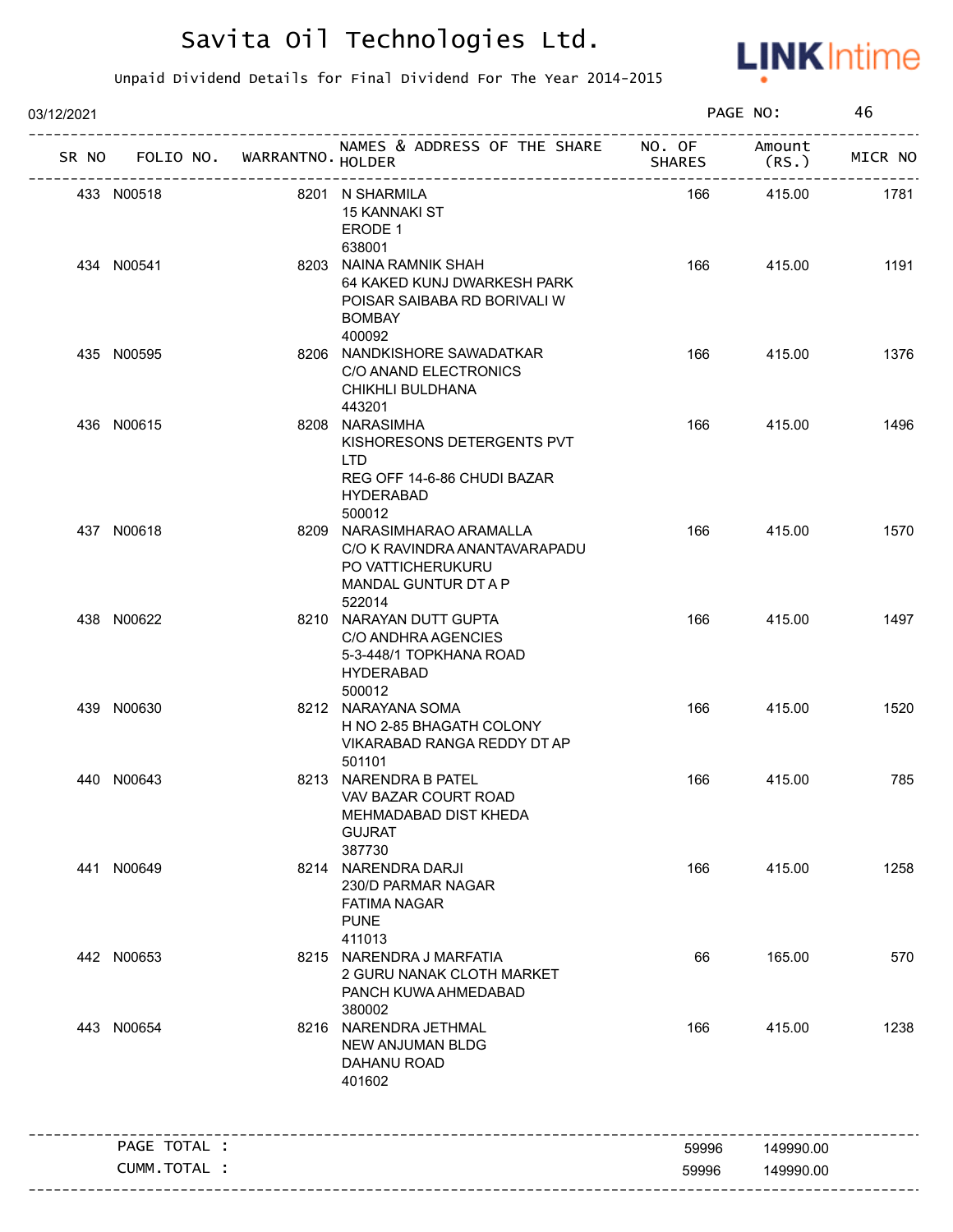

| 03/12/2021 |                                   |                                                                                                                    |               | PAGE NO:        | 46      |
|------------|-----------------------------------|--------------------------------------------------------------------------------------------------------------------|---------------|-----------------|---------|
|            | SR NO FOLIO NO. WARRANTNO. HOLDER | NAMES & ADDRESS OF THE SHARE NO. OF<br>-----------------------------                                               | <b>SHARES</b> | Amount<br>(RS.) | MICR NO |
|            | 433 N00518                        | 8201 N SHARMILA<br>15 KANNAKI ST<br>ERODE 1<br>638001                                                              | 166           | 415.00          | 1781    |
|            | 434 N00541                        | 8203 NAINA RAMNIK SHAH<br>64 KAKED KUNJ DWARKESH PARK<br>POISAR SAIBABA RD BORIVALI W<br><b>BOMBAY</b><br>400092   | 166           | 415.00          | 1191    |
|            | 435 N00595                        | 8206 NANDKISHORE SAWADATKAR<br>C/O ANAND ELECTRONICS<br>CHIKHLI BULDHANA<br>443201                                 | 166           | 415.00          | 1376    |
|            | 436 N00615                        | 8208 NARASIMHA<br>KISHORESONS DETERGENTS PVT<br>LTD.<br>REG OFF 14-6-86 CHUDI BAZAR<br><b>HYDERABAD</b><br>500012  | 166           | 415.00          | 1496    |
|            | 437 N00618                        | 8209 NARASIMHARAO ARAMALLA<br>C/O K RAVINDRA ANANTAVARAPADU<br>PO VATTICHERUKURU<br>MANDAL GUNTUR DT A P<br>522014 | 166           | 415.00          | 1570    |
|            | 438 N00622                        | 8210 NARAYAN DUTT GUPTA<br>C/O ANDHRA AGENCIES<br>5-3-448/1 TOPKHANA ROAD<br><b>HYDERABAD</b><br>500012            | 166           | 415.00          | 1497    |
|            | 439 N00630                        | 8212 NARAYANA SOMA<br>H NO 2-85 BHAGATH COLONY<br>VIKARABAD RANGA REDDY DT AP<br>501101                            | 166           | 415.00          | 1520    |
|            | 440 N00643                        | 8213 NARENDRA B PATEL<br>VAV BAZAR COURT ROAD<br>MEHMADABAD DIST KHEDA<br><b>GUJRAT</b><br>387730                  | 166           | 415.00          | 785     |
|            | 441 N00649                        | 8214 NARENDRA DARJI<br>230/D PARMAR NAGAR<br><b>FATIMA NAGAR</b><br><b>PUNE</b><br>411013                          | 166           | 415.00          | 1258    |
|            | 442 N00653                        | 8215 NARENDRA J MARFATIA<br>2 GURU NANAK CLOTH MARKET<br>PANCH KUWA AHMEDABAD<br>380002                            | 66            | 165.00          | 570     |
|            | 443 N00654                        | 8216 NARENDRA JETHMAL<br>NEW ANJUMAN BLDG<br>DAHANU ROAD<br>401602                                                 | 166           | 415.00          | 1238    |
|            | PAGE TOTAL :                      |                                                                                                                    | 59996         | 149990.00       |         |
|            | <b>CUMM. TOTAL :</b>              |                                                                                                                    | 59996         | 149990.00       |         |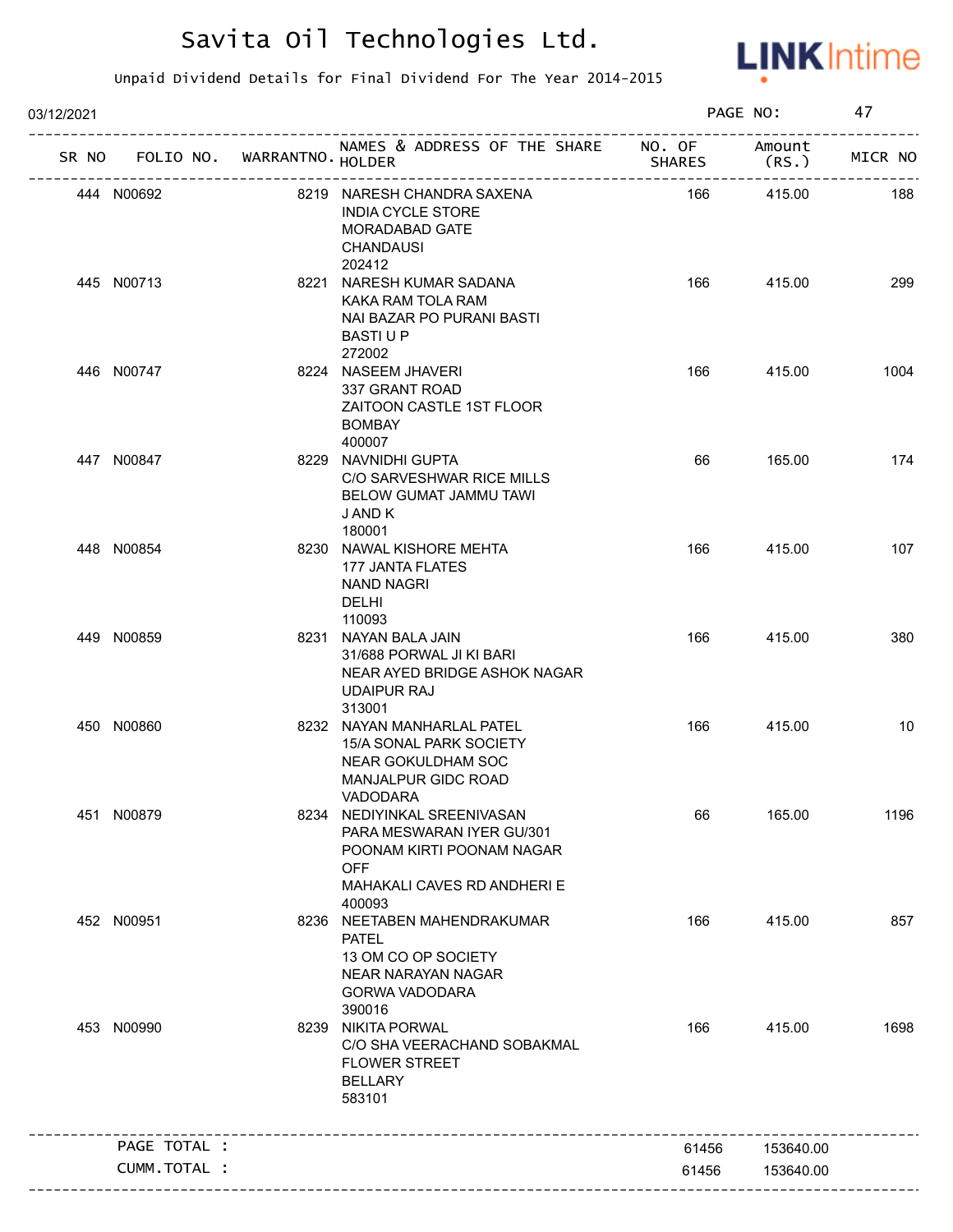

| 03/12/2021 |                                   |                                                                                                                                              |               | PAGE NO:        | 47      |
|------------|-----------------------------------|----------------------------------------------------------------------------------------------------------------------------------------------|---------------|-----------------|---------|
|            | SR NO FOLIO NO. WARRANTNO. HOLDER | NAMES & ADDRESS OF THE SHARE NO. OF                                                                                                          | <b>SHARES</b> | Amount<br>(RS.) | MICR NO |
|            | 444 N00692                        | 8219 NARESH CHANDRA SAXENA<br><b>INDIA CYCLE STORE</b><br>MORADABAD GATE<br><b>CHANDAUSI</b><br>202412                                       | 166           | 415.00          | 188     |
|            | 445 N00713                        | 8221 NARESH KUMAR SADANA<br>KAKA RAM TOLA RAM<br>NAI BAZAR PO PURANI BASTI<br><b>BASTIUP</b><br>272002                                       | 166           | 415.00          | 299     |
|            | 446 N00747                        | 8224 NASEEM JHAVERI<br>337 GRANT ROAD<br>ZAITOON CASTLE 1ST FLOOR<br><b>BOMBAY</b><br>400007                                                 | 166           | 415.00          | 1004    |
|            | 447 N00847                        | 8229 NAVNIDHI GUPTA<br>C/O SARVESHWAR RICE MILLS<br><b>BELOW GUMAT JAMMU TAWI</b><br>J AND K<br>180001                                       | 66            | 165.00          | 174     |
|            | 448 N00854                        | 8230 NAWAL KISHORE MEHTA<br>177 JANTA FLATES<br><b>NAND NAGRI</b><br><b>DELHI</b><br>110093                                                  | 166           | 415.00          | 107     |
|            | 449 N00859                        | 8231 NAYAN BALA JAIN<br>31/688 PORWAL JI KI BARI<br>NEAR AYED BRIDGE ASHOK NAGAR<br><b>UDAIPUR RAJ</b><br>313001                             | 166           | 415.00          | 380     |
|            | 450 N00860                        | 8232 NAYAN MANHARLAL PATEL<br>15/A SONAL PARK SOCIETY<br><b>NEAR GOKULDHAM SOC</b><br>MANJALPUR GIDC ROAD<br>VADODARA                        | 166           | 415.00          | 10      |
|            | 451 N00879                        | 8234 NEDIYINKAL SREENIVASAN<br>PARA MESWARAN IYER GU/301<br>POONAM KIRTI POONAM NAGAR<br><b>OFF</b><br>MAHAKALI CAVES RD ANDHERI E<br>400093 | 66            | 165.00          | 1196    |
|            | 452 N00951                        | 8236 NEETABEN MAHENDRAKUMAR<br><b>PATEL</b><br>13 OM CO OP SOCIETY<br>NEAR NARAYAN NAGAR<br><b>GORWA VADODARA</b><br>390016                  | 166           | 415.00          | 857     |
|            | 453 N00990                        | 8239 NIKITA PORWAL<br>C/O SHA VEERACHAND SOBAKMAL<br><b>FLOWER STREET</b><br><b>BELLARY</b><br>583101                                        | 166           | 415.00          | 1698    |
|            | PAGE TOTAL :                      |                                                                                                                                              | 61456         | 153640.00       |         |
|            | CUMM.TOTAL :                      |                                                                                                                                              | 61456         | 153640.00       |         |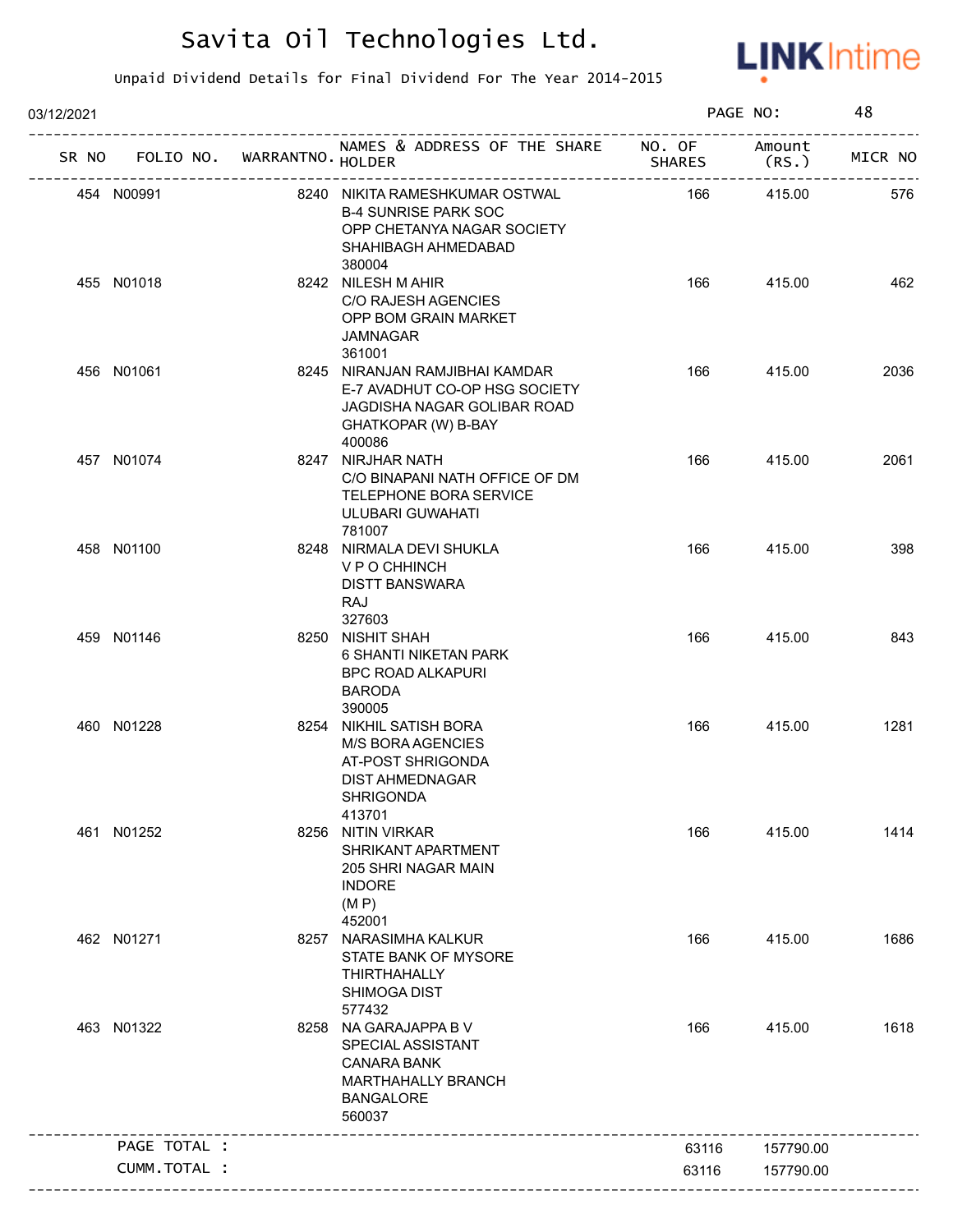

| 03/12/2021 |                                   |                                                                                                                                  |               | PAGE NO:        | 48      |
|------------|-----------------------------------|----------------------------------------------------------------------------------------------------------------------------------|---------------|-----------------|---------|
|            | SR NO FOLIO NO. WARRANTNO. HOLDER | NAMES & ADDRESS OF THE SHARE NO. OF                                                                                              | <b>SHARES</b> | Amount<br>(RS.) | MICR NO |
|            | 454 N00991                        | 8240 NIKITA RAMESHKUMAR OSTWAL<br><b>B-4 SUNRISE PARK SOC</b><br>OPP CHETANYA NAGAR SOCIETY<br>SHAHIBAGH AHMEDABAD<br>380004     | 166           | 415.00          | 576     |
|            | 455 N01018                        | 8242 NILESH M AHIR<br>C/O RAJESH AGENCIES<br>OPP BOM GRAIN MARKET<br><b>JAMNAGAR</b><br>361001                                   | 166           | 415.00          | 462     |
|            | 456 N01061                        | 8245 NIRANJAN RAMJIBHAI KAMDAR<br>E-7 AVADHUT CO-OP HSG SOCIETY<br>JAGDISHA NAGAR GOLIBAR ROAD<br>GHATKOPAR (W) B-BAY<br>400086  | 166           | 415.00          | 2036    |
|            | 457 N01074                        | 8247 NIRJHAR NATH<br>C/O BINAPANI NATH OFFICE OF DM<br>TELEPHONE BORA SERVICE<br>ULUBARI GUWAHATI<br>781007                      | 166           | 415.00          | 2061    |
|            | 458 N01100                        | 8248 NIRMALA DEVI SHUKLA<br>V P O CHHINCH<br><b>DISTT BANSWARA</b><br>RAJ<br>327603                                              | 166           | 415.00          | 398     |
|            | 459 N01146                        | 8250 NISHIT SHAH<br><b>6 SHANTI NIKETAN PARK</b><br><b>BPC ROAD ALKAPURI</b><br><b>BARODA</b><br>390005                          | 166           | 415.00          | 843     |
|            | 460 N01228                        | 8254 NIKHIL SATISH BORA<br><b>M/S BORA AGENCIES</b><br>AT-POST SHRIGONDA<br><b>DIST AHMEDNAGAR</b><br><b>SHRIGONDA</b><br>413701 | 166           | 415.00          | 1281    |
|            | 461 N01252                        | 8256 NITIN VIRKAR<br>SHRIKANT APARTMENT<br>205 SHRI NAGAR MAIN<br><b>INDORE</b><br>(M P)<br>452001                               | 166           | 415.00          | 1414    |
|            | 462 N01271                        | 8257 NARASIMHA KALKUR<br>STATE BANK OF MYSORE<br><b>THIRTHAHALLY</b><br><b>SHIMOGA DIST</b><br>577432                            | 166           | 415.00          | 1686    |
|            | 463 N01322                        | 8258 NA GARAJAPPA B V<br>SPECIAL ASSISTANT<br><b>CANARA BANK</b><br>MARTHAHALLY BRANCH<br><b>BANGALORE</b><br>560037             | 166           | 415.00          | 1618    |
|            | PAGE TOTAL :                      |                                                                                                                                  | 63116         | 157790.00       |         |
|            | CUMM.TOTAL :                      |                                                                                                                                  | 63116         | 157790.00       |         |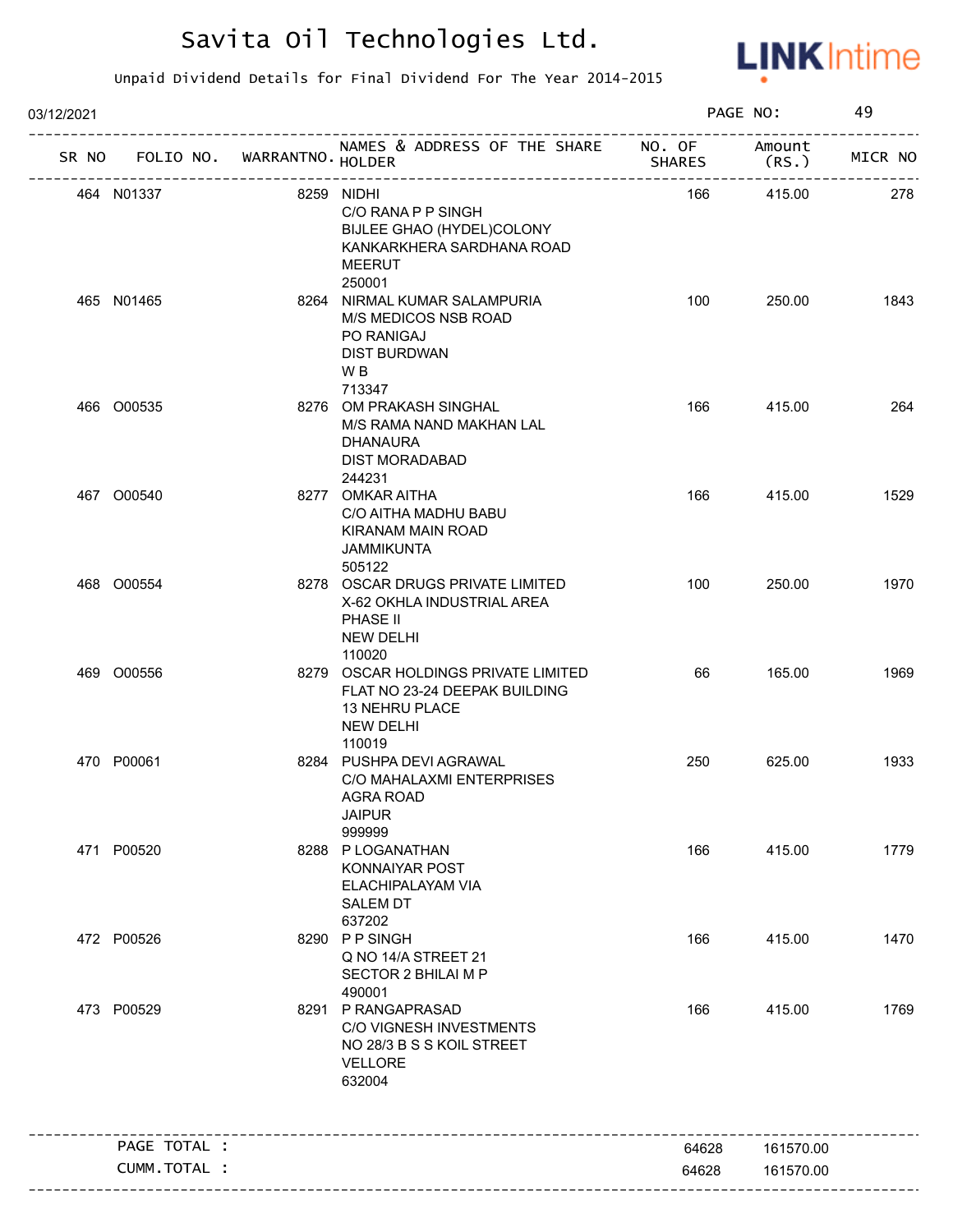

| 03/12/2021 |               |                             |                                                                                                                                 |                         | PAGE NO:        | 49      |
|------------|---------------|-----------------------------|---------------------------------------------------------------------------------------------------------------------------------|-------------------------|-----------------|---------|
| SR NO      |               | FOLIO NO. WARRANTNO. HOLDER | NAMES & ADDRESS OF THE SHARE<br>-----------------------                                                                         | NO. OF<br><b>SHARES</b> | Amount<br>(RS.) | MICR NO |
|            | 464 N01337    |                             | 8259 NIDHI<br>C/O RANA P P SINGH<br>BIJLEE GHAO (HYDEL)COLONY<br>KANKARKHERA SARDHANA ROAD<br>MEERUT                            | 166                     | 415.00          | 278     |
|            | 465 N01465    |                             | 250001<br>8264 NIRMAL KUMAR SALAMPURIA<br>M/S MEDICOS NSB ROAD<br>PO RANIGAJ<br><b>DIST BURDWAN</b><br>W <sub>B</sub><br>713347 | 100                     | 250.00          | 1843    |
|            | 466 O00535    |                             | 8276 OM PRAKASH SINGHAL<br>M/S RAMA NAND MAKHAN LAL<br><b>DHANAURA</b><br><b>DIST MORADABAD</b><br>244231                       | 166                     | 415.00          | 264     |
|            | 467 000540    |                             | 8277 OMKAR AITHA<br>C/O AITHA MADHU BABU<br>KIRANAM MAIN ROAD<br><b>JAMMIKUNTA</b><br>505122                                    | 166                     | 415.00          | 1529    |
|            | 468 O00554    |                             | 8278 OSCAR DRUGS PRIVATE LIMITED<br>X-62 OKHLA INDUSTRIAL AREA<br>PHASE II<br><b>NEW DELHI</b><br>110020                        | 100                     | 250.00          | 1970    |
|            | 469 O00556    |                             | 8279 OSCAR HOLDINGS PRIVATE LIMITED<br>FLAT NO 23-24 DEEPAK BUILDING<br>13 NEHRU PLACE<br><b>NEW DELHI</b><br>110019            | 66                      | 165.00          | 1969    |
|            | 470 P00061    |                             | 8284 PUSHPA DEVI AGRAWAL<br>C/O MAHALAXMI ENTERPRISES<br>AGRA ROAD<br><b>JAIPUR</b><br>999999                                   | 250                     | 625.00          | 1933    |
|            | 471 P00520    |                             | 8288 P LOGANATHAN<br>KONNAIYAR POST<br>ELACHIPALAYAM VIA<br><b>SALEM DT</b><br>637202                                           | 166                     | 415.00          | 1779    |
|            | 472 P00526    |                             | 8290 PPSINGH<br>Q NO 14/A STREET 21<br><b>SECTOR 2 BHILAI M P</b><br>490001                                                     | 166                     | 415.00          | 1470    |
|            | 473 P00529    |                             | 8291 P RANGAPRASAD<br>C/O VIGNESH INVESTMENTS<br>NO 28/3 B S S KOIL STREET<br><b>VELLORE</b><br>632004                          | 166                     | 415.00          | 1769    |
|            | PAGE TOTAL :  |                             |                                                                                                                                 | 64628                   | 161570.00       |         |
|            | CUMM. TOTAL : |                             |                                                                                                                                 | 64628                   | 161570.00       |         |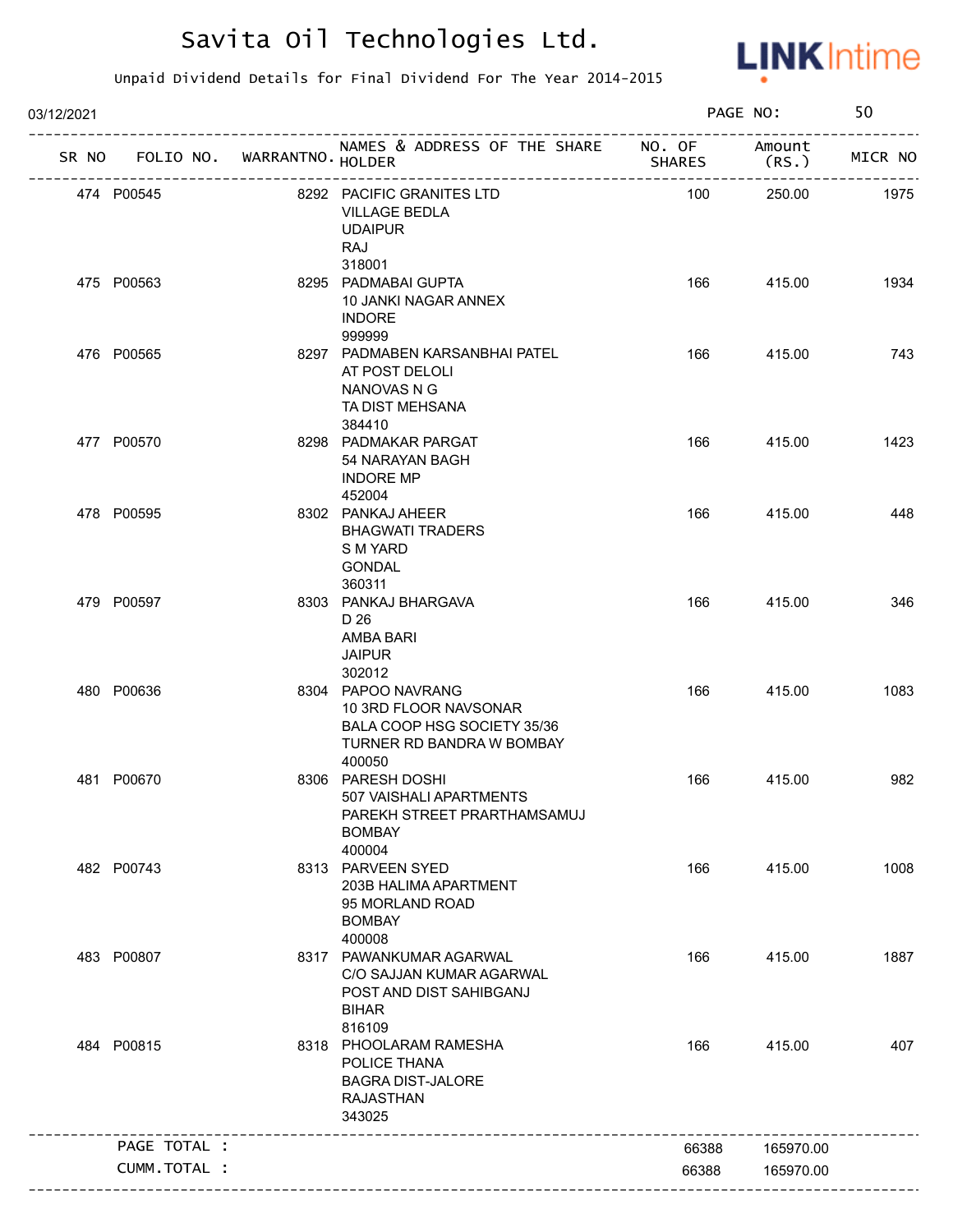

| 03/12/2021 |                                   |                                                                                                                   |               | PAGE NO:       | 50      |
|------------|-----------------------------------|-------------------------------------------------------------------------------------------------------------------|---------------|----------------|---------|
|            | SR NO FOLIO NO. WARRANTNO. HOLDER | NAMES & ADDRESS OF THE SHARE NO. OF                                                                               | <b>SHARES</b> | Amount<br>(RS. | MICR NO |
|            | 474 P00545                        | 8292 PACIFIC GRANITES LTD<br><b>VILLAGE BEDLA</b><br><b>UDAIPUR</b><br>RAJ<br>318001                              | 100           | 250.00         | 1975    |
|            | 475 P00563                        | 8295 PADMABAI GUPTA<br>10 JANKI NAGAR ANNEX<br><b>INDORE</b><br>999999                                            | 166           | 415.00         | 1934    |
|            | 476 P00565                        | 8297 PADMABEN KARSANBHAI PATEL<br>AT POST DELOLI<br>NANOVAS N G<br>TA DIST MEHSANA<br>384410                      | 166           | 415.00         | 743     |
|            | 477 P00570                        | 8298 PADMAKAR PARGAT<br>54 NARAYAN BAGH<br><b>INDORE MP</b><br>452004                                             | 166           | 415.00         | 1423    |
|            | 478 P00595                        | 8302 PANKAJ AHEER<br><b>BHAGWATI TRADERS</b><br>S M YARD<br><b>GONDAL</b><br>360311                               | 166           | 415.00         | 448     |
|            | 479 P00597                        | 8303 PANKAJ BHARGAVA<br>D 26<br>AMBA BARI<br><b>JAIPUR</b><br>302012                                              | 166           | 415.00         | 346     |
|            | 480 P00636                        | 8304 PAPOO NAVRANG<br>10 3RD FLOOR NAVSONAR<br>BALA COOP HSG SOCIETY 35/36<br>TURNER RD BANDRA W BOMBAY<br>400050 | 166           | 415.00         | 1083    |
|            | 481 P00670                        | 8306 PARESH DOSHI<br>507 VAISHALI APARTMENTS<br>PAREKH STREET PRARTHAMSAMUJ<br><b>BOMBAY</b><br>400004            | 166           | 415.00         | 982     |
|            | 482 P00743                        | 8313 PARVEEN SYED<br>203B HALIMA APARTMENT<br>95 MORLAND ROAD<br><b>BOMBAY</b><br>400008                          | 166           | 415.00         | 1008    |
|            | 483 P00807                        | 8317 PAWANKUMAR AGARWAL<br>C/O SAJJAN KUMAR AGARWAL<br>POST AND DIST SAHIBGANJ<br><b>BIHAR</b><br>816109          | 166           | 415.00         | 1887    |
|            | 484 P00815                        | 8318 PHOOLARAM RAMESHA<br>POLICE THANA<br><b>BAGRA DIST-JALORE</b><br><b>RAJASTHAN</b><br>343025                  | 166           | 415.00         | 407     |
|            | PAGE TOTAL :                      |                                                                                                                   | 66388         | 165970.00      |         |
|            | CUMM.TOTAL :                      |                                                                                                                   | 66388         | 165970.00      |         |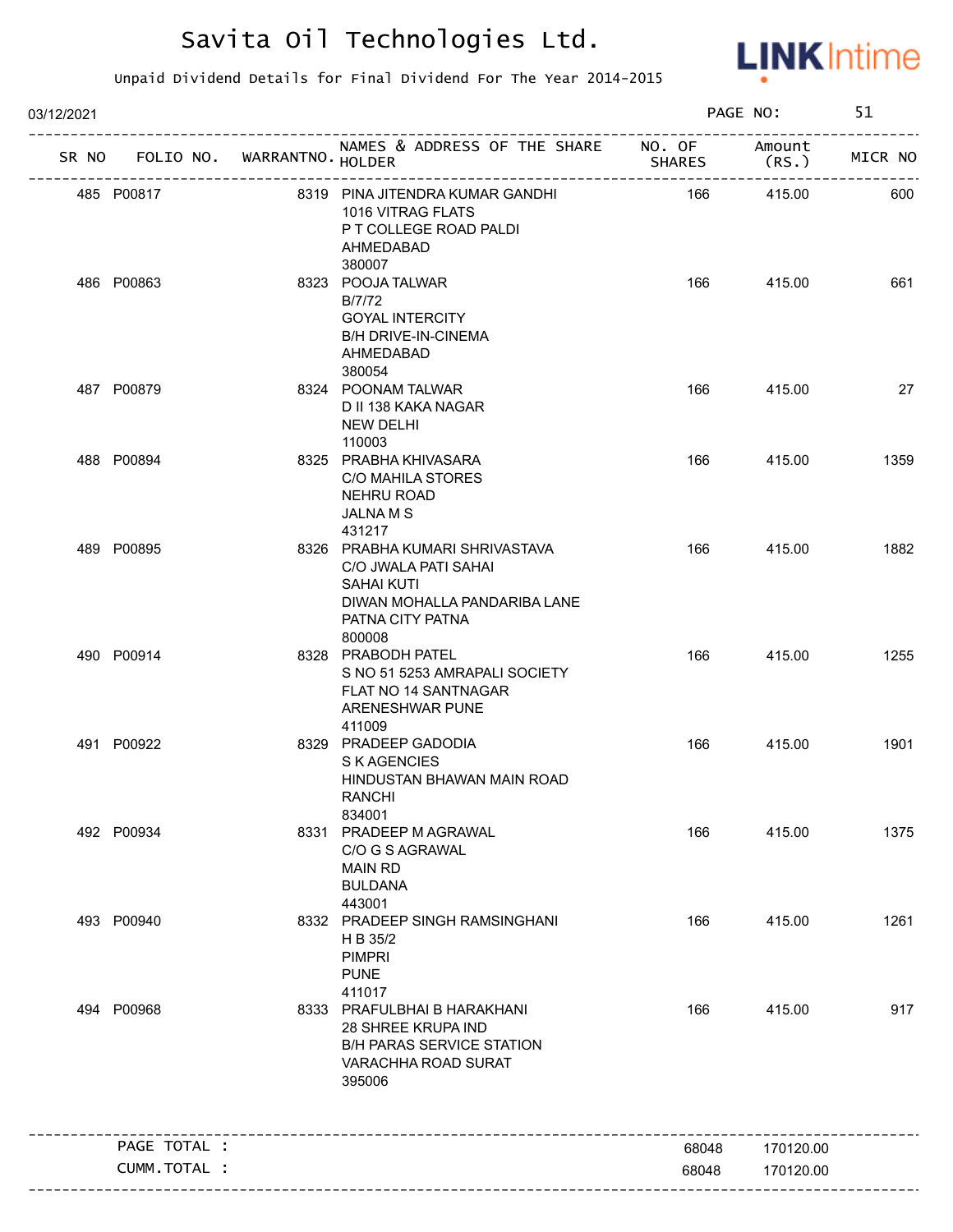

| 03/12/2021 |                                   |                                                                                                                                    |               | PAGE NO:  | 51      |
|------------|-----------------------------------|------------------------------------------------------------------------------------------------------------------------------------|---------------|-----------|---------|
|            | SR NO FOLIO NO. WARRANTNO. HOLDER | NAMES & ADDRESS OF THE SHARE NO. OF Amount                                                                                         | <b>SHARES</b> | (RS.)     | MICR NO |
|            | 485 P00817                        | 8319 PINA JITENDRA KUMAR GANDHI<br>1016 VITRAG FLATS<br>P T COLLEGE ROAD PALDI<br>AHMEDABAD<br>380007                              | 166           | 415.00    | 600     |
|            | 486 P00863                        | 8323 POOJA TALWAR<br>B/7/72<br><b>GOYAL INTERCITY</b><br><b>B/H DRIVE-IN-CINEMA</b><br>AHMEDABAD<br>380054                         | 166           | 415.00    | 661     |
|            | 487 P00879                        | 8324 POONAM TALWAR<br>D II 138 KAKA NAGAR<br>NEW DELHI<br>110003                                                                   | 166           | 415.00    | 27      |
|            | 488 P00894                        | 8325 PRABHA KHIVASARA<br>C/O MAHILA STORES<br>NEHRU ROAD<br>JALNA M S<br>431217                                                    | 166           | 415.00    | 1359    |
|            | 489 P00895                        | 8326 PRABHA KUMARI SHRIVASTAVA<br>C/O JWALA PATI SAHAI<br>SAHAI KUTI<br>DIWAN MOHALLA PANDARIBA LANE<br>PATNA CITY PATNA<br>800008 | 166           | 415.00    | 1882    |
|            | 490 P00914                        | 8328 PRABODH PATEL<br>S NO 51 5253 AMRAPALI SOCIETY<br>FLAT NO 14 SANTNAGAR<br>ARENESHWAR PUNE<br>411009                           | 166           | 415.00    | 1255    |
|            | 491 P00922                        | 8329 PRADEEP GADODIA<br>S K AGENCIES<br>HINDUSTAN BHAWAN MAIN ROAD<br>RANCHI<br>834001                                             | 166           | 415.00    | 1901    |
|            | 492 P00934                        | 8331 PRADEEP M AGRAWAL<br>C/O G S AGRAWAL<br><b>MAIN RD</b><br><b>BULDANA</b><br>443001                                            | 166           | 415.00    | 1375    |
|            | 493 P00940                        | 8332 PRADEEP SINGH RAMSINGHANI<br>H B 35/2<br><b>PIMPRI</b><br><b>PUNE</b><br>411017                                               | 166           | 415.00    | 1261    |
|            | 494 P00968                        | 8333 PRAFULBHAI B HARAKHANI<br>28 SHREE KRUPA IND<br><b>B/H PARAS SERVICE STATION</b><br>VARACHHA ROAD SURAT<br>395006             | 166           | 415.00    | 917     |
|            | PAGE TOTAL :                      |                                                                                                                                    | 68048         | 170120.00 |         |
|            | CUMM.TOTAL :                      |                                                                                                                                    | 68048         | 170120.00 |         |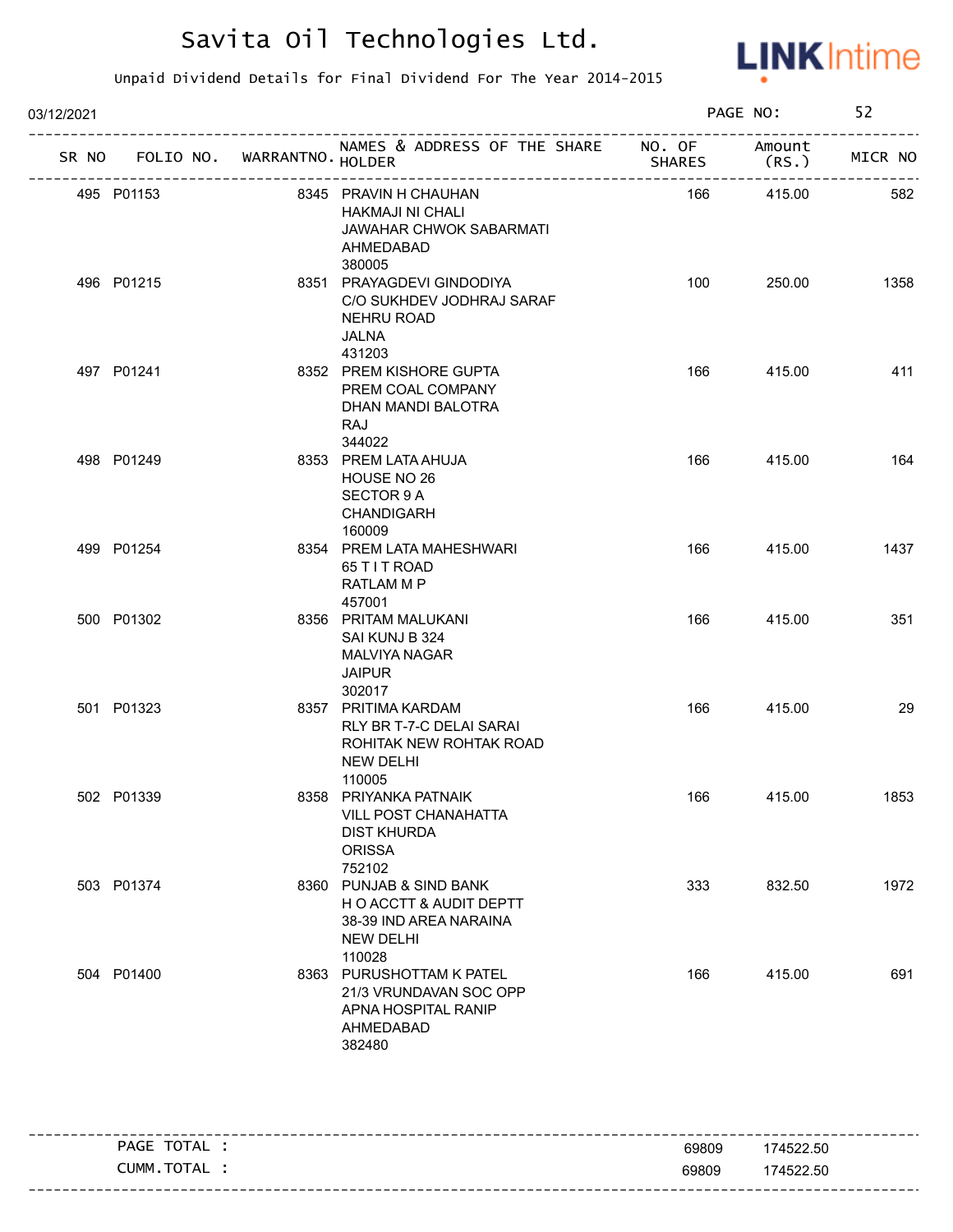

| 03/12/2021 |  |                            |                                                                                                           |               | PAGE NO:         |         |
|------------|--|----------------------------|-----------------------------------------------------------------------------------------------------------|---------------|------------------|---------|
| SR NO      |  | FOLIO NO. WARRANTNO HOLDER | NAMES & ADDRESS OF THE SHARE NO. OF                                                                       | <b>SHARES</b> | Amount<br>(RS. ) | MICR NO |
| 495 P01153 |  |                            | 8345 PRAVIN H CHAUHAN<br>HAKMAJI NI CHALI<br>JAWAHAR CHWOK SABARMATI<br>AHMEDABAD<br>380005               | 166           | 415.00           | 582     |
| 496 P01215 |  |                            | 8351 PRAYAGDEVI GINDODIYA<br>C/O SUKHDEV JODHRAJ SARAF<br>NEHRU ROAD<br>JALNA<br>431203                   | 100           | 250.00           | 1358    |
| 497 P01241 |  |                            | 8352 PREM KISHORE GUPTA<br>PREM COAL COMPANY<br>DHAN MANDI BALOTRA<br>RAJ<br>344022                       | 166           | 415.00           | 411     |
| 498 P01249 |  |                            | 8353 PREM LATA AHUJA<br>HOUSE NO 26<br>SECTOR 9 A<br>CHANDIGARH<br>160009                                 | 166           | 415.00           | 164     |
| 499 P01254 |  |                            | 8354 PREM LATA MAHESHWARI<br>65 T I T ROAD<br>RATLAM M P<br>457001                                        | 166           | 415.00           | 1437    |
| 500 P01302 |  |                            | 8356 PRITAM MALUKANI<br>SAI KUNJ B 324<br>MALVIYA NAGAR<br><b>JAIPUR</b><br>302017                        | 166           | 415.00           | 351     |
| 501 P01323 |  |                            | 8357 PRITIMA KARDAM<br>RLY BR T-7-C DELAI SARAI<br>ROHITAK NEW ROHTAK ROAD<br><b>NEW DELHI</b><br>110005  | 166           | 415.00           | 29      |
| 502 P01339 |  |                            | 8358 PRIYANKA PATNAIK<br><b>VILL POST CHANAHATTA</b><br><b>DIST KHURDA</b><br><b>ORISSA</b><br>752102     | 166           | 415.00           | 1853    |
| 503 P01374 |  |                            | 8360 PUNJAB & SIND BANK<br>HO ACCTT & AUDIT DEPTT<br>38-39 IND AREA NARAINA<br><b>NEW DELHI</b><br>110028 | 333           | 832.50           | 1972    |
| 504 P01400 |  |                            | 8363 PURUSHOTTAM K PATEL<br>21/3 VRUNDAVAN SOC OPP<br>APNA HOSPITAL RANIP<br>AHMEDABAD<br>382480          | 166           | 415.00           | 691     |

| TOTAL<br><b>PAGE</b> | 69809 | 174522.50 |
|----------------------|-------|-----------|
| ' TOTAL<br>CUMM.     | 69809 | 174522.50 |
|                      |       |           |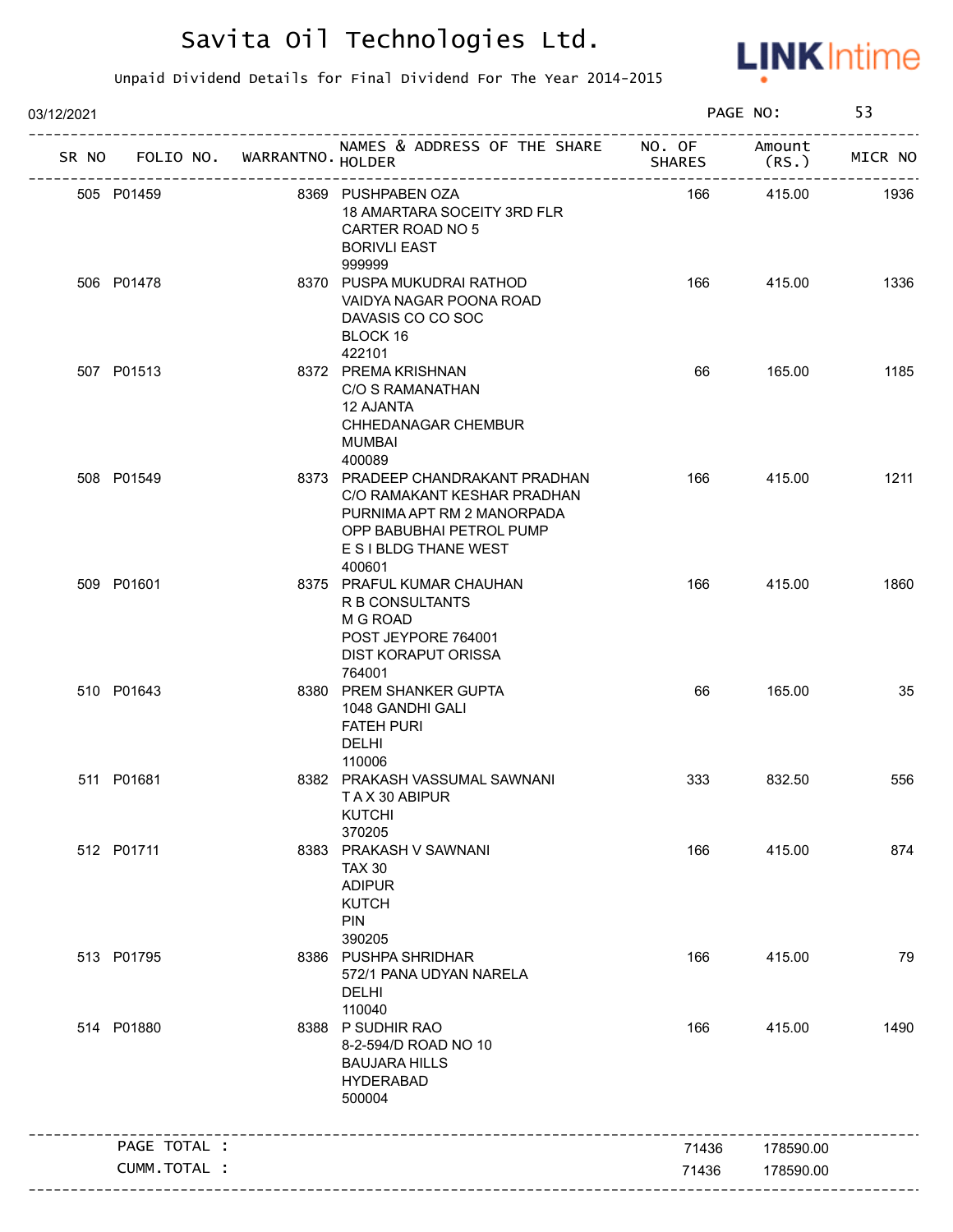

| 03/12/2021 |              |                             |                                                                                                                                                              |               | PAGE NO:        | 53      |
|------------|--------------|-----------------------------|--------------------------------------------------------------------------------------------------------------------------------------------------------------|---------------|-----------------|---------|
| SR NO      |              | FOLIO NO. WARRANTNO. HOLDER | NAMES & ADDRESS OF THE SHARE NO. OF                                                                                                                          | <b>SHARES</b> | Amount<br>(RS.) | MICR NO |
|            | 505 P01459   |                             | 8369 PUSHPABEN OZA<br>18 AMARTARA SOCEITY 3RD FLR<br>CARTER ROAD NO 5<br><b>BORIVLI EAST</b><br>999999                                                       | 166           | 415.00          | 1936    |
|            | 506 P01478   |                             | 8370 PUSPA MUKUDRAI RATHOD<br>VAIDYA NAGAR POONA ROAD<br>DAVASIS CO CO SOC<br>BLOCK 16<br>422101                                                             | 166           | 415.00          | 1336    |
|            | 507 P01513   |                             | 8372 PREMA KRISHNAN<br>C/O S RAMANATHAN<br><b>12 AJANTA</b><br>CHHEDANAGAR CHEMBUR<br>MUMBAI<br>400089                                                       | 66            | 165.00          | 1185    |
|            | 508 P01549   |                             | 8373 PRADEEP CHANDRAKANT PRADHAN<br>C/O RAMAKANT KESHAR PRADHAN<br>PURNIMA APT RM 2 MANORPADA<br>OPP BABUBHAI PETROL PUMP<br>E S I BLDG THANE WEST<br>400601 | 166           | 415.00          | 1211    |
|            | 509 P01601   |                             | 8375 PRAFUL KUMAR CHAUHAN<br>R B CONSULTANTS<br>M G ROAD<br>POST JEYPORE 764001<br><b>DIST KORAPUT ORISSA</b><br>764001                                      | 166           | 415.00          | 1860    |
|            | 510 P01643   |                             | 8380 PREM SHANKER GUPTA<br>1048 GANDHI GALI<br><b>FATEH PURI</b><br><b>DELHI</b><br>110006                                                                   | 66            | 165.00          | 35      |
|            | 511 P01681   |                             | 8382 PRAKASH VASSUMAL SAWNANI<br>TAX 30 ABIPUR<br><b>KUTCHI</b><br>370205                                                                                    | 333           | 832.50          | 556     |
|            | 512 P01711   |                             | 8383 PRAKASH V SAWNANI<br><b>TAX 30</b><br><b>ADIPUR</b><br><b>KUTCH</b><br><b>PIN</b><br>390205                                                             | 166           | 415.00          | 874     |
|            | 513 P01795   |                             | 8386 PUSHPA SHRIDHAR<br>572/1 PANA UDYAN NARELA<br>DELHI<br>110040                                                                                           | 166           | 415.00          | 79      |
|            | 514 P01880   |                             | 8388 P SUDHIR RAO<br>8-2-594/D ROAD NO 10<br><b>BAUJARA HILLS</b><br><b>HYDERABAD</b><br>500004                                                              | 166           | 415.00          | 1490    |
|            | PAGE TOTAL : |                             |                                                                                                                                                              | 71436         | 178590.00       |         |
|            | CUMM.TOTAL : |                             |                                                                                                                                                              | 71436         | 178590.00       |         |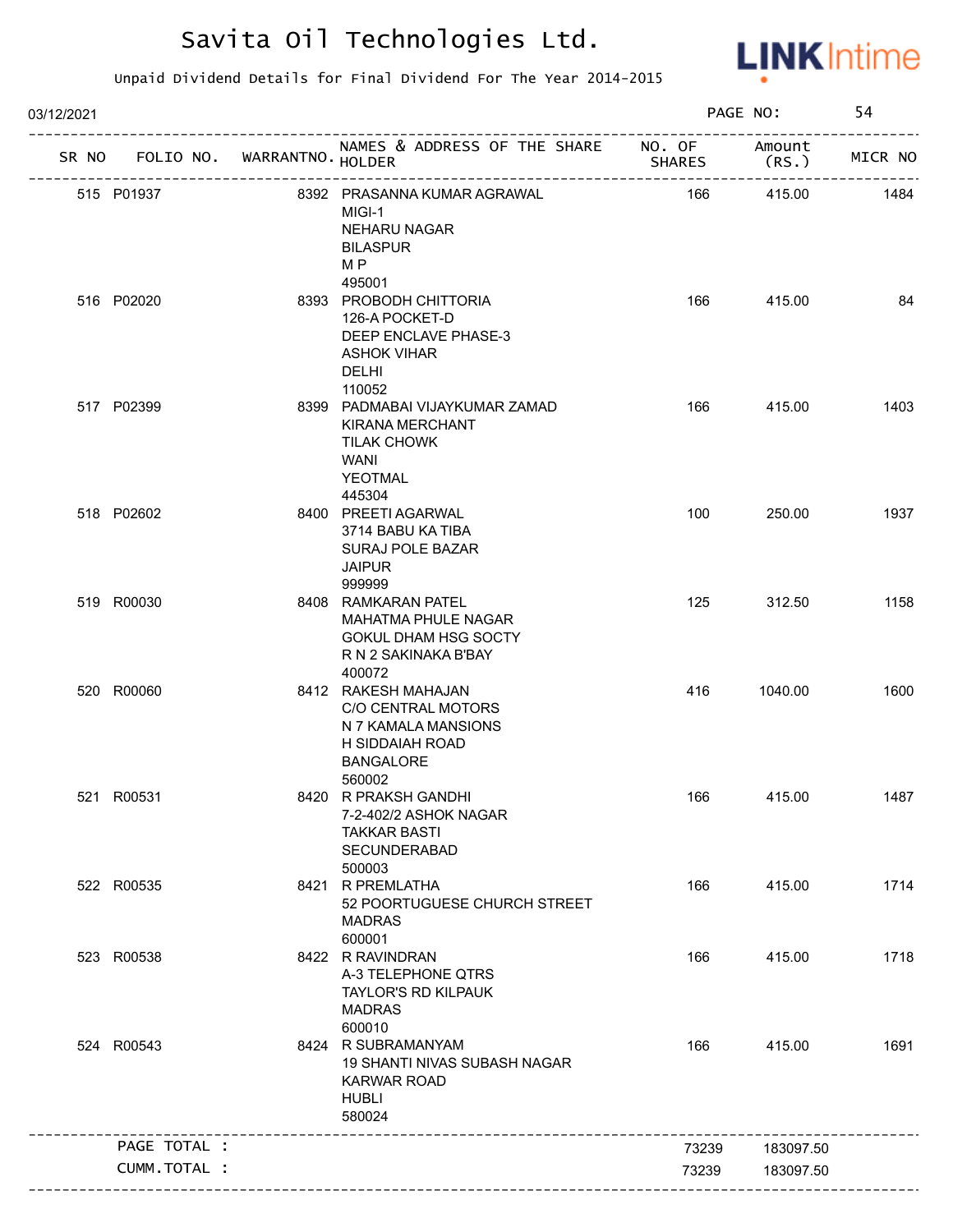

| 03/12/2021 |                      |                   |                                                                                                                            |               | PAGE NO:        | 54      |
|------------|----------------------|-------------------|----------------------------------------------------------------------------------------------------------------------------|---------------|-----------------|---------|
|            | SR NO FOLIO NO.      | WARRANTNO. HOLDER | NAMES & ADDRESS OF THE SHARE NO. OF                                                                                        | <b>SHARES</b> | Amount<br>(RS.) | MICR NO |
|            | 515 P01937           |                   | 8392 PRASANNA KUMAR AGRAWAL<br>MIGI-1<br>NEHARU NAGAR<br><b>BILASPUR</b><br>M P                                            | 166           | 415.00          | 1484    |
|            | 516 P02020           |                   | 495001<br>8393 PROBODH CHITTORIA<br>126-A POCKET-D<br>DEEP ENCLAVE PHASE-3<br><b>ASHOK VIHAR</b><br><b>DELHI</b><br>110052 | 166           | 415.00          | 84      |
|            | 517 P02399           |                   | 8399 PADMABAI VIJAYKUMAR ZAMAD<br>KIRANA MERCHANT<br><b>TILAK CHOWK</b><br>WANI<br><b>YEOTMAL</b><br>445304                | 166           | 415.00          | 1403    |
|            | 518 P02602           |                   | 8400 PREETI AGARWAL<br>3714 BABU KA TIBA<br><b>SURAJ POLE BAZAR</b><br><b>JAIPUR</b><br>999999                             | 100           | 250.00          | 1937    |
|            | 519 R00030           |                   | 8408 RAMKARAN PATEL<br><b>MAHATMA PHULE NAGAR</b><br><b>GOKUL DHAM HSG SOCTY</b><br>R N 2 SAKINAKA B'BAY<br>400072         | 125           | 312.50          | 1158    |
|            | 520 R00060           |                   | 8412 RAKESH MAHAJAN<br>C/O CENTRAL MOTORS<br>N 7 KAMALA MANSIONS<br>H SIDDAIAH ROAD<br><b>BANGALORE</b><br>560002          | 416           | 1040.00         | 1600    |
|            | 521 R00531           |                   | 8420 R PRAKSH GANDHI<br>7-2-402/2 ASHOK NAGAR<br><b>TAKKAR BASTI</b><br>SECUNDERABAD<br>500003                             | 166           | 415.00          | 1487    |
|            | 522 R00535           |                   | 8421 R PREMLATHA<br>52 POORTUGUESE CHURCH STREET<br><b>MADRAS</b><br>600001                                                | 166           | 415.00          | 1714    |
|            | 523 R00538           |                   | 8422 R RAVINDRAN<br>A-3 TELEPHONE QTRS<br><b>TAYLOR'S RD KILPAUK</b><br><b>MADRAS</b><br>600010                            | 166           | 415.00          | 1718    |
|            | 524 R00543           |                   | 8424 R SUBRAMANYAM<br>19 SHANTI NIVAS SUBASH NAGAR<br><b>KARWAR ROAD</b><br><b>HUBLI</b><br>580024                         | 166           | 415.00          | 1691    |
|            | PAGE TOTAL :         |                   |                                                                                                                            | 73239         | 183097.50       |         |
|            | <b>CUMM. TOTAL :</b> |                   |                                                                                                                            | 73239         | 183097.50       |         |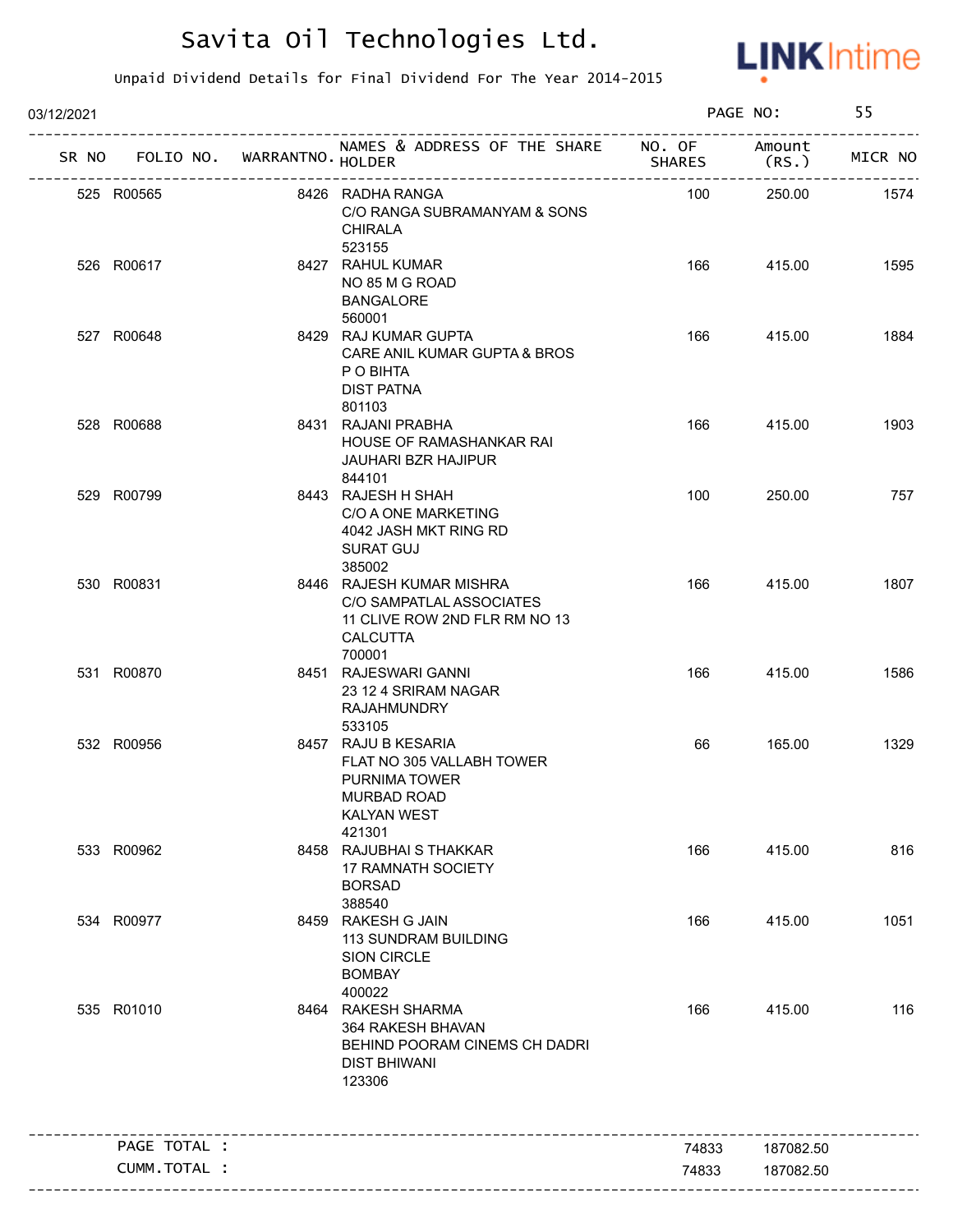

| 03/12/2021 |                                   |                                                                                                                         |               | PAGE NO:        | 55      |
|------------|-----------------------------------|-------------------------------------------------------------------------------------------------------------------------|---------------|-----------------|---------|
|            | SR NO FOLIO NO. WARRANTNO. HOLDER | NAMES & ADDRESS OF THE SHARE NO. OF                                                                                     | <b>SHARES</b> | Amount<br>(RS.) | MICR NO |
|            | 525 R00565                        | 8426 RADHA RANGA<br>C/O RANGA SUBRAMANYAM & SONS<br><b>CHIRALA</b><br>523155                                            | 100           | 250.00          | 1574    |
|            | 526 R00617                        | 8427 RAHUL KUMAR<br>NO 85 M G ROAD<br><b>BANGALORE</b><br>560001                                                        | 166           | 415.00          | 1595    |
|            | 527 R00648                        | 8429 RAJ KUMAR GUPTA<br>CARE ANIL KUMAR GUPTA & BROS<br>P O BIHTA<br><b>DIST PATNA</b><br>801103                        | 166           | 415.00          | 1884    |
|            | 528 R00688                        | 8431 RAJANI PRABHA<br>HOUSE OF RAMASHANKAR RAI<br><b>JAUHARI BZR HAJIPUR</b><br>844101                                  | 166           | 415.00          | 1903    |
|            | 529 R00799                        | 8443 RAJESH H SHAH<br>C/O A ONE MARKETING<br>4042 JASH MKT RING RD<br><b>SURAT GUJ</b><br>385002                        | 100           | 250.00          | 757     |
|            | 530 R00831                        | 8446 RAJESH KUMAR MISHRA<br>C/O SAMPATLAL ASSOCIATES<br>11 CLIVE ROW 2ND FLR RM NO 13<br><b>CALCUTTA</b><br>700001      | 166           | 415.00          | 1807    |
|            | 531 R00870                        | 8451 RAJESWARI GANNI<br>23 12 4 SRIRAM NAGAR<br>RAJAHMUNDRY<br>533105                                                   | 166           | 415.00          | 1586    |
|            | 532 R00956                        | 8457 RAJU B KESARIA<br>FLAT NO 305 VALLABH TOWER<br>PURNIMA TOWER<br><b>MURBAD ROAD</b><br><b>KALYAN WEST</b><br>421301 | 66            | 165.00          | 1329    |
|            | 533 R00962                        | 8458 RAJUBHAI S THAKKAR<br><b>17 RAMNATH SOCIETY</b><br><b>BORSAD</b><br>388540                                         | 166           | 415.00          | 816     |
|            | 534 R00977                        | 8459 RAKESH G JAIN<br>113 SUNDRAM BUILDING<br><b>SION CIRCLE</b><br><b>BOMBAY</b><br>400022                             | 166           | 415.00          | 1051    |
|            | 535 R01010                        | 8464 RAKESH SHARMA<br>364 RAKESH BHAVAN<br>BEHIND POORAM CINEMS CH DADRI<br><b>DIST BHIWANI</b><br>123306               | 166           | 415.00          | 116     |
|            | PAGE TOTAL :                      |                                                                                                                         | 74833         | 187082.50       |         |
|            | CUMM.TOTAL :                      |                                                                                                                         | 74833         | 187082.50       |         |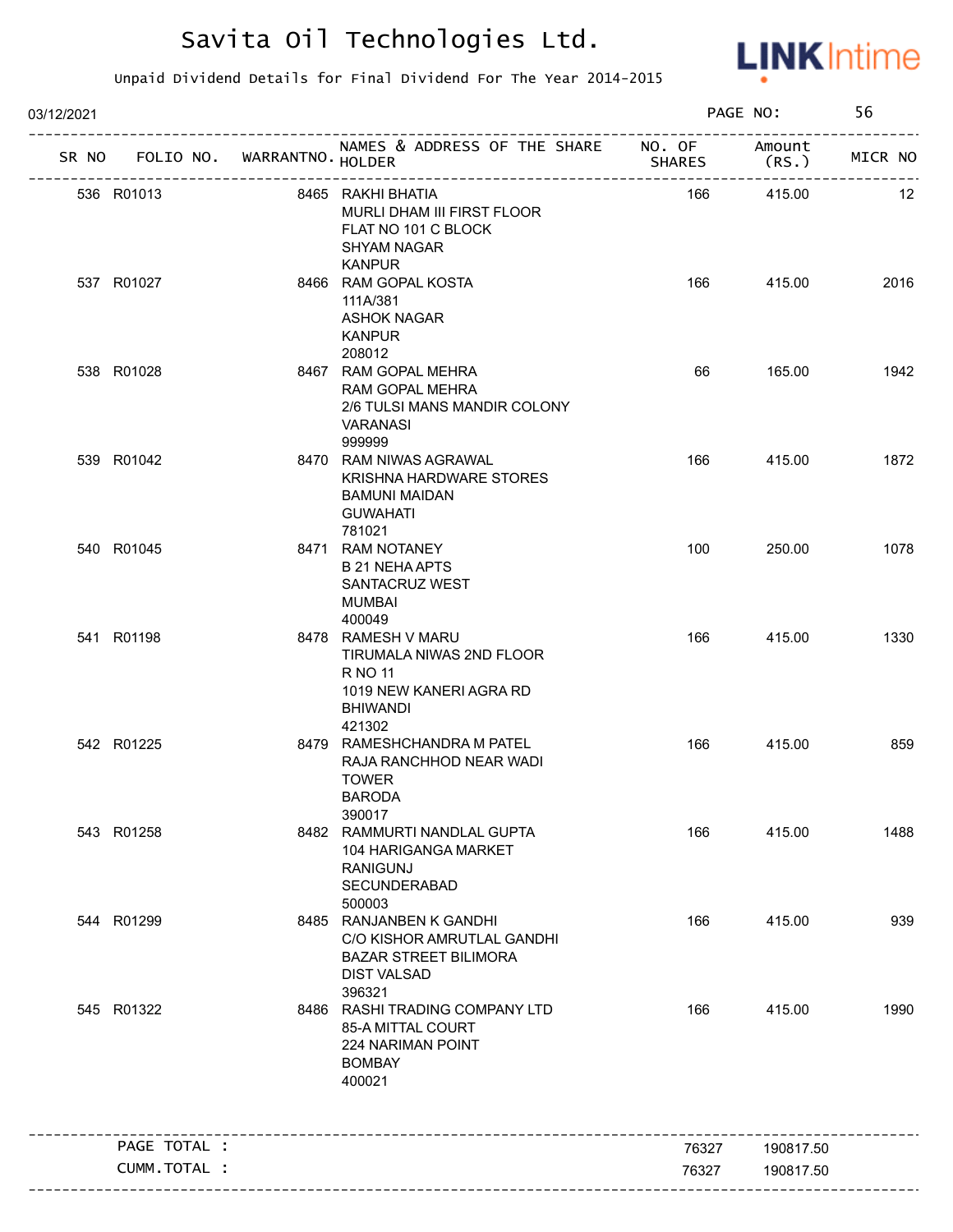

| 03/12/2021 |              |                                   |                                                                                                                       |               | PAGE NO:        | 56      |
|------------|--------------|-----------------------------------|-----------------------------------------------------------------------------------------------------------------------|---------------|-----------------|---------|
|            |              | SR NO FOLIO NO. WARRANTNO. HOLDER | NAMES & ADDRESS OF THE SHARE NO. OF                                                                                   | <b>SHARES</b> | Amount<br>(RS.) | MICR NO |
| 536 R01013 |              |                                   | 8465 RAKHI BHATIA<br>MURLI DHAM III FIRST FLOOR<br>FLAT NO 101 C BLOCK<br>SHYAM NAGAR<br><b>KANPUR</b>                | 166           | 415.00          | 12      |
| 537 R01027 |              |                                   | 8466 RAM GOPAL KOSTA<br>111A/381<br>ASHOK NAGAR<br><b>KANPUR</b><br>208012                                            | 166           | 415.00          | 2016    |
| 538 R01028 |              |                                   | 8467 RAM GOPAL MEHRA<br>RAM GOPAL MEHRA<br>2/6 TULSI MANS MANDIR COLONY<br>VARANASI<br>999999                         | 66            | 165.00          | 1942    |
| 539 R01042 |              |                                   | 8470 RAM NIWAS AGRAWAL<br><b>KRISHNA HARDWARE STORES</b><br><b>BAMUNI MAIDAN</b><br><b>GUWAHATI</b><br>781021         | 166           | 415.00          | 1872    |
| 540 R01045 |              |                                   | 8471 RAM NOTANEY<br><b>B 21 NEHA APTS</b><br>SANTACRUZ WEST<br>MUMBAI<br>400049                                       | 100           | 250.00          | 1078    |
| 541 R01198 |              |                                   | 8478 RAMESH V MARU<br>TIRUMALA NIWAS 2ND FLOOR<br>R NO 11<br>1019 NEW KANERI AGRA RD<br><b>BHIWANDI</b><br>421302     | 166           | 415.00          | 1330    |
| 542 R01225 |              |                                   | 8479 RAMESHCHANDRA M PATEL<br>RAJA RANCHHOD NEAR WADI<br><b>TOWER</b><br><b>BARODA</b><br>390017                      | 166           | 415.00          | 859     |
| 543 R01258 |              |                                   | 8482 RAMMURTI NANDLAL GUPTA<br>104 HARIGANGA MARKET<br><b>RANIGUNJ</b><br>SECUNDERABAD<br>500003                      | 166           | 415.00          | 1488    |
| 544 R01299 |              |                                   | 8485 RANJANBEN K GANDHI<br>C/O KISHOR AMRUTLAL GANDHI<br><b>BAZAR STREET BILIMORA</b><br><b>DIST VALSAD</b><br>396321 | 166           | 415.00          | 939     |
| 545 R01322 |              |                                   | 8486 RASHI TRADING COMPANY LTD<br>85-A MITTAL COURT<br>224 NARIMAN POINT<br><b>BOMBAY</b><br>400021                   | 166           | 415.00          | 1990    |
|            | PAGE TOTAL : |                                   |                                                                                                                       | 76327         | 190817.50       |         |
|            | CUMM.TOTAL : |                                   |                                                                                                                       | 76327         | 190817.50       |         |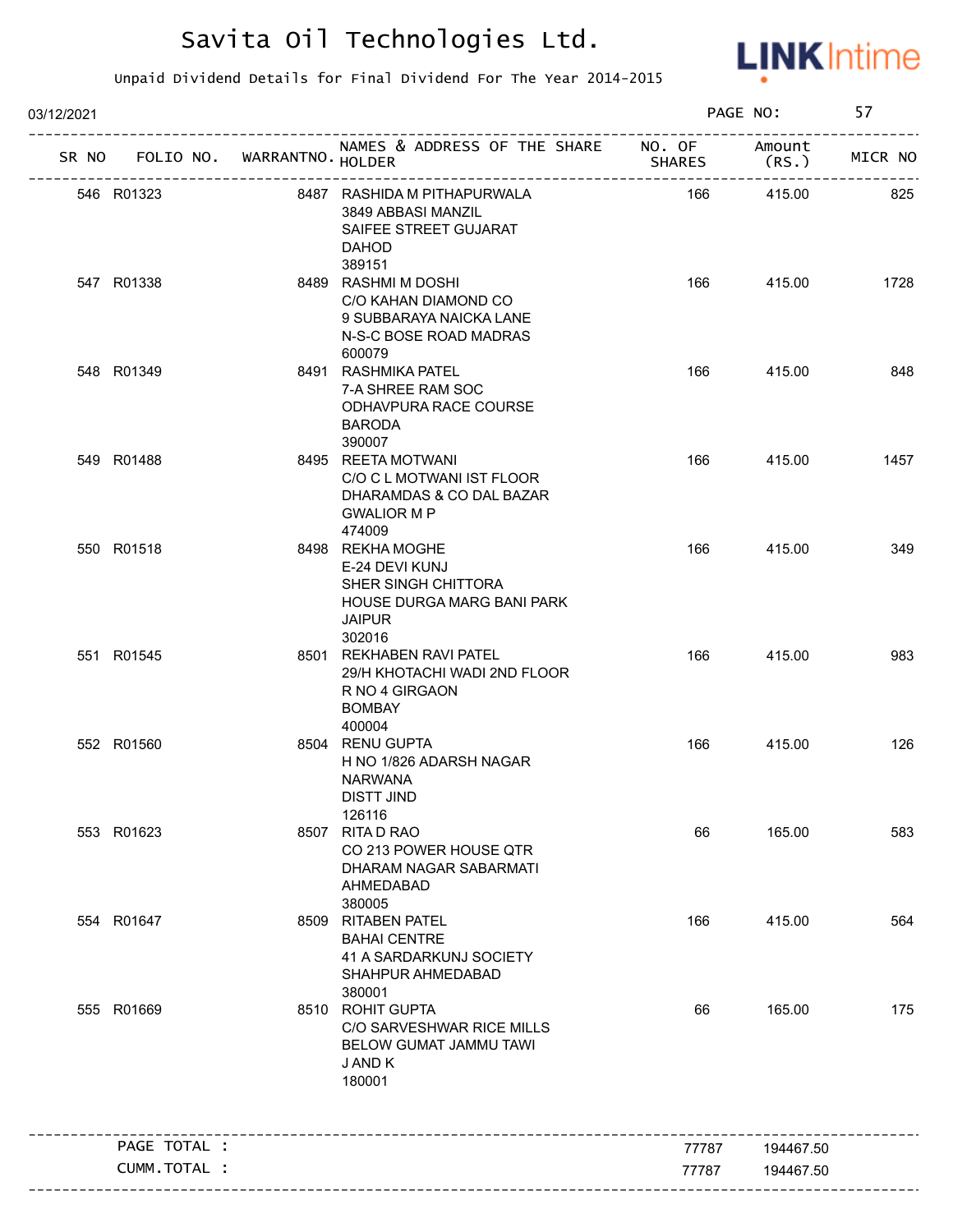

| 03/12/2021 |              |                                   |                                                                                                                    |               | PAGE NO:       | 57      |
|------------|--------------|-----------------------------------|--------------------------------------------------------------------------------------------------------------------|---------------|----------------|---------|
|            |              | SR NO FOLIO NO. WARRANTNO. HOLDER | NAMES & ADDRESS OF THE SHARE NO. OF                                                                                | <b>SHARES</b> | Amount<br>(RS. | MICR NO |
| 546 R01323 |              |                                   | 8487 RASHIDA M PITHAPURWALA<br>3849 ABBASI MANZIL<br>SAIFEE STREET GUJARAT<br><b>DAHOD</b><br>389151               | 166           | 415.00         | 825     |
| 547 R01338 |              |                                   | 8489 RASHMI M DOSHI<br>C/O KAHAN DIAMOND CO<br>9 SUBBARAYA NAICKA LANE<br>N-S-C BOSE ROAD MADRAS<br>600079         | 166           | 415.00         | 1728    |
| 548 R01349 |              |                                   | 8491 RASHMIKA PATEL<br>7-A SHREE RAM SOC<br>ODHAVPURA RACE COURSE<br><b>BARODA</b><br>390007                       | 166           | 415.00         | 848     |
| 549 R01488 |              |                                   | 8495 REETA MOTWANI<br>C/O C L MOTWANI IST FLOOR<br>DHARAMDAS & CO DAL BAZAR<br><b>GWALIOR M P</b><br>474009        | 166           | 415.00         | 1457    |
| 550 R01518 |              |                                   | 8498 REKHA MOGHE<br>E-24 DEVI KUNJ<br>SHER SINGH CHITTORA<br>HOUSE DURGA MARG BANI PARK<br><b>JAIPUR</b><br>302016 | 166           | 415.00         | 349     |
| 551 R01545 |              |                                   | 8501 REKHABEN RAVI PATEL<br>29/H KHOTACHI WADI 2ND FLOOR<br>R NO 4 GIRGAON<br><b>BOMBAY</b><br>400004              | 166           | 415.00         | 983     |
| 552 R01560 |              |                                   | 8504 RENU GUPTA<br>H NO 1/826 ADARSH NAGAR<br><b>NARWANA</b><br>DISTT JIND<br>126116                               | 166           | 415.00         | 126     |
| 553 R01623 |              |                                   | 8507 RITA D RAO<br>CO 213 POWER HOUSE QTR<br>DHARAM NAGAR SABARMATI<br>AHMEDABAD<br>380005                         | 66            | 165.00         | 583     |
| 554 R01647 |              |                                   | 8509 RITABEN PATEL<br><b>BAHAI CENTRE</b><br>41 A SARDARKUNJ SOCIETY<br>SHAHPUR AHMEDABAD<br>380001                | 166           | 415.00         | 564     |
| 555 R01669 |              |                                   | 8510 ROHIT GUPTA<br>C/O SARVESHWAR RICE MILLS<br>BELOW GUMAT JAMMU TAWI<br>J AND K<br>180001                       | 66            | 165.00         | 175     |
|            | PAGE TOTAL : |                                   |                                                                                                                    | 77787         | 194467.50      |         |
|            | CUMM.TOTAL : |                                   |                                                                                                                    | 77787         | 194467.50      |         |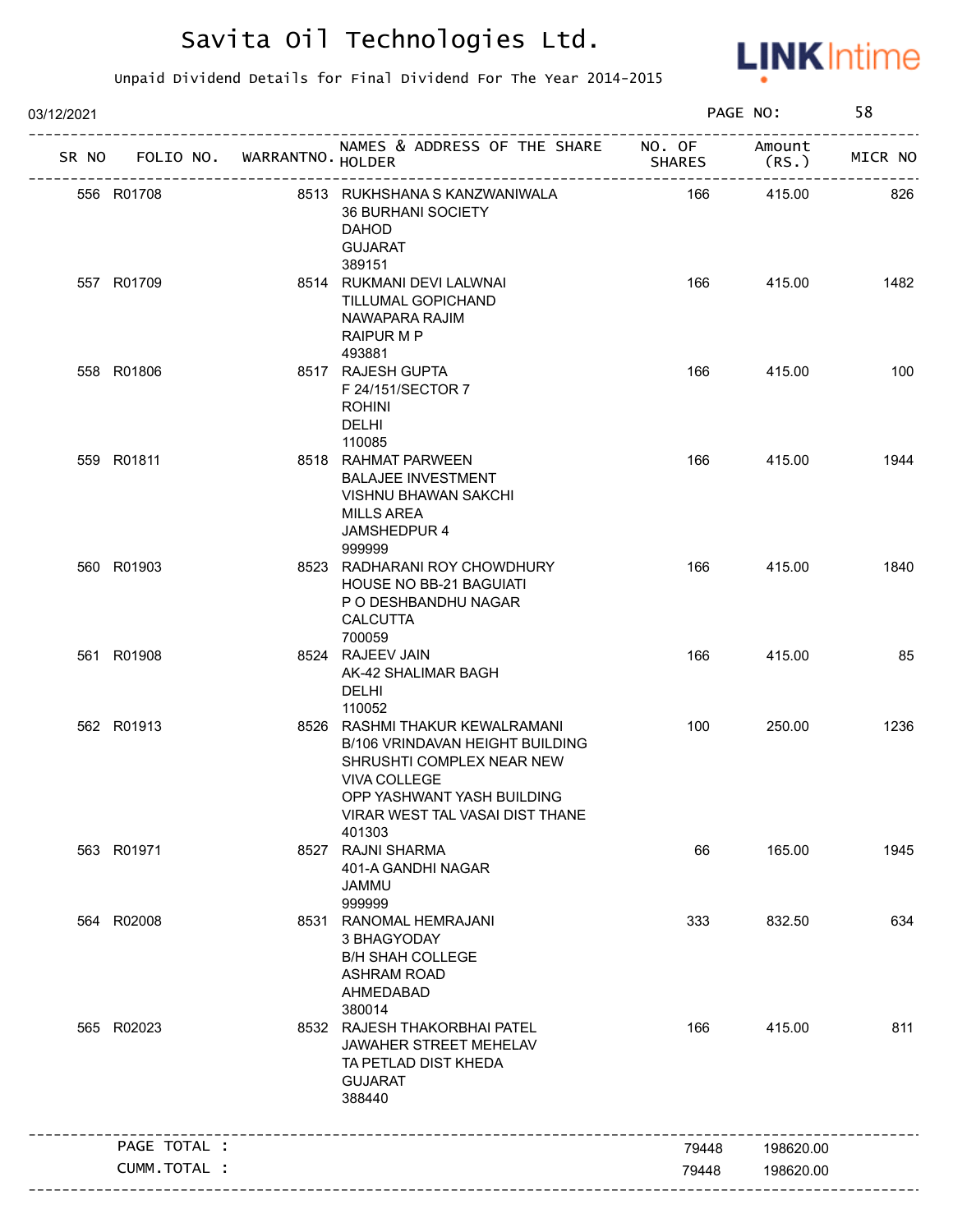

| 03/12/2021 |                                   |                                                                                                                                                                                                  | PAGE NO:                                |                  | 58      |  |
|------------|-----------------------------------|--------------------------------------------------------------------------------------------------------------------------------------------------------------------------------------------------|-----------------------------------------|------------------|---------|--|
|            | SR NO FOLIO NO. WARRANTNO. HOLDER | NAMES & ADDRESS OF THE SHARE NO. OF                                                                                                                                                              | <b>SHARES</b>                           | Amount<br>(RS. ) | MICR NO |  |
|            | 556 R01708                        | 8513 RUKHSHANA S KANZWANIWALA<br><b>36 BURHANI SOCIETY</b><br><b>DAHOD</b><br><b>GUJARAT</b><br>389151                                                                                           | --------------------------------<br>166 | 415.00           | 826     |  |
|            | 557 R01709                        | 8514 RUKMANI DEVI LALWNAI<br>TILLUMAL GOPICHAND<br>NAWAPARA RAJIM<br>RAIPUR M P<br>493881                                                                                                        | 166                                     | 415.00           | 1482    |  |
|            | 558 R01806                        | 8517 RAJESH GUPTA<br>F 24/151/SECTOR 7<br><b>ROHINI</b><br><b>DELHI</b><br>110085                                                                                                                | 166                                     | 415.00           | 100     |  |
|            | 559 R01811                        | 8518 RAHMAT PARWEEN<br><b>BALAJEE INVESTMENT</b><br><b>VISHNU BHAWAN SAKCHI</b><br><b>MILLS AREA</b><br>JAMSHEDPUR 4<br>999999                                                                   | 166                                     | 415.00           | 1944    |  |
|            | 560 R01903                        | 8523 RADHARANI ROY CHOWDHURY<br><b>HOUSE NO BB-21 BAGUIATI</b><br>P O DESHBANDHU NAGAR<br><b>CALCUTTA</b><br>700059                                                                              | 166                                     | 415.00           | 1840    |  |
|            | 561 R01908                        | 8524 RAJEEV JAIN<br>AK-42 SHALIMAR BAGH<br>DELHI<br>110052                                                                                                                                       | 166                                     | 415.00           | 85      |  |
|            | 562 R01913                        | 8526 RASHMI THAKUR KEWALRAMANI<br>B/106 VRINDAVAN HEIGHT BUILDING<br>SHRUSHTI COMPLEX NEAR NEW<br><b>VIVA COLLEGE</b><br>OPP YASHWANT YASH BUILDING<br>VIRAR WEST TAL VASAI DIST THANE<br>401303 | 100                                     | 250.00           | 1236    |  |
|            | 563 R01971                        | 8527 RAJNI SHARMA<br>401-A GANDHI NAGAR<br><b>JAMMU</b><br>999999                                                                                                                                | 66                                      | 165.00           | 1945    |  |
|            | 564 R02008                        | 8531 RANOMAL HEMRAJANI<br>3 BHAGYODAY<br><b>B/H SHAH COLLEGE</b><br><b>ASHRAM ROAD</b><br>AHMEDABAD<br>380014                                                                                    | 333                                     | 832.50           | 634     |  |
|            | 565 R02023                        | 8532 RAJESH THAKORBHAI PATEL<br>JAWAHER STREET MEHELAV<br>TA PETLAD DIST KHEDA<br><b>GUJARAT</b><br>388440                                                                                       | 166                                     | 415.00           | 811     |  |
|            | PAGE TOTAL :                      |                                                                                                                                                                                                  | 79448                                   | 198620.00        |         |  |
|            | CUMM.TOTAL :                      |                                                                                                                                                                                                  | 79448                                   | 198620.00        |         |  |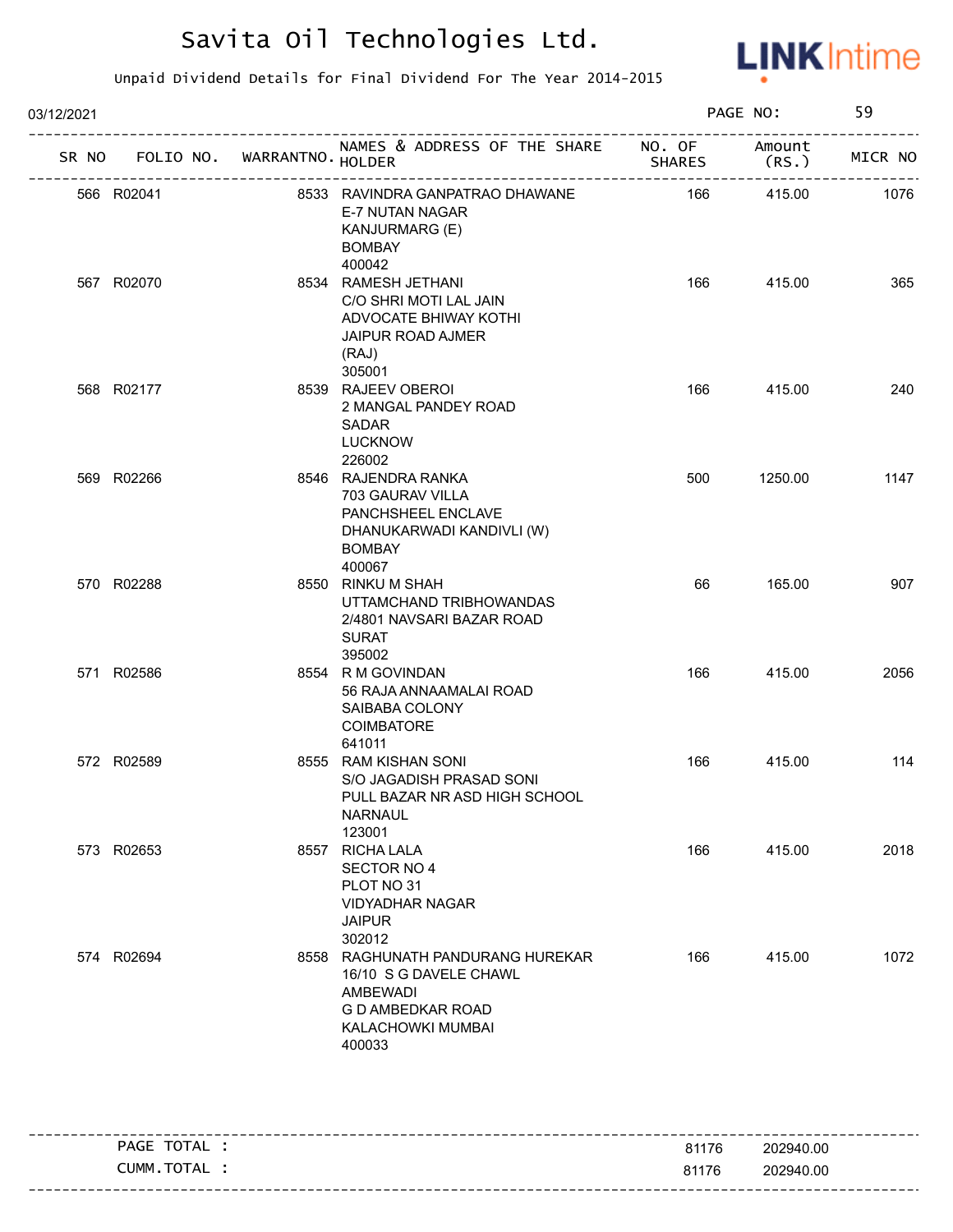

| 03/12/2021 |                                   |                                                                                                                                   |               | PAGE NO:        | 59      |
|------------|-----------------------------------|-----------------------------------------------------------------------------------------------------------------------------------|---------------|-----------------|---------|
|            | SR NO FOLIO NO. WARRANTNO. HOLDER | NAMES & ADDRESS OF THE SHARE NO. OF                                                                                               | <b>SHARES</b> | Amount<br>(RS.) | MICR NO |
| 566 R02041 |                                   | 8533 RAVINDRA GANPATRAO DHAWANE<br>E-7 NUTAN NAGAR<br>KANJURMARG (E)<br><b>BOMBAY</b><br>400042                                   | 166           | 415.00          | 1076    |
| 567 R02070 |                                   | 8534 RAMESH JETHANI<br>C/O SHRI MOTI LAL JAIN<br>ADVOCATE BHIWAY KOTHI<br><b>JAIPUR ROAD AJMER</b><br>(RAJ)<br>305001             | 166           | 415.00          | 365     |
| 568 R02177 |                                   | 8539 RAJEEV OBEROI<br>2 MANGAL PANDEY ROAD<br><b>SADAR</b><br><b>LUCKNOW</b><br>226002                                            | 166           | 415.00          | 240     |
| 569 R02266 |                                   | 8546 RAJENDRA RANKA<br>703 GAURAV VILLA<br>PANCHSHEEL ENCLAVE<br>DHANUKARWADI KANDIVLI (W)<br><b>BOMBAY</b><br>400067             | 500           | 1250.00         | 1147    |
| 570 R02288 |                                   | 8550 RINKU M SHAH<br>UTTAMCHAND TRIBHOWANDAS<br>2/4801 NAVSARI BAZAR ROAD<br><b>SURAT</b><br>395002                               | 66            | 165.00          | 907     |
| 571 R02586 |                                   | 8554 R M GOVINDAN<br>56 RAJA ANNAAMALAI ROAD<br>SAIBABA COLONY<br>COIMBATORE<br>641011                                            | 166           | 415.00          | 2056    |
| 572 R02589 |                                   | 8555 RAM KISHAN SONI<br>S/O JAGADISH PRASAD SONI<br>PULL BAZAR NR ASD HIGH SCHOOL<br><b>NARNAUL</b><br>123001                     | 166           | 415.00          | 114     |
| 573 R02653 |                                   | 8557 RICHA LALA<br>SECTOR NO 4<br>PLOT NO 31<br><b>VIDYADHAR NAGAR</b><br><b>JAIPUR</b><br>302012                                 | 166           | 415.00          | 2018    |
| 574 R02694 |                                   | 8558 RAGHUNATH PANDURANG HUREKAR<br>16/10 S G DAVELE CHAWL<br><b>AMBEWADI</b><br>G D AMBEDKAR ROAD<br>KALACHOWKI MUMBAI<br>400033 | 166           | 415.00          | 1072    |

| <b>TOTA</b><br>PAGE<br>`'AL∶ | 81176 | 202940.00              |
|------------------------------|-------|------------------------|
| <b>CUMM</b><br>TOTAL         | 81176 | 202940.00              |
|                              |       | ---------------------- |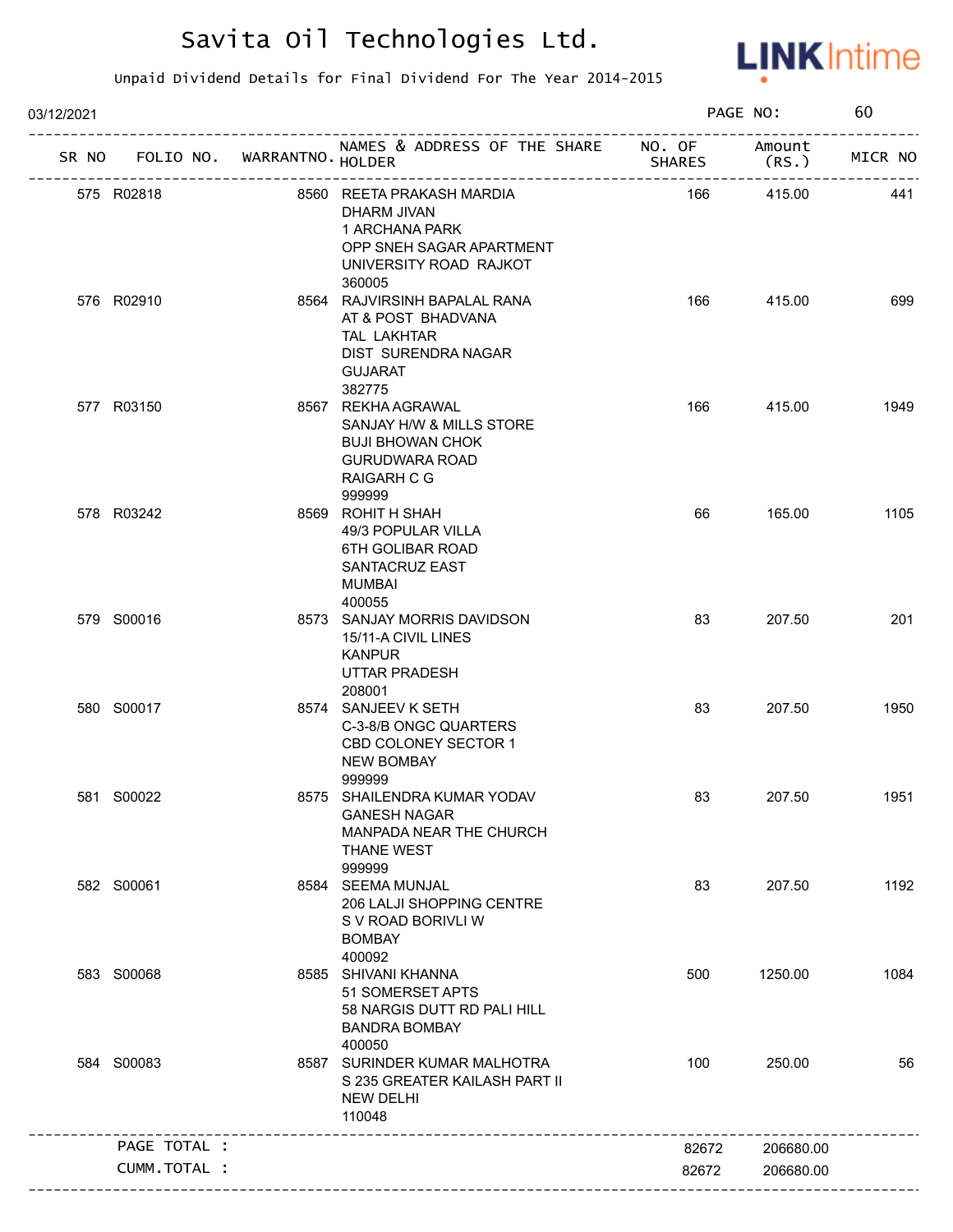

| NAMES & ADDRESS OF THE SHARE NO. OF<br>SR NO FOLIO NO. WARRANTNO. HOLDER<br>575 R02818<br>8560 REETA PRAKASH MARDIA<br>DHARM JIVAN<br>1 ARCHANA PARK<br>OPP SNEH SAGAR APARTMENT<br>UNIVERSITY ROAD RAJKOT<br>360005<br>576 R02910<br>8564 RAJVIRSINH BAPALAL RANA<br>AT & POST BHADVANA<br>TAL LAKHTAR<br>DIST SURENDRA NAGAR<br><b>GUJARAT</b><br>382775<br>8567 REKHA AGRAWAL<br>577 R03150<br>SANJAY H/W & MILLS STORE<br><b>BUJI BHOWAN CHOK</b><br><b>GURUDWARA ROAD</b> | <b>SHARES</b><br>166<br>166<br>166<br>66 | Amount<br>(RS. )<br>415.00<br>415.00<br>415.00<br>165.00 | MICR NO<br>441<br>699<br>1949 |
|--------------------------------------------------------------------------------------------------------------------------------------------------------------------------------------------------------------------------------------------------------------------------------------------------------------------------------------------------------------------------------------------------------------------------------------------------------------------------------|------------------------------------------|----------------------------------------------------------|-------------------------------|
|                                                                                                                                                                                                                                                                                                                                                                                                                                                                                |                                          |                                                          |                               |
|                                                                                                                                                                                                                                                                                                                                                                                                                                                                                |                                          |                                                          |                               |
|                                                                                                                                                                                                                                                                                                                                                                                                                                                                                |                                          |                                                          |                               |
| RAIGARH C G<br>999999                                                                                                                                                                                                                                                                                                                                                                                                                                                          |                                          |                                                          |                               |
| 578 R03242<br>8569 ROHIT H SHAH<br>49/3 POPULAR VILLA<br>6TH GOLIBAR ROAD<br>SANTACRUZ EAST<br>MUMBAI<br>400055                                                                                                                                                                                                                                                                                                                                                                |                                          |                                                          | 1105                          |
| 579 S00016<br>8573 SANJAY MORRIS DAVIDSON<br>15/11-A CIVIL LINES<br><b>KANPUR</b><br>UTTAR PRADESH<br>208001                                                                                                                                                                                                                                                                                                                                                                   | 83                                       | 207.50                                                   | 201                           |
| 580 S00017<br>8574 SANJEEV K SETH<br>C-3-8/B ONGC QUARTERS<br>CBD COLONEY SECTOR 1<br><b>NEW BOMBAY</b><br>999999                                                                                                                                                                                                                                                                                                                                                              | 83                                       | 207.50                                                   | 1950                          |
| 581 S00022<br>8575 SHAILENDRA KUMAR YODAV<br><b>GANESH NAGAR</b><br>MANPADA NEAR THE CHURCH<br>THANE WEST<br>999999                                                                                                                                                                                                                                                                                                                                                            | 83                                       | 207.50                                                   | 1951                          |
| 582 S00061<br>8584 SEEMA MUNJAL<br>206 LALJI SHOPPING CENTRE<br>S V ROAD BORIVLI W<br><b>BOMBAY</b><br>400092                                                                                                                                                                                                                                                                                                                                                                  | 83                                       | 207.50                                                   | 1192                          |
| 583 S00068<br>8585 SHIVANI KHANNA<br>51 SOMERSET APTS<br>58 NARGIS DUTT RD PALI HILL<br><b>BANDRA BOMBAY</b><br>400050                                                                                                                                                                                                                                                                                                                                                         | 500                                      | 1250.00                                                  | 1084                          |
| 584 S00083<br>8587 SURINDER KUMAR MALHOTRA<br>S 235 GREATER KAILASH PART II<br><b>NEW DELHI</b><br>110048<br>-------------------------------                                                                                                                                                                                                                                                                                                                                   | 100                                      | 250.00                                                   | 56                            |
| PAGE TOTAL :                                                                                                                                                                                                                                                                                                                                                                                                                                                                   | 82672                                    | 206680.00                                                |                               |
| CUMM.TOTAL :                                                                                                                                                                                                                                                                                                                                                                                                                                                                   | 82672                                    | 206680.00                                                |                               |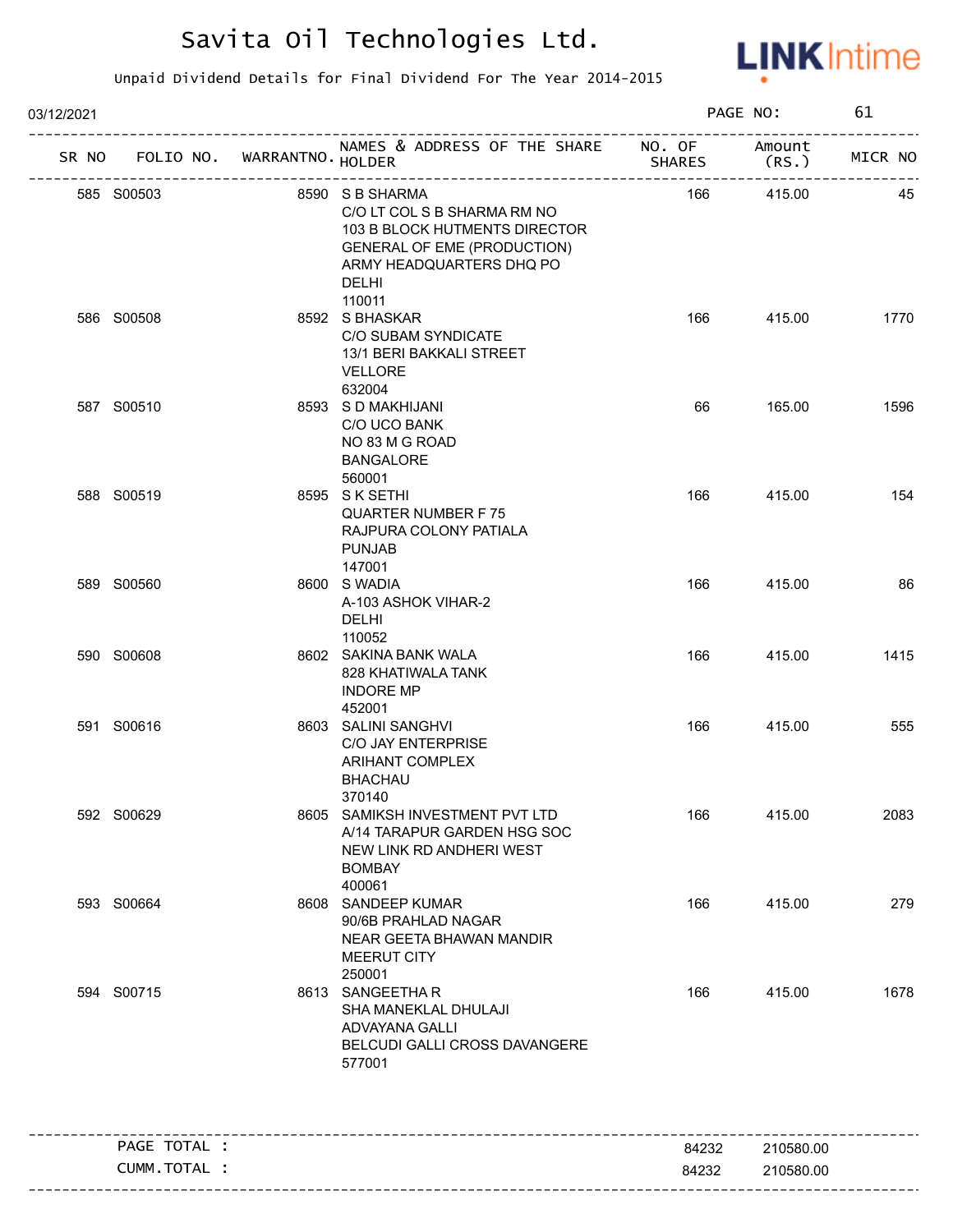

| 03/12/2021 |                                   |  | PAGE NO:                                                                                                                                                                    |               | 61             |         |
|------------|-----------------------------------|--|-----------------------------------------------------------------------------------------------------------------------------------------------------------------------------|---------------|----------------|---------|
|            | SR NO FOLIO NO. WARRANTNO. HOLDER |  | NAMES & ADDRESS OF THE SHARE NO. OF<br>____________________________                                                                                                         | <b>SHARES</b> | Amount<br>(RS. | MICR NO |
|            | 585 S00503                        |  | 8590 S B SHARMA<br>C/O LT COL S B SHARMA RM NO<br>103 B BLOCK HUTMENTS DIRECTOR<br><b>GENERAL OF EME (PRODUCTION)</b><br>ARMY HEADQUARTERS DHQ PO<br><b>DELHI</b><br>110011 | 166           | 415.00         | 45      |
|            | 586 S00508                        |  | 8592 S BHASKAR<br>C/O SUBAM SYNDICATE<br>13/1 BERI BAKKALI STREET<br><b>VELLORE</b><br>632004                                                                               | 166           | 415.00         | 1770    |
|            | 587 S00510                        |  | 8593 S D MAKHIJANI<br>C/O UCO BANK<br>NO 83 M G ROAD<br><b>BANGALORE</b><br>560001                                                                                          | 66            | 165.00         | 1596    |
|            | 588 S00519                        |  | 8595 SK SETHI<br><b>QUARTER NUMBER F75</b><br>RAJPURA COLONY PATIALA<br><b>PUNJAB</b><br>147001                                                                             | 166           | 415.00         | 154     |
|            | 589 S00560                        |  | 8600 S WADIA<br>A-103 ASHOK VIHAR-2<br><b>DELHI</b><br>110052                                                                                                               | 166           | 415.00         | 86      |
|            | 590 S00608                        |  | 8602 SAKINA BANK WALA<br>828 KHATIWALA TANK<br><b>INDORE MP</b><br>452001                                                                                                   | 166           | 415.00         | 1415    |
|            | 591 S00616                        |  | 8603 SALINI SANGHVI<br>C/O JAY ENTERPRISE<br>ARIHANT COMPLEX<br><b>BHACHAU</b><br>370140                                                                                    | 166           | 415.00         | 555     |
|            | 592 S00629                        |  | 8605 SAMIKSH INVESTMENT PVT LTD<br>A/14 TARAPUR GARDEN HSG SOC<br>NEW LINK RD ANDHERI WEST<br><b>BOMBAY</b><br>400061                                                       | 166           | 415.00         | 2083    |
|            | 593 S00664                        |  | 8608 SANDEEP KUMAR<br>90/6B PRAHLAD NAGAR<br>NEAR GEETA BHAWAN MANDIR<br>MEERUT CITY<br>250001                                                                              | 166           | 415.00         | 279     |
|            | 594 S00715                        |  | 8613 SANGEETHAR<br>SHA MANEKLAL DHULAJI<br>ADVAYANA GALLI<br>BELCUDI GALLI CROSS DAVANGERE<br>577001                                                                        | 166           | 415.00         | 1678    |
|            | PAGE TOTAL :                      |  |                                                                                                                                                                             | 84232         | 210580.00      |         |
|            | CUMM.TOTAL :                      |  |                                                                                                                                                                             | 84232         | 210580.00      |         |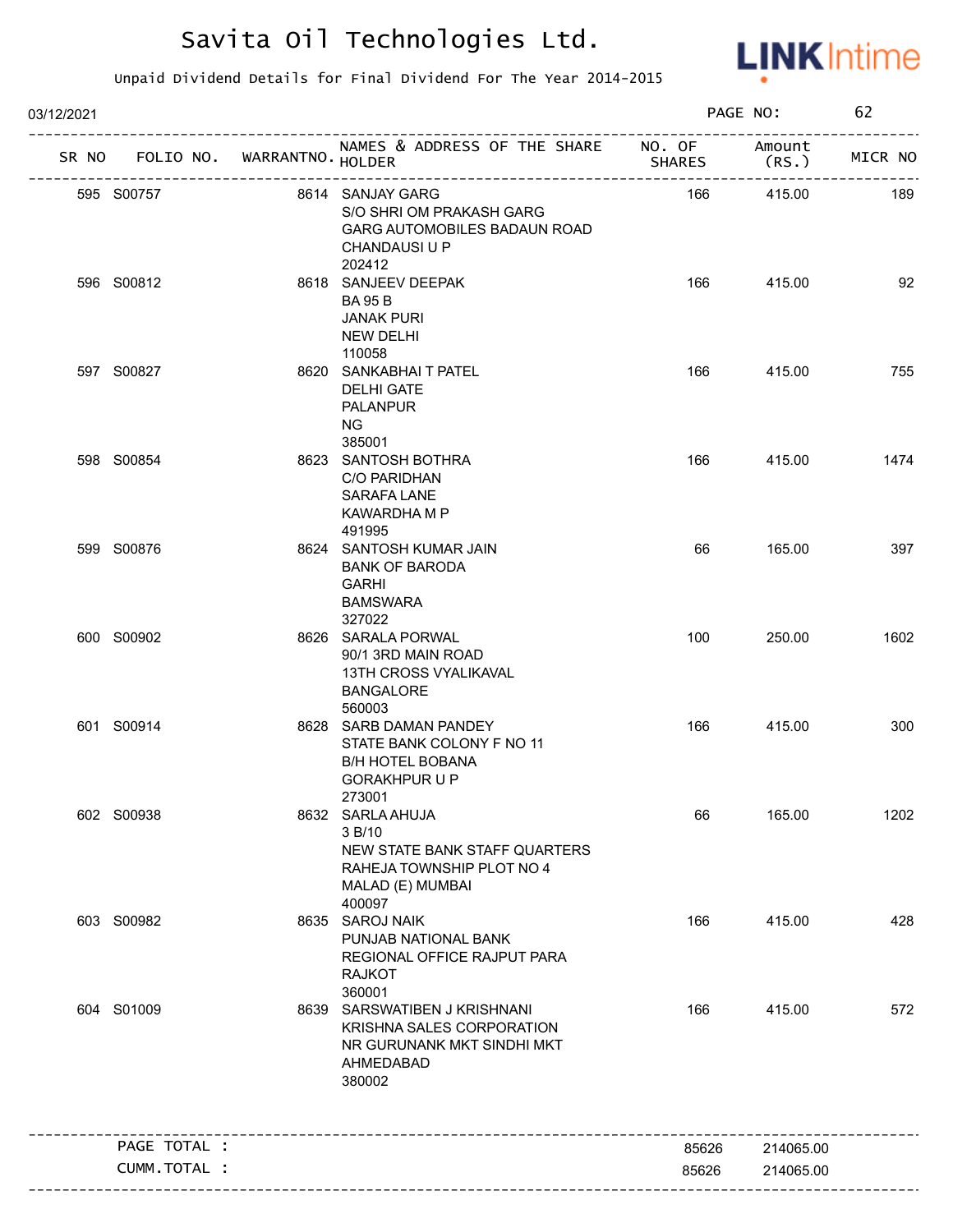

| 03/12/2021 |                                   |                                                                                                                        |               | PAGE NO:                           | 62      |
|------------|-----------------------------------|------------------------------------------------------------------------------------------------------------------------|---------------|------------------------------------|---------|
|            | SR NO FOLIO NO. WARRANTNO. HOLDER | NAMES & ADDRESS OF THE SHARE NO. OF Amount                                                                             | <b>SHARES</b> | (RS.)                              | MICR NO |
|            | 595 S00757                        | 8614 SANJAY GARG<br>S/O SHRI OM PRAKASH GARG<br>GARG AUTOMOBILES BADAUN ROAD<br><b>CHANDAUSI U P</b>                   | 166           | ------------------------<br>415.00 | 189     |
|            | 596 S00812                        | 202412<br>8618 SANJEEV DEEPAK<br><b>BA 95 B</b><br><b>JANAK PURI</b><br>NEW DELHI<br>110058                            | 166           | 415.00                             | 92      |
|            | 597 S00827                        | 8620 SANKABHAI T PATEL<br><b>DELHI GATE</b><br><b>PALANPUR</b><br>NG .<br>385001                                       | 166           | 415.00                             | 755     |
|            | 598 S00854                        | 8623 SANTOSH BOTHRA<br>C/O PARIDHAN<br><b>SARAFA LANE</b><br>KAWARDHA M P<br>491995                                    | 166           | 415.00                             | 1474    |
|            | 599 S00876                        | 8624 SANTOSH KUMAR JAIN<br><b>BANK OF BARODA</b><br>GARHI<br><b>BAMSWARA</b><br>327022                                 | 66            | 165.00                             | 397     |
|            | 600 S00902                        | 8626 SARALA PORWAL<br>90/1 3RD MAIN ROAD<br><b>13TH CROSS VYALIKAVAL</b><br><b>BANGALORE</b><br>560003                 | 100           | 250.00                             | 1602    |
|            | 601 S00914                        | 8628 SARB DAMAN PANDEY<br>STATE BANK COLONY F NO 11<br><b>B/H HOTEL BOBANA</b><br><b>GORAKHPUR U P</b><br>273001       | 166           | 415.00                             | 300     |
|            | 602 S00938                        | 8632 SARLA AHUJA<br>3 B/10<br>NEW STATE BANK STAFF QUARTERS<br>RAHEJA TOWNSHIP PLOT NO 4<br>MALAD (E) MUMBAI<br>400097 | 66            | 165.00                             | 1202    |
|            | 603 S00982                        | 8635 SAROJ NAIK<br>PUNJAB NATIONAL BANK<br>REGIONAL OFFICE RAJPUT PARA<br><b>RAJKOT</b><br>360001                      | 166           | 415.00                             | 428     |
|            | 604 S01009                        | 8639 SARSWATIBEN J KRISHNANI<br>KRISHNA SALES CORPORATION<br>NR GURUNANK MKT SINDHI MKT<br>AHMEDABAD<br>380002         | 166           | 415.00                             | 572     |
|            | PAGE TOTAL :                      |                                                                                                                        | 85626         | 214065.00                          |         |
|            | CUMM.TOTAL :                      |                                                                                                                        | 85626         | 214065.00                          |         |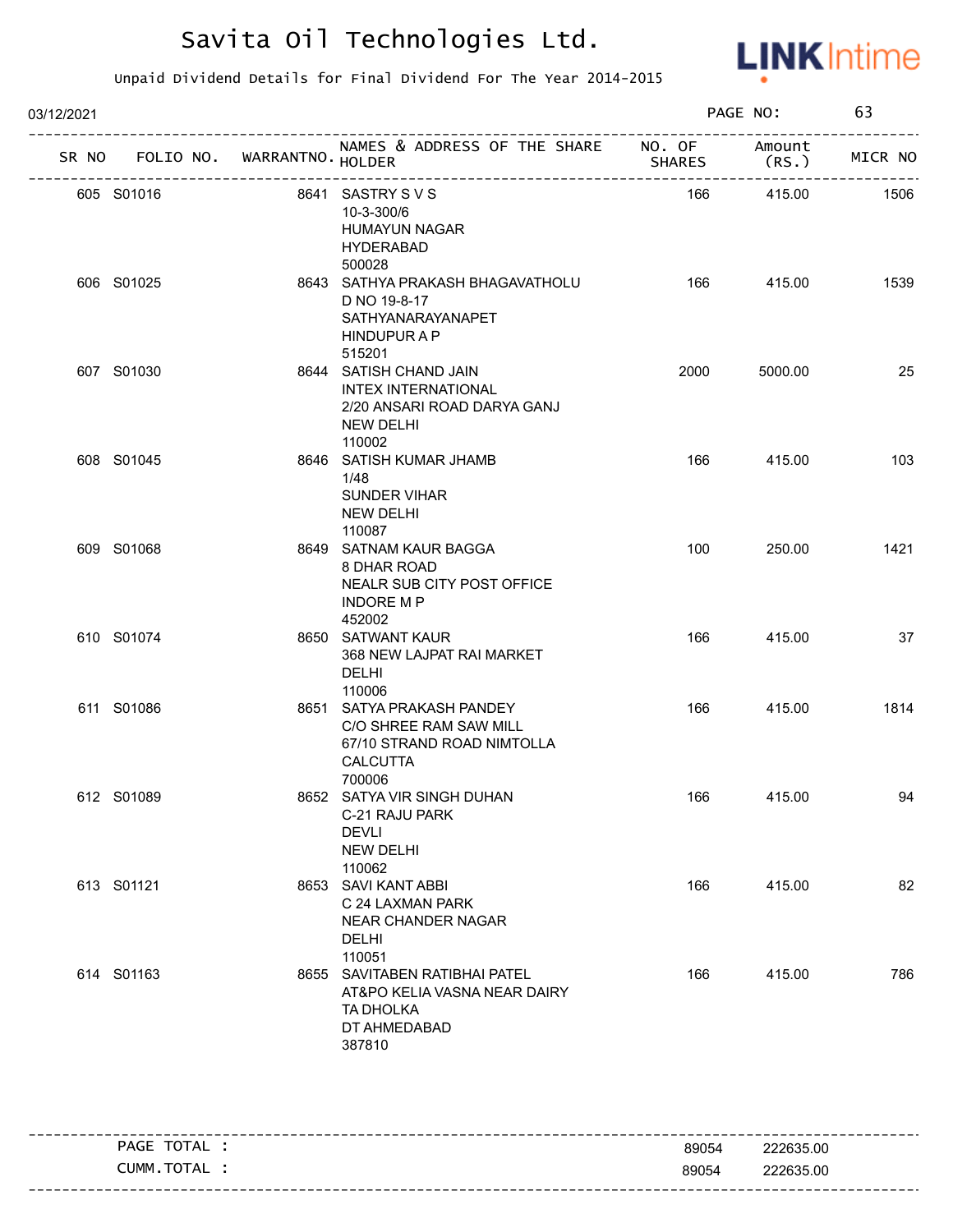

| 03/12/2021 |                                   |                                                                                                                   |               | PAGE NO: | 63      |
|------------|-----------------------------------|-------------------------------------------------------------------------------------------------------------------|---------------|----------|---------|
|            | SR NO FOLIO NO. WARRANTNO. HOLDER | NAMES & ADDRESS OF THE SHARE NO. OF Amount                                                                        | <b>SHARES</b> | (RS.)    | MICR NO |
|            | 605 S01016                        | 8641 SASTRY SVS<br>10-3-300/6<br><b>HUMAYUN NAGAR</b><br><b>HYDERABAD</b><br>500028                               | 166           | 415.00   | 1506    |
|            | 606 S01025                        | 8643 SATHYA PRAKASH BHAGAVATHOLU<br>D NO 19-8-17<br>SATHYANARAYANAPET<br>HINDUPUR A P<br>515201                   | 166           | 415.00   | 1539    |
|            | 607 S01030                        | 8644 SATISH CHAND JAIN<br><b>INTEX INTERNATIONAL</b><br>2/20 ANSARI ROAD DARYA GANJ<br><b>NEW DELHI</b><br>110002 | 2000          | 5000.00  | 25      |
|            | 608 S01045                        | 8646 SATISH KUMAR JHAMB<br>1/48<br><b>SUNDER VIHAR</b><br>NEW DELHI<br>110087                                     | 166           | 415.00   | 103     |
|            | 609 S01068                        | 8649 SATNAM KAUR BAGGA<br>8 DHAR ROAD<br>NEALR SUB CITY POST OFFICE<br><b>INDORE MP</b><br>452002                 | 100           | 250.00   | 1421    |
|            | 610 S01074                        | 8650 SATWANT KAUR<br>368 NEW LAJPAT RAI MARKET<br><b>DELHI</b><br>110006                                          | 166           | 415.00   | 37      |
|            | 611 S01086                        | 8651 SATYA PRAKASH PANDEY<br>C/O SHREE RAM SAW MILL<br>67/10 STRAND ROAD NIMTOLLA<br><b>CALCUTTA</b><br>700006    | 166           | 415.00   | 1814    |
|            | 612 S01089                        | 8652 SATYA VIR SINGH DUHAN<br>C-21 RAJU PARK<br><b>DEVLI</b><br><b>NEW DELHI</b><br>110062                        | 166           | 415.00   | 94      |
|            | 613 S01121                        | 8653 SAVI KANT ABBI<br>C 24 LAXMAN PARK<br>NEAR CHANDER NAGAR<br><b>DELHI</b><br>110051                           | 166           | 415.00   | 82      |
|            | 614 S01163                        | 8655 SAVITABEN RATIBHAI PATEL<br>AT&PO KELIA VASNA NEAR DAIRY<br>TA DHOLKA<br>DT AHMEDABAD<br>387810              | 166           | 415.00   | 786     |

|                            |       | --------------------- |
|----------------------------|-------|-----------------------|
| $-$ TOTAL .<br>PAGE        | 89054 | 222635.00             |
| <b>TOTA</b><br>:umm<br>'AL | 89054 | 222635.00             |
|                            |       |                       |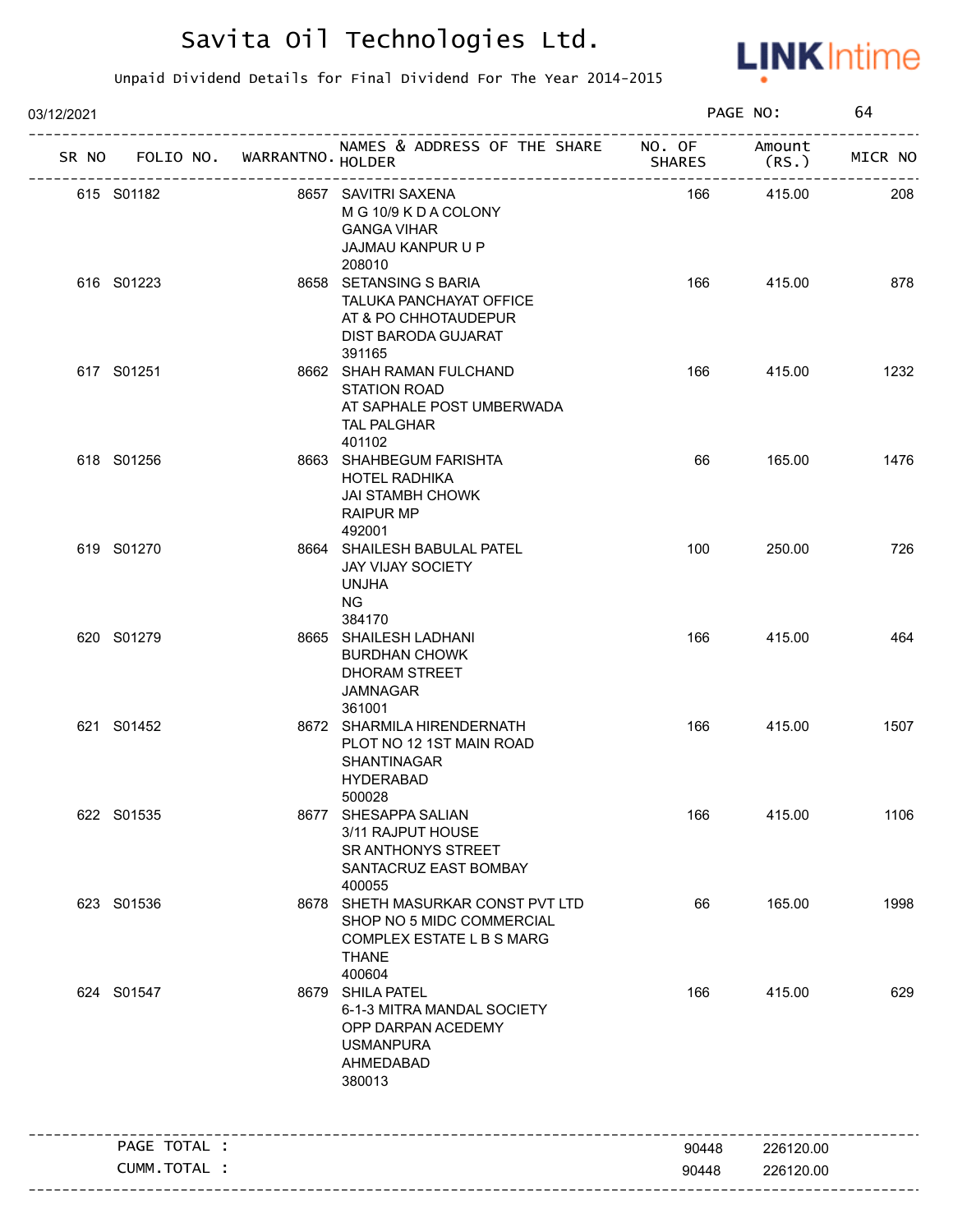

| 03/12/2021 |                                   |  |                                                                                                                       | PAGE NO:       |                        | 64      |  |
|------------|-----------------------------------|--|-----------------------------------------------------------------------------------------------------------------------|----------------|------------------------|---------|--|
|            | SR NO FOLIO NO. WARRANTNO. HOLDER |  | NAMES & ADDRESS OF THE SHARE NO. OF Amount                                                                            | <b>SHARES</b>  | (RS.)                  | MICR NO |  |
|            | 615 S01182                        |  | 8657 SAVITRI SAXENA<br>M G 10/9 K D A COLONY<br><b>GANGA VIHAR</b><br>JAJMAU KANPUR U P<br>208010                     | 166            | 415.00                 | 208     |  |
|            | 616 S01223                        |  | 8658 SETANSING S BARIA<br>TALUKA PANCHAYAT OFFICE<br>AT & PO CHHOTAUDEPUR<br>DIST BARODA GUJARAT<br>391165            | 166            | 415.00                 | 878     |  |
|            | 617 S01251                        |  | 8662 SHAH RAMAN FULCHAND<br><b>STATION ROAD</b><br>AT SAPHALE POST UMBERWADA<br><b>TAL PALGHAR</b><br>401102          | 166            | 415.00                 | 1232    |  |
|            | 618 S01256                        |  | 8663 SHAHBEGUM FARISHTA<br><b>HOTEL RADHIKA</b><br><b>JAI STAMBH CHOWK</b><br><b>RAIPUR MP</b><br>492001              | 66             | 165.00                 | 1476    |  |
|            | 619 S01270                        |  | 8664 SHAILESH BABULAL PATEL<br><b>JAY VIJAY SOCIETY</b><br>UNJHA<br>NG.<br>384170                                     | 100            | 250.00                 | 726     |  |
|            | 620 S01279                        |  | 8665 SHAILESH LADHANI<br><b>BURDHAN CHOWK</b><br>DHORAM STREET<br><b>JAMNAGAR</b><br>361001                           | 166            | 415.00                 | 464     |  |
|            | 621 S01452                        |  | 8672 SHARMILA HIRENDERNATH<br>PLOT NO 12 1ST MAIN ROAD<br>SHANTINAGAR<br><b>HYDERABAD</b><br>500028                   | 166            | 415.00                 | 1507    |  |
|            | 622 S01535                        |  | 8677 SHESAPPA SALIAN<br>3/11 RAJPUT HOUSE<br><b>SR ANTHONYS STREET</b><br>SANTACRUZ EAST BOMBAY<br>400055             | 166            | 415.00                 | 1106    |  |
|            | 623 S01536                        |  | 8678 SHETH MASURKAR CONST PVT LTD<br>SHOP NO 5 MIDC COMMERCIAL<br>COMPLEX ESTATE L B S MARG<br><b>THANE</b><br>400604 | 66             | 165.00                 | 1998    |  |
|            | 624 S01547                        |  | 8679 SHILA PATEL<br>6-1-3 MITRA MANDAL SOCIETY<br>OPP DARPAN ACEDEMY<br><b>USMANPURA</b><br>AHMEDABAD<br>380013       | 166            | 415.00                 | 629     |  |
|            | PAGE TOTAL :                      |  |                                                                                                                       |                |                        |         |  |
|            | CUMM.TOTAL :                      |  |                                                                                                                       | 90448<br>90448 | 226120.00<br>226120.00 |         |  |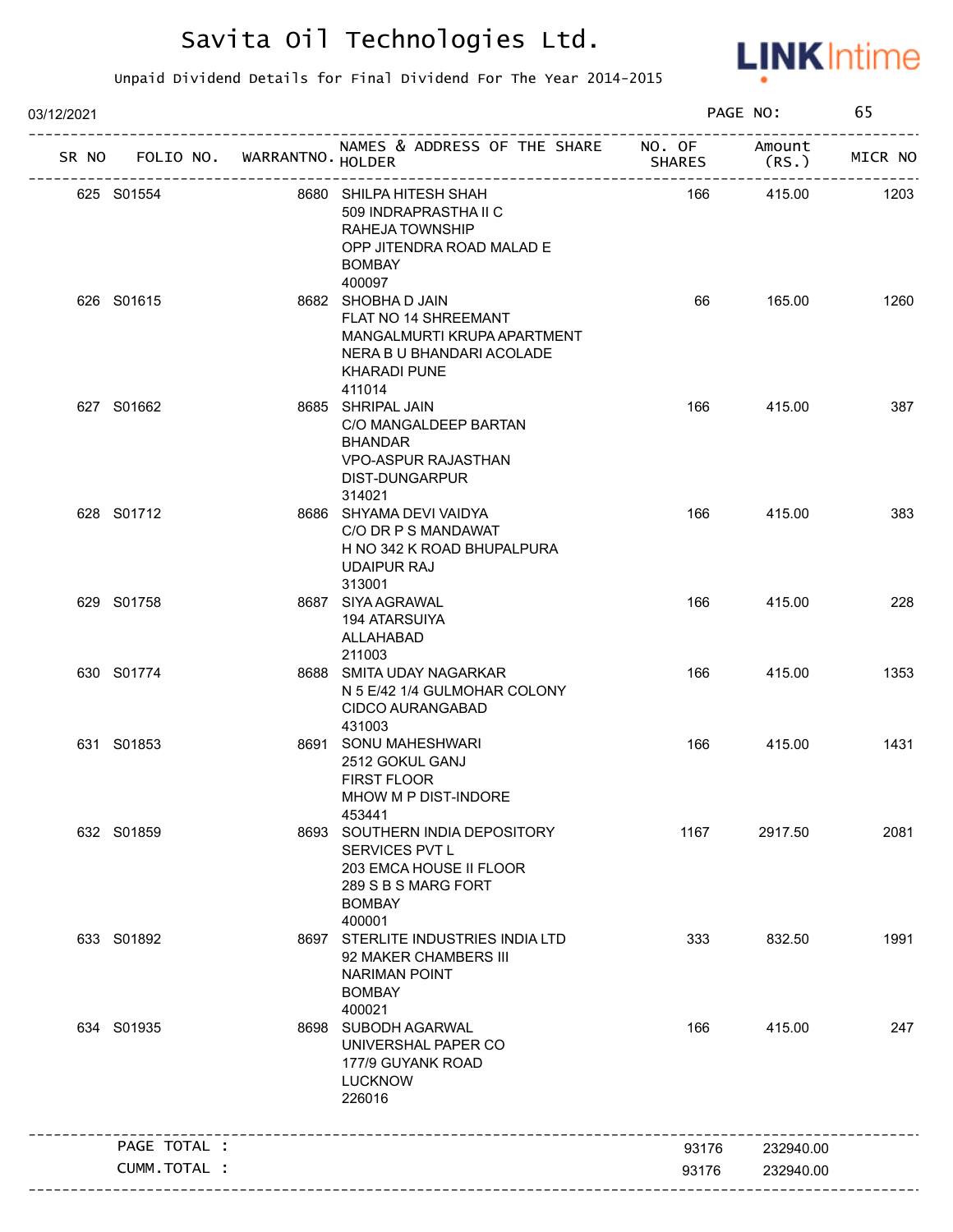

| 03/12/2021 |                                   |                                                                                                                                                   |               | PAGE NO:  | 65      |
|------------|-----------------------------------|---------------------------------------------------------------------------------------------------------------------------------------------------|---------------|-----------|---------|
|            | SR NO FOLIO NO. WARRANTNO. HOLDER | NAMES & ADDRESS OF THE SHARE NO. OF Amount                                                                                                        | <b>SHARES</b> | (RS.)     | MICR NO |
|            | 625 S01554                        | 8680 SHILPA HITESH SHAH<br>509 INDRAPRASTHA II C<br>RAHEJA TOWNSHIP<br>OPP JITENDRA ROAD MALAD E<br><b>BOMBAY</b>                                 | 166           | 415.00    | 1203    |
|            | 626 S01615                        | 400097<br>8682 SHOBHA D JAIN<br>FLAT NO 14 SHREEMANT<br>MANGALMURTI KRUPA APARTMENT<br>NERA B U BHANDARI ACOLADE<br><b>KHARADI PUNE</b><br>411014 | 66            | 165.00    | 1260    |
|            | 627 S01662                        | 8685 SHRIPAL JAIN<br>C/O MANGALDEEP BARTAN<br><b>BHANDAR</b><br><b>VPO-ASPUR RAJASTHAN</b><br>DIST-DUNGARPUR<br>314021                            | 166           | 415.00    | 387     |
|            | 628 S01712                        | 8686 SHYAMA DEVI VAIDYA<br>C/O DR P S MANDAWAT<br>H NO 342 K ROAD BHUPALPURA<br><b>UDAIPUR RAJ</b><br>313001                                      | 166           | 415.00    | 383     |
|            | 629 S01758                        | 8687 SIYA AGRAWAL<br>194 ATARSUIYA<br>ALLAHABAD<br>211003                                                                                         | 166           | 415.00    | 228     |
|            | 630 S01774                        | 8688 SMITA UDAY NAGARKAR<br>N 5 E/42 1/4 GULMOHAR COLONY<br>CIDCO AURANGABAD<br>431003                                                            | 166           | 415.00    | 1353    |
|            | 631 S01853                        | 8691 SONU MAHESHWARI<br>2512 GOKUL GANJ<br><b>FIRST FLOOR</b><br>MHOW M P DIST-INDORE<br>453441                                                   | 166           | 415.00    | 1431    |
|            | 632 S01859                        | 8693 SOUTHERN INDIA DEPOSITORY<br>SERVICES PVT L<br>203 EMCA HOUSE II FLOOR<br>289 S B S MARG FORT<br><b>BOMBAY</b><br>400001                     | 1167          | 2917.50   | 2081    |
|            | 633 S01892                        | 8697 STERLITE INDUSTRIES INDIA LTD<br>92 MAKER CHAMBERS III<br><b>NARIMAN POINT</b><br><b>BOMBAY</b><br>400021                                    | 333           | 832.50    | 1991    |
|            | 634 S01935                        | 8698 SUBODH AGARWAL<br>UNIVERSHAL PAPER CO<br>177/9 GUYANK ROAD<br><b>LUCKNOW</b><br>226016                                                       | 166           | 415.00    | 247     |
|            | PAGE TOTAL :                      |                                                                                                                                                   | 93176         | 232940.00 |         |
|            | CUMM.TOTAL :                      |                                                                                                                                                   | 93176         | 232940.00 |         |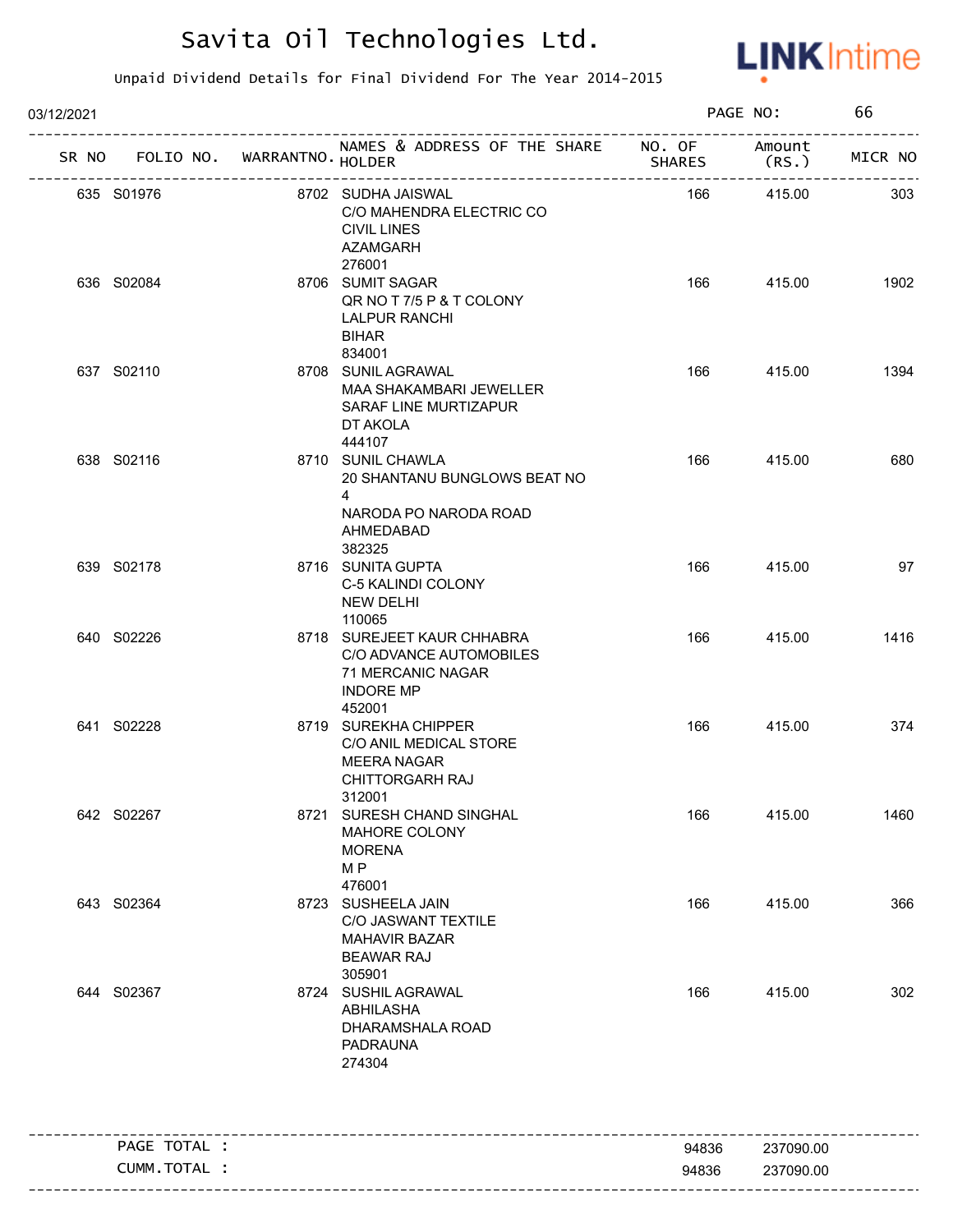

| 03/12/2021 |              |                                   | PAGE NO:                                                                                                            |               | 66             |         |
|------------|--------------|-----------------------------------|---------------------------------------------------------------------------------------------------------------------|---------------|----------------|---------|
|            |              | SR NO FOLIO NO. WARRANTNO. HOLDER | NAMES & ADDRESS OF THE SHARE NO. OF<br>____________________________                                                 | <b>SHARES</b> | Amount<br>(RS. | MICR NO |
| 635 S01976 |              |                                   | 8702 SUDHA JAISWAL<br>C/O MAHENDRA ELECTRIC CO<br><b>CIVIL LINES</b><br>AZAMGARH<br>276001                          | 166           | 415.00         | 303     |
| 636 S02084 |              |                                   | 8706 SUMIT SAGAR<br>QR NO T 7/5 P & T COLONY<br><b>LALPUR RANCHI</b><br><b>BIHAR</b><br>834001                      | 166           | 415.00         | 1902    |
| 637 S02110 |              |                                   | 8708 SUNIL AGRAWAL<br>MAA SHAKAMBARI JEWELLER<br>SARAF LINE MURTIZAPUR<br>DT AKOLA<br>444107                        | 166           | 415.00         | 1394    |
| 638 S02116 |              |                                   | 8710 SUNIL CHAWLA<br>20 SHANTANU BUNGLOWS BEAT NO<br>$\overline{4}$<br>NARODA PO NARODA ROAD<br>AHMEDABAD<br>382325 | 166           | 415.00         | 680     |
| 639 S02178 |              |                                   | 8716 SUNITA GUPTA<br>C-5 KALINDI COLONY<br><b>NEW DELHI</b><br>110065                                               | 166           | 415.00         | 97      |
| 640 S02226 |              |                                   | 8718 SUREJEET KAUR CHHABRA<br>C/O ADVANCE AUTOMOBILES<br>71 MERCANIC NAGAR<br><b>INDORE MP</b><br>452001            | 166           | 415.00         | 1416    |
| 641 S02228 |              |                                   | 8719 SUREKHA CHIPPER<br>C/O ANIL MEDICAL STORE<br><b>MEERA NAGAR</b><br><b>CHITTORGARH RAJ</b><br>312001            | 166           | 415.00         | 374     |
| 642 S02267 |              |                                   | 8721 SURESH CHAND SINGHAL<br>MAHORE COLONY<br><b>MORENA</b><br>M <sub>P</sub><br>476001                             | 166           | 415.00         | 1460    |
| 643 S02364 |              |                                   | 8723 SUSHEELA JAIN<br>C/O JASWANT TEXTILE<br><b>MAHAVIR BAZAR</b><br><b>BEAWAR RAJ</b><br>305901                    | 166           | 415.00         | 366     |
| 644 S02367 |              |                                   | 8724 SUSHIL AGRAWAL<br>ABHILASHA<br>DHARAMSHALA ROAD<br><b>PADRAUNA</b><br>274304                                   | 166           | 415.00         | 302     |
|            | PAGE TOTAL : |                                   |                                                                                                                     | 94836         | 237090.00      |         |
|            | CUMM.TOTAL : |                                   |                                                                                                                     | 94836         | 237090.00      |         |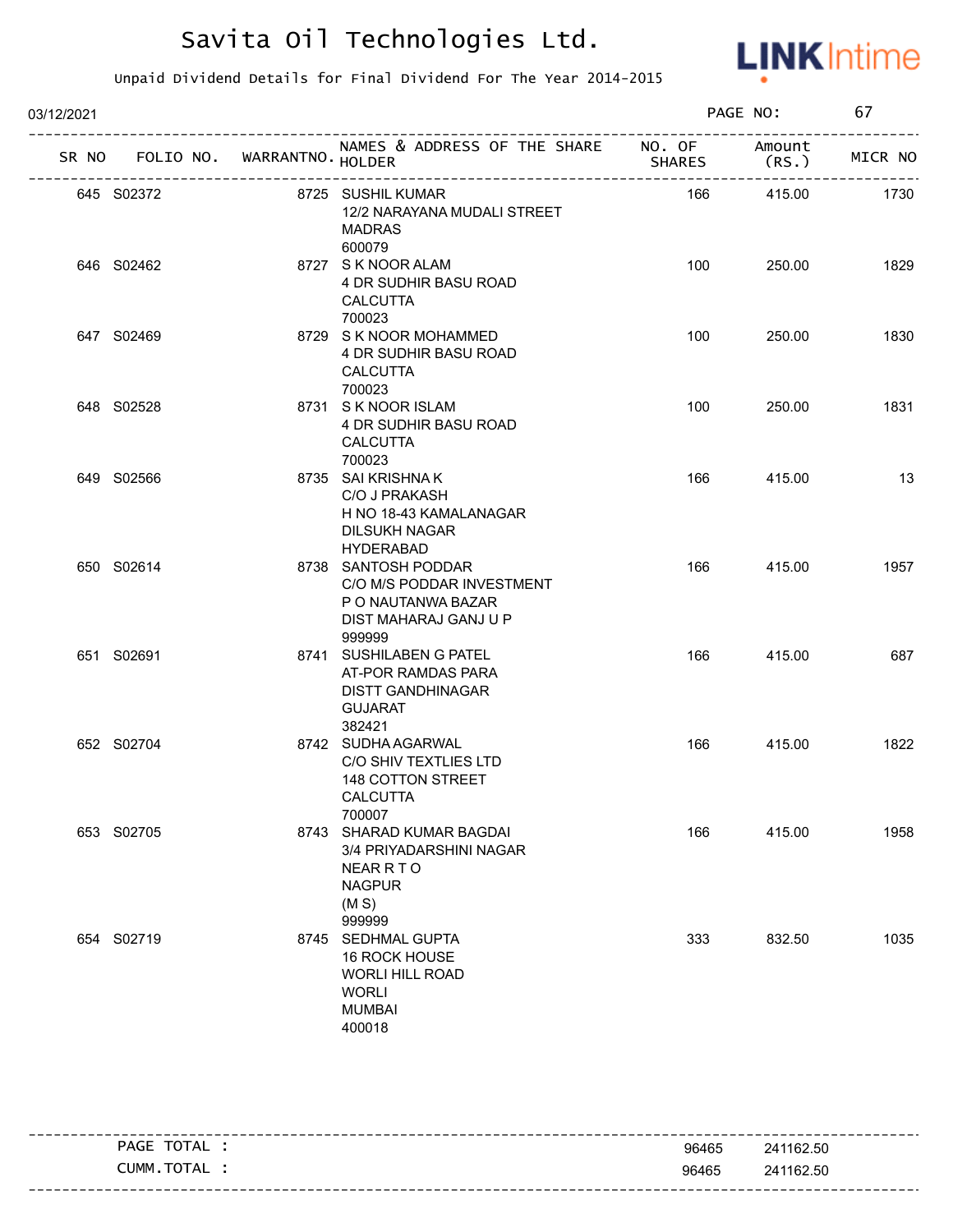

| 03/12/2021 |                                   |                                                                                                              |               | PAGE NO:       | 67      |
|------------|-----------------------------------|--------------------------------------------------------------------------------------------------------------|---------------|----------------|---------|
|            | SR NO FOLIO NO. WARRANTNO. HOLDER | NAMES & ADDRESS OF THE SHARE NO. OF                                                                          | <b>SHARES</b> | Amount<br>(RS. | MICR NO |
|            | 645 S02372                        | 8725 SUSHIL KUMAR<br>12/2 NARAYANA MUDALI STREET<br><b>MADRAS</b><br>600079                                  | 166           | 415.00         | 1730    |
|            | 646 S02462                        | 8727 S K NOOR ALAM<br>4 DR SUDHIR BASU ROAD<br><b>CALCUTTA</b><br>700023                                     | 100           | 250.00         | 1829    |
|            | 647 S02469                        | 8729 S K NOOR MOHAMMED<br>4 DR SUDHIR BASU ROAD<br><b>CALCUTTA</b><br>700023                                 | 100           | 250.00         | 1830    |
|            | 648 S02528                        | 8731 S K NOOR ISLAM<br>4 DR SUDHIR BASU ROAD<br><b>CALCUTTA</b><br>700023                                    | 100           | 250.00         | 1831    |
|            | 649 S02566                        | 8735 SAI KRISHNA K<br>C/O J PRAKASH<br>H NO 18-43 KAMALANAGAR<br><b>DILSUKH NAGAR</b><br><b>HYDERABAD</b>    | 166           | 415.00         | 13      |
|            | 650 S02614                        | 8738 SANTOSH PODDAR<br>C/O M/S PODDAR INVESTMENT<br>P O NAUTANWA BAZAR<br>DIST MAHARAJ GANJ U P<br>999999    | 166           | 415.00         | 1957    |
|            | 651 S02691                        | 8741 SUSHILABEN G PATEL<br>AT-POR RAMDAS PARA<br><b>DISTT GANDHINAGAR</b><br><b>GUJARAT</b><br>382421        | 166           | 415.00         | 687     |
|            | 652 S02704                        | 8742 SUDHA AGARWAL<br>C/O SHIV TEXTLIES LTD<br>148 COTTON STREET<br>CALCUTTA<br>700007                       | 166           | 415.00         | 1822    |
|            | 653 S02705                        | 8743 SHARAD KUMAR BAGDAI<br>3/4 PRIYADARSHINI NAGAR<br><b>NEAR R T O</b><br><b>NAGPUR</b><br>(M S)<br>999999 | 166           | 415.00         | 1958    |
|            | 654 S02719                        | 8745 SEDHMAL GUPTA<br>16 ROCK HOUSE<br><b>WORLI HILL ROAD</b><br><b>WORLI</b><br><b>MUMBAI</b><br>400018     | 333           | 832.50         | 1035    |

| TOTAL<br>PAGE | 96465 | 241162.50 |
|---------------|-------|-----------|
| CUMM.TOTAL    | 96465 | 241162.50 |
|               |       |           |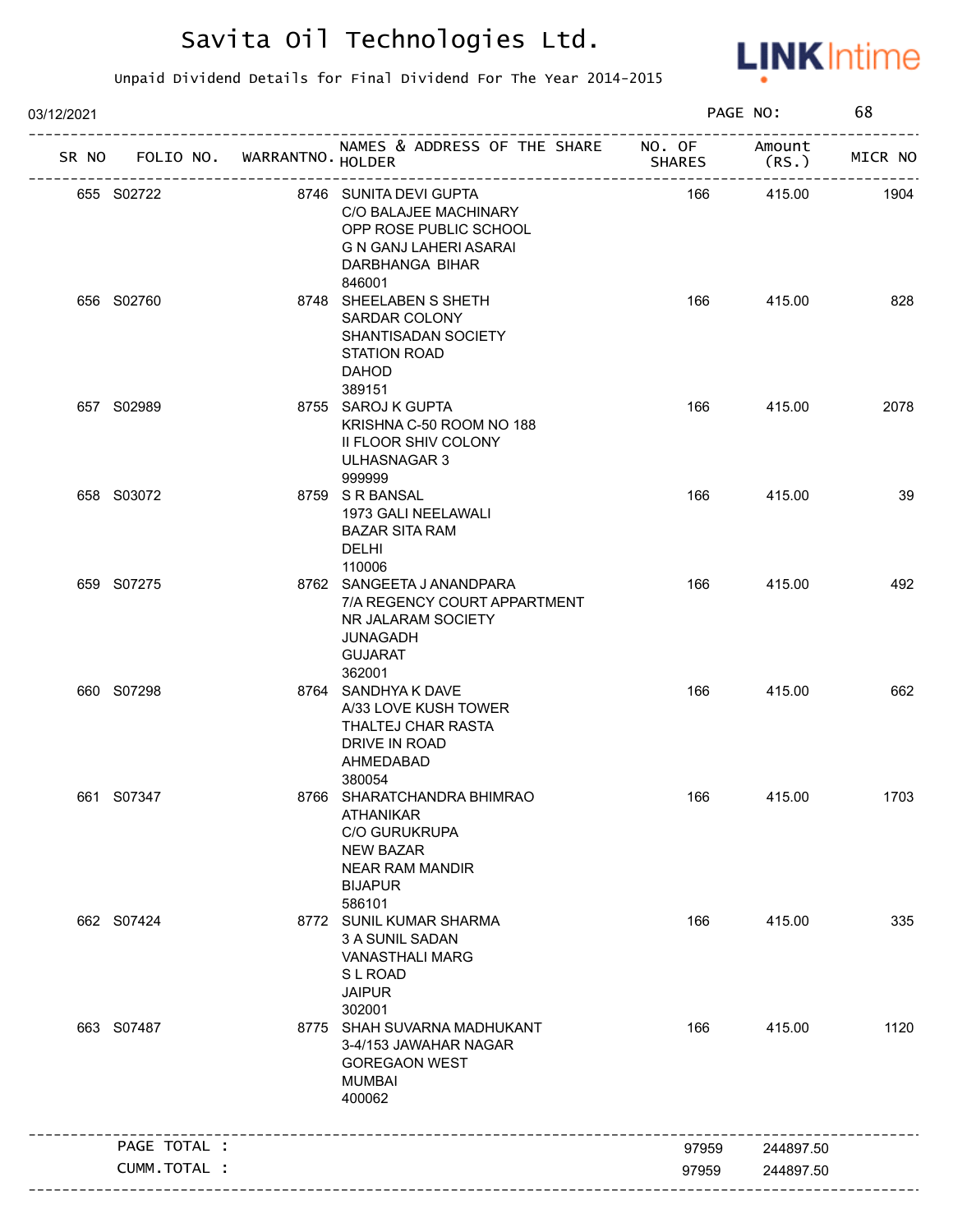

| 03/12/2021 |              |                                   |                                                                                                                                                  |               | PAGE NO:         | 68      |
|------------|--------------|-----------------------------------|--------------------------------------------------------------------------------------------------------------------------------------------------|---------------|------------------|---------|
|            |              | SR NO FOLIO NO. WARRANTNO. HOLDER | NAMES & ADDRESS OF THE SHARE NO. OF                                                                                                              | <b>SHARES</b> | Amount<br>(RS. ) | MICR NO |
|            | 655 S02722   |                                   | 8746 SUNITA DEVI GUPTA<br>C/O BALAJEE MACHINARY<br>OPP ROSE PUBLIC SCHOOL<br>G N GANJ LAHERI ASARAI<br>DARBHANGA BIHAR<br>846001                 | 166           | 415.00           | 1904    |
|            | 656 S02760   |                                   | 8748 SHEELABEN S SHETH<br>SARDAR COLONY<br>SHANTISADAN SOCIETY<br><b>STATION ROAD</b><br><b>DAHOD</b><br>389151                                  | 166           | 415.00           | 828     |
|            | 657 S02989   |                                   | 8755 SAROJ K GUPTA<br>KRISHNA C-50 ROOM NO 188<br>II FLOOR SHIV COLONY<br>ULHASNAGAR 3<br>999999                                                 | 166           | 415.00           | 2078    |
|            | 658 S03072   |                                   | 8759 S R BANSAL<br>1973 GALI NEELAWALI<br><b>BAZAR SITA RAM</b><br><b>DELHI</b><br>110006                                                        | 166           | 415.00           | 39      |
|            | 659 S07275   |                                   | 8762 SANGEETA JANANDPARA<br>7/A REGENCY COURT APPARTMENT<br>NR JALARAM SOCIETY<br>JUNAGADH<br><b>GUJARAT</b><br>362001                           | 166           | 415.00           | 492     |
|            | 660 S07298   |                                   | 8764 SANDHYA K DAVE<br>A/33 LOVE KUSH TOWER<br>THALTEJ CHAR RASTA<br>DRIVE IN ROAD<br>AHMEDABAD<br>380054                                        | 166           | 415.00           | 662     |
|            | 661 S07347   |                                   | 8766 SHARATCHANDRA BHIMRAO<br><b>ATHANIKAR</b><br><b>C/O GURUKRUPA</b><br><b>NEW BAZAR</b><br><b>NEAR RAM MANDIR</b><br><b>BIJAPUR</b><br>586101 | 166           | 415.00           | 1703    |
|            | 662 S07424   |                                   | 8772 SUNIL KUMAR SHARMA<br>3 A SUNIL SADAN<br><b>VANASTHALI MARG</b><br><b>SLROAD</b><br><b>JAIPUR</b><br>302001                                 | 166           | 415.00           | 335     |
|            | 663 S07487   |                                   | 8775 SHAH SUVARNA MADHUKANT<br>3-4/153 JAWAHAR NAGAR<br><b>GOREGAON WEST</b><br><b>MUMBAI</b><br>400062                                          | 166           | 415.00           | 1120    |
|            | PAGE TOTAL : |                                   |                                                                                                                                                  | 97959         | 244897.50        |         |
|            | CUMM.TOTAL : |                                   |                                                                                                                                                  | 97959         | 244897.50        |         |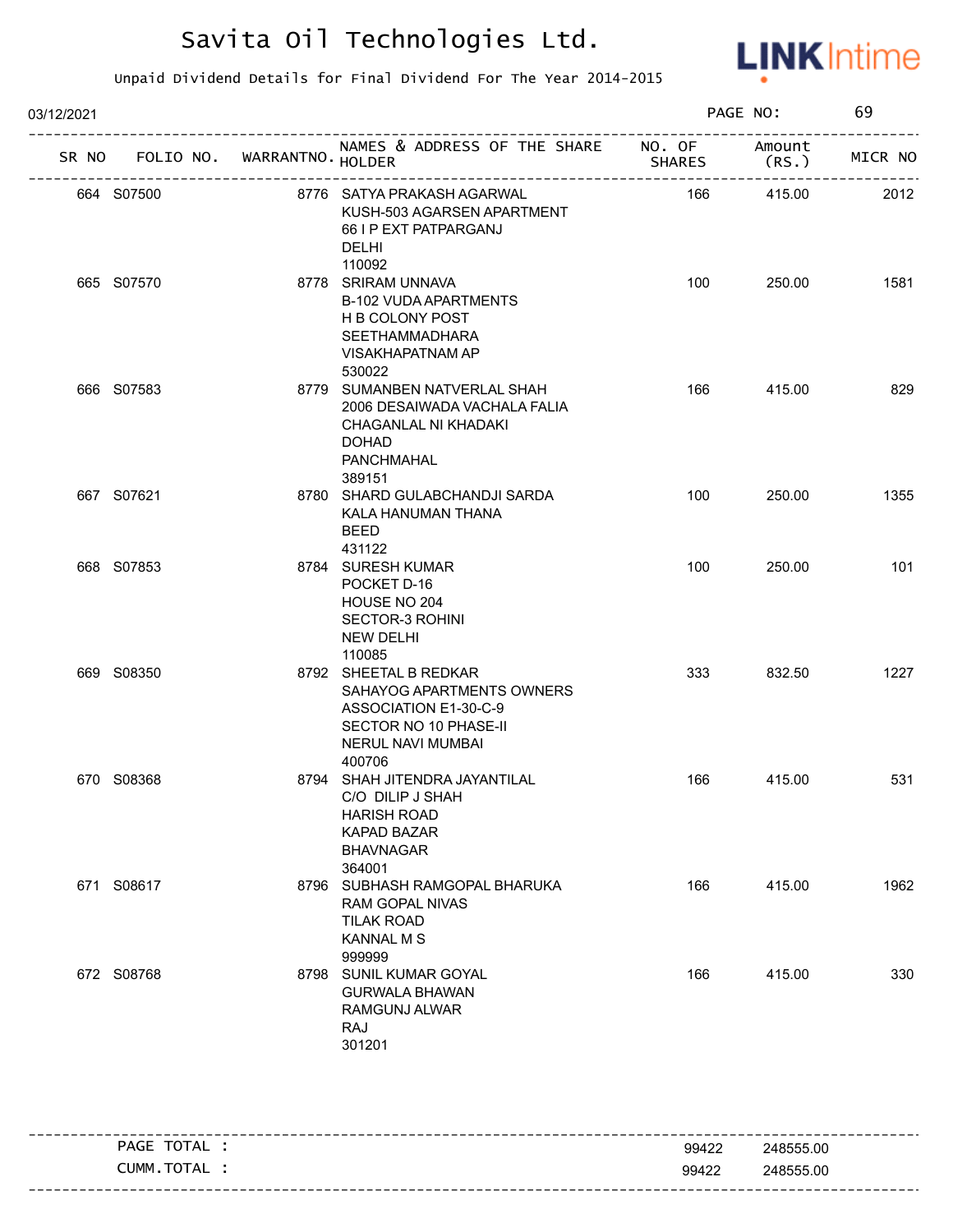

| 03/12/2021 |                                   |  |                                                                                                                                     |               | PAGE NO:        |         |
|------------|-----------------------------------|--|-------------------------------------------------------------------------------------------------------------------------------------|---------------|-----------------|---------|
|            | SR NO FOLIO NO. WARRANTNO. HOLDER |  | NAMES & ADDRESS OF THE SHARE NO. OF                                                                                                 | <b>SHARES</b> | Amount<br>(RS.) | MICR NO |
|            | 664 S07500                        |  | 8776 SATYA PRAKASH AGARWAL<br>KUSH-503 AGARSEN APARTMENT<br>66 I P EXT PATPARGANJ<br><b>DELHI</b><br>110092                         | 166           | 415.00          | 2012    |
|            | 665 S07570                        |  | 8778 SRIRAM UNNAVA<br><b>B-102 VUDA APARTMENTS</b><br>H B COLONY POST<br><b>SEETHAMMADHARA</b><br><b>VISAKHAPATNAM AP</b><br>530022 | 100           | 250.00          | 1581    |
|            | 666 S07583                        |  | 8779 SUMANBEN NATVERLAL SHAH<br>2006 DESAIWADA VACHALA FALIA<br>CHAGANLAL NI KHADAKI<br><b>DOHAD</b><br>PANCHMAHAL<br>389151        | 166           | 415.00          | 829     |
|            | 667 S07621                        |  | 8780 SHARD GULABCHANDJI SARDA<br>KALA HANUMAN THANA<br><b>BEED</b><br>431122                                                        | 100           | 250.00          | 1355    |
|            | 668 S07853                        |  | 8784 SURESH KUMAR<br>POCKET D-16<br>HOUSE NO 204<br><b>SECTOR-3 ROHINI</b><br><b>NEW DELHI</b><br>110085                            | 100           | 250.00          | 101     |
|            | 669 S08350                        |  | 8792 SHEETAL B REDKAR<br>SAHAYOG APARTMENTS OWNERS<br>ASSOCIATION E1-30-C-9<br>SECTOR NO 10 PHASE-II<br>NERUL NAVI MUMBAI<br>400706 | 333           | 832.50          | 1227    |
|            | 670 S08368                        |  | 8794 SHAH JITENDRA JAYANTILAL<br>C/O DILIP J SHAH<br><b>HARISH ROAD</b><br>KAPAD BAZAR<br><b>BHAVNAGAR</b><br>364001                | 166           | 415.00          | 531     |
|            | 671 S08617                        |  | 8796 SUBHASH RAMGOPAL BHARUKA<br>RAM GOPAL NIVAS<br><b>TILAK ROAD</b><br><b>KANNAL M S</b><br>999999                                | 166           | 415.00          | 1962    |
|            | 672 S08768                        |  | 8798 SUNIL KUMAR GOYAL<br><b>GURWALA BHAWAN</b><br>RAMGUNJ ALWAR<br>RAJ<br>301201                                                   | 166           | 415.00          | 330     |

| TOTA,<br><b>PAGE</b><br>ᇺ | 99422 | 248555.00 |
|---------------------------|-------|-----------|
| CUMM<br>тот<br>$ -$       | 99422 | 248555.00 |
|                           |       |           |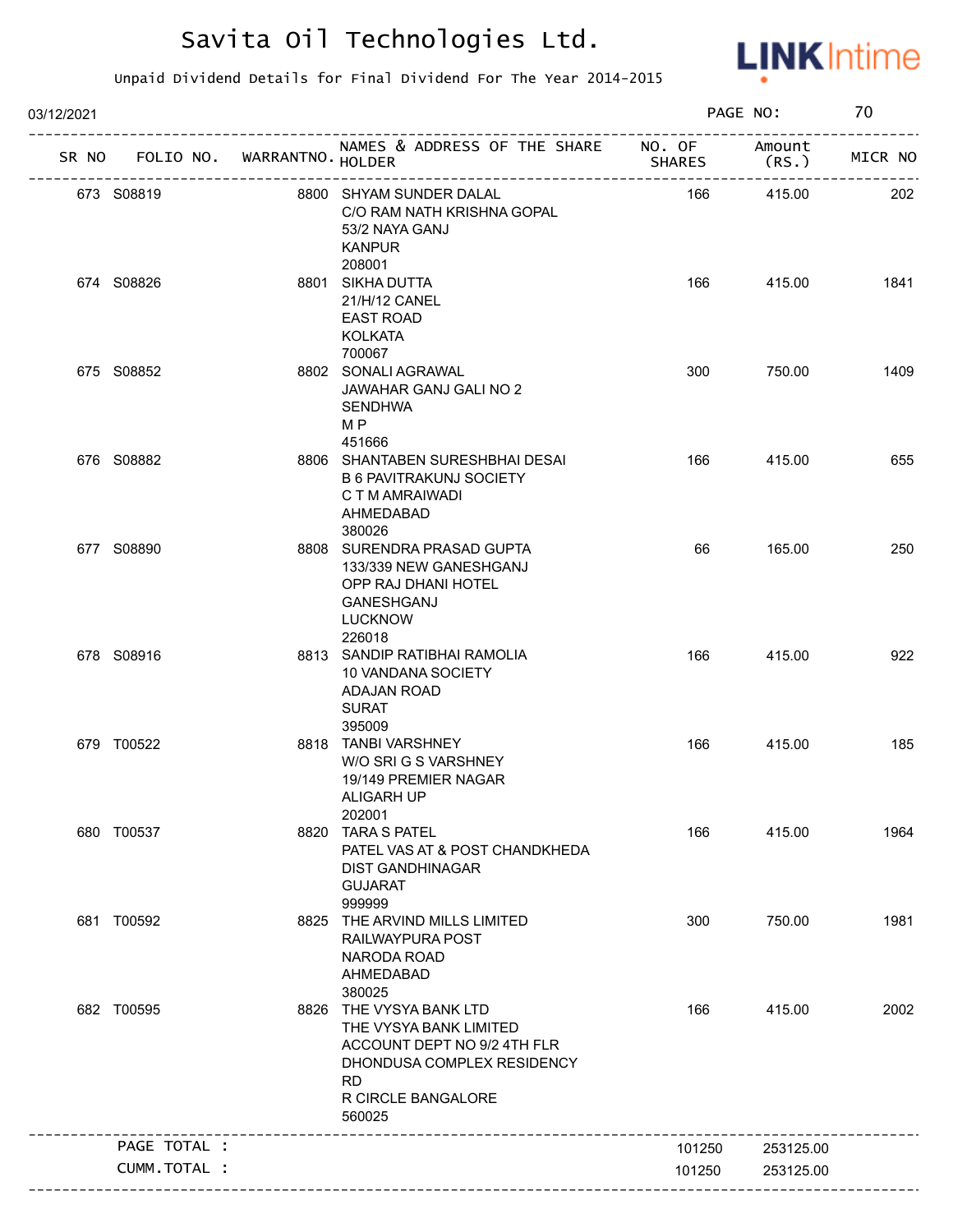

| 03/12/2021 |                                   |                                                                                                                                                             |               | PAGE NO:        | 70      |
|------------|-----------------------------------|-------------------------------------------------------------------------------------------------------------------------------------------------------------|---------------|-----------------|---------|
|            | SR NO FOLIO NO. WARRANTNO. HOLDER | NAMES & ADDRESS OF THE SHARE NO. OF<br>--------------------------                                                                                           | <b>SHARES</b> | Amount<br>(RS.) | MICR NO |
|            | 673 S08819                        | 8800 SHYAM SUNDER DALAL<br>C/O RAM NATH KRISHNA GOPAL<br>53/2 NAYA GANJ<br><b>KANPUR</b><br>208001                                                          | 166           | 415.00          | 202     |
|            | 674 S08826                        | 8801 SIKHA DUTTA<br>21/H/12 CANEL<br><b>EAST ROAD</b><br><b>KOLKATA</b><br>700067                                                                           | 166           | 415.00          | 1841    |
|            | 675 S08852                        | 8802 SONALI AGRAWAL<br>JAWAHAR GANJ GALI NO 2<br><b>SENDHWA</b><br>M <sub>P</sub><br>451666                                                                 | 300           | 750.00          | 1409    |
|            | 676 S08882                        | 8806 SHANTABEN SURESHBHAI DESAI<br><b>B 6 PAVITRAKUNJ SOCIETY</b><br>C T M AMRAIWADI<br>AHMEDABAD<br>380026                                                 | 166           | 415.00          | 655     |
|            | 677 S08890                        | 8808 SURENDRA PRASAD GUPTA<br>133/339 NEW GANESHGANJ<br>OPP RAJ DHANI HOTEL<br><b>GANESHGANJ</b><br><b>LUCKNOW</b><br>226018                                | 66            | 165.00          | 250     |
|            | 678 S08916                        | 8813 SANDIP RATIBHAI RAMOLIA<br>10 VANDANA SOCIETY<br><b>ADAJAN ROAD</b><br><b>SURAT</b>                                                                    | 166           | 415.00          | 922     |
|            | 679 T00522                        | 395009<br>8818 TANBI VARSHNEY<br>W/O SRI G S VARSHNEY<br>19/149 PREMIER NAGAR<br>ALIGARH UP<br>202001                                                       | 166           | 415.00          | 185     |
|            | 680 T00537                        | 8820 TARA S PATEL<br>PATEL VAS AT & POST CHANDKHEDA<br><b>DIST GANDHINAGAR</b><br><b>GUJARAT</b><br>999999                                                  | 166           | 415.00          | 1964    |
|            | 681 T00592                        | 8825 THE ARVIND MILLS LIMITED<br>RAILWAYPURA POST<br>NARODA ROAD<br>AHMEDABAD<br>380025                                                                     | 300           | 750.00          | 1981    |
|            | 682 T00595                        | 8826 THE VYSYA BANK LTD<br>THE VYSYA BANK LIMITED<br>ACCOUNT DEPT NO 9/2 4TH FLR<br>DHONDUSA COMPLEX RESIDENCY<br><b>RD</b><br>R CIRCLE BANGALORE<br>560025 | 166           | 415.00          | 2002    |
|            | PAGE TOTAL :                      |                                                                                                                                                             | 101250        | 253125.00       |         |
|            | CUMM.TOTAL :                      |                                                                                                                                                             | 101250        | 253125.00       |         |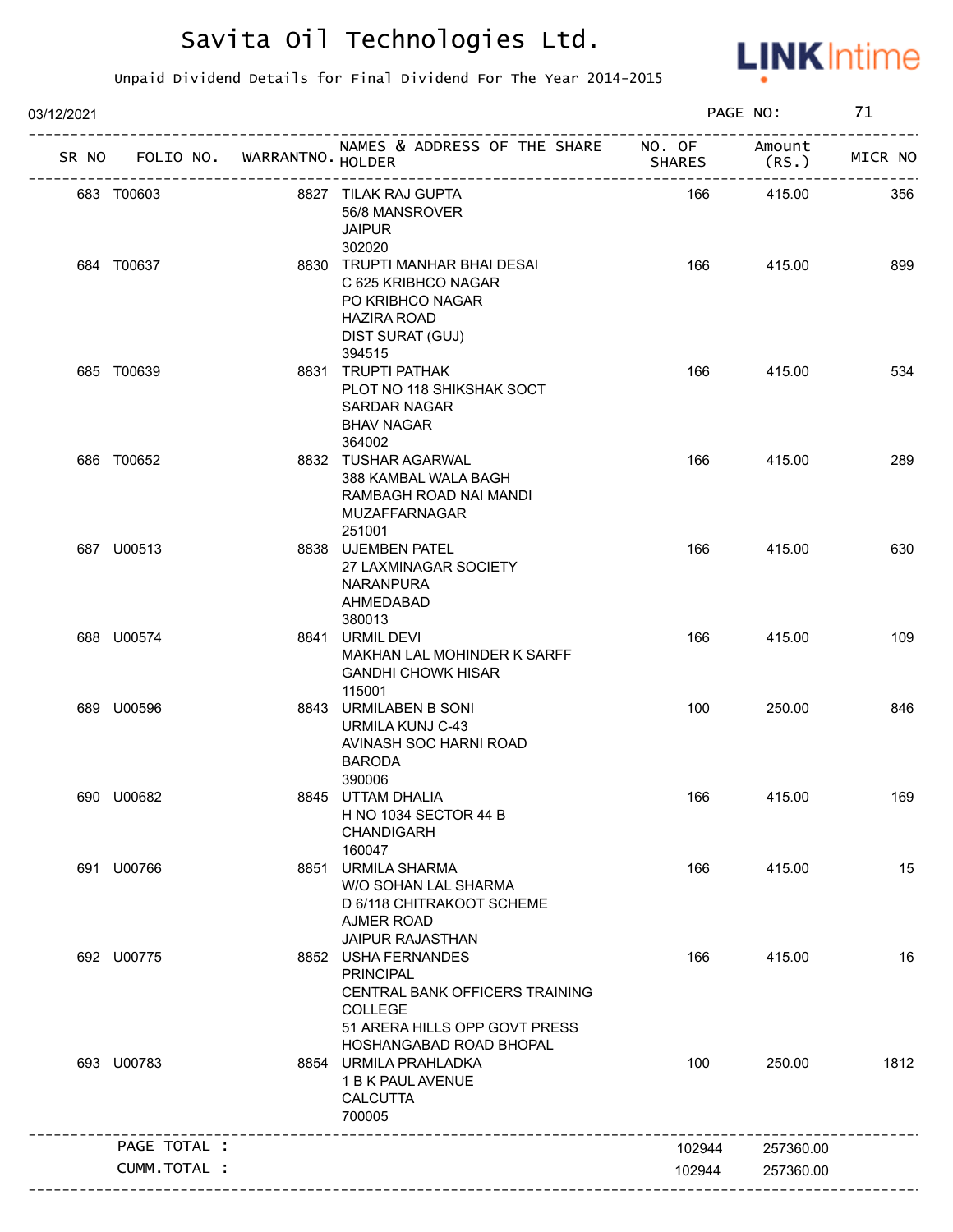

| 03/12/2021 |                                   |                                                                                                                                                  |               | PAGE NO:        | 71      |
|------------|-----------------------------------|--------------------------------------------------------------------------------------------------------------------------------------------------|---------------|-----------------|---------|
|            | SR NO FOLIO NO. WARRANTNO. HOLDER | NAMES & ADDRESS OF THE SHARE NO. OF<br>------------------------                                                                                  | <b>SHARES</b> | Amount<br>(RS.) | MICR NO |
|            | 683 T00603                        | 8827 TILAK RAJ GUPTA<br>56/8 MANSROVER<br><b>JAIPUR</b><br>302020                                                                                | 166           | 415.00          | 356     |
|            | 684 T00637                        | 8830 TRUPTI MANHAR BHAI DESAI<br>C 625 KRIBHCO NAGAR<br>PO KRIBHCO NAGAR<br><b>HAZIRA ROAD</b><br>DIST SURAT (GUJ)<br>394515                     | 166           | 415.00          | 899     |
|            | 685 T00639                        | 8831 TRUPTI PATHAK<br>PLOT NO 118 SHIKSHAK SOCT<br><b>SARDAR NAGAR</b><br><b>BHAV NAGAR</b><br>364002                                            | 166           | 415.00          | 534     |
|            | 686 T00652                        | 8832 TUSHAR AGARWAL<br>388 KAMBAL WALA BAGH<br>RAMBAGH ROAD NAI MANDI<br>MUZAFFARNAGAR<br>251001                                                 | 166           | 415.00          | 289     |
|            | 687 U00513                        | 8838 UJEMBEN PATEL<br>27 LAXMINAGAR SOCIETY<br><b>NARANPURA</b><br>AHMEDABAD<br>380013                                                           | 166           | 415.00          | 630     |
|            | 688 U00574                        | 8841 URMIL DEVI<br>MAKHAN LAL MOHINDER K SARFF<br><b>GANDHI CHOWK HISAR</b><br>115001                                                            | 166           | 415.00          | 109     |
|            | 689 U00596                        | 8843 URMILABEN B SONI<br>URMILA KUNJ C-43<br>AVINASH SOC HARNI ROAD<br><b>BARODA</b><br>390006                                                   | 100           | 250.00          | 846     |
|            | 690 U00682                        | 8845 UTTAM DHALIA<br>H NO 1034 SECTOR 44 B<br><b>CHANDIGARH</b><br>160047                                                                        | 166           | 415.00          | 169     |
|            | 691 U00766                        | 8851 URMILA SHARMA<br>W/O SOHAN LAL SHARMA<br>D 6/118 CHITRAKOOT SCHEME<br><b>AJMER ROAD</b><br><b>JAIPUR RAJASTHAN</b>                          | 166           | 415.00          | 15      |
|            | 692 U00775                        | 8852 USHA FERNANDES<br><b>PRINCIPAL</b><br>CENTRAL BANK OFFICERS TRAINING<br>COLLEGE<br>51 ARERA HILLS OPP GOVT PRESS<br>HOSHANGABAD ROAD BHOPAL | 166           | 415.00          | 16      |
|            | 693 U00783                        | 8854 URMILA PRAHLADKA<br>1 B K PAUL AVENUE<br><b>CALCUTTA</b><br>700005                                                                          | 100           | 250.00          | 1812    |
|            | PAGE TOTAL :                      |                                                                                                                                                  | 102944        | 257360.00       |         |
|            | CUMM. TOTAL :                     |                                                                                                                                                  |               |                 |         |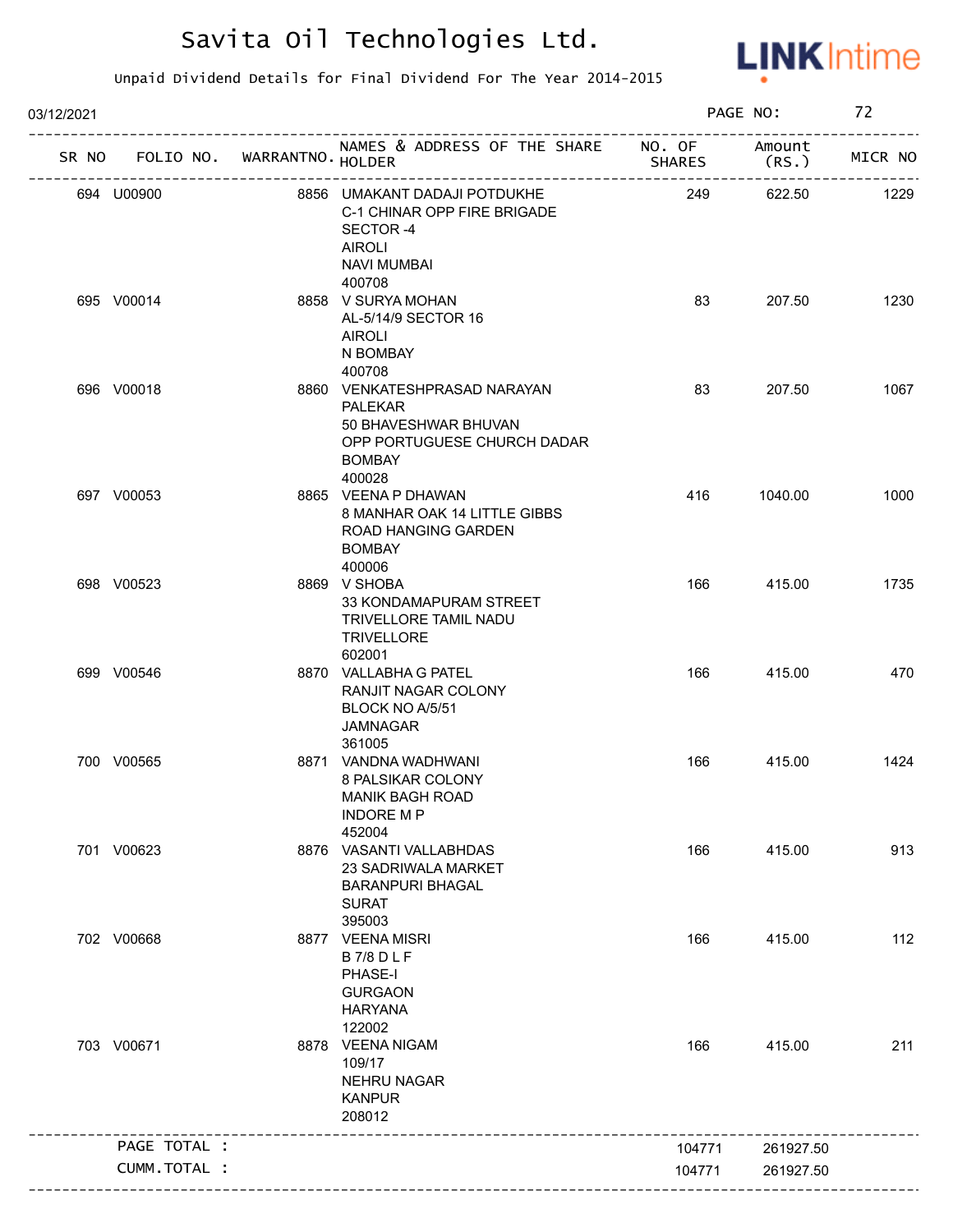

| 03/12/2021 |              |                                   |                                                                                                                                  |               | PAGE NO:        | 72      |
|------------|--------------|-----------------------------------|----------------------------------------------------------------------------------------------------------------------------------|---------------|-----------------|---------|
|            |              | SR NO FOLIO NO. WARRANTNO. HOLDER | NAMES & ADDRESS OF THE SHARE NO. OF                                                                                              | <b>SHARES</b> | Amount<br>(RS.) | MICR NO |
|            | 694 U00900   |                                   | 8856 UMAKANT DADAJI POTDUKHE<br>C-1 CHINAR OPP FIRE BRIGADE<br>SECTOR-4<br>AIROLI<br><b>NAVI MUMBAI</b>                          | 249           | 622.50          | 1229    |
|            | 695 V00014   |                                   | 400708<br>8858 V SURYA MOHAN<br>AL-5/14/9 SECTOR 16<br><b>AIROLI</b><br>N BOMBAY<br>400708                                       | 83            | 207.50          | 1230    |
|            | 696 V00018   |                                   | 8860 VENKATESHPRASAD NARAYAN<br><b>PALEKAR</b><br>50 BHAVESHWAR BHUVAN<br>OPP PORTUGUESE CHURCH DADAR<br><b>BOMBAY</b><br>400028 | 83            | 207.50          | 1067    |
|            | 697 V00053   |                                   | 8865 VEENA P DHAWAN<br>8 MANHAR OAK 14 LITTLE GIBBS<br>ROAD HANGING GARDEN<br><b>BOMBAY</b><br>400006                            | 416           | 1040.00         | 1000    |
|            | 698 V00523   |                                   | 8869 V SHOBA<br>33 KONDAMAPURAM STREET<br><b>TRIVELLORE TAMIL NADU</b><br><b>TRIVELLORE</b><br>602001                            | 166           | 415.00          | 1735    |
|            | 699 V00546   |                                   | 8870 VALLABHA G PATEL<br>RANJIT NAGAR COLONY<br>BLOCK NO A/5/51<br><b>JAMNAGAR</b><br>361005                                     | 166           | 415.00          | 470     |
|            | 700 V00565   |                                   | 8871 VANDNA WADHWANI<br>8 PALSIKAR COLONY<br>MANIK BAGH ROAD<br><b>INDORE MP</b><br>452004                                       | 166           | 415.00          | 1424    |
|            | 701 V00623   |                                   | 8876 VASANTI VALLABHDAS<br>23 SADRIWALA MARKET<br><b>BARANPURI BHAGAL</b><br><b>SURAT</b><br>395003                              | 166           | 415.00          | 913     |
|            | 702 V00668   |                                   | 8877 VEENA MISRI<br><b>B7/8DLF</b><br>PHASE-I<br><b>GURGAON</b><br><b>HARYANA</b><br>122002                                      | 166           | 415.00          | 112     |
|            | 703 V00671   |                                   | 8878 VEENA NIGAM<br>109/17<br><b>NEHRU NAGAR</b><br><b>KANPUR</b><br>208012                                                      | 166           | 415.00          | 211     |
|            | PAGE TOTAL : |                                   |                                                                                                                                  | 104771        | 261927.50       |         |
|            | CUMM.TOTAL : |                                   |                                                                                                                                  | 104771        | 261927.50       |         |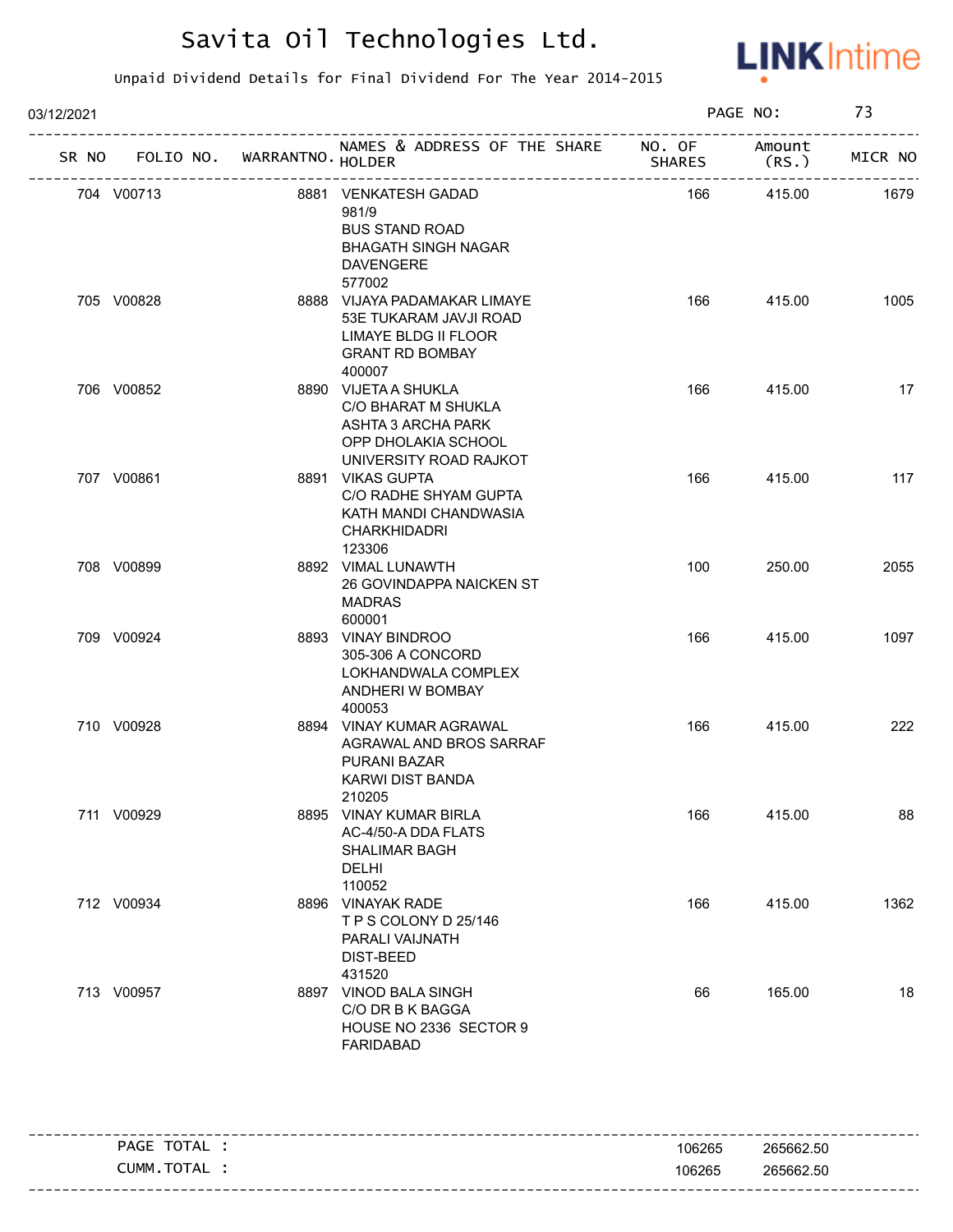

| 03/12/2021         |                   |                                                                                                                              |        | PAGE NO:                              | 73                     |
|--------------------|-------------------|------------------------------------------------------------------------------------------------------------------------------|--------|---------------------------------------|------------------------|
| FOLIO NO.<br>SR NO | WARRANTNO. HOLDER | NAMES & ADDRESS OF THE SHARE NO. OF                                                                                          | SHARES | Amount<br>(RS.<br>------------------- | -----------<br>MICR NO |
| 704 V00713         |                   | 8881 VENKATESH GADAD<br>981/9<br><b>BUS STAND ROAD</b><br><b>BHAGATH SINGH NAGAR</b><br><b>DAVENGERE</b>                     | 166    | 415.00                                | 1679                   |
| 705 V00828         |                   | 577002<br>8888 VIJAYA PADAMAKAR LIMAYE<br>53E TUKARAM JAVJI ROAD<br>LIMAYE BLDG II FLOOR<br><b>GRANT RD BOMBAY</b><br>400007 | 166    | 415.00                                | 1005                   |
| 706 V00852         |                   | 8890 VIJETA A SHUKLA<br>C/O BHARAT M SHUKLA<br>ASHTA 3 ARCHA PARK<br>OPP DHOLAKIA SCHOOL<br>UNIVERSITY ROAD RAJKOT           | 166    | 415.00                                | 17                     |
| 707 V00861         |                   | 8891 VIKAS GUPTA<br>C/O RADHE SHYAM GUPTA<br>KATH MANDI CHANDWASIA<br><b>CHARKHIDADRI</b><br>123306                          | 166    | 415.00                                | 117                    |
| 708 V00899         |                   | 8892 VIMAL LUNAWTH<br>26 GOVINDAPPA NAICKEN ST<br><b>MADRAS</b><br>600001                                                    | 100    | 250.00                                | 2055                   |
| 709 V00924         |                   | 8893 VINAY BINDROO<br>305-306 A CONCORD<br>LOKHANDWALA COMPLEX<br>ANDHERI W BOMBAY<br>400053                                 | 166    | 415.00                                | 1097                   |
| 710 V00928         |                   | 8894 VINAY KUMAR AGRAWAL<br>AGRAWAL AND BROS SARRAF<br>PURANI BAZAR<br><b>KARWI DIST BANDA</b><br>210205                     | 166    | 415.00                                | 222                    |
| 711 V00929         |                   | 8895 VINAY KUMAR BIRLA<br>AC-4/50-A DDA FLATS<br><b>SHALIMAR BAGH</b><br><b>DELHI</b><br>110052                              | 166    | 415.00                                | 88                     |
| 712 V00934         |                   | 8896 VINAYAK RADE<br>TPS COLONY D 25/146<br>PARALI VAIJNATH<br><b>DIST-BEED</b><br>431520                                    | 166    | 415.00                                | 1362                   |
| 713 V00957         |                   | 8897 VINOD BALA SINGH<br>C/O DR B K BAGGA<br>HOUSE NO 2336 SECTOR 9<br><b>FARIDABAD</b>                                      | 66     | 165.00                                | 18                     |
| PAGE TOTAL :       |                   |                                                                                                                              | 106265 | 265662.50                             |                        |
| CUMM.TOTAL :       |                   |                                                                                                                              | 106265 | 265662.50                             |                        |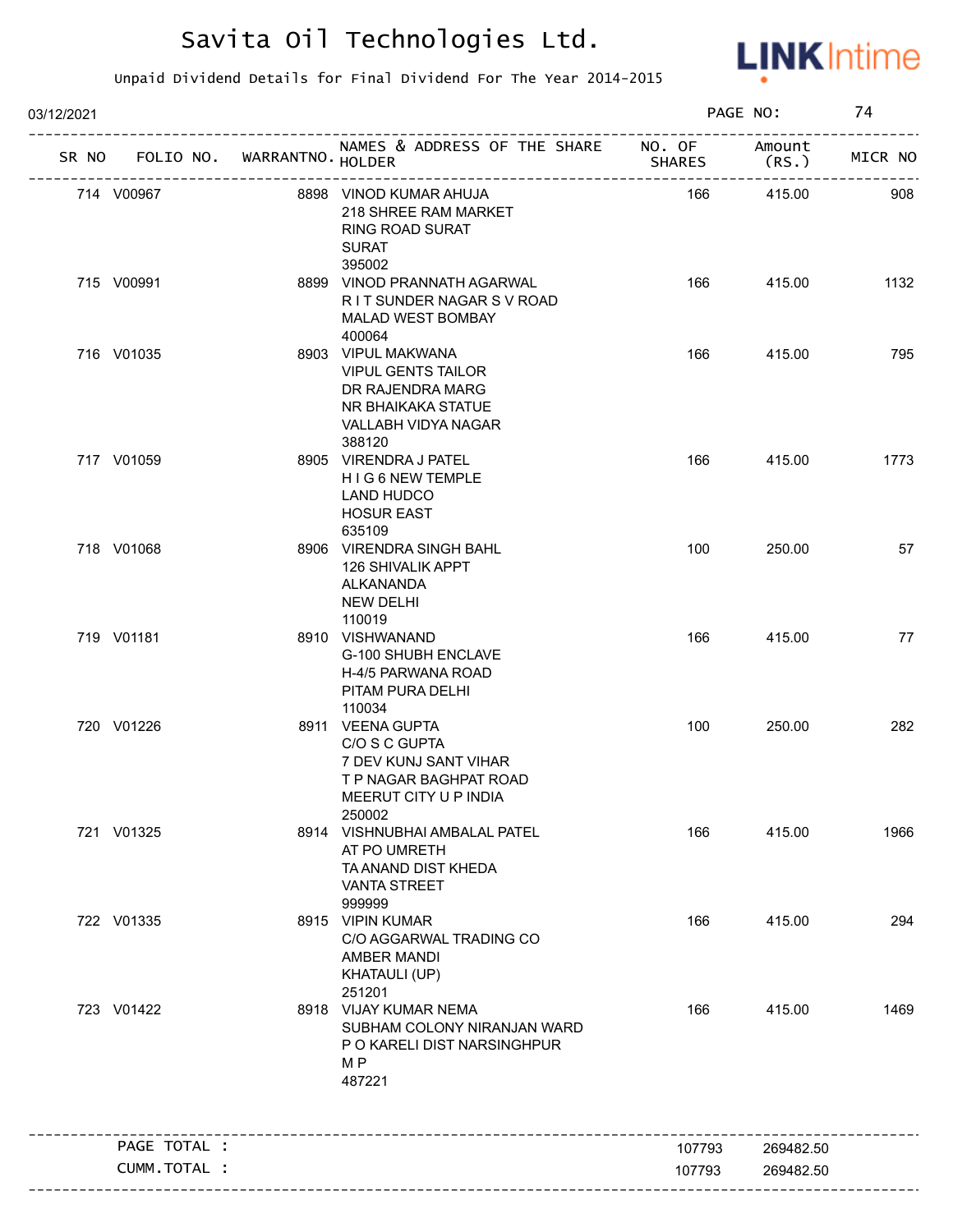

| 03/12/2021                        |                                                                                                                            |               | PAGE NO:                                | 74      |
|-----------------------------------|----------------------------------------------------------------------------------------------------------------------------|---------------|-----------------------------------------|---------|
| SR NO FOLIO NO. WARRANTNO. HOLDER | NAMES & ADDRESS OF THE SHARE NO. OF                                                                                        | <b>SHARES</b> | Amount<br>(RS.)                         | MICR NO |
| 714 V00967                        | 8898 VINOD KUMAR AHUJA<br>218 SHREE RAM MARKET<br><b>RING ROAD SURAT</b><br><b>SURAT</b><br>395002                         | 166           | -----------------------------<br>415.00 | 908     |
| 715 V00991                        | 8899 VINOD PRANNATH AGARWAL<br>R I T SUNDER NAGAR S V ROAD<br><b>MALAD WEST BOMBAY</b><br>400064                           | 166           | 415.00                                  | 1132    |
| 716 V01035                        | 8903 VIPUL MAKWANA<br><b>VIPUL GENTS TAILOR</b><br>DR RAJENDRA MARG<br>NR BHAIKAKA STATUE<br>VALLABH VIDYA NAGAR<br>388120 | 166           | 415.00                                  | 795     |
| 717 V01059                        | 8905 VIRENDRA J PATEL<br>H I G 6 NEW TEMPLE<br>LAND HUDCO<br><b>HOSUR EAST</b><br>635109                                   | 166           | 415.00                                  | 1773    |
| 718 V01068                        | 8906 VIRENDRA SINGH BAHL<br><b>126 SHIVALIK APPT</b><br>ALKANANDA<br>NEW DELHI<br>110019                                   | 100           | 250.00                                  | 57      |
| 719 V01181                        | 8910 VISHWANAND<br>G-100 SHUBH ENCLAVE<br>H-4/5 PARWANA ROAD<br>PITAM PURA DELHI<br>110034                                 | 166           | 415.00                                  | 77      |
| 720 V01226                        | 8911 VEENA GUPTA<br>C/O S C GUPTA<br>7 DEV KUNJ SANT VIHAR<br>T P NAGAR BAGHPAT ROAD<br>MEERUT CITY U P INDIA<br>250002    | 100           | 250.00                                  | 282     |
| 721 V01325                        | 8914 VISHNUBHAI AMBALAL PATEL<br>AT PO UMRETH<br>TA ANAND DIST KHEDA<br><b>VANTA STREET</b><br>999999                      | 166           | 415.00                                  | 1966    |
| 722 V01335                        | 8915 VIPIN KUMAR<br>C/O AGGARWAL TRADING CO<br>AMBER MANDI<br><b>KHATAULI (UP)</b><br>251201                               | 166           | 415.00                                  | 294     |
| 723 V01422                        | 8918 VIJAY KUMAR NEMA<br>SUBHAM COLONY NIRANJAN WARD<br>P O KARELI DIST NARSINGHPUR<br>M P<br>487221                       | 166           | 415.00                                  | 1469    |
| PAGE TOTAL :                      | ------------------------------                                                                                             | 107793        | 269482.50                               |         |
| CUMM.TOTAL :                      |                                                                                                                            | 107793        | 269482.50                               |         |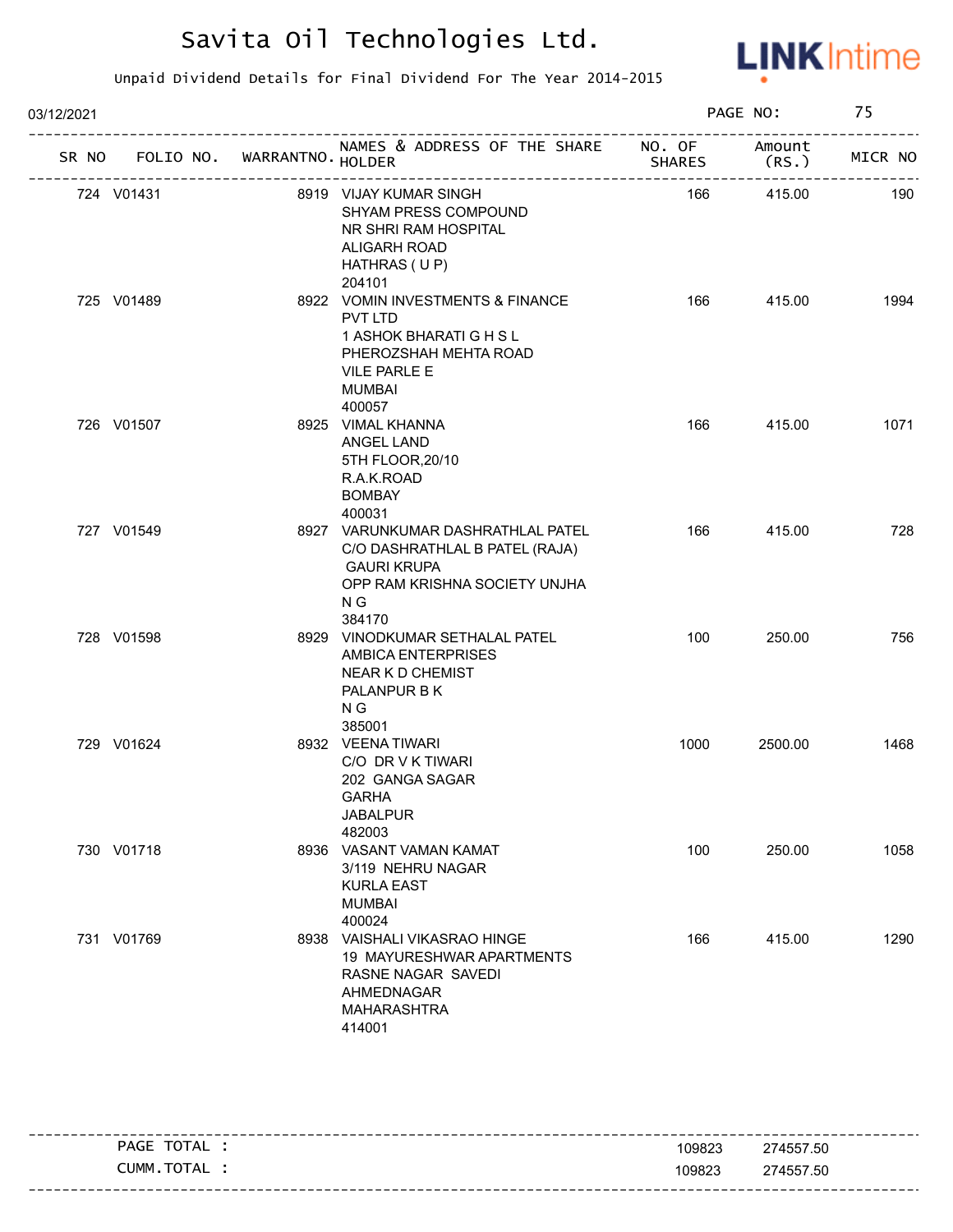

| 03/12/2021 |            |                                   |                                                                                                                                             |               | PAGE NO:        | 75      |
|------------|------------|-----------------------------------|---------------------------------------------------------------------------------------------------------------------------------------------|---------------|-----------------|---------|
|            |            | SR NO FOLIO NO. WARRANTNO. HOLDER | NAMES & ADDRESS OF THE SHARE NO. OF                                                                                                         | <b>SHARES</b> | Amount<br>(RS.) | MICR NO |
|            | 724 V01431 |                                   | 8919 VIJAY KUMAR SINGH<br>SHYAM PRESS COMPOUND<br>NR SHRI RAM HOSPITAL<br>ALIGARH ROAD<br>HATHRAS (UP)<br>204101                            | 166           | 415.00          | 190     |
|            | 725 V01489 |                                   | 8922 VOMIN INVESTMENTS & FINANCE<br>PVT LTD<br>1 ASHOK BHARATI G H S L<br>PHEROZSHAH MEHTA ROAD<br><b>VILE PARLE E</b><br>MUMBAI<br>400057  | 166           | 415.00          | 1994    |
|            | 726 V01507 |                                   | 8925 VIMAL KHANNA<br>ANGEL LAND<br>5TH FLOOR, 20/10<br>R.A.K.ROAD<br><b>BOMBAY</b><br>400031                                                | 166           | 415.00          | 1071    |
|            | 727 V01549 |                                   | 8927 VARUNKUMAR DASHRATHLAL PATEL<br>C/O DASHRATHLAL B PATEL (RAJA)<br><b>GAURI KRUPA</b><br>OPP RAM KRISHNA SOCIETY UNJHA<br>N G<br>384170 | 166           | 415.00          | 728     |
|            | 728 V01598 |                                   | 8929 VINODKUMAR SETHALAL PATEL<br><b>AMBICA ENTERPRISES</b><br><b>NEAR K D CHEMIST</b><br>PALANPUR B K<br>N G<br>385001                     | 100           | 250.00          | 756     |
|            | 729 V01624 |                                   | 8932 VEENA TIWARI<br>C/O DR V K TIWARI<br>202 GANGA SAGAR<br>GARHA<br><b>JABALPUR</b><br>482003                                             | 1000          | 2500.00         | 1468    |
|            | 730 V01718 |                                   | 8936 VASANT VAMAN KAMAT<br>3/119 NEHRU NAGAR<br><b>KURLA EAST</b><br><b>MUMBAI</b><br>400024                                                | 100           | 250.00          | 1058    |
|            | 731 V01769 |                                   | 8938 VAISHALI VIKASRAO HINGE<br>19 MAYURESHWAR APARTMENTS<br>RASNE NAGAR SAVEDI<br>AHMEDNAGAR<br>MAHARASHTRA<br>414001                      | 166           | 415.00          | 1290    |

| TOTAL<br>PAGE                | 109823 | 274557.50                |
|------------------------------|--------|--------------------------|
| <b>TOTA</b><br>_UMM<br>I AL. | 109823 | 274557.50                |
|                              |        | -------------------<br>. |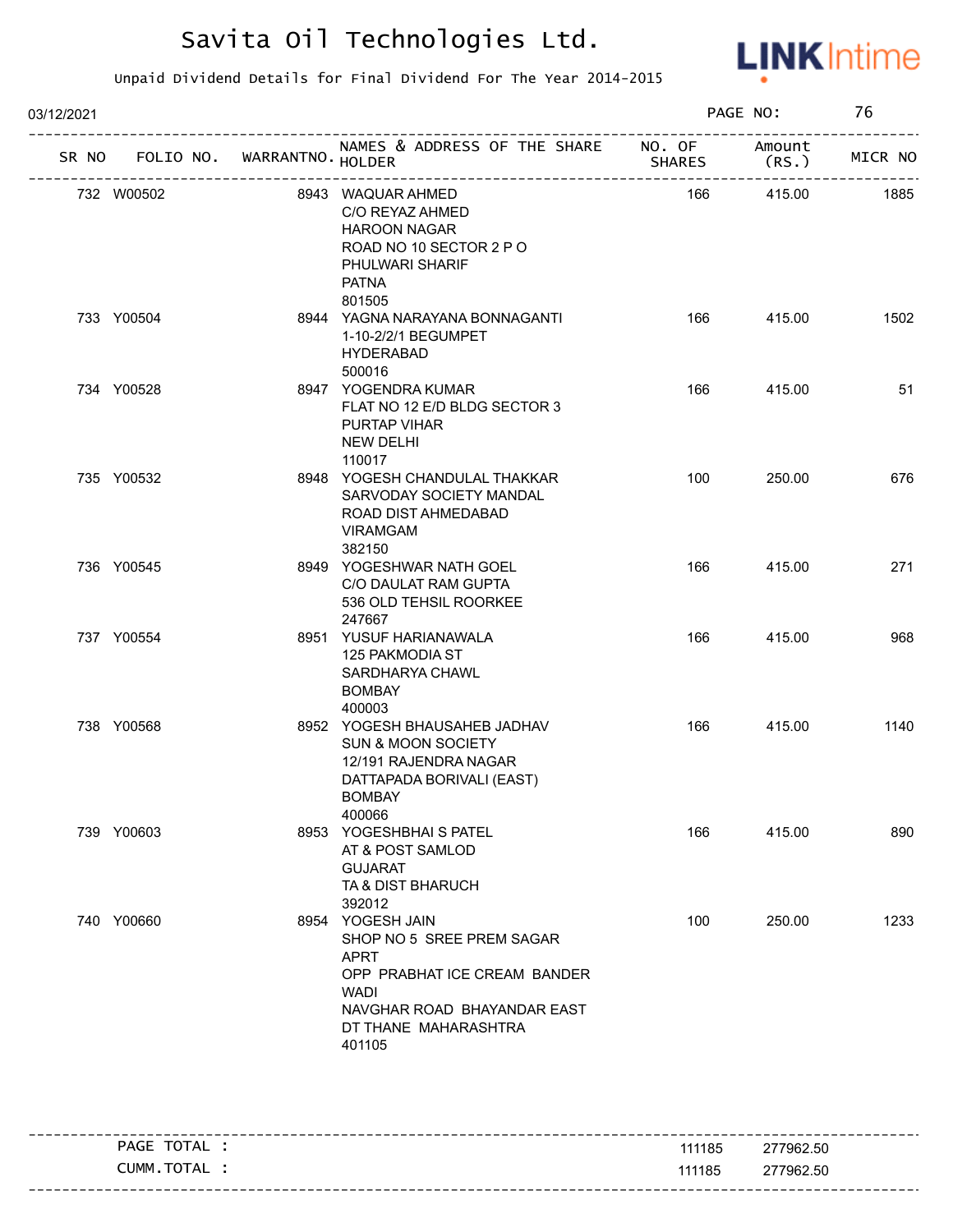

| 03/12/2021 |                                   |  |                                                                                                                                                                       | PAGE NO:      |                  | 76      |  |
|------------|-----------------------------------|--|-----------------------------------------------------------------------------------------------------------------------------------------------------------------------|---------------|------------------|---------|--|
|            | SR NO FOLIO NO. WARRANTNO. HOLDER |  | NAMES & ADDRESS OF THE SHARE NO. OF<br>--------------------------                                                                                                     | <b>SHARES</b> | Amount<br>(RS. ) | MICR NO |  |
|            | 732 W00502                        |  | 8943 WAQUAR AHMED<br>C/O REYAZ AHMED<br><b>HAROON NAGAR</b><br>ROAD NO 10 SECTOR 2 P O<br>PHULWARI SHARIF<br><b>PATNA</b><br>801505                                   | 166           | 415.00           | 1885    |  |
|            | 733 Y00504                        |  | 8944 YAGNA NARAYANA BONNAGANTI<br>1-10-2/2/1 BEGUMPET<br><b>HYDERABAD</b><br>500016                                                                                   | 166           | 415.00           | 1502    |  |
|            | 734 Y00528                        |  | 8947 YOGENDRA KUMAR<br>FLAT NO 12 E/D BLDG SECTOR 3<br>PURTAP VIHAR<br>NEW DELHI<br>110017                                                                            | 166           | 415.00           | 51      |  |
|            | 735 Y00532                        |  | 8948 YOGESH CHANDULAL THAKKAR<br>SARVODAY SOCIETY MANDAL<br>ROAD DIST AHMEDABAD<br><b>VIRAMGAM</b><br>382150                                                          | 100           | 250.00           | 676     |  |
|            | 736 Y00545                        |  | 8949 YOGESHWAR NATH GOEL<br>C/O DAULAT RAM GUPTA<br>536 OLD TEHSIL ROORKEE<br>247667                                                                                  | 166           | 415.00           | 271     |  |
|            | 737 Y00554                        |  | 8951 YUSUF HARIANAWALA<br>125 PAKMODIA ST<br>SARDHARYA CHAWL<br><b>BOMBAY</b><br>400003                                                                               | 166           | 415.00           | 968     |  |
|            | 738 Y00568                        |  | 8952 YOGESH BHAUSAHEB JADHAV<br><b>SUN &amp; MOON SOCIETY</b><br>12/191 RAJENDRA NAGAR<br>DATTAPADA BORIVALI (EAST)<br>BOMBAY<br>400066                               | 166           | 415.00           | 1140    |  |
|            | 739 Y00603                        |  | 8953 YOGESHBHAI S PATEL<br>AT & POST SAMLOD<br><b>GUJARAT</b><br>TA & DIST BHARUCH<br>392012                                                                          | 166           | 415.00           | 890     |  |
|            | 740 Y00660                        |  | 8954 YOGESH JAIN<br>SHOP NO 5 SREE PREM SAGAR<br><b>APRT</b><br>OPP PRABHAT ICE CREAM BANDER<br>WADI<br>NAVGHAR ROAD BHAYANDAR EAST<br>DT THANE MAHARASHTRA<br>401105 | 100           | 250.00           | 1233    |  |

|                         |        | ---------------------        |
|-------------------------|--------|------------------------------|
| TOTAL<br>PAGE           | 111185 | 277962.50                    |
| . TOTA<br>_UMM<br>I AL. | 111185 | 277962.50                    |
|                         |        | ---------------------------- |